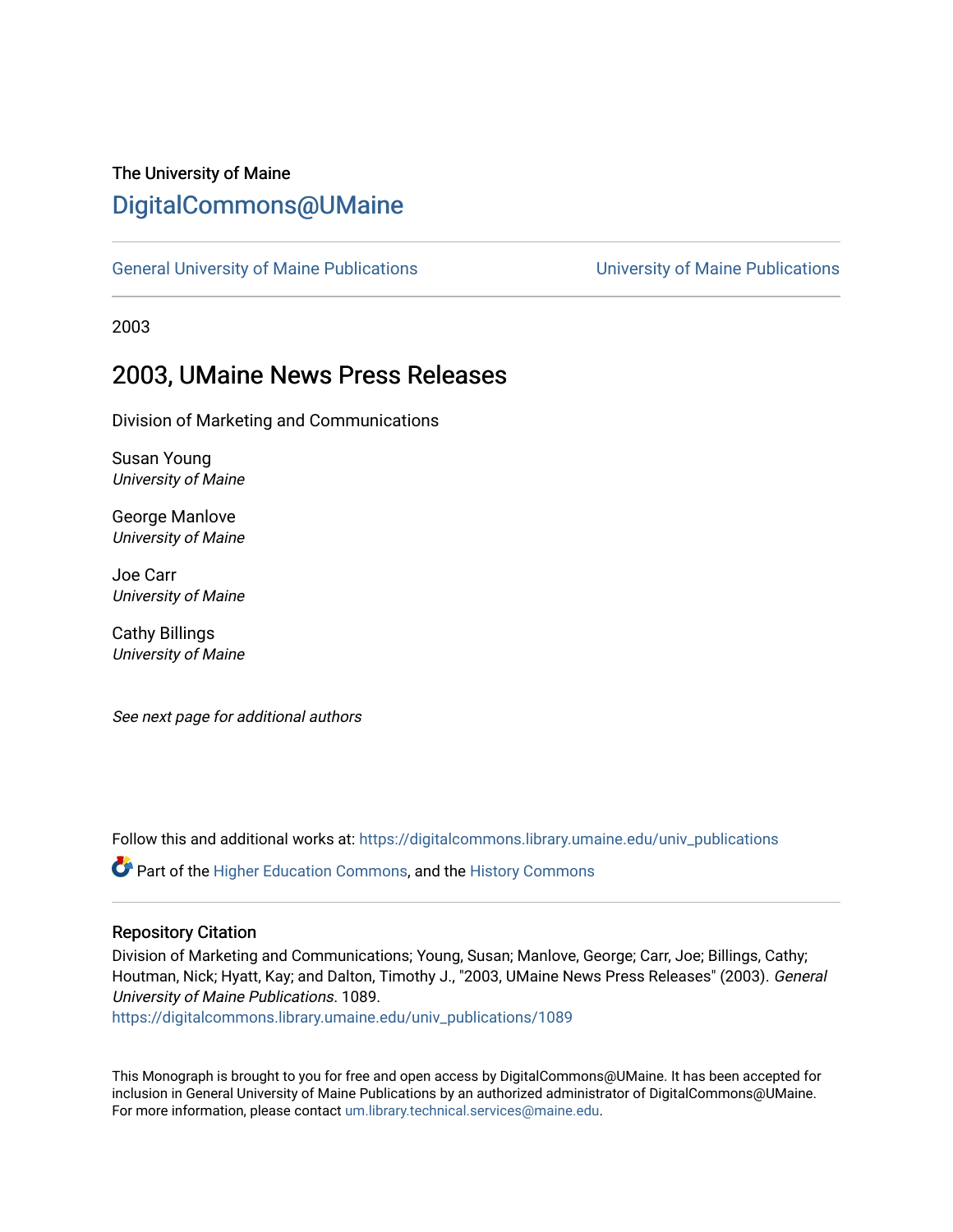# The University of Maine [DigitalCommons@UMaine](https://digitalcommons.library.umaine.edu/)

[General University of Maine Publications](https://digitalcommons.library.umaine.edu/univ_publications) [University of Maine Publications](https://digitalcommons.library.umaine.edu/umaine_publications) 

2003

# 2003, UMaine News Press Releases

Division of Marketing and Communications

Susan Young University of Maine

George Manlove University of Maine

Joe Carr University of Maine

Cathy Billings University of Maine

See next page for additional authors

Follow this and additional works at: [https://digitalcommons.library.umaine.edu/univ\\_publications](https://digitalcommons.library.umaine.edu/univ_publications?utm_source=digitalcommons.library.umaine.edu%2Funiv_publications%2F1089&utm_medium=PDF&utm_campaign=PDFCoverPages) 

Part of the [Higher Education Commons,](http://network.bepress.com/hgg/discipline/1245?utm_source=digitalcommons.library.umaine.edu%2Funiv_publications%2F1089&utm_medium=PDF&utm_campaign=PDFCoverPages) and the [History Commons](http://network.bepress.com/hgg/discipline/489?utm_source=digitalcommons.library.umaine.edu%2Funiv_publications%2F1089&utm_medium=PDF&utm_campaign=PDFCoverPages)

#### Repository Citation

Division of Marketing and Communications; Young, Susan; Manlove, George; Carr, Joe; Billings, Cathy; Houtman, Nick; Hyatt, Kay; and Dalton, Timothy J., "2003, UMaine News Press Releases" (2003). General University of Maine Publications. 1089.

[https://digitalcommons.library.umaine.edu/univ\\_publications/1089](https://digitalcommons.library.umaine.edu/univ_publications/1089?utm_source=digitalcommons.library.umaine.edu%2Funiv_publications%2F1089&utm_medium=PDF&utm_campaign=PDFCoverPages)

This Monograph is brought to you for free and open access by DigitalCommons@UMaine. It has been accepted for inclusion in General University of Maine Publications by an authorized administrator of DigitalCommons@UMaine. For more information, please contact [um.library.technical.services@maine.edu](mailto:um.library.technical.services@maine.edu).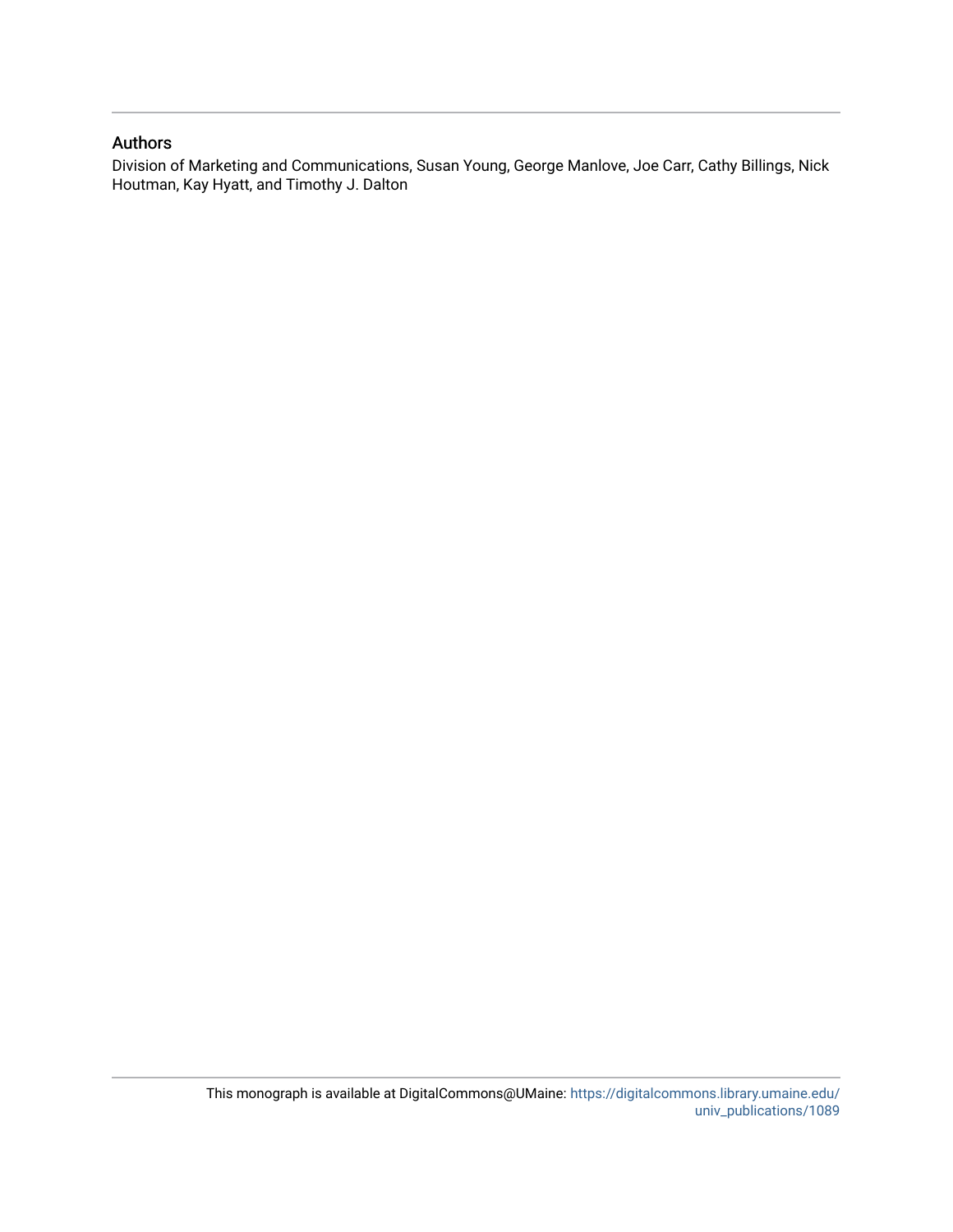#### Authors

Division of Marketing and Communications, Susan Young, George Manlove, Joe Carr, Cathy Billings, Nick Houtman, Kay Hyatt, and Timothy J. Dalton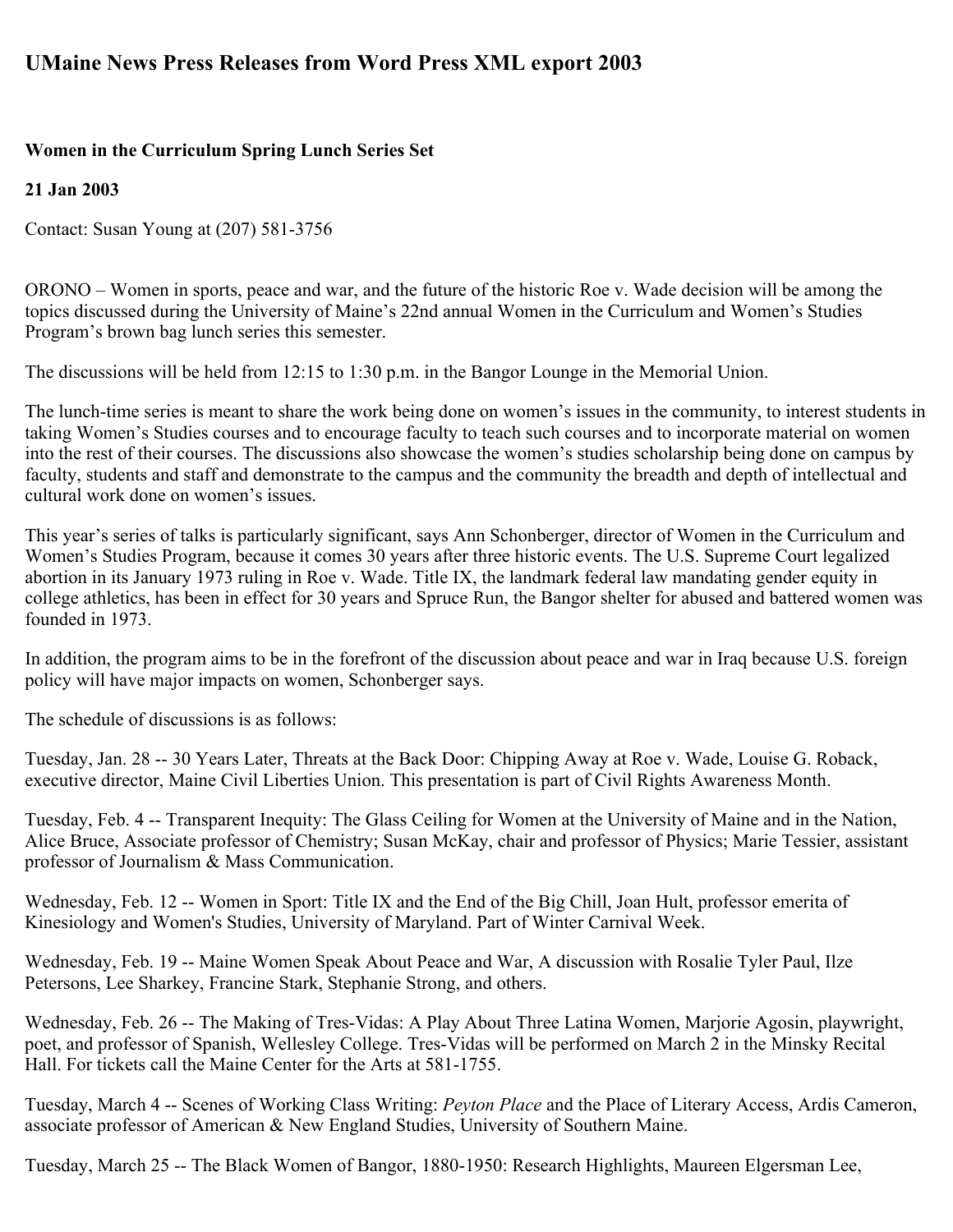# **UMaine News Press Releases from Word Press XML export 2003**

## **Women in the Curriculum Spring Lunch Series Set**

## **21 Jan 2003**

Contact: Susan Young at (207) 581-3756

ORONO – Women in sports, peace and war, and the future of the historic Roe v. Wade decision will be among the topics discussed during the University of Maine's 22nd annual Women in the Curriculum and Women's Studies Program's brown bag lunch series this semester.

The discussions will be held from 12:15 to 1:30 p.m. in the Bangor Lounge in the Memorial Union.

The lunch-time series is meant to share the work being done on women's issues in the community, to interest students in taking Women's Studies courses and to encourage faculty to teach such courses and to incorporate material on women into the rest of their courses. The discussions also showcase the women's studies scholarship being done on campus by faculty, students and staff and demonstrate to the campus and the community the breadth and depth of intellectual and cultural work done on women's issues.

This year's series of talks is particularly significant, says Ann Schonberger, director of Women in the Curriculum and Women's Studies Program, because it comes 30 years after three historic events. The U.S. Supreme Court legalized abortion in its January 1973 ruling in Roe v. Wade. Title IX, the landmark federal law mandating gender equity in college athletics, has been in effect for 30 years and Spruce Run, the Bangor shelter for abused and battered women was founded in 1973.

In addition, the program aims to be in the forefront of the discussion about peace and war in Iraq because U.S. foreign policy will have major impacts on women, Schonberger says.

The schedule of discussions is as follows:

Tuesday, Jan. 28 -- 30 Years Later, Threats at the Back Door: Chipping Away at Roe v. Wade, Louise G. Roback, executive director, Maine Civil Liberties Union. This presentation is part of Civil Rights Awareness Month.

Tuesday, Feb. 4 -- Transparent Inequity: The Glass Ceiling for Women at the University of Maine and in the Nation, Alice Bruce, Associate professor of Chemistry; Susan McKay, chair and professor of Physics; Marie Tessier, assistant professor of Journalism & Mass Communication.

Wednesday, Feb. 12 -- Women in Sport: Title IX and the End of the Big Chill, Joan Hult, professor emerita of Kinesiology and Women's Studies, University of Maryland. Part of Winter Carnival Week.

Wednesday, Feb. 19 -- Maine Women Speak About Peace and War, A discussion with Rosalie Tyler Paul, Ilze Petersons, Lee Sharkey, Francine Stark, Stephanie Strong, and others.

Wednesday, Feb. 26 -- The Making of Tres-Vidas: A Play About Three Latina Women, Marjorie Agosin, playwright, poet, and professor of Spanish, Wellesley College. Tres-Vidas will be performed on March 2 in the Minsky Recital Hall. For tickets call the Maine Center for the Arts at 581-1755.

Tuesday, March 4 -- Scenes of Working Class Writing: *Peyton Place* and the Place of Literary Access, Ardis Cameron, associate professor of American & New England Studies, University of Southern Maine.

Tuesday, March 25 -- The Black Women of Bangor, 1880-1950: Research Highlights, Maureen Elgersman Lee,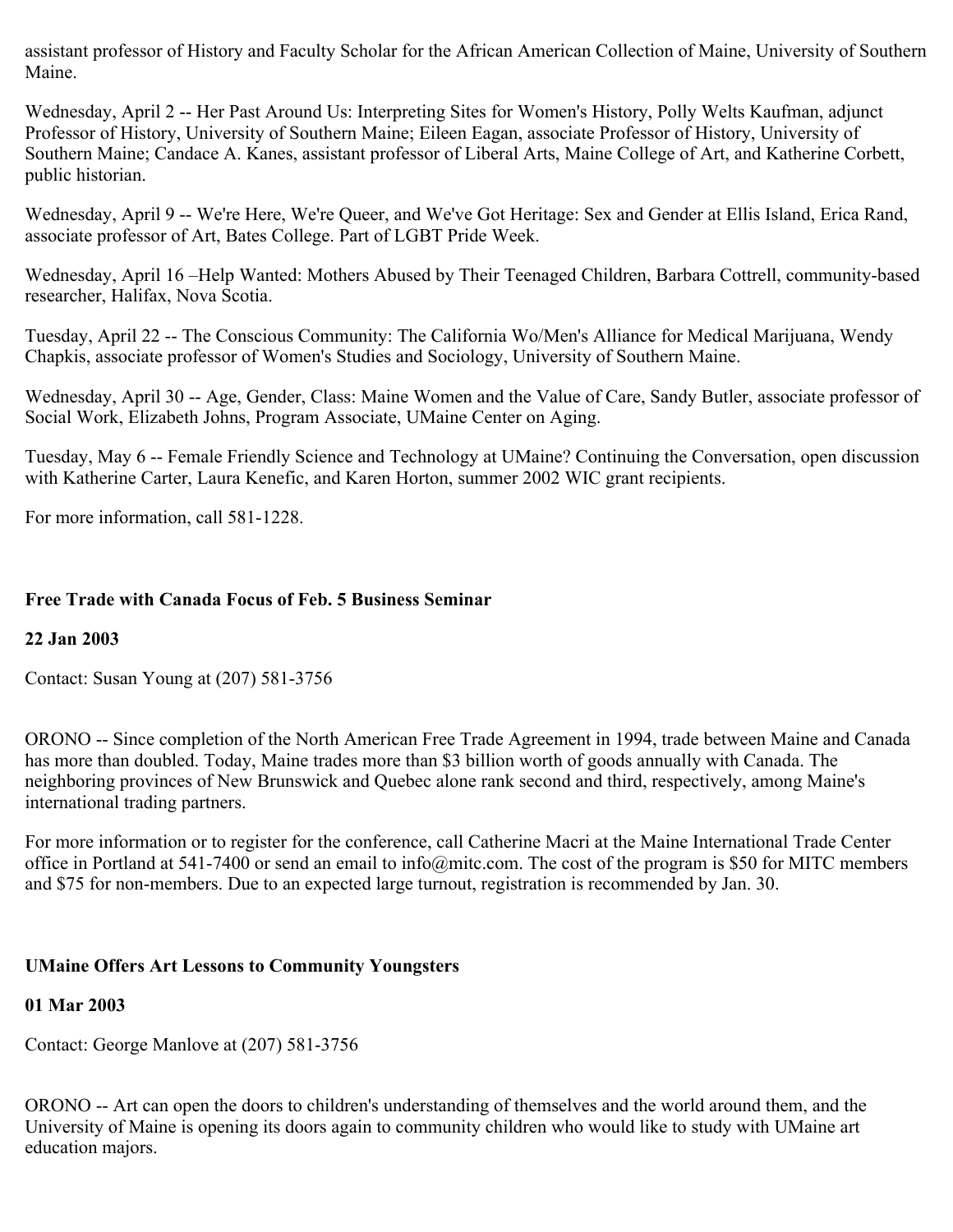assistant professor of History and Faculty Scholar for the African American Collection of Maine, University of Southern Maine.

Wednesday, April 2 -- Her Past Around Us: Interpreting Sites for Women's History, Polly Welts Kaufman, adjunct Professor of History, University of Southern Maine; Eileen Eagan, associate Professor of History, University of Southern Maine; Candace A. Kanes, assistant professor of Liberal Arts, Maine College of Art, and Katherine Corbett, public historian.

Wednesday, April 9 -- We're Here, We're Queer, and We've Got Heritage: Sex and Gender at Ellis Island, Erica Rand, associate professor of Art, Bates College. Part of LGBT Pride Week.

Wednesday, April 16 –Help Wanted: Mothers Abused by Their Teenaged Children, Barbara Cottrell, community-based researcher, Halifax, Nova Scotia.

Tuesday, April 22 -- The Conscious Community: The California Wo/Men's Alliance for Medical Marijuana, Wendy Chapkis, associate professor of Women's Studies and Sociology, University of Southern Maine.

Wednesday, April 30 -- Age, Gender, Class: Maine Women and the Value of Care, Sandy Butler, associate professor of Social Work, Elizabeth Johns, Program Associate, UMaine Center on Aging.

Tuesday, May 6 -- Female Friendly Science and Technology at UMaine? Continuing the Conversation, open discussion with Katherine Carter, Laura Kenefic, and Karen Horton, summer 2002 WIC grant recipients.

For more information, call 581-1228.

## **Free Trade with Canada Focus of Feb. 5 Business Seminar**

## **22 Jan 2003**

Contact: Susan Young at (207) 581-3756

ORONO -- Since completion of the North American Free Trade Agreement in 1994, trade between Maine and Canada has more than doubled. Today, Maine trades more than \$3 billion worth of goods annually with Canada. The neighboring provinces of New Brunswick and Quebec alone rank second and third, respectively, among Maine's international trading partners.

For more information or to register for the conference, call Catherine Macri at the Maine International Trade Center office in Portland at 541-7400 or send an email to info@mitc.com. The cost of the program is \$50 for MITC members and \$75 for non-members. Due to an expected large turnout, registration is recommended by Jan. 30.

## **UMaine Offers Art Lessons to Community Youngsters**

## **01 Mar 2003**

Contact: George Manlove at (207) 581-3756

ORONO -- Art can open the doors to children's understanding of themselves and the world around them, and the University of Maine is opening its doors again to community children who would like to study with UMaine art education majors.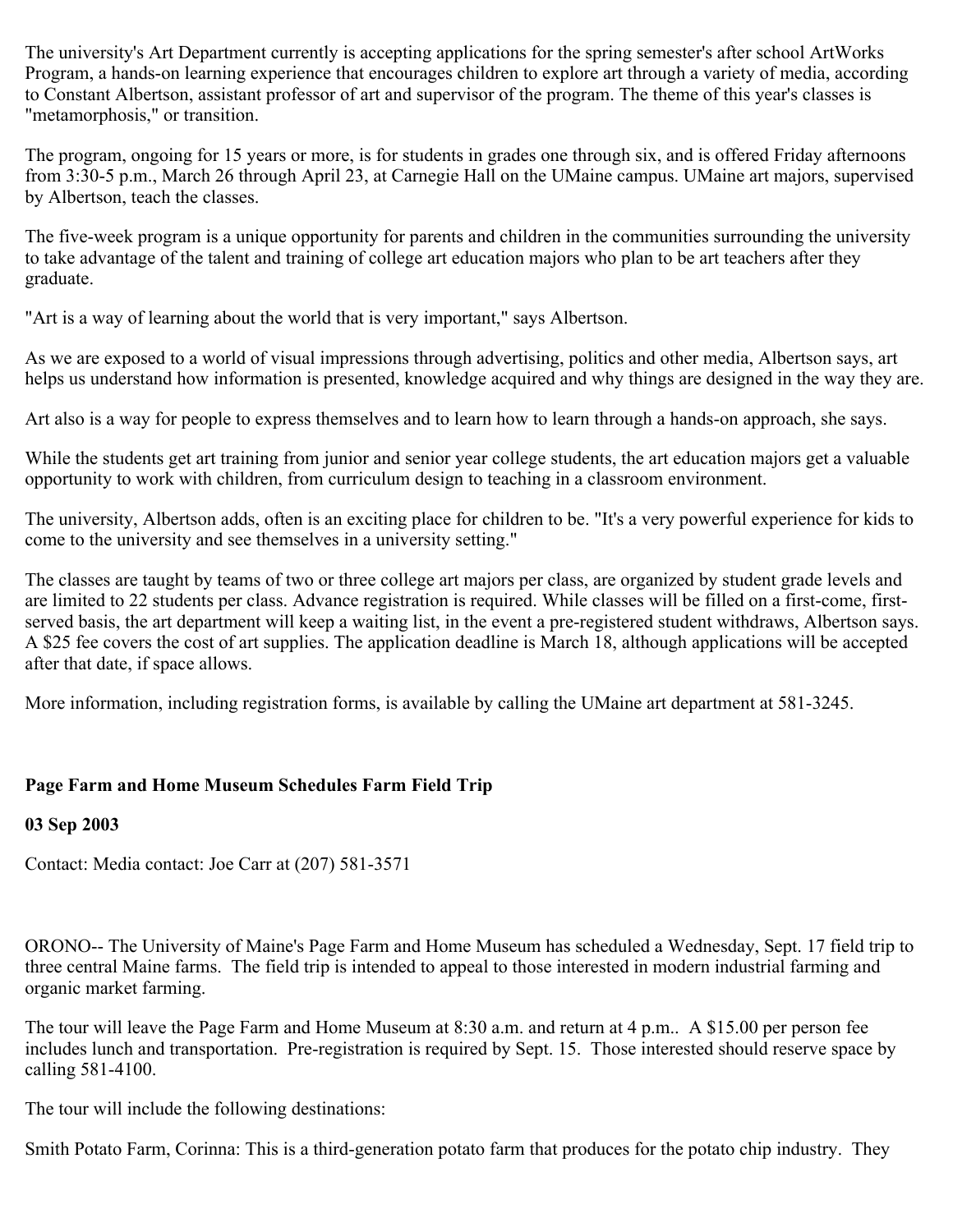The university's Art Department currently is accepting applications for the spring semester's after school ArtWorks Program, a hands-on learning experience that encourages children to explore art through a variety of media, according to Constant Albertson, assistant professor of art and supervisor of the program. The theme of this year's classes is "metamorphosis," or transition.

The program, ongoing for 15 years or more, is for students in grades one through six, and is offered Friday afternoons from 3:30-5 p.m., March 26 through April 23, at Carnegie Hall on the UMaine campus. UMaine art majors, supervised by Albertson, teach the classes.

The five-week program is a unique opportunity for parents and children in the communities surrounding the university to take advantage of the talent and training of college art education majors who plan to be art teachers after they graduate.

"Art is a way of learning about the world that is very important," says Albertson.

As we are exposed to a world of visual impressions through advertising, politics and other media, Albertson says, art helps us understand how information is presented, knowledge acquired and why things are designed in the way they are.

Art also is a way for people to express themselves and to learn how to learn through a hands-on approach, she says.

While the students get art training from junior and senior year college students, the art education majors get a valuable opportunity to work with children, from curriculum design to teaching in a classroom environment.

The university, Albertson adds, often is an exciting place for children to be. "It's a very powerful experience for kids to come to the university and see themselves in a university setting."

The classes are taught by teams of two or three college art majors per class, are organized by student grade levels and are limited to 22 students per class. Advance registration is required. While classes will be filled on a first-come, firstserved basis, the art department will keep a waiting list, in the event a pre-registered student withdraws, Albertson says. A \$25 fee covers the cost of art supplies. The application deadline is March 18, although applications will be accepted after that date, if space allows.

More information, including registration forms, is available by calling the UMaine art department at 581-3245.

## **Page Farm and Home Museum Schedules Farm Field Trip**

#### **03 Sep 2003**

Contact: Media contact: Joe Carr at (207) 581-3571

ORONO-- The University of Maine's Page Farm and Home Museum has scheduled a Wednesday, Sept. 17 field trip to three central Maine farms. The field trip is intended to appeal to those interested in modern industrial farming and organic market farming.

The tour will leave the Page Farm and Home Museum at 8:30 a.m. and return at 4 p.m.. A \$15.00 per person fee includes lunch and transportation. Pre-registration is required by Sept. 15. Those interested should reserve space by calling 581-4100.

The tour will include the following destinations:

Smith Potato Farm, Corinna: This is a third-generation potato farm that produces for the potato chip industry. They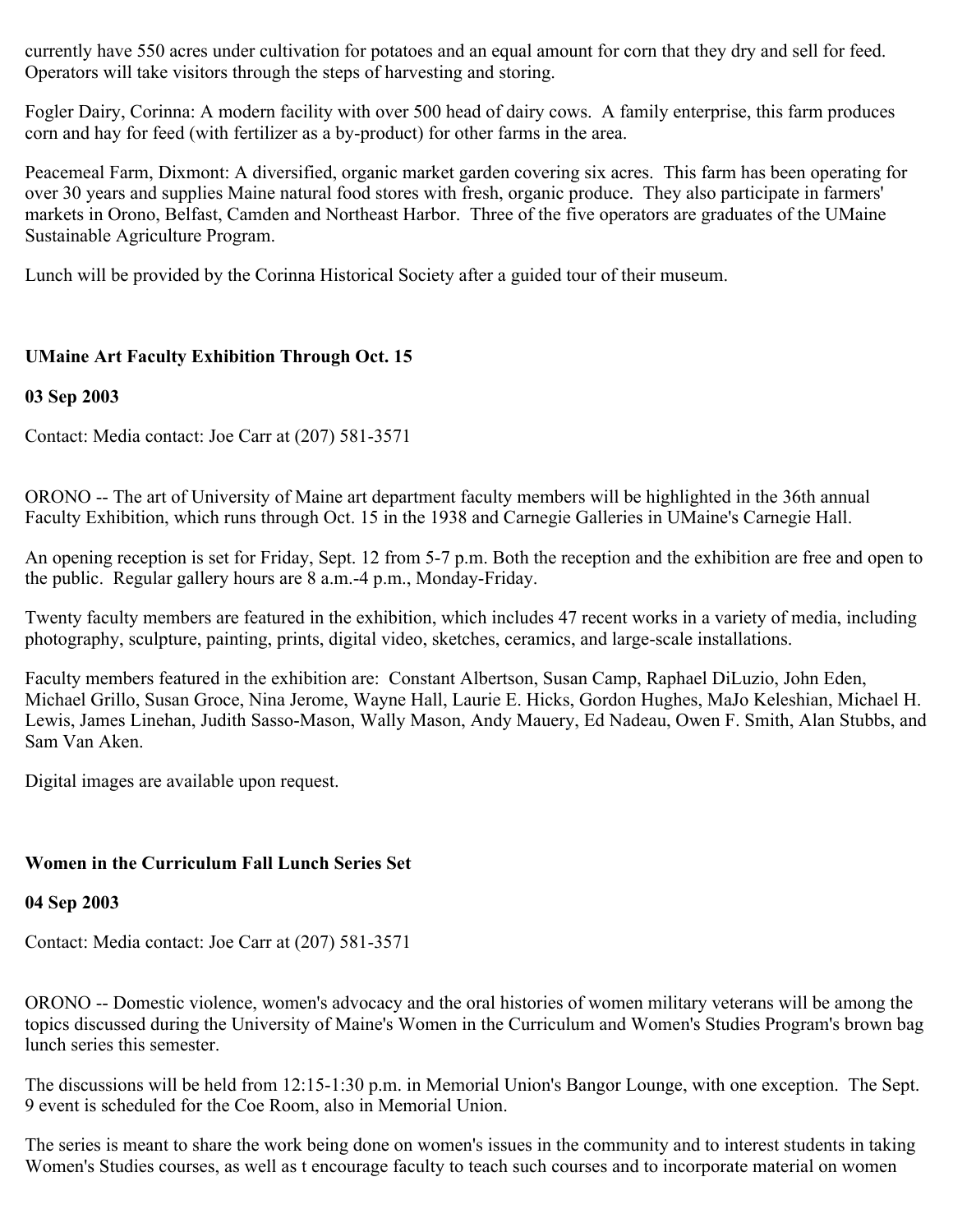currently have 550 acres under cultivation for potatoes and an equal amount for corn that they dry and sell for feed. Operators will take visitors through the steps of harvesting and storing.

Fogler Dairy, Corinna: A modern facility with over 500 head of dairy cows. A family enterprise, this farm produces corn and hay for feed (with fertilizer as a by-product) for other farms in the area.

Peacemeal Farm, Dixmont: A diversified, organic market garden covering six acres. This farm has been operating for over 30 years and supplies Maine natural food stores with fresh, organic produce. They also participate in farmers' markets in Orono, Belfast, Camden and Northeast Harbor. Three of the five operators are graduates of the UMaine Sustainable Agriculture Program.

Lunch will be provided by the Corinna Historical Society after a guided tour of their museum.

## **UMaine Art Faculty Exhibition Through Oct. 15**

## **03 Sep 2003**

Contact: Media contact: Joe Carr at (207) 581-3571

ORONO -- The art of University of Maine art department faculty members will be highlighted in the 36th annual Faculty Exhibition, which runs through Oct. 15 in the 1938 and Carnegie Galleries in UMaine's Carnegie Hall.

An opening reception is set for Friday, Sept. 12 from 5-7 p.m. Both the reception and the exhibition are free and open to the public. Regular gallery hours are 8 a.m.-4 p.m., Monday-Friday.

Twenty faculty members are featured in the exhibition, which includes 47 recent works in a variety of media, including photography, sculpture, painting, prints, digital video, sketches, ceramics, and large-scale installations.

Faculty members featured in the exhibition are: Constant Albertson, Susan Camp, Raphael DiLuzio, John Eden, Michael Grillo, Susan Groce, Nina Jerome, Wayne Hall, Laurie E. Hicks, Gordon Hughes, MaJo Keleshian, Michael H. Lewis, James Linehan, Judith Sasso-Mason, Wally Mason, Andy Mauery, Ed Nadeau, Owen F. Smith, Alan Stubbs, and Sam Van Aken.

Digital images are available upon request.

## **Women in the Curriculum Fall Lunch Series Set**

## **04 Sep 2003**

Contact: Media contact: Joe Carr at (207) 581-3571

ORONO -- Domestic violence, women's advocacy and the oral histories of women military veterans will be among the topics discussed during the University of Maine's Women in the Curriculum and Women's Studies Program's brown bag lunch series this semester.

The discussions will be held from 12:15-1:30 p.m. in Memorial Union's Bangor Lounge, with one exception. The Sept. 9 event is scheduled for the Coe Room, also in Memorial Union.

The series is meant to share the work being done on women's issues in the community and to interest students in taking Women's Studies courses, as well as t encourage faculty to teach such courses and to incorporate material on women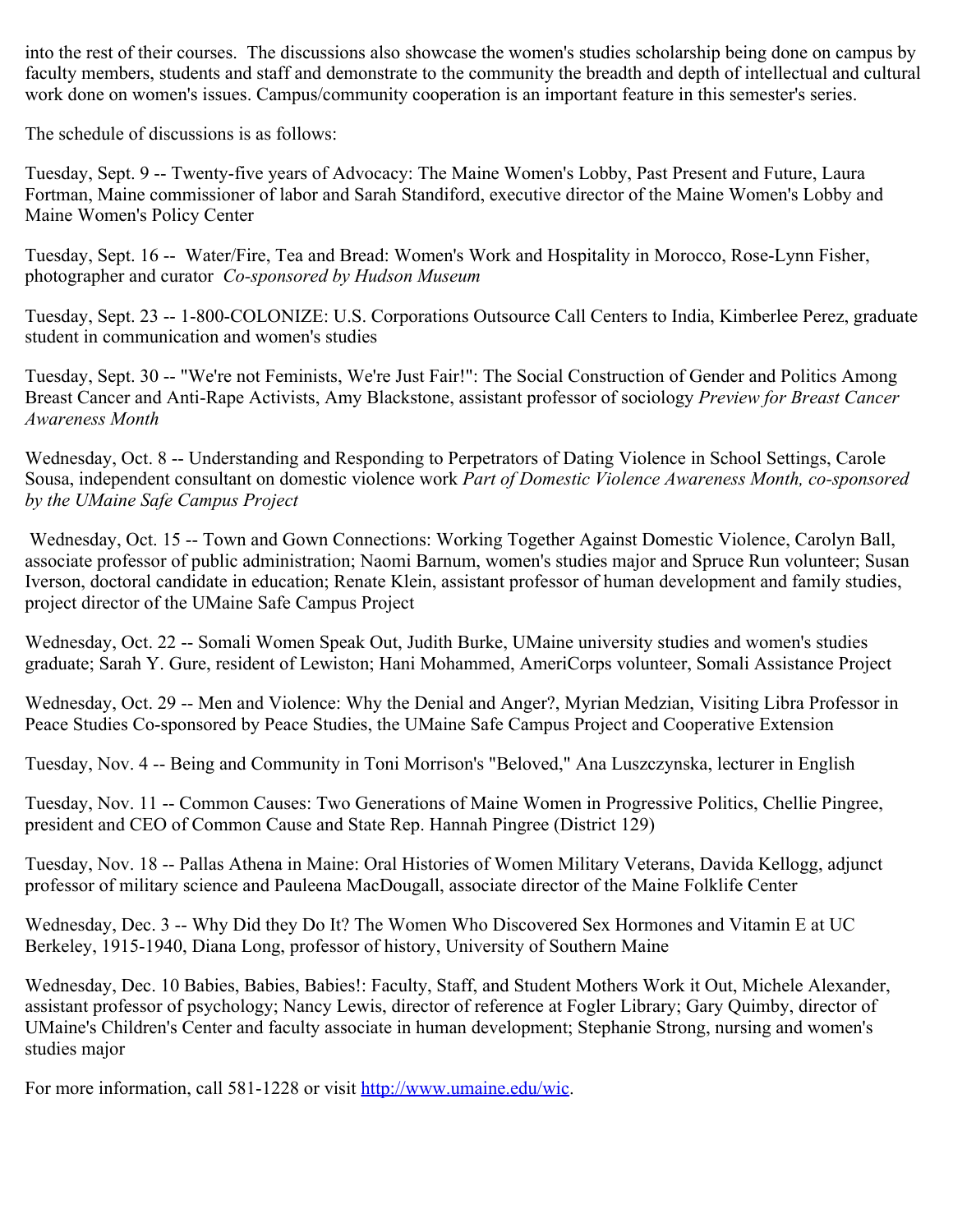into the rest of their courses. The discussions also showcase the women's studies scholarship being done on campus by faculty members, students and staff and demonstrate to the community the breadth and depth of intellectual and cultural work done on women's issues. Campus/community cooperation is an important feature in this semester's series.

The schedule of discussions is as follows:

Tuesday, Sept. 9 -- Twenty-five years of Advocacy: The Maine Women's Lobby, Past Present and Future, Laura Fortman, Maine commissioner of labor and Sarah Standiford, executive director of the Maine Women's Lobby and Maine Women's Policy Center

Tuesday, Sept. 16 -- Water/Fire, Tea and Bread: Women's Work and Hospitality in Morocco, Rose-Lynn Fisher, photographer and curator *Co-sponsored by Hudson Museum*

Tuesday, Sept. 23 -- 1-800-COLONIZE: U.S. Corporations Outsource Call Centers to India, Kimberlee Perez, graduate student in communication and women's studies

Tuesday, Sept. 30 -- "We're not Feminists, We're Just Fair!": The Social Construction of Gender and Politics Among Breast Cancer and Anti-Rape Activists, Amy Blackstone, assistant professor of sociology *Preview for Breast Cancer Awareness Month*

Wednesday, Oct. 8 -- Understanding and Responding to Perpetrators of Dating Violence in School Settings, Carole Sousa, independent consultant on domestic violence work *Part of Domestic Violence Awareness Month, co-sponsored by the UMaine Safe Campus Project*

Wednesday, Oct. 15 -- Town and Gown Connections: Working Together Against Domestic Violence, Carolyn Ball, associate professor of public administration; Naomi Barnum, women's studies major and Spruce Run volunteer; Susan Iverson, doctoral candidate in education; Renate Klein, assistant professor of human development and family studies, project director of the UMaine Safe Campus Project

Wednesday, Oct. 22 -- Somali Women Speak Out, Judith Burke, UMaine university studies and women's studies graduate; Sarah Y. Gure, resident of Lewiston; Hani Mohammed, AmeriCorps volunteer, Somali Assistance Project

Wednesday, Oct. 29 -- Men and Violence: Why the Denial and Anger?, Myrian Medzian, Visiting Libra Professor in Peace Studies Co-sponsored by Peace Studies, the UMaine Safe Campus Project and Cooperative Extension

Tuesday, Nov. 4 -- Being and Community in Toni Morrison's "Beloved," Ana Luszczynska, lecturer in English

Tuesday, Nov. 11 -- Common Causes: Two Generations of Maine Women in Progressive Politics, Chellie Pingree, president and CEO of Common Cause and State Rep. Hannah Pingree (District 129)

Tuesday, Nov. 18 -- Pallas Athena in Maine: Oral Histories of Women Military Veterans, Davida Kellogg, adjunct professor of military science and Pauleena MacDougall, associate director of the Maine Folklife Center

Wednesday, Dec. 3 -- Why Did they Do It? The Women Who Discovered Sex Hormones and Vitamin E at UC Berkeley, 1915-1940, Diana Long, professor of history, University of Southern Maine

Wednesday, Dec. 10 Babies, Babies, Babies!: Faculty, Staff, and Student Mothers Work it Out, Michele Alexander, assistant professor of psychology; Nancy Lewis, director of reference at Fogler Library; Gary Quimby, director of UMaine's Children's Center and faculty associate in human development; Stephanie Strong, nursing and women's studies major

For more information, call 581-1228 or visit<http://www.umaine.edu/wic>.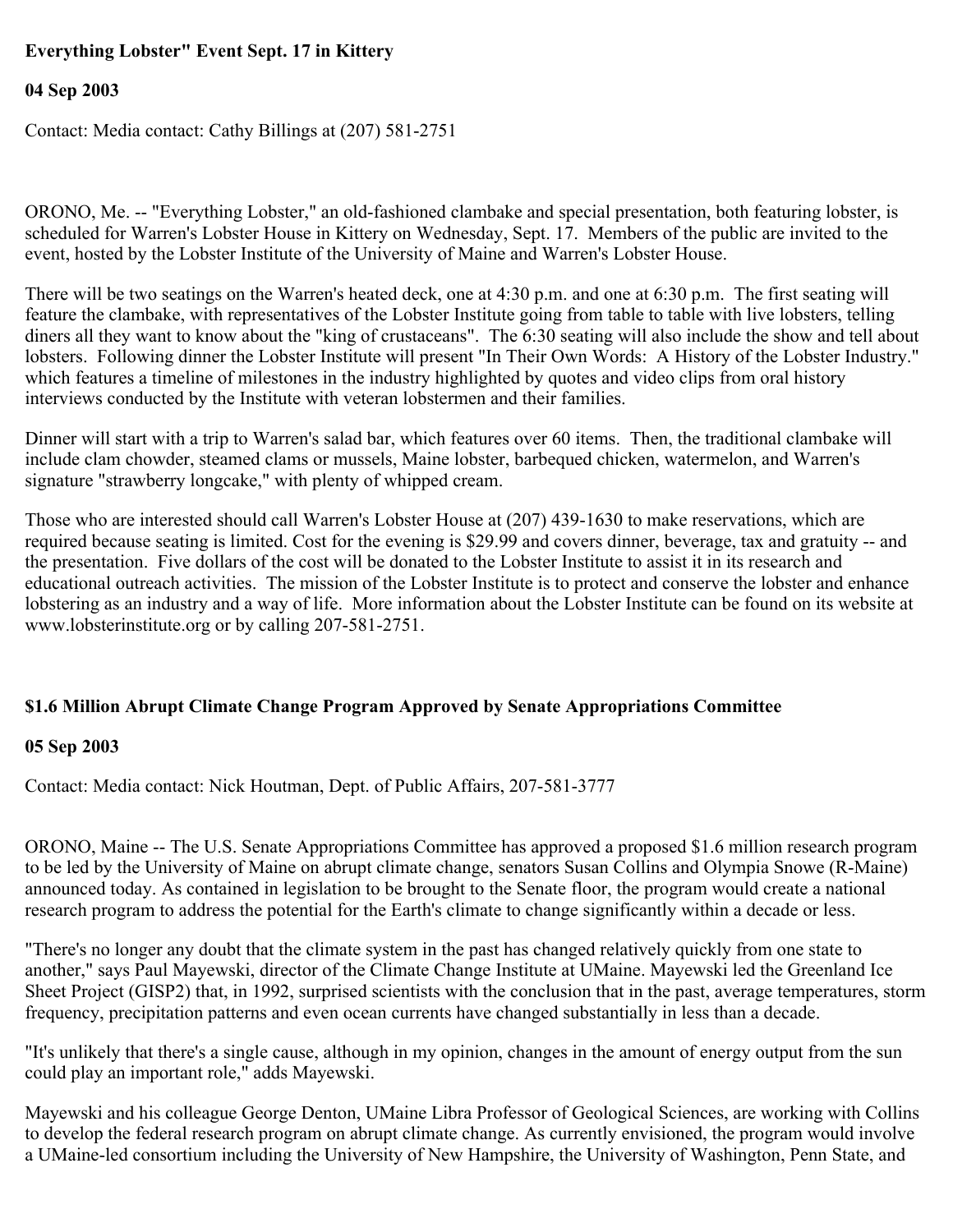## **Everything Lobster" Event Sept. 17 in Kittery**

## **04 Sep 2003**

Contact: Media contact: Cathy Billings at (207) 581-2751

ORONO, Me. -- "Everything Lobster," an old-fashioned clambake and special presentation, both featuring lobster, is scheduled for Warren's Lobster House in Kittery on Wednesday, Sept. 17. Members of the public are invited to the event, hosted by the Lobster Institute of the University of Maine and Warren's Lobster House.

There will be two seatings on the Warren's heated deck, one at 4:30 p.m. and one at 6:30 p.m. The first seating will feature the clambake, with representatives of the Lobster Institute going from table to table with live lobsters, telling diners all they want to know about the "king of crustaceans". The 6:30 seating will also include the show and tell about lobsters. Following dinner the Lobster Institute will present "In Their Own Words: A History of the Lobster Industry." which features a timeline of milestones in the industry highlighted by quotes and video clips from oral history interviews conducted by the Institute with veteran lobstermen and their families.

Dinner will start with a trip to Warren's salad bar, which features over 60 items. Then, the traditional clambake will include clam chowder, steamed clams or mussels, Maine lobster, barbequed chicken, watermelon, and Warren's signature "strawberry longcake," with plenty of whipped cream.

Those who are interested should call Warren's Lobster House at (207) 439-1630 to make reservations, which are required because seating is limited. Cost for the evening is \$29.99 and covers dinner, beverage, tax and gratuity -- and the presentation. Five dollars of the cost will be donated to the Lobster Institute to assist it in its research and educational outreach activities. The mission of the Lobster Institute is to protect and conserve the lobster and enhance lobstering as an industry and a way of life. More information about the Lobster Institute can be found on its website at www.lobsterinstitute.org or by calling 207-581-2751.

## **\$1.6 Million Abrupt Climate Change Program Approved by Senate Appropriations Committee**

#### **05 Sep 2003**

Contact: Media contact: Nick Houtman, Dept. of Public Affairs, 207-581-3777

ORONO, Maine -- The U.S. Senate Appropriations Committee has approved a proposed \$1.6 million research program to be led by the University of Maine on abrupt climate change, senators Susan Collins and Olympia Snowe (R-Maine) announced today. As contained in legislation to be brought to the Senate floor, the program would create a national research program to address the potential for the Earth's climate to change significantly within a decade or less.

"There's no longer any doubt that the climate system in the past has changed relatively quickly from one state to another," says Paul Mayewski, director of the Climate Change Institute at UMaine. Mayewski led the Greenland Ice Sheet Project (GISP2) that, in 1992, surprised scientists with the conclusion that in the past, average temperatures, storm frequency, precipitation patterns and even ocean currents have changed substantially in less than a decade.

"It's unlikely that there's a single cause, although in my opinion, changes in the amount of energy output from the sun could play an important role," adds Mayewski.

Mayewski and his colleague George Denton, UMaine Libra Professor of Geological Sciences, are working with Collins to develop the federal research program on abrupt climate change. As currently envisioned, the program would involve a UMaine-led consortium including the University of New Hampshire, the University of Washington, Penn State, and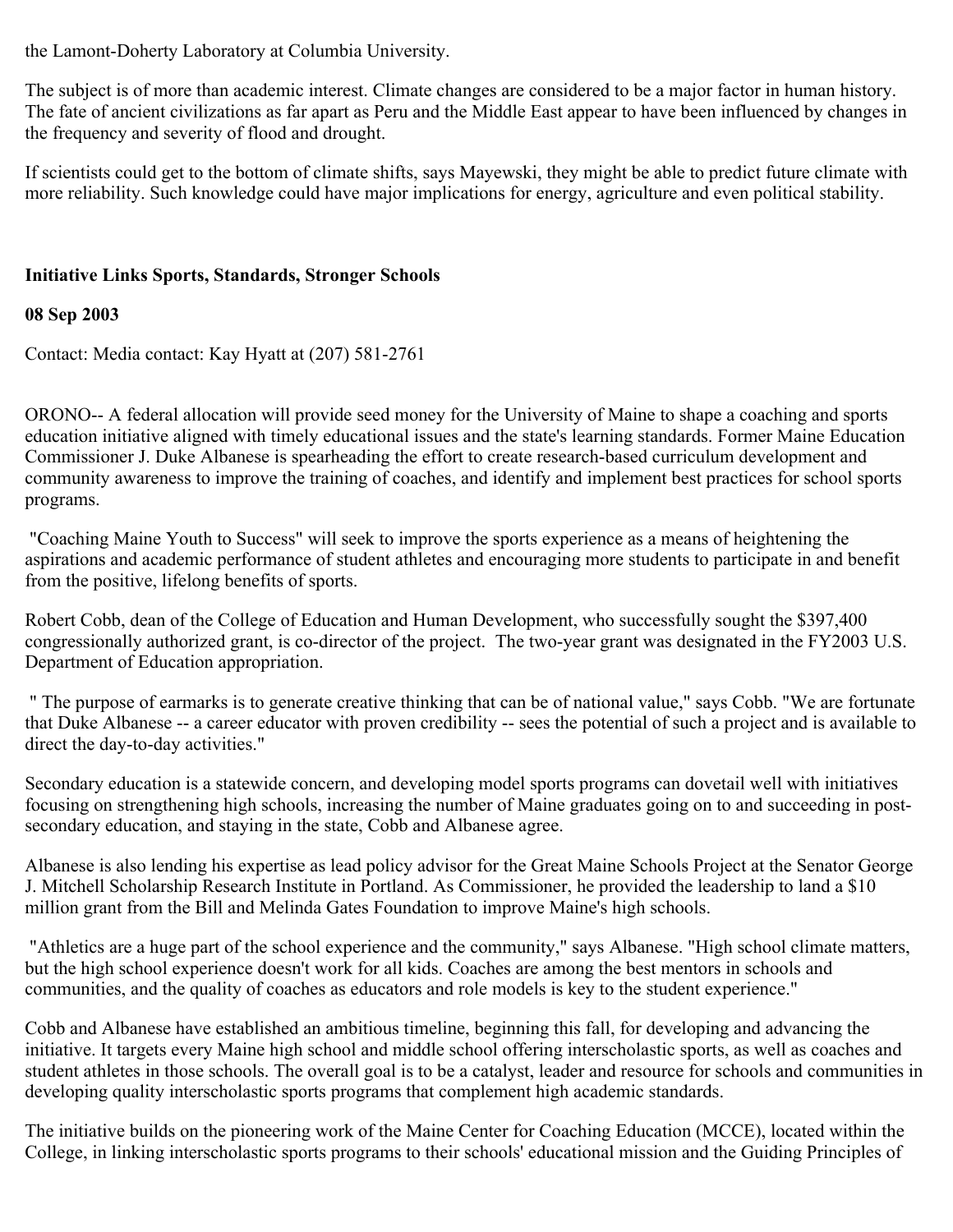the Lamont-Doherty Laboratory at Columbia University.

The subject is of more than academic interest. Climate changes are considered to be a major factor in human history. The fate of ancient civilizations as far apart as Peru and the Middle East appear to have been influenced by changes in the frequency and severity of flood and drought.

If scientists could get to the bottom of climate shifts, says Mayewski, they might be able to predict future climate with more reliability. Such knowledge could have major implications for energy, agriculture and even political stability.

## **Initiative Links Sports, Standards, Stronger Schools**

## **08 Sep 2003**

Contact: Media contact: Kay Hyatt at (207) 581-2761

ORONO-- A federal allocation will provide seed money for the University of Maine to shape a coaching and sports education initiative aligned with timely educational issues and the state's learning standards. Former Maine Education Commissioner J. Duke Albanese is spearheading the effort to create research-based curriculum development and community awareness to improve the training of coaches, and identify and implement best practices for school sports programs.

"Coaching Maine Youth to Success" will seek to improve the sports experience as a means of heightening the aspirations and academic performance of student athletes and encouraging more students to participate in and benefit from the positive, lifelong benefits of sports.

Robert Cobb, dean of the College of Education and Human Development, who successfully sought the \$397,400 congressionally authorized grant, is co-director of the project. The two-year grant was designated in the FY2003 U.S. Department of Education appropriation.

" The purpose of earmarks is to generate creative thinking that can be of national value," says Cobb. "We are fortunate that Duke Albanese -- a career educator with proven credibility -- sees the potential of such a project and is available to direct the day-to-day activities."

Secondary education is a statewide concern, and developing model sports programs can dovetail well with initiatives focusing on strengthening high schools, increasing the number of Maine graduates going on to and succeeding in postsecondary education, and staying in the state, Cobb and Albanese agree.

Albanese is also lending his expertise as lead policy advisor for the Great Maine Schools Project at the Senator George J. Mitchell Scholarship Research Institute in Portland. As Commissioner, he provided the leadership to land a \$10 million grant from the Bill and Melinda Gates Foundation to improve Maine's high schools.

"Athletics are a huge part of the school experience and the community," says Albanese. "High school climate matters, but the high school experience doesn't work for all kids. Coaches are among the best mentors in schools and communities, and the quality of coaches as educators and role models is key to the student experience."

Cobb and Albanese have established an ambitious timeline, beginning this fall, for developing and advancing the initiative. It targets every Maine high school and middle school offering interscholastic sports, as well as coaches and student athletes in those schools. The overall goal is to be a catalyst, leader and resource for schools and communities in developing quality interscholastic sports programs that complement high academic standards.

The initiative builds on the pioneering work of the Maine Center for Coaching Education (MCCE), located within the College, in linking interscholastic sports programs to their schools' educational mission and the Guiding Principles of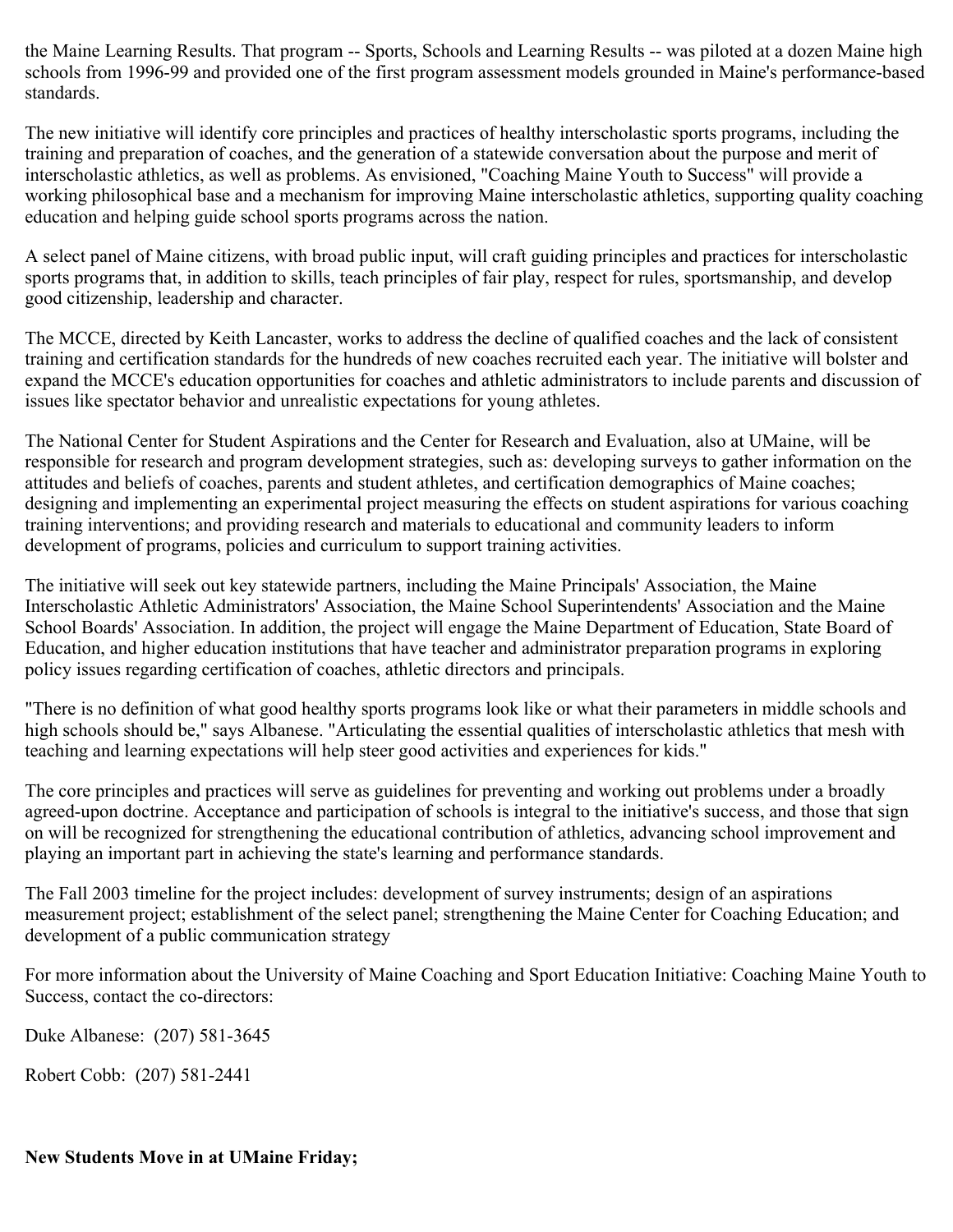the Maine Learning Results. That program -- Sports, Schools and Learning Results -- was piloted at a dozen Maine high schools from 1996-99 and provided one of the first program assessment models grounded in Maine's performance-based standards.

The new initiative will identify core principles and practices of healthy interscholastic sports programs, including the training and preparation of coaches, and the generation of a statewide conversation about the purpose and merit of interscholastic athletics, as well as problems. As envisioned, "Coaching Maine Youth to Success" will provide a working philosophical base and a mechanism for improving Maine interscholastic athletics, supporting quality coaching education and helping guide school sports programs across the nation.

A select panel of Maine citizens, with broad public input, will craft guiding principles and practices for interscholastic sports programs that, in addition to skills, teach principles of fair play, respect for rules, sportsmanship, and develop good citizenship, leadership and character.

The MCCE, directed by Keith Lancaster, works to address the decline of qualified coaches and the lack of consistent training and certification standards for the hundreds of new coaches recruited each year. The initiative will bolster and expand the MCCE's education opportunities for coaches and athletic administrators to include parents and discussion of issues like spectator behavior and unrealistic expectations for young athletes.

The National Center for Student Aspirations and the Center for Research and Evaluation, also at UMaine, will be responsible for research and program development strategies, such as: developing surveys to gather information on the attitudes and beliefs of coaches, parents and student athletes, and certification demographics of Maine coaches; designing and implementing an experimental project measuring the effects on student aspirations for various coaching training interventions; and providing research and materials to educational and community leaders to inform development of programs, policies and curriculum to support training activities.

The initiative will seek out key statewide partners, including the Maine Principals' Association, the Maine Interscholastic Athletic Administrators' Association, the Maine School Superintendents' Association and the Maine School Boards' Association. In addition, the project will engage the Maine Department of Education, State Board of Education, and higher education institutions that have teacher and administrator preparation programs in exploring policy issues regarding certification of coaches, athletic directors and principals.

"There is no definition of what good healthy sports programs look like or what their parameters in middle schools and high schools should be," says Albanese. "Articulating the essential qualities of interscholastic athletics that mesh with teaching and learning expectations will help steer good activities and experiences for kids."

The core principles and practices will serve as guidelines for preventing and working out problems under a broadly agreed-upon doctrine. Acceptance and participation of schools is integral to the initiative's success, and those that sign on will be recognized for strengthening the educational contribution of athletics, advancing school improvement and playing an important part in achieving the state's learning and performance standards.

The Fall 2003 timeline for the project includes: development of survey instruments; design of an aspirations measurement project; establishment of the select panel; strengthening the Maine Center for Coaching Education; and development of a public communication strategy

For more information about the University of Maine Coaching and Sport Education Initiative: Coaching Maine Youth to Success, contact the co-directors:

Duke Albanese: (207) 581-3645

Robert Cobb: (207) 581-2441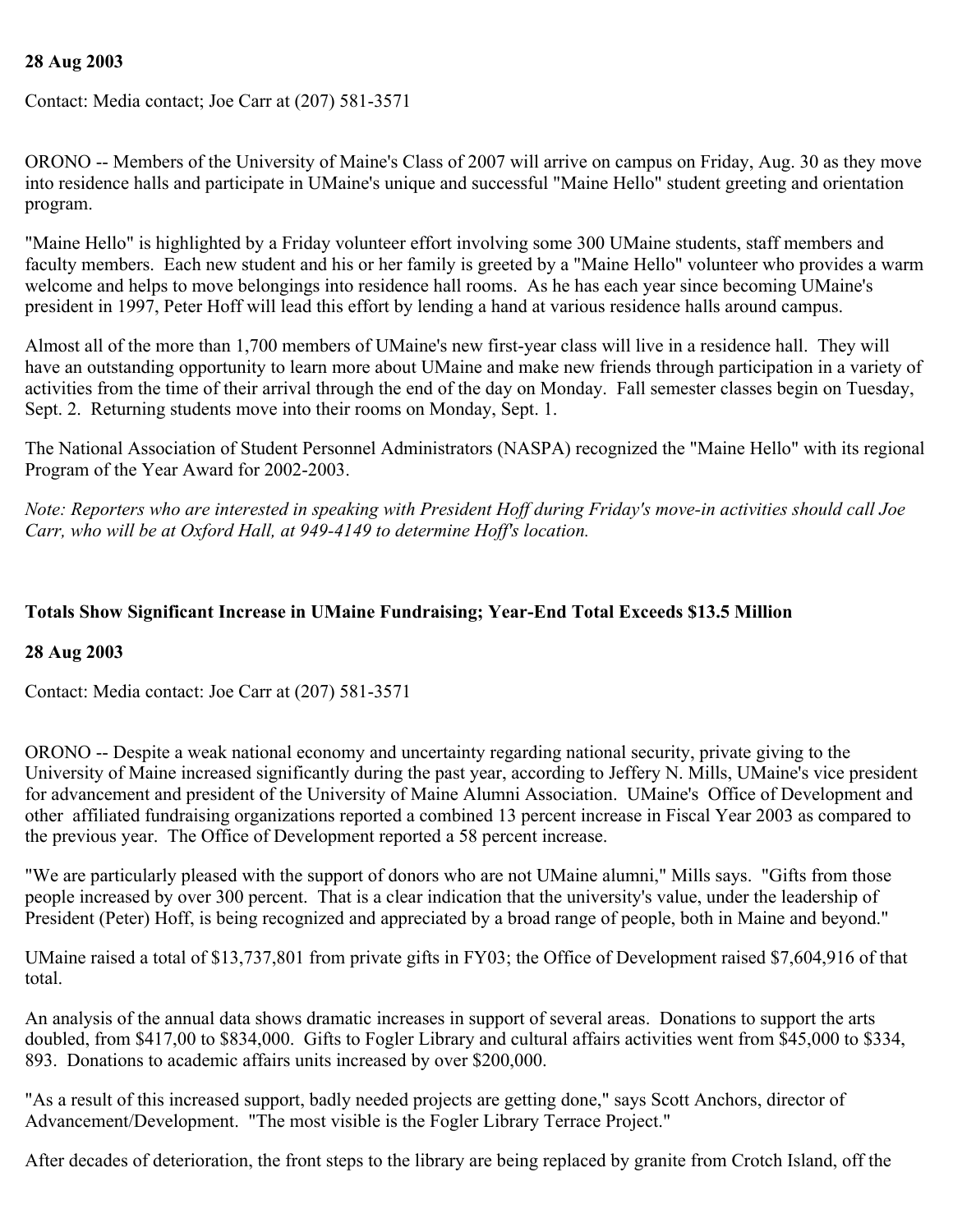### **28 Aug 2003**

Contact: Media contact; Joe Carr at (207) 581-3571

ORONO -- Members of the University of Maine's Class of 2007 will arrive on campus on Friday, Aug. 30 as they move into residence halls and participate in UMaine's unique and successful "Maine Hello" student greeting and orientation program.

"Maine Hello" is highlighted by a Friday volunteer effort involving some 300 UMaine students, staff members and faculty members. Each new student and his or her family is greeted by a "Maine Hello" volunteer who provides a warm welcome and helps to move belongings into residence hall rooms. As he has each year since becoming UMaine's president in 1997, Peter Hoff will lead this effort by lending a hand at various residence halls around campus.

Almost all of the more than 1,700 members of UMaine's new first-year class will live in a residence hall. They will have an outstanding opportunity to learn more about UMaine and make new friends through participation in a variety of activities from the time of their arrival through the end of the day on Monday. Fall semester classes begin on Tuesday, Sept. 2. Returning students move into their rooms on Monday, Sept. 1.

The National Association of Student Personnel Administrators (NASPA) recognized the "Maine Hello" with its regional Program of the Year Award for 2002-2003.

*Note: Reporters who are interested in speaking with President Hoff during Friday's move-in activities should call Joe Carr, who will be at Oxford Hall, at 949-4149 to determine Hoff's location.*

## **Totals Show Significant Increase in UMaine Fundraising; Year-End Total Exceeds \$13.5 Million**

#### **28 Aug 2003**

Contact: Media contact: Joe Carr at (207) 581-3571

ORONO -- Despite a weak national economy and uncertainty regarding national security, private giving to the University of Maine increased significantly during the past year, according to Jeffery N. Mills, UMaine's vice president for advancement and president of the University of Maine Alumni Association. UMaine's Office of Development and other affiliated fundraising organizations reported a combined 13 percent increase in Fiscal Year 2003 as compared to the previous year. The Office of Development reported a 58 percent increase.

"We are particularly pleased with the support of donors who are not UMaine alumni," Mills says. "Gifts from those people increased by over 300 percent. That is a clear indication that the university's value, under the leadership of President (Peter) Hoff, is being recognized and appreciated by a broad range of people, both in Maine and beyond."

UMaine raised a total of \$13,737,801 from private gifts in FY03; the Office of Development raised \$7,604,916 of that total.

An analysis of the annual data shows dramatic increases in support of several areas. Donations to support the arts doubled, from \$417,00 to \$834,000. Gifts to Fogler Library and cultural affairs activities went from \$45,000 to \$334, 893. Donations to academic affairs units increased by over \$200,000.

"As a result of this increased support, badly needed projects are getting done," says Scott Anchors, director of Advancement/Development. "The most visible is the Fogler Library Terrace Project."

After decades of deterioration, the front steps to the library are being replaced by granite from Crotch Island, off the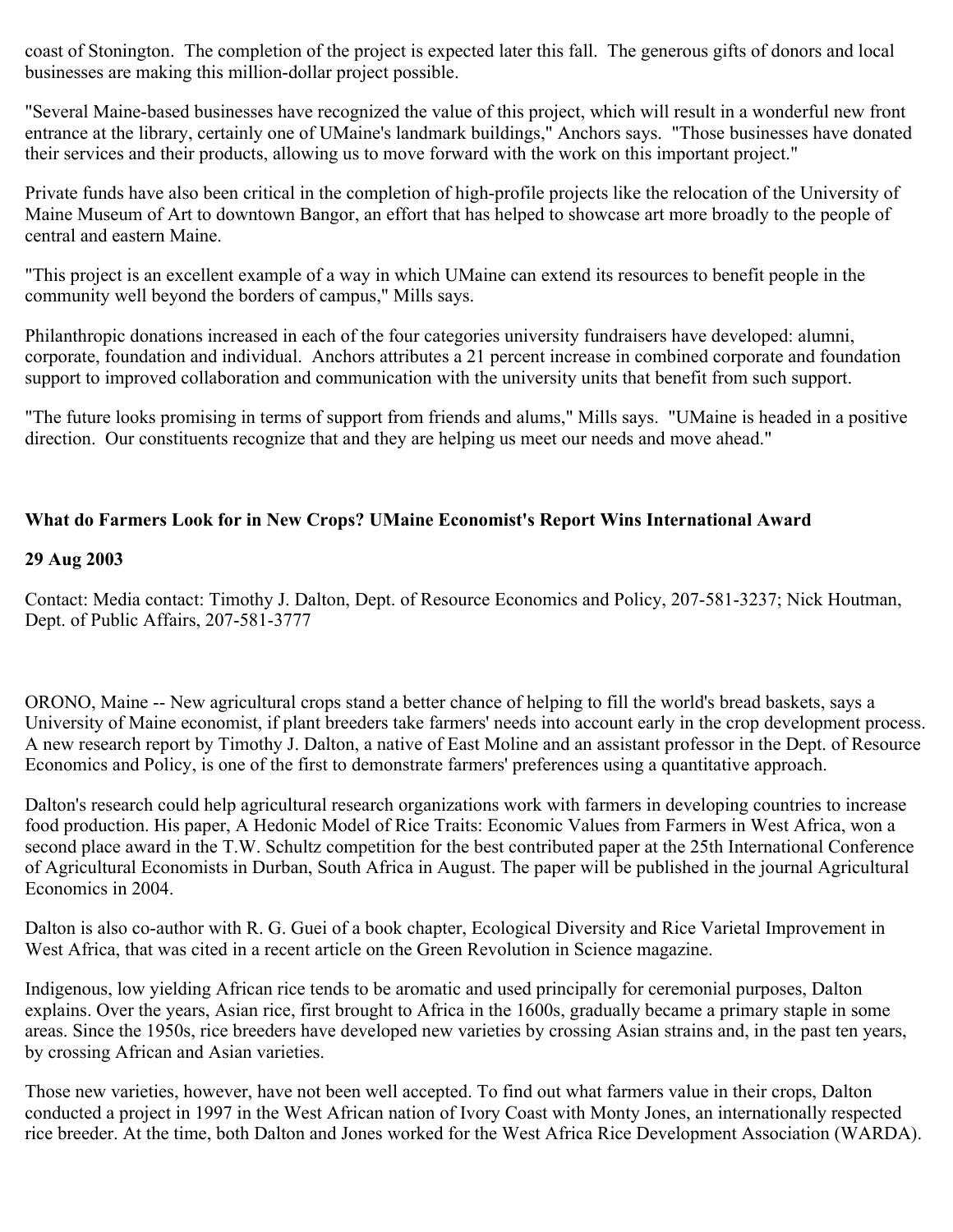coast of Stonington. The completion of the project is expected later this fall. The generous gifts of donors and local businesses are making this million-dollar project possible.

"Several Maine-based businesses have recognized the value of this project, which will result in a wonderful new front entrance at the library, certainly one of UMaine's landmark buildings," Anchors says. "Those businesses have donated their services and their products, allowing us to move forward with the work on this important project."

Private funds have also been critical in the completion of high-profile projects like the relocation of the University of Maine Museum of Art to downtown Bangor, an effort that has helped to showcase art more broadly to the people of central and eastern Maine.

"This project is an excellent example of a way in which UMaine can extend its resources to benefit people in the community well beyond the borders of campus," Mills says.

Philanthropic donations increased in each of the four categories university fundraisers have developed: alumni, corporate, foundation and individual. Anchors attributes a 21 percent increase in combined corporate and foundation support to improved collaboration and communication with the university units that benefit from such support.

"The future looks promising in terms of support from friends and alums," Mills says. "UMaine is headed in a positive direction. Our constituents recognize that and they are helping us meet our needs and move ahead."

## **What do Farmers Look for in New Crops? UMaine Economist's Report Wins International Award**

#### **29 Aug 2003**

Contact: Media contact: Timothy J. Dalton, Dept. of Resource Economics and Policy, 207-581-3237; Nick Houtman, Dept. of Public Affairs, 207-581-3777

ORONO, Maine -- New agricultural crops stand a better chance of helping to fill the world's bread baskets, says a University of Maine economist, if plant breeders take farmers' needs into account early in the crop development process. A new research report by Timothy J. Dalton, a native of East Moline and an assistant professor in the Dept. of Resource Economics and Policy, is one of the first to demonstrate farmers' preferences using a quantitative approach.

Dalton's research could help agricultural research organizations work with farmers in developing countries to increase food production. His paper, A Hedonic Model of Rice Traits: Economic Values from Farmers in West Africa, won a second place award in the T.W. Schultz competition for the best contributed paper at the 25th International Conference of Agricultural Economists in Durban, South Africa in August. The paper will be published in the journal Agricultural Economics in 2004.

Dalton is also co-author with R. G. Guei of a book chapter, Ecological Diversity and Rice Varietal Improvement in West Africa, that was cited in a recent article on the Green Revolution in Science magazine.

Indigenous, low yielding African rice tends to be aromatic and used principally for ceremonial purposes, Dalton explains. Over the years, Asian rice, first brought to Africa in the 1600s, gradually became a primary staple in some areas. Since the 1950s, rice breeders have developed new varieties by crossing Asian strains and, in the past ten years, by crossing African and Asian varieties.

Those new varieties, however, have not been well accepted. To find out what farmers value in their crops, Dalton conducted a project in 1997 in the West African nation of Ivory Coast with Monty Jones, an internationally respected rice breeder. At the time, both Dalton and Jones worked for the West Africa Rice Development Association (WARDA).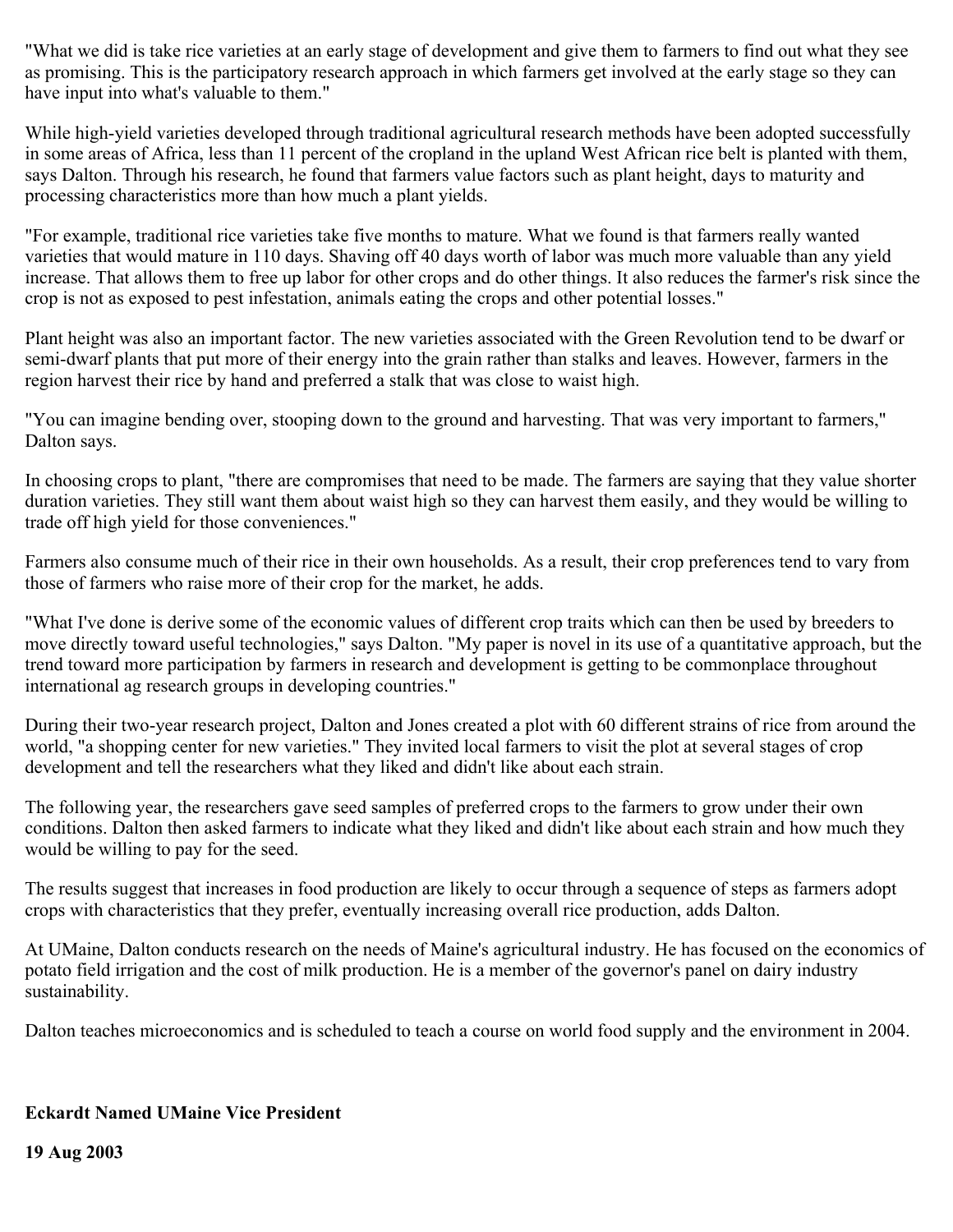"What we did is take rice varieties at an early stage of development and give them to farmers to find out what they see as promising. This is the participatory research approach in which farmers get involved at the early stage so they can have input into what's valuable to them."

While high-yield varieties developed through traditional agricultural research methods have been adopted successfully in some areas of Africa, less than 11 percent of the cropland in the upland West African rice belt is planted with them, says Dalton. Through his research, he found that farmers value factors such as plant height, days to maturity and processing characteristics more than how much a plant yields.

"For example, traditional rice varieties take five months to mature. What we found is that farmers really wanted varieties that would mature in 110 days. Shaving off 40 days worth of labor was much more valuable than any yield increase. That allows them to free up labor for other crops and do other things. It also reduces the farmer's risk since the crop is not as exposed to pest infestation, animals eating the crops and other potential losses."

Plant height was also an important factor. The new varieties associated with the Green Revolution tend to be dwarf or semi-dwarf plants that put more of their energy into the grain rather than stalks and leaves. However, farmers in the region harvest their rice by hand and preferred a stalk that was close to waist high.

"You can imagine bending over, stooping down to the ground and harvesting. That was very important to farmers," Dalton says.

In choosing crops to plant, "there are compromises that need to be made. The farmers are saying that they value shorter duration varieties. They still want them about waist high so they can harvest them easily, and they would be willing to trade off high yield for those conveniences."

Farmers also consume much of their rice in their own households. As a result, their crop preferences tend to vary from those of farmers who raise more of their crop for the market, he adds.

"What I've done is derive some of the economic values of different crop traits which can then be used by breeders to move directly toward useful technologies," says Dalton. "My paper is novel in its use of a quantitative approach, but the trend toward more participation by farmers in research and development is getting to be commonplace throughout international ag research groups in developing countries."

During their two-year research project, Dalton and Jones created a plot with 60 different strains of rice from around the world, "a shopping center for new varieties." They invited local farmers to visit the plot at several stages of crop development and tell the researchers what they liked and didn't like about each strain.

The following year, the researchers gave seed samples of preferred crops to the farmers to grow under their own conditions. Dalton then asked farmers to indicate what they liked and didn't like about each strain and how much they would be willing to pay for the seed.

The results suggest that increases in food production are likely to occur through a sequence of steps as farmers adopt crops with characteristics that they prefer, eventually increasing overall rice production, adds Dalton.

At UMaine, Dalton conducts research on the needs of Maine's agricultural industry. He has focused on the economics of potato field irrigation and the cost of milk production. He is a member of the governor's panel on dairy industry sustainability.

Dalton teaches microeconomics and is scheduled to teach a course on world food supply and the environment in 2004.

## **Eckardt Named UMaine Vice President**

**19 Aug 2003**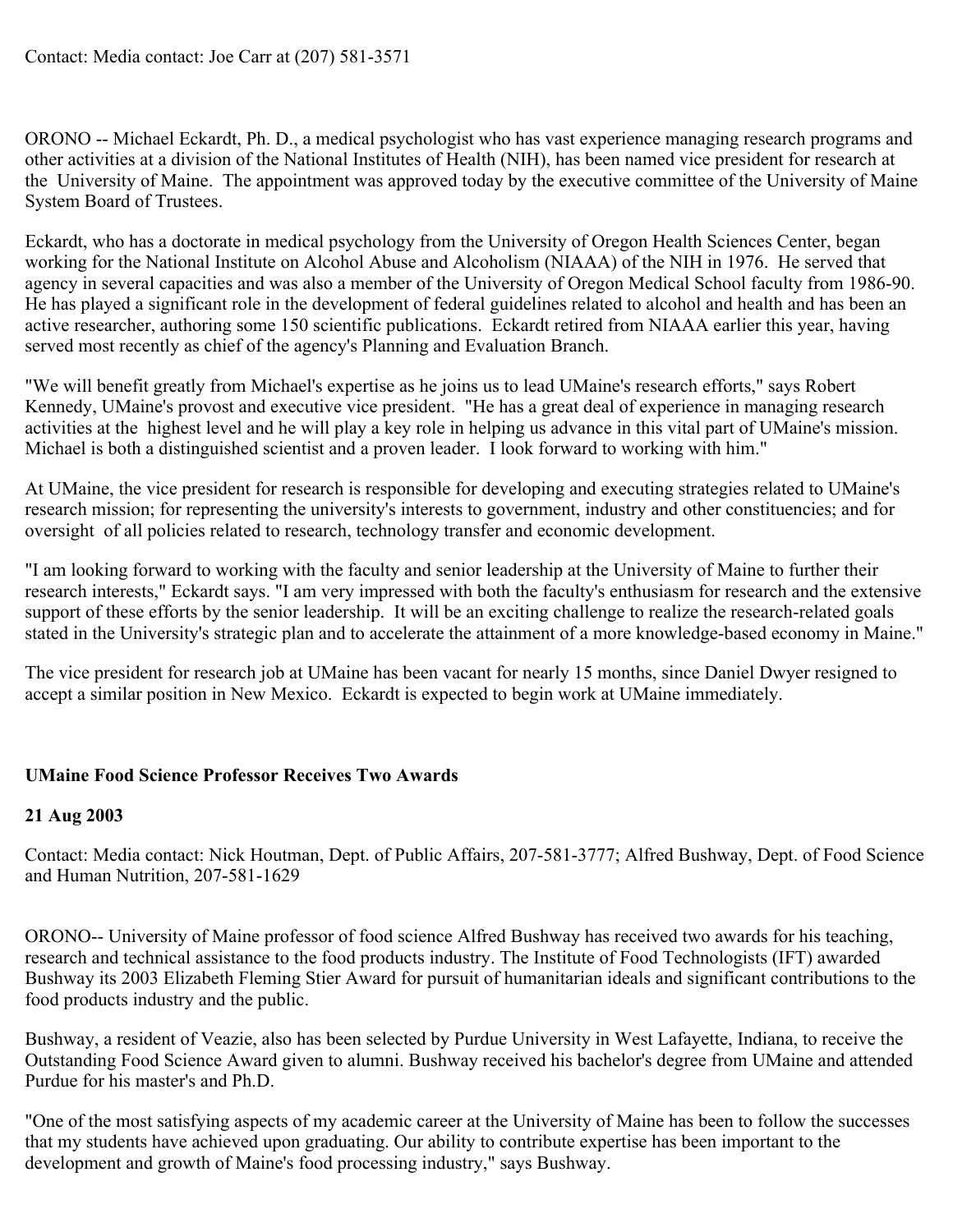ORONO -- Michael Eckardt, Ph. D., a medical psychologist who has vast experience managing research programs and other activities at a division of the National Institutes of Health (NIH), has been named vice president for research at the University of Maine. The appointment was approved today by the executive committee of the University of Maine System Board of Trustees.

Eckardt, who has a doctorate in medical psychology from the University of Oregon Health Sciences Center, began working for the National Institute on Alcohol Abuse and Alcoholism (NIAAA) of the NIH in 1976. He served that agency in several capacities and was also a member of the University of Oregon Medical School faculty from 1986-90. He has played a significant role in the development of federal guidelines related to alcohol and health and has been an active researcher, authoring some 150 scientific publications. Eckardt retired from NIAAA earlier this year, having served most recently as chief of the agency's Planning and Evaluation Branch.

"We will benefit greatly from Michael's expertise as he joins us to lead UMaine's research efforts," says Robert Kennedy, UMaine's provost and executive vice president. "He has a great deal of experience in managing research activities at the highest level and he will play a key role in helping us advance in this vital part of UMaine's mission. Michael is both a distinguished scientist and a proven leader. I look forward to working with him."

At UMaine, the vice president for research is responsible for developing and executing strategies related to UMaine's research mission; for representing the university's interests to government, industry and other constituencies; and for oversight of all policies related to research, technology transfer and economic development.

"I am looking forward to working with the faculty and senior leadership at the University of Maine to further their research interests," Eckardt says. "I am very impressed with both the faculty's enthusiasm for research and the extensive support of these efforts by the senior leadership. It will be an exciting challenge to realize the research-related goals stated in the University's strategic plan and to accelerate the attainment of a more knowledge-based economy in Maine."

The vice president for research job at UMaine has been vacant for nearly 15 months, since Daniel Dwyer resigned to accept a similar position in New Mexico. Eckardt is expected to begin work at UMaine immediately.

## **UMaine Food Science Professor Receives Two Awards**

## **21 Aug 2003**

Contact: Media contact: Nick Houtman, Dept. of Public Affairs, 207-581-3777; Alfred Bushway, Dept. of Food Science and Human Nutrition, 207-581-1629

ORONO-- University of Maine professor of food science Alfred Bushway has received two awards for his teaching, research and technical assistance to the food products industry. The Institute of Food Technologists (IFT) awarded Bushway its 2003 Elizabeth Fleming Stier Award for pursuit of humanitarian ideals and significant contributions to the food products industry and the public.

Bushway, a resident of Veazie, also has been selected by Purdue University in West Lafayette, Indiana, to receive the Outstanding Food Science Award given to alumni. Bushway received his bachelor's degree from UMaine and attended Purdue for his master's and Ph.D.

"One of the most satisfying aspects of my academic career at the University of Maine has been to follow the successes that my students have achieved upon graduating. Our ability to contribute expertise has been important to the development and growth of Maine's food processing industry," says Bushway.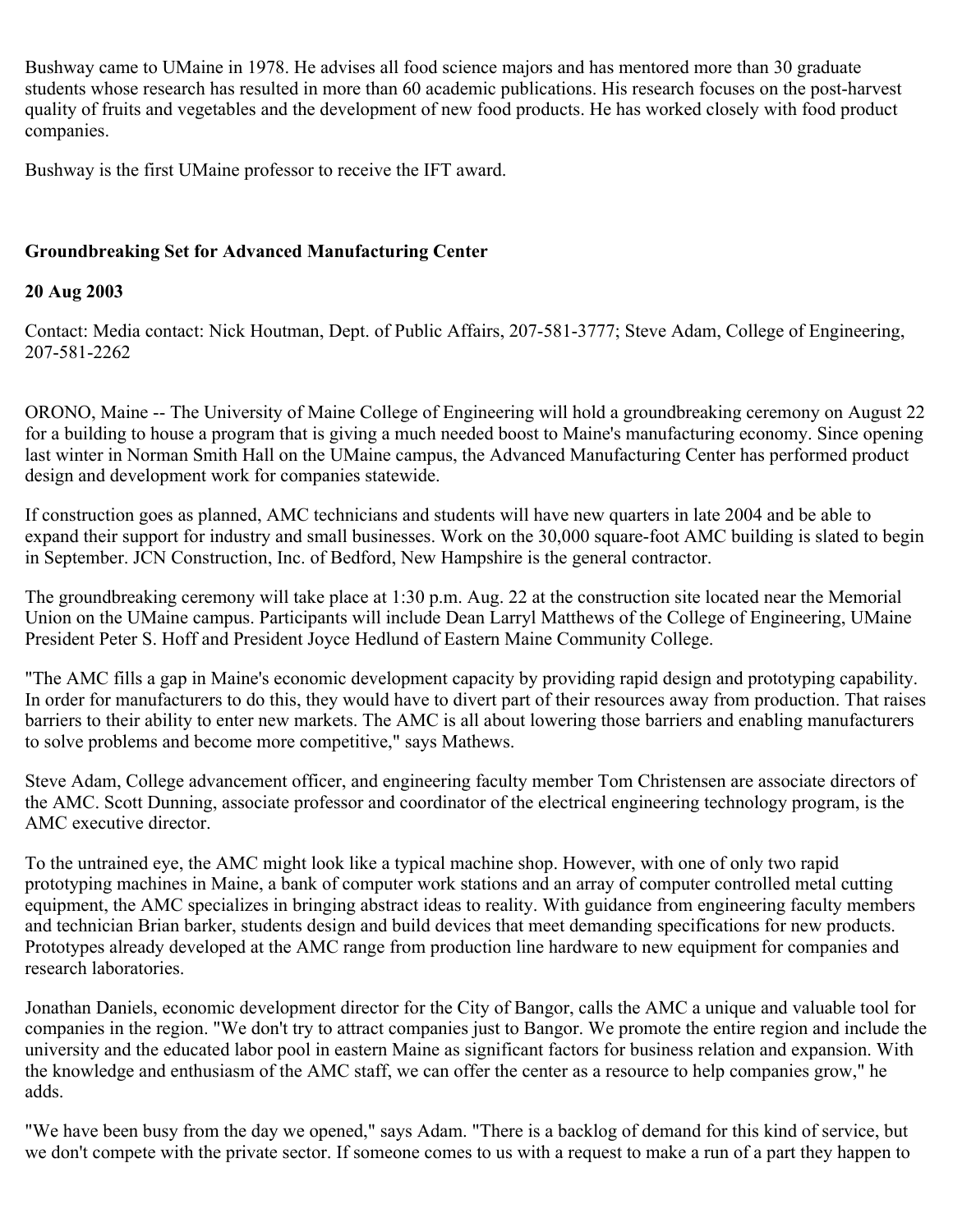Bushway came to UMaine in 1978. He advises all food science majors and has mentored more than 30 graduate students whose research has resulted in more than 60 academic publications. His research focuses on the post-harvest quality of fruits and vegetables and the development of new food products. He has worked closely with food product companies.

Bushway is the first UMaine professor to receive the IFT award.

## **Groundbreaking Set for Advanced Manufacturing Center**

## **20 Aug 2003**

Contact: Media contact: Nick Houtman, Dept. of Public Affairs, 207-581-3777; Steve Adam, College of Engineering, 207-581-2262

ORONO, Maine -- The University of Maine College of Engineering will hold a groundbreaking ceremony on August 22 for a building to house a program that is giving a much needed boost to Maine's manufacturing economy. Since opening last winter in Norman Smith Hall on the UMaine campus, the Advanced Manufacturing Center has performed product design and development work for companies statewide.

If construction goes as planned, AMC technicians and students will have new quarters in late 2004 and be able to expand their support for industry and small businesses. Work on the 30,000 square-foot AMC building is slated to begin in September. JCN Construction, Inc. of Bedford, New Hampshire is the general contractor.

The groundbreaking ceremony will take place at 1:30 p.m. Aug. 22 at the construction site located near the Memorial Union on the UMaine campus. Participants will include Dean Larryl Matthews of the College of Engineering, UMaine President Peter S. Hoff and President Joyce Hedlund of Eastern Maine Community College.

"The AMC fills a gap in Maine's economic development capacity by providing rapid design and prototyping capability. In order for manufacturers to do this, they would have to divert part of their resources away from production. That raises barriers to their ability to enter new markets. The AMC is all about lowering those barriers and enabling manufacturers to solve problems and become more competitive," says Mathews.

Steve Adam, College advancement officer, and engineering faculty member Tom Christensen are associate directors of the AMC. Scott Dunning, associate professor and coordinator of the electrical engineering technology program, is the AMC executive director.

To the untrained eye, the AMC might look like a typical machine shop. However, with one of only two rapid prototyping machines in Maine, a bank of computer work stations and an array of computer controlled metal cutting equipment, the AMC specializes in bringing abstract ideas to reality. With guidance from engineering faculty members and technician Brian barker, students design and build devices that meet demanding specifications for new products. Prototypes already developed at the AMC range from production line hardware to new equipment for companies and research laboratories.

Jonathan Daniels, economic development director for the City of Bangor, calls the AMC a unique and valuable tool for companies in the region. "We don't try to attract companies just to Bangor. We promote the entire region and include the university and the educated labor pool in eastern Maine as significant factors for business relation and expansion. With the knowledge and enthusiasm of the AMC staff, we can offer the center as a resource to help companies grow," he adds.

"We have been busy from the day we opened," says Adam. "There is a backlog of demand for this kind of service, but we don't compete with the private sector. If someone comes to us with a request to make a run of a part they happen to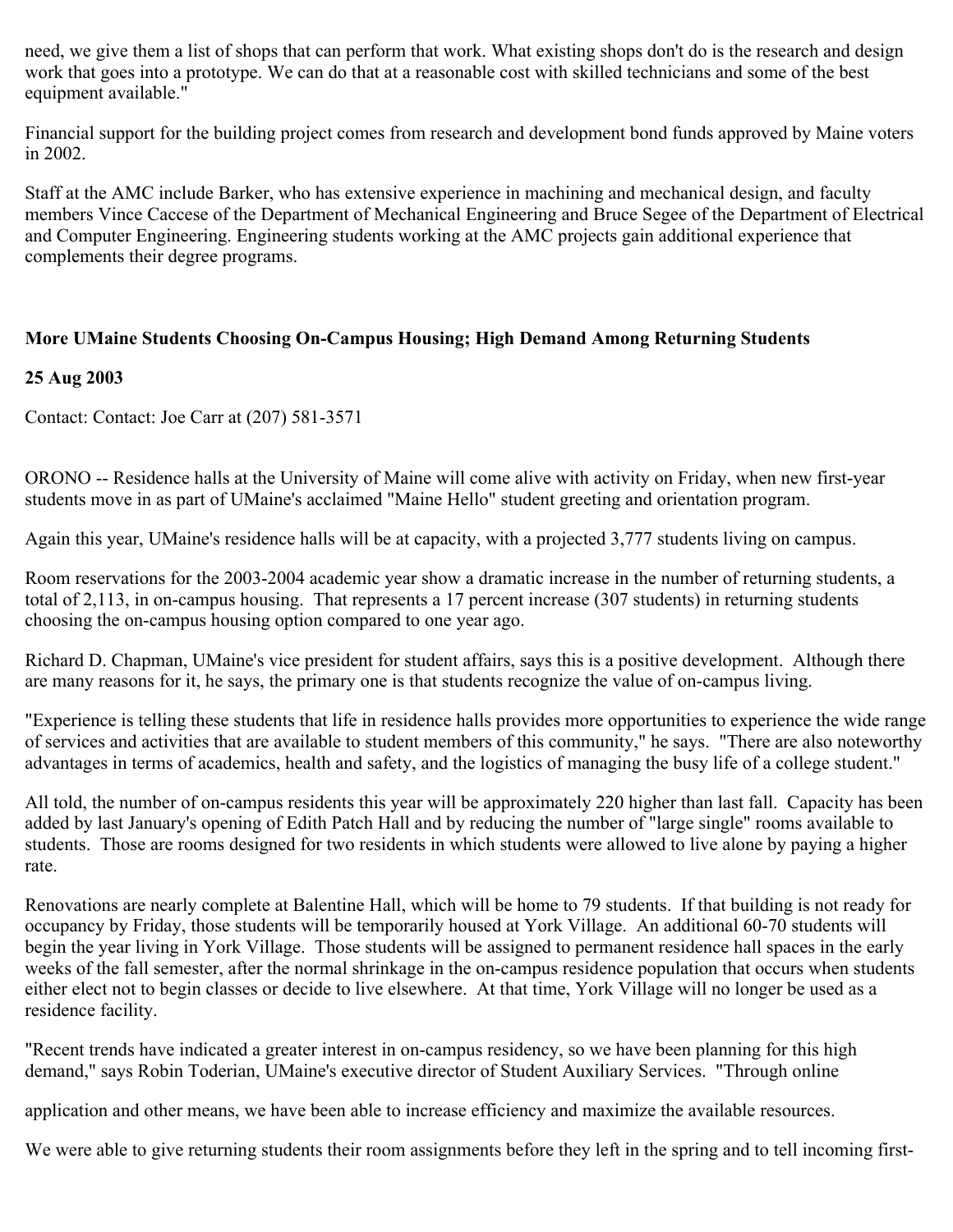need, we give them a list of shops that can perform that work. What existing shops don't do is the research and design work that goes into a prototype. We can do that at a reasonable cost with skilled technicians and some of the best equipment available."

Financial support for the building project comes from research and development bond funds approved by Maine voters in 2002.

Staff at the AMC include Barker, who has extensive experience in machining and mechanical design, and faculty members Vince Caccese of the Department of Mechanical Engineering and Bruce Segee of the Department of Electrical and Computer Engineering. Engineering students working at the AMC projects gain additional experience that complements their degree programs.

## **More UMaine Students Choosing On-Campus Housing; High Demand Among Returning Students**

## **25 Aug 2003**

Contact: Contact: Joe Carr at (207) 581-3571

ORONO -- Residence halls at the University of Maine will come alive with activity on Friday, when new first-year students move in as part of UMaine's acclaimed "Maine Hello" student greeting and orientation program.

Again this year, UMaine's residence halls will be at capacity, with a projected 3,777 students living on campus.

Room reservations for the 2003-2004 academic year show a dramatic increase in the number of returning students, a total of 2,113, in on-campus housing. That represents a 17 percent increase (307 students) in returning students choosing the on-campus housing option compared to one year ago.

Richard D. Chapman, UMaine's vice president for student affairs, says this is a positive development. Although there are many reasons for it, he says, the primary one is that students recognize the value of on-campus living.

"Experience is telling these students that life in residence halls provides more opportunities to experience the wide range of services and activities that are available to student members of this community," he says. "There are also noteworthy advantages in terms of academics, health and safety, and the logistics of managing the busy life of a college student."

All told, the number of on-campus residents this year will be approximately 220 higher than last fall. Capacity has been added by last January's opening of Edith Patch Hall and by reducing the number of "large single" rooms available to students. Those are rooms designed for two residents in which students were allowed to live alone by paying a higher rate.

Renovations are nearly complete at Balentine Hall, which will be home to 79 students. If that building is not ready for occupancy by Friday, those students will be temporarily housed at York Village. An additional 60-70 students will begin the year living in York Village. Those students will be assigned to permanent residence hall spaces in the early weeks of the fall semester, after the normal shrinkage in the on-campus residence population that occurs when students either elect not to begin classes or decide to live elsewhere. At that time, York Village will no longer be used as a residence facility.

"Recent trends have indicated a greater interest in on-campus residency, so we have been planning for this high demand," says Robin Toderian, UMaine's executive director of Student Auxiliary Services. "Through online

application and other means, we have been able to increase efficiency and maximize the available resources.

We were able to give returning students their room assignments before they left in the spring and to tell incoming first-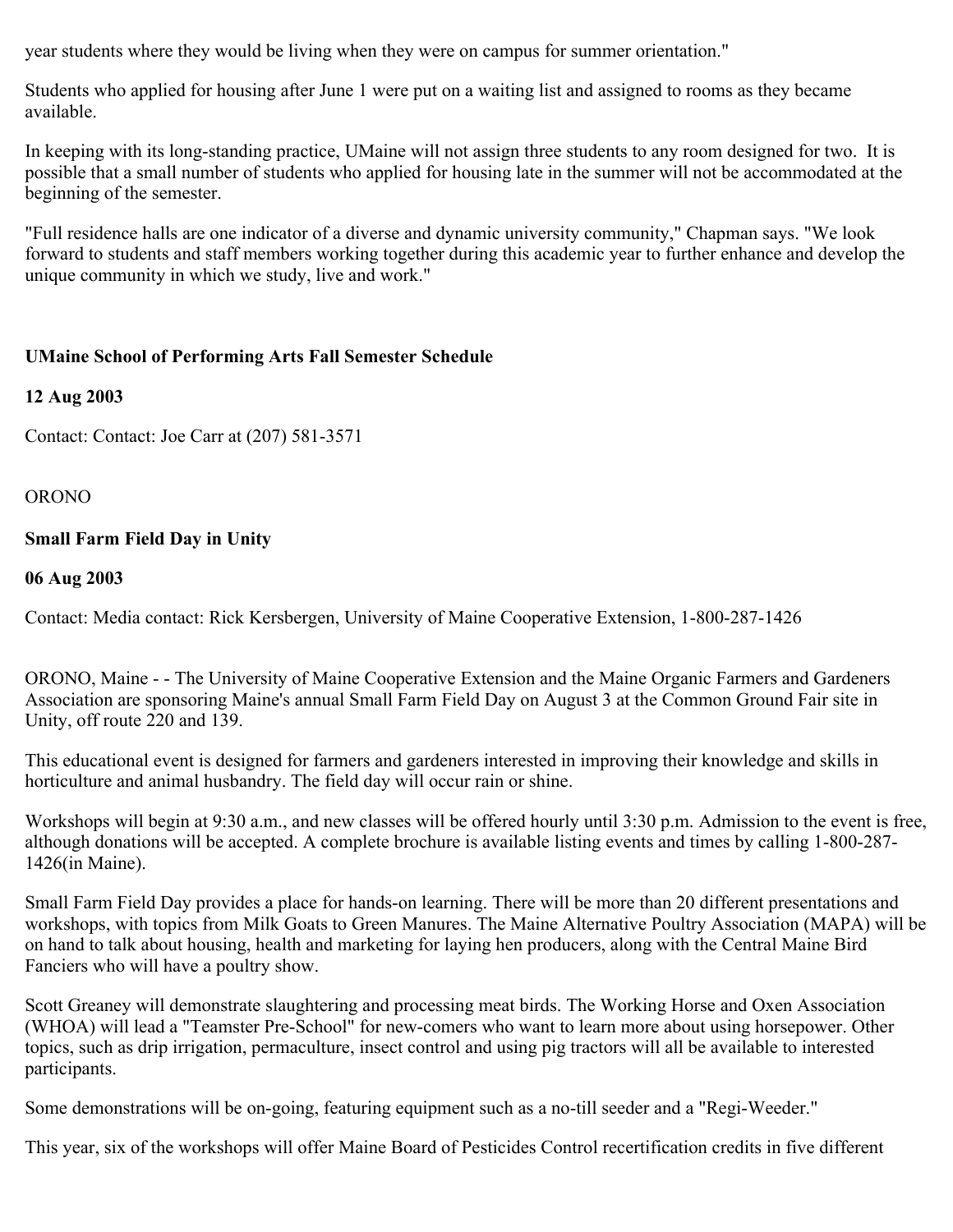year students where they would be living when they were on campus for summer orientation."

Students who applied for housing after June 1 were put on a waiting list and assigned to rooms as they became available.

In keeping with its long-standing practice, UMaine will not assign three students to any room designed for two. It is possible that a small number of students who applied for housing late in the summer will not be accommodated at the beginning of the semester.

"Full residence halls are one indicator of a diverse and dynamic university community," Chapman says. "We look forward to students and staff members working together during this academic year to further enhance and develop the unique community in which we study, live and work."

## **UMaine School of Performing Arts Fall Semester Schedule**

#### **12 Aug 2003**

Contact: Contact: Joe Carr at (207) 581-3571

#### ORONO

## **Small Farm Field Day in Unity**

#### **06 Aug 2003**

Contact: Media contact: Rick Kersbergen, University of Maine Cooperative Extension, 1-800-287-1426

ORONO, Maine - - The University of Maine Cooperative Extension and the Maine Organic Farmers and Gardeners Association are sponsoring Maine's annual Small Farm Field Day on August 3 at the Common Ground Fair site in Unity, off route 220 and 139.

This educational event is designed for farmers and gardeners interested in improving their knowledge and skills in horticulture and animal husbandry. The field day will occur rain or shine.

Workshops will begin at 9:30 a.m., and new classes will be offered hourly until 3:30 p.m. Admission to the event is free, although donations will be accepted. A complete brochure is available listing events and times by calling 1-800-287- 1426(in Maine).

Small Farm Field Day provides a place for hands-on learning. There will be more than 20 different presentations and workshops, with topics from Milk Goats to Green Manures. The Maine Alternative Poultry Association (MAPA) will be on hand to talk about housing, health and marketing for laying hen producers, along with the Central Maine Bird Fanciers who will have a poultry show.

Scott Greaney will demonstrate slaughtering and processing meat birds. The Working Horse and Oxen Association (WHOA) will lead a "Teamster Pre-School" for new-comers who want to learn more about using horsepower. Other topics, such as drip irrigation, permaculture, insect control and using pig tractors will all be available to interested participants.

Some demonstrations will be on-going, featuring equipment such as a no-till seeder and a "Regi-Weeder."

This year, six of the workshops will offer Maine Board of Pesticides Control recertification credits in five different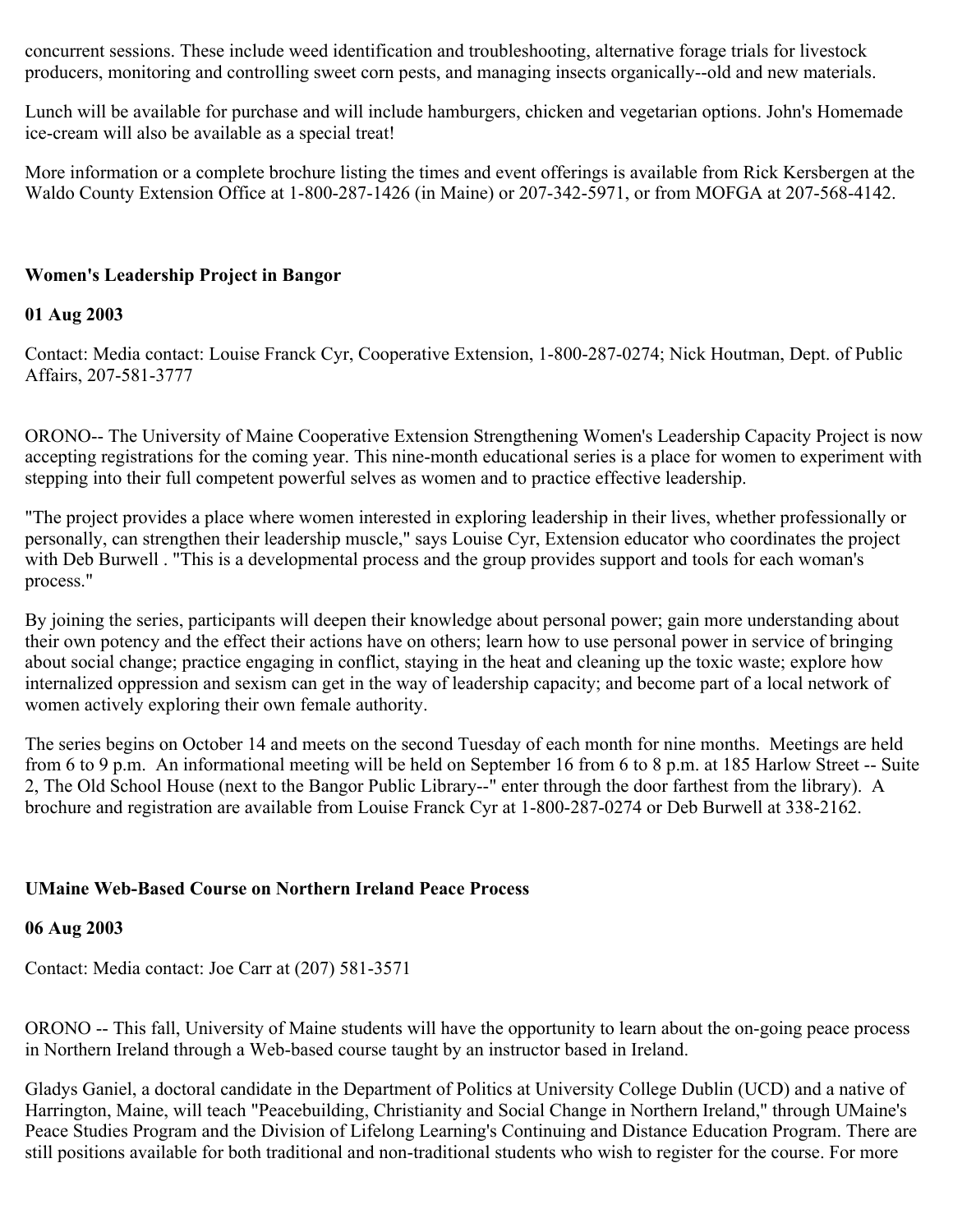concurrent sessions. These include weed identification and troubleshooting, alternative forage trials for livestock producers, monitoring and controlling sweet corn pests, and managing insects organically--old and new materials.

Lunch will be available for purchase and will include hamburgers, chicken and vegetarian options. John's Homemade ice-cream will also be available as a special treat!

More information or a complete brochure listing the times and event offerings is available from Rick Kersbergen at the Waldo County Extension Office at 1-800-287-1426 (in Maine) or 207-342-5971, or from MOFGA at 207-568-4142.

## **Women's Leadership Project in Bangor**

#### **01 Aug 2003**

Contact: Media contact: Louise Franck Cyr, Cooperative Extension, 1-800-287-0274; Nick Houtman, Dept. of Public Affairs, 207-581-3777

ORONO-- The University of Maine Cooperative Extension Strengthening Women's Leadership Capacity Project is now accepting registrations for the coming year. This nine-month educational series is a place for women to experiment with stepping into their full competent powerful selves as women and to practice effective leadership.

"The project provides a place where women interested in exploring leadership in their lives, whether professionally or personally, can strengthen their leadership muscle," says Louise Cyr, Extension educator who coordinates the project with Deb Burwell . "This is a developmental process and the group provides support and tools for each woman's process."

By joining the series, participants will deepen their knowledge about personal power; gain more understanding about their own potency and the effect their actions have on others; learn how to use personal power in service of bringing about social change; practice engaging in conflict, staying in the heat and cleaning up the toxic waste; explore how internalized oppression and sexism can get in the way of leadership capacity; and become part of a local network of women actively exploring their own female authority.

The series begins on October 14 and meets on the second Tuesday of each month for nine months. Meetings are held from 6 to 9 p.m. An informational meeting will be held on September 16 from 6 to 8 p.m. at 185 Harlow Street -- Suite 2, The Old School House (next to the Bangor Public Library--" enter through the door farthest from the library). A brochure and registration are available from Louise Franck Cyr at 1-800-287-0274 or Deb Burwell at 338-2162.

#### **UMaine Web-Based Course on Northern Ireland Peace Process**

#### **06 Aug 2003**

Contact: Media contact: Joe Carr at (207) 581-3571

ORONO -- This fall, University of Maine students will have the opportunity to learn about the on-going peace process in Northern Ireland through a Web-based course taught by an instructor based in Ireland.

Gladys Ganiel, a doctoral candidate in the Department of Politics at University College Dublin (UCD) and a native of Harrington, Maine, will teach "Peacebuilding, Christianity and Social Change in Northern Ireland," through UMaine's Peace Studies Program and the Division of Lifelong Learning's Continuing and Distance Education Program. There are still positions available for both traditional and non-traditional students who wish to register for the course. For more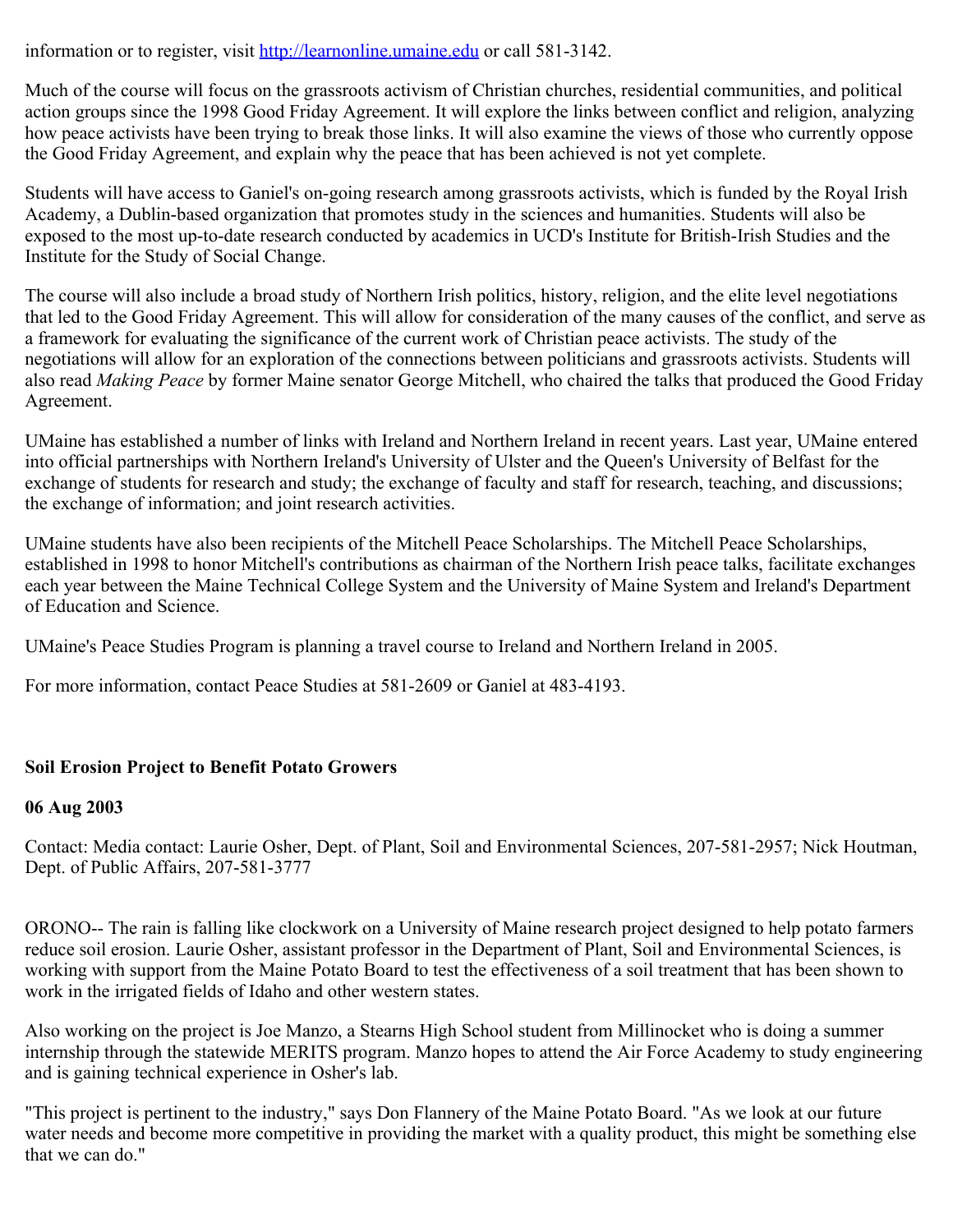information or to register, visit [http://learnonline.umaine.edu](http://learnonline.umaine.edu/) or call 581-3142.

Much of the course will focus on the grassroots activism of Christian churches, residential communities, and political action groups since the 1998 Good Friday Agreement. It will explore the links between conflict and religion, analyzing how peace activists have been trying to break those links. It will also examine the views of those who currently oppose the Good Friday Agreement, and explain why the peace that has been achieved is not yet complete.

Students will have access to Ganiel's on-going research among grassroots activists, which is funded by the Royal Irish Academy, a Dublin-based organization that promotes study in the sciences and humanities. Students will also be exposed to the most up-to-date research conducted by academics in UCD's Institute for British-Irish Studies and the Institute for the Study of Social Change.

The course will also include a broad study of Northern Irish politics, history, religion, and the elite level negotiations that led to the Good Friday Agreement. This will allow for consideration of the many causes of the conflict, and serve as a framework for evaluating the significance of the current work of Christian peace activists. The study of the negotiations will allow for an exploration of the connections between politicians and grassroots activists. Students will also read *Making Peace* by former Maine senator George Mitchell, who chaired the talks that produced the Good Friday Agreement.

UMaine has established a number of links with Ireland and Northern Ireland in recent years. Last year, UMaine entered into official partnerships with Northern Ireland's University of Ulster and the Queen's University of Belfast for the exchange of students for research and study; the exchange of faculty and staff for research, teaching, and discussions; the exchange of information; and joint research activities.

UMaine students have also been recipients of the Mitchell Peace Scholarships. The Mitchell Peace Scholarships, established in 1998 to honor Mitchell's contributions as chairman of the Northern Irish peace talks, facilitate exchanges each year between the Maine Technical College System and the University of Maine System and Ireland's Department of Education and Science.

UMaine's Peace Studies Program is planning a travel course to Ireland and Northern Ireland in 2005.

For more information, contact Peace Studies at 581-2609 or Ganiel at 483-4193.

## **Soil Erosion Project to Benefit Potato Growers**

## **06 Aug 2003**

Contact: Media contact: Laurie Osher, Dept. of Plant, Soil and Environmental Sciences, 207-581-2957; Nick Houtman, Dept. of Public Affairs, 207-581-3777

ORONO-- The rain is falling like clockwork on a University of Maine research project designed to help potato farmers reduce soil erosion. Laurie Osher, assistant professor in the Department of Plant, Soil and Environmental Sciences, is working with support from the Maine Potato Board to test the effectiveness of a soil treatment that has been shown to work in the irrigated fields of Idaho and other western states.

Also working on the project is Joe Manzo, a Stearns High School student from Millinocket who is doing a summer internship through the statewide MERITS program. Manzo hopes to attend the Air Force Academy to study engineering and is gaining technical experience in Osher's lab.

"This project is pertinent to the industry," says Don Flannery of the Maine Potato Board. "As we look at our future water needs and become more competitive in providing the market with a quality product, this might be something else that we can do."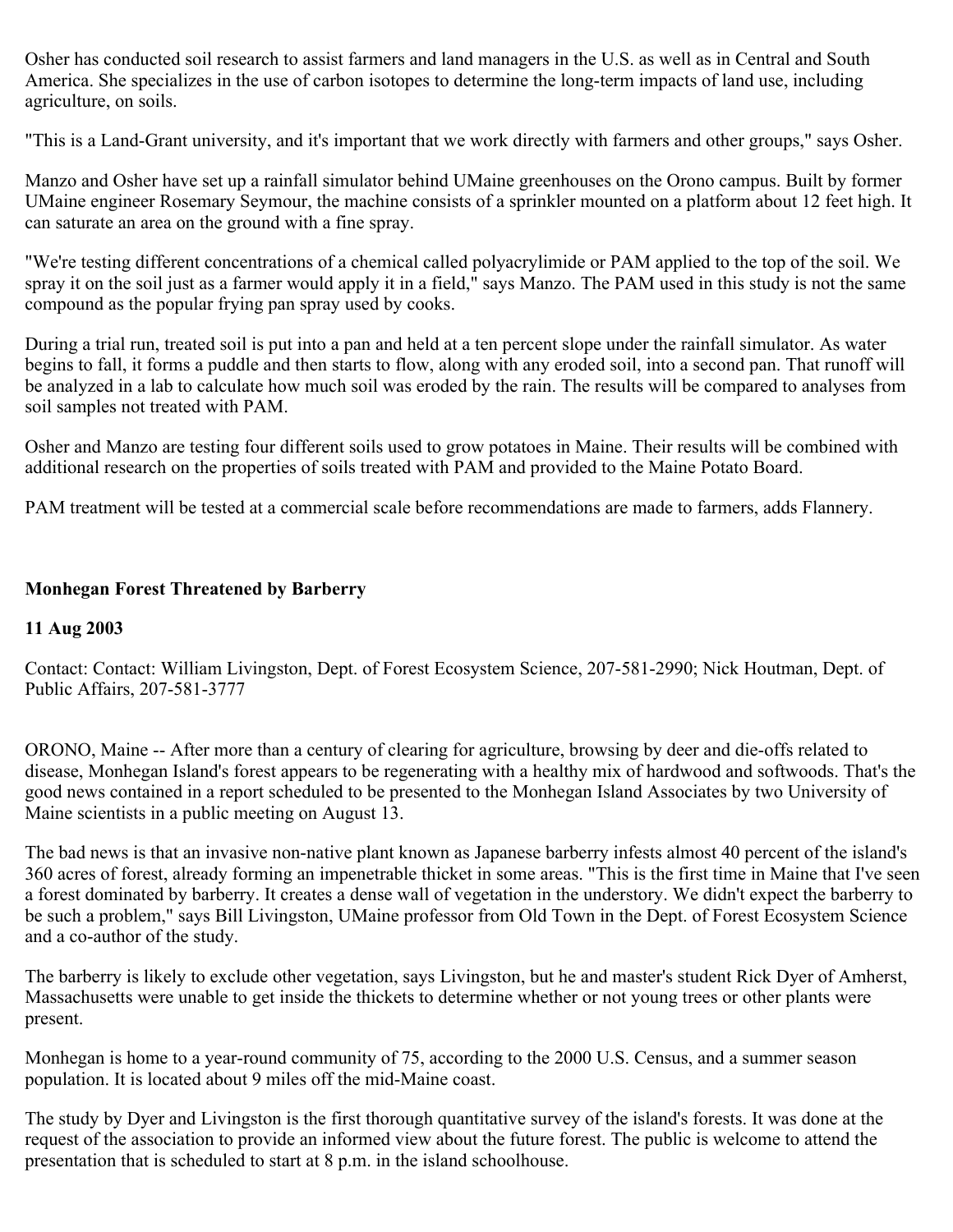Osher has conducted soil research to assist farmers and land managers in the U.S. as well as in Central and South America. She specializes in the use of carbon isotopes to determine the long-term impacts of land use, including agriculture, on soils.

"This is a Land-Grant university, and it's important that we work directly with farmers and other groups," says Osher.

Manzo and Osher have set up a rainfall simulator behind UMaine greenhouses on the Orono campus. Built by former UMaine engineer Rosemary Seymour, the machine consists of a sprinkler mounted on a platform about 12 feet high. It can saturate an area on the ground with a fine spray.

"We're testing different concentrations of a chemical called polyacrylimide or PAM applied to the top of the soil. We spray it on the soil just as a farmer would apply it in a field," says Manzo. The PAM used in this study is not the same compound as the popular frying pan spray used by cooks.

During a trial run, treated soil is put into a pan and held at a ten percent slope under the rainfall simulator. As water begins to fall, it forms a puddle and then starts to flow, along with any eroded soil, into a second pan. That runoff will be analyzed in a lab to calculate how much soil was eroded by the rain. The results will be compared to analyses from soil samples not treated with PAM.

Osher and Manzo are testing four different soils used to grow potatoes in Maine. Their results will be combined with additional research on the properties of soils treated with PAM and provided to the Maine Potato Board.

PAM treatment will be tested at a commercial scale before recommendations are made to farmers, adds Flannery.

## **Monhegan Forest Threatened by Barberry**

## **11 Aug 2003**

Contact: Contact: William Livingston, Dept. of Forest Ecosystem Science, 207-581-2990; Nick Houtman, Dept. of Public Affairs, 207-581-3777

ORONO, Maine -- After more than a century of clearing for agriculture, browsing by deer and die-offs related to disease, Monhegan Island's forest appears to be regenerating with a healthy mix of hardwood and softwoods. That's the good news contained in a report scheduled to be presented to the Monhegan Island Associates by two University of Maine scientists in a public meeting on August 13.

The bad news is that an invasive non-native plant known as Japanese barberry infests almost 40 percent of the island's 360 acres of forest, already forming an impenetrable thicket in some areas. "This is the first time in Maine that I've seen a forest dominated by barberry. It creates a dense wall of vegetation in the understory. We didn't expect the barberry to be such a problem," says Bill Livingston, UMaine professor from Old Town in the Dept. of Forest Ecosystem Science and a co-author of the study.

The barberry is likely to exclude other vegetation, says Livingston, but he and master's student Rick Dyer of Amherst, Massachusetts were unable to get inside the thickets to determine whether or not young trees or other plants were present.

Monhegan is home to a year-round community of 75, according to the 2000 U.S. Census, and a summer season population. It is located about 9 miles off the mid-Maine coast.

The study by Dyer and Livingston is the first thorough quantitative survey of the island's forests. It was done at the request of the association to provide an informed view about the future forest. The public is welcome to attend the presentation that is scheduled to start at 8 p.m. in the island schoolhouse.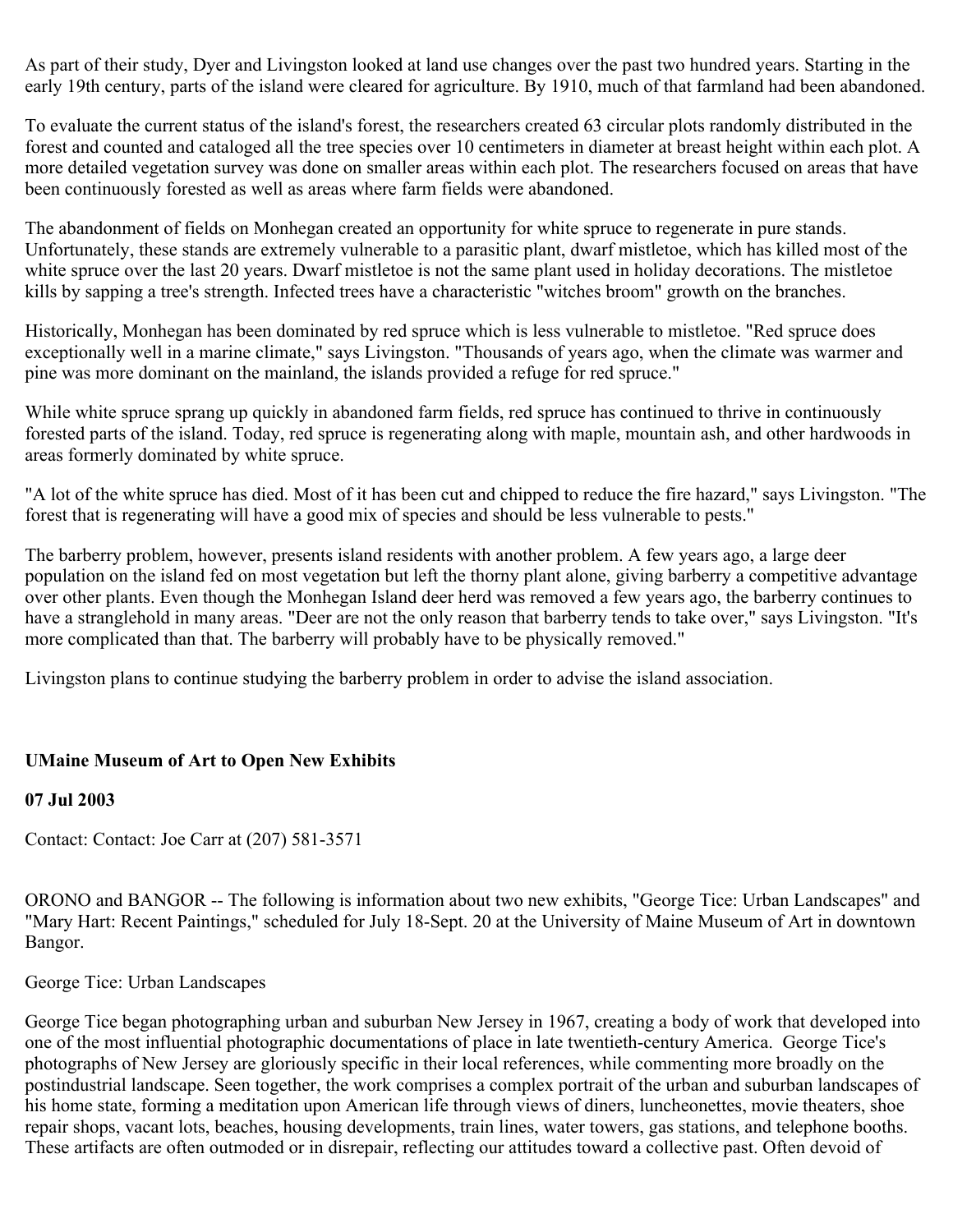As part of their study, Dyer and Livingston looked at land use changes over the past two hundred years. Starting in the early 19th century, parts of the island were cleared for agriculture. By 1910, much of that farmland had been abandoned.

To evaluate the current status of the island's forest, the researchers created 63 circular plots randomly distributed in the forest and counted and cataloged all the tree species over 10 centimeters in diameter at breast height within each plot. A more detailed vegetation survey was done on smaller areas within each plot. The researchers focused on areas that have been continuously forested as well as areas where farm fields were abandoned.

The abandonment of fields on Monhegan created an opportunity for white spruce to regenerate in pure stands. Unfortunately, these stands are extremely vulnerable to a parasitic plant, dwarf mistletoe, which has killed most of the white spruce over the last 20 years. Dwarf mistletoe is not the same plant used in holiday decorations. The mistletoe kills by sapping a tree's strength. Infected trees have a characteristic "witches broom" growth on the branches.

Historically, Monhegan has been dominated by red spruce which is less vulnerable to mistletoe. "Red spruce does exceptionally well in a marine climate," says Livingston. "Thousands of years ago, when the climate was warmer and pine was more dominant on the mainland, the islands provided a refuge for red spruce."

While white spruce sprang up quickly in abandoned farm fields, red spruce has continued to thrive in continuously forested parts of the island. Today, red spruce is regenerating along with maple, mountain ash, and other hardwoods in areas formerly dominated by white spruce.

"A lot of the white spruce has died. Most of it has been cut and chipped to reduce the fire hazard," says Livingston. "The forest that is regenerating will have a good mix of species and should be less vulnerable to pests."

The barberry problem, however, presents island residents with another problem. A few years ago, a large deer population on the island fed on most vegetation but left the thorny plant alone, giving barberry a competitive advantage over other plants. Even though the Monhegan Island deer herd was removed a few years ago, the barberry continues to have a stranglehold in many areas. "Deer are not the only reason that barberry tends to take over," says Livingston. "It's more complicated than that. The barberry will probably have to be physically removed."

Livingston plans to continue studying the barberry problem in order to advise the island association.

## **UMaine Museum of Art to Open New Exhibits**

#### **07 Jul 2003**

Contact: Contact: Joe Carr at (207) 581-3571

ORONO and BANGOR -- The following is information about two new exhibits, "George Tice: Urban Landscapes" and "Mary Hart: Recent Paintings," scheduled for July 18-Sept. 20 at the University of Maine Museum of Art in downtown Bangor.

George Tice: Urban Landscapes

George Tice began photographing urban and suburban New Jersey in 1967, creating a body of work that developed into one of the most influential photographic documentations of place in late twentieth-century America. George Tice's photographs of New Jersey are gloriously specific in their local references, while commenting more broadly on the postindustrial landscape. Seen together, the work comprises a complex portrait of the urban and suburban landscapes of his home state, forming a meditation upon American life through views of diners, luncheonettes, movie theaters, shoe repair shops, vacant lots, beaches, housing developments, train lines, water towers, gas stations, and telephone booths. These artifacts are often outmoded or in disrepair, reflecting our attitudes toward a collective past. Often devoid of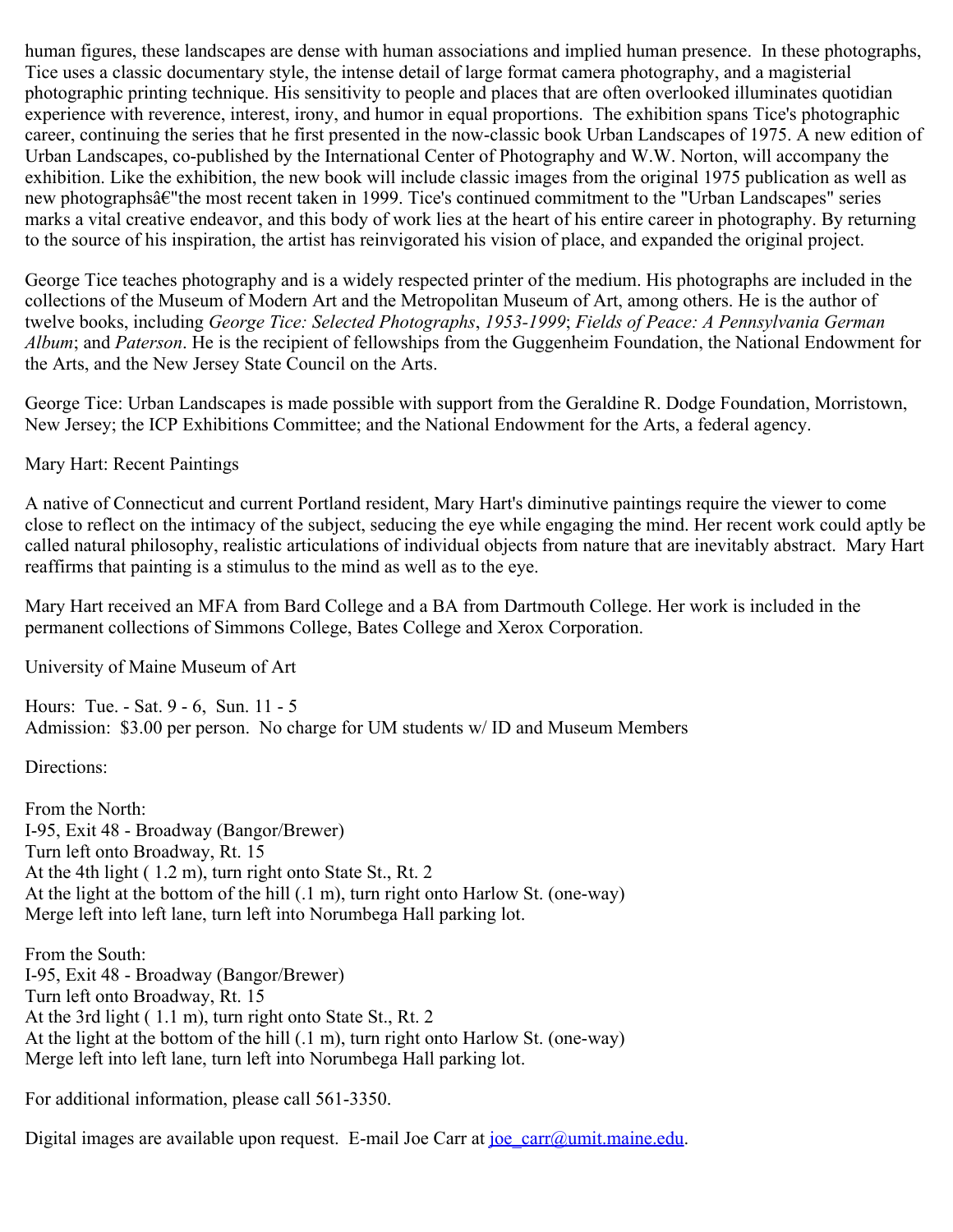human figures, these landscapes are dense with human associations and implied human presence. In these photographs, Tice uses a classic documentary style, the intense detail of large format camera photography, and a magisterial photographic printing technique. His sensitivity to people and places that are often overlooked illuminates quotidian experience with reverence, interest, irony, and humor in equal proportions. The exhibition spans Tice's photographic career, continuing the series that he first presented in the now-classic book Urban Landscapes of 1975. A new edition of Urban Landscapes, co-published by the International Center of Photography and W.W. Norton, will accompany the exhibition. Like the exhibition, the new book will include classic images from the original 1975 publication as well as new photographsâ€"the most recent taken in 1999. Tice's continued commitment to the "Urban Landscapes" series marks a vital creative endeavor, and this body of work lies at the heart of his entire career in photography. By returning to the source of his inspiration, the artist has reinvigorated his vision of place, and expanded the original project.

George Tice teaches photography and is a widely respected printer of the medium. His photographs are included in the collections of the Museum of Modern Art and the Metropolitan Museum of Art, among others. He is the author of twelve books, including *George Tice: Selected Photographs*, *1953-1999*; *Fields of Peace: A Pennsylvania German Album*; and *Paterson*. He is the recipient of fellowships from the Guggenheim Foundation, the National Endowment for the Arts, and the New Jersey State Council on the Arts.

George Tice: Urban Landscapes is made possible with support from the Geraldine R. Dodge Foundation, Morristown, New Jersey; the ICP Exhibitions Committee; and the National Endowment for the Arts, a federal agency.

Mary Hart: Recent Paintings

A native of Connecticut and current Portland resident, Mary Hart's diminutive paintings require the viewer to come close to reflect on the intimacy of the subject, seducing the eye while engaging the mind. Her recent work could aptly be called natural philosophy, realistic articulations of individual objects from nature that are inevitably abstract. Mary Hart reaffirms that painting is a stimulus to the mind as well as to the eye.

Mary Hart received an MFA from Bard College and a BA from Dartmouth College. Her work is included in the permanent collections of Simmons College, Bates College and Xerox Corporation.

University of Maine Museum of Art

Hours: Tue. - Sat. 9 - 6, Sun. 11 - 5 Admission: \$3.00 per person. No charge for UM students w/ ID and Museum Members

Directions:

From the North: I-95, Exit 48 - Broadway (Bangor/Brewer) Turn left onto Broadway, Rt. 15 At the 4th light ( 1.2 m), turn right onto State St., Rt. 2 At the light at the bottom of the hill (.1 m), turn right onto Harlow St. (one-way) Merge left into left lane, turn left into Norumbega Hall parking lot.

From the South: I-95, Exit 48 - Broadway (Bangor/Brewer) Turn left onto Broadway, Rt. 15 At the 3rd light ( 1.1 m), turn right onto State St., Rt. 2 At the light at the bottom of the hill (.1 m), turn right onto Harlow St. (one-way) Merge left into left lane, turn left into Norumbega Hall parking lot.

For additional information, please call 561-3350.

Digital images are available upon request. E-mail Joe Carr at [joe\\_carr@umit.maine.edu.](mailto:joe_carr@umit.maine.edu)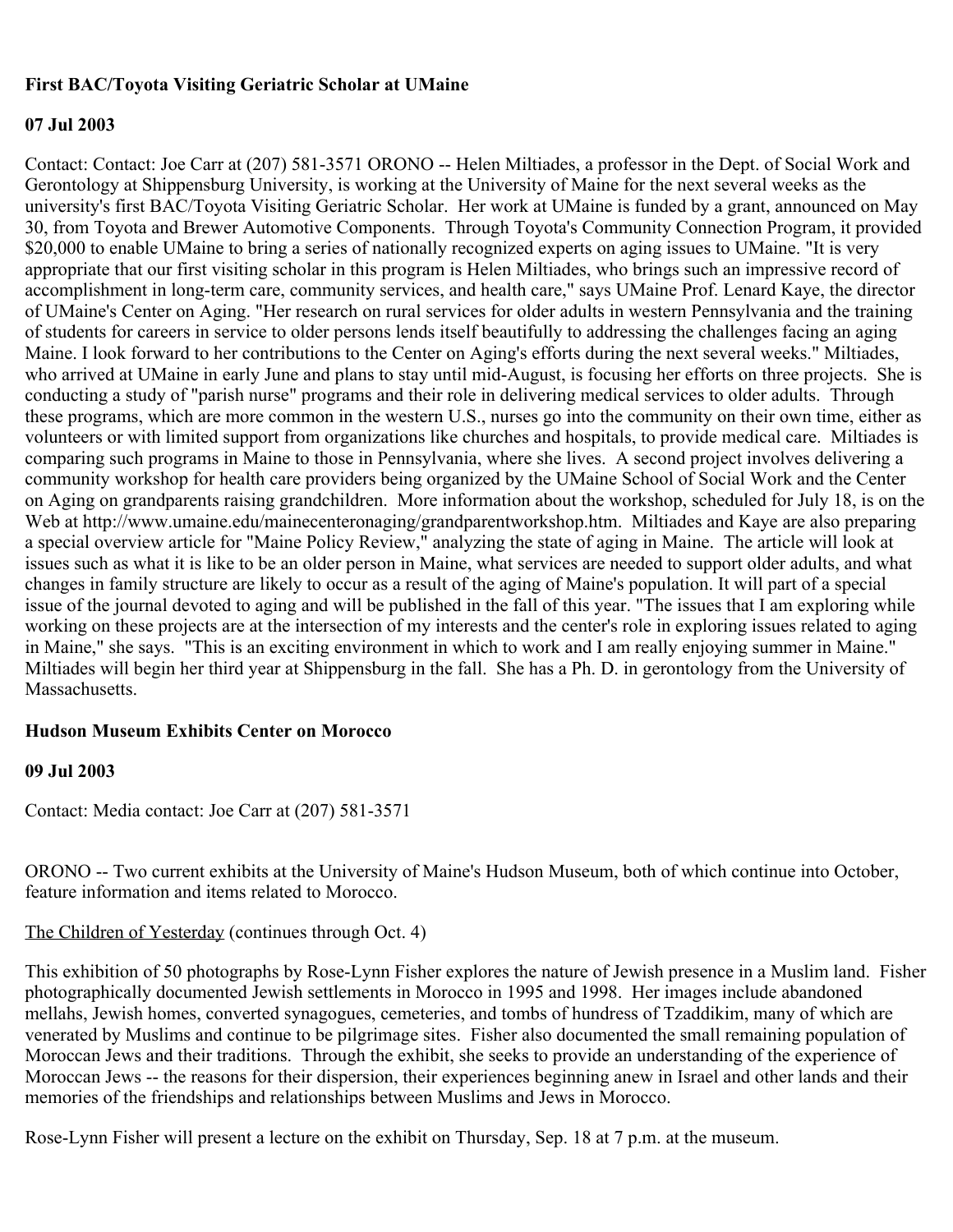### **First BAC/Toyota Visiting Geriatric Scholar at UMaine**

#### **07 Jul 2003**

Contact: Contact: Joe Carr at (207) 581-3571 ORONO -- Helen Miltiades, a professor in the Dept. of Social Work and Gerontology at Shippensburg University, is working at the University of Maine for the next several weeks as the university's first BAC/Toyota Visiting Geriatric Scholar. Her work at UMaine is funded by a grant, announced on May 30, from Toyota and Brewer Automotive Components. Through Toyota's Community Connection Program, it provided \$20,000 to enable UMaine to bring a series of nationally recognized experts on aging issues to UMaine. "It is very appropriate that our first visiting scholar in this program is Helen Miltiades, who brings such an impressive record of accomplishment in long-term care, community services, and health care," says UMaine Prof. Lenard Kaye, the director of UMaine's Center on Aging. "Her research on rural services for older adults in western Pennsylvania and the training of students for careers in service to older persons lends itself beautifully to addressing the challenges facing an aging Maine. I look forward to her contributions to the Center on Aging's efforts during the next several weeks." Miltiades, who arrived at UMaine in early June and plans to stay until mid-August, is focusing her efforts on three projects. She is conducting a study of "parish nurse" programs and their role in delivering medical services to older adults. Through these programs, which are more common in the western U.S., nurses go into the community on their own time, either as volunteers or with limited support from organizations like churches and hospitals, to provide medical care. Miltiades is comparing such programs in Maine to those in Pennsylvania, where she lives. A second project involves delivering a community workshop for health care providers being organized by the UMaine School of Social Work and the Center on Aging on grandparents raising grandchildren. More information about the workshop, scheduled for July 18, is on the Web at http://www.umaine.edu/mainecenteronaging/grandparentworkshop.htm. Miltiades and Kaye are also preparing a special overview article for "Maine Policy Review," analyzing the state of aging in Maine. The article will look at issues such as what it is like to be an older person in Maine, what services are needed to support older adults, and what changes in family structure are likely to occur as a result of the aging of Maine's population. It will part of a special issue of the journal devoted to aging and will be published in the fall of this year. "The issues that I am exploring while working on these projects are at the intersection of my interests and the center's role in exploring issues related to aging in Maine," she says. "This is an exciting environment in which to work and I am really enjoying summer in Maine." Miltiades will begin her third year at Shippensburg in the fall. She has a Ph. D. in gerontology from the University of Massachusetts.

#### **Hudson Museum Exhibits Center on Morocco**

#### **09 Jul 2003**

Contact: Media contact: Joe Carr at (207) 581-3571

ORONO -- Two current exhibits at the University of Maine's Hudson Museum, both of which continue into October, feature information and items related to Morocco.

## The Children of Yesterday (continues through Oct. 4)

This exhibition of 50 photographs by Rose-Lynn Fisher explores the nature of Jewish presence in a Muslim land. Fisher photographically documented Jewish settlements in Morocco in 1995 and 1998. Her images include abandoned mellahs, Jewish homes, converted synagogues, cemeteries, and tombs of hundress of Tzaddikim, many of which are venerated by Muslims and continue to be pilgrimage sites. Fisher also documented the small remaining population of Moroccan Jews and their traditions. Through the exhibit, she seeks to provide an understanding of the experience of Moroccan Jews -- the reasons for their dispersion, their experiences beginning anew in Israel and other lands and their memories of the friendships and relationships between Muslims and Jews in Morocco.

Rose-Lynn Fisher will present a lecture on the exhibit on Thursday, Sep. 18 at 7 p.m. at the museum.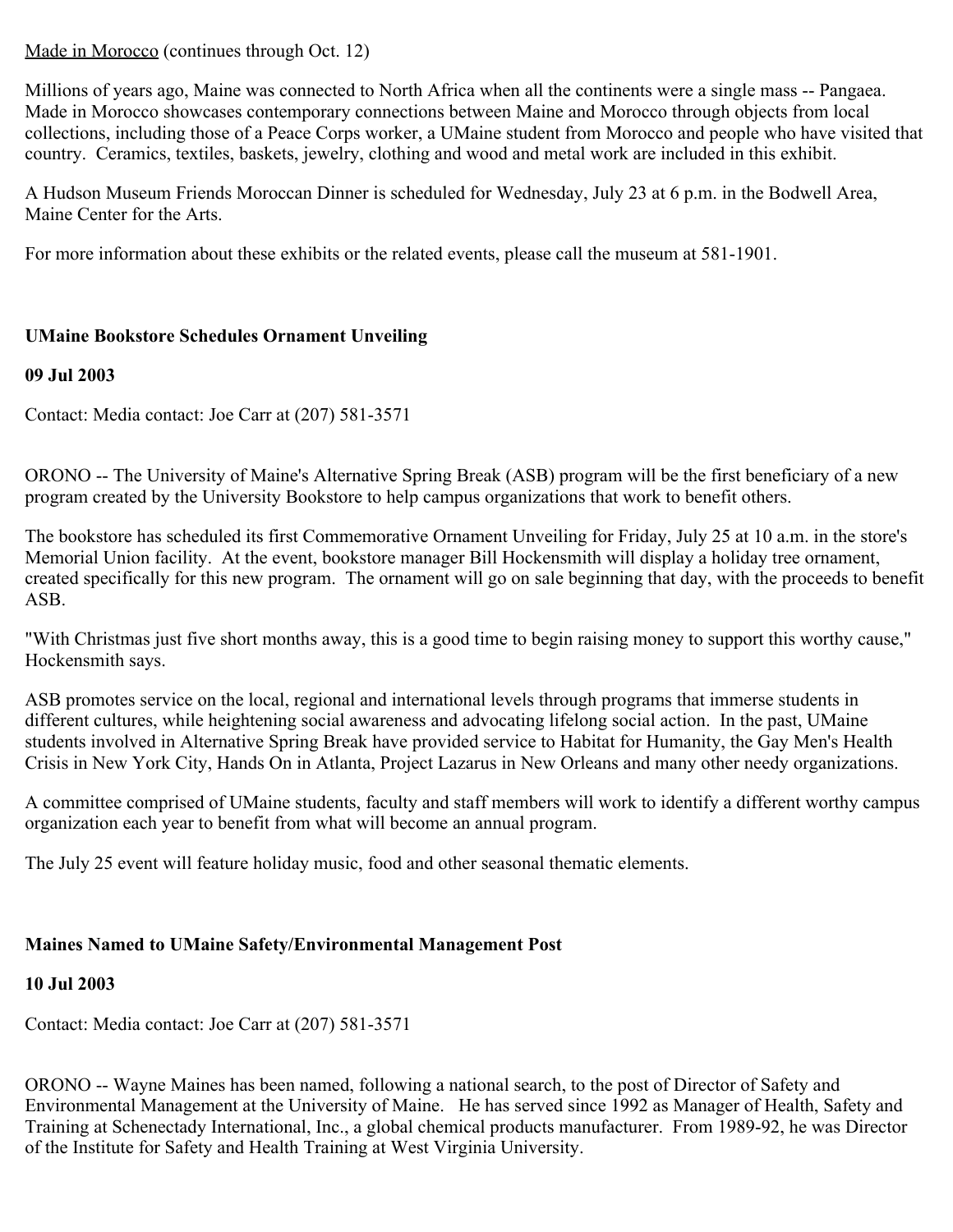Made in Morocco (continues through Oct. 12)

Millions of years ago, Maine was connected to North Africa when all the continents were a single mass -- Pangaea. Made in Morocco showcases contemporary connections between Maine and Morocco through objects from local collections, including those of a Peace Corps worker, a UMaine student from Morocco and people who have visited that country. Ceramics, textiles, baskets, jewelry, clothing and wood and metal work are included in this exhibit.

A Hudson Museum Friends Moroccan Dinner is scheduled for Wednesday, July 23 at 6 p.m. in the Bodwell Area, Maine Center for the Arts.

For more information about these exhibits or the related events, please call the museum at 581-1901.

## **UMaine Bookstore Schedules Ornament Unveiling**

## **09 Jul 2003**

Contact: Media contact: Joe Carr at (207) 581-3571

ORONO -- The University of Maine's Alternative Spring Break (ASB) program will be the first beneficiary of a new program created by the University Bookstore to help campus organizations that work to benefit others.

The bookstore has scheduled its first Commemorative Ornament Unveiling for Friday, July 25 at 10 a.m. in the store's Memorial Union facility. At the event, bookstore manager Bill Hockensmith will display a holiday tree ornament, created specifically for this new program. The ornament will go on sale beginning that day, with the proceeds to benefit ASB.

"With Christmas just five short months away, this is a good time to begin raising money to support this worthy cause," Hockensmith says.

ASB promotes service on the local, regional and international levels through programs that immerse students in different cultures, while heightening social awareness and advocating lifelong social action. In the past, UMaine students involved in Alternative Spring Break have provided service to Habitat for Humanity, the Gay Men's Health Crisis in New York City, Hands On in Atlanta, Project Lazarus in New Orleans and many other needy organizations.

A committee comprised of UMaine students, faculty and staff members will work to identify a different worthy campus organization each year to benefit from what will become an annual program.

The July 25 event will feature holiday music, food and other seasonal thematic elements.

# **Maines Named to UMaine Safety/Environmental Management Post**

## **10 Jul 2003**

Contact: Media contact: Joe Carr at (207) 581-3571

ORONO -- Wayne Maines has been named, following a national search, to the post of Director of Safety and Environmental Management at the University of Maine. He has served since 1992 as Manager of Health, Safety and Training at Schenectady International, Inc., a global chemical products manufacturer. From 1989-92, he was Director of the Institute for Safety and Health Training at West Virginia University.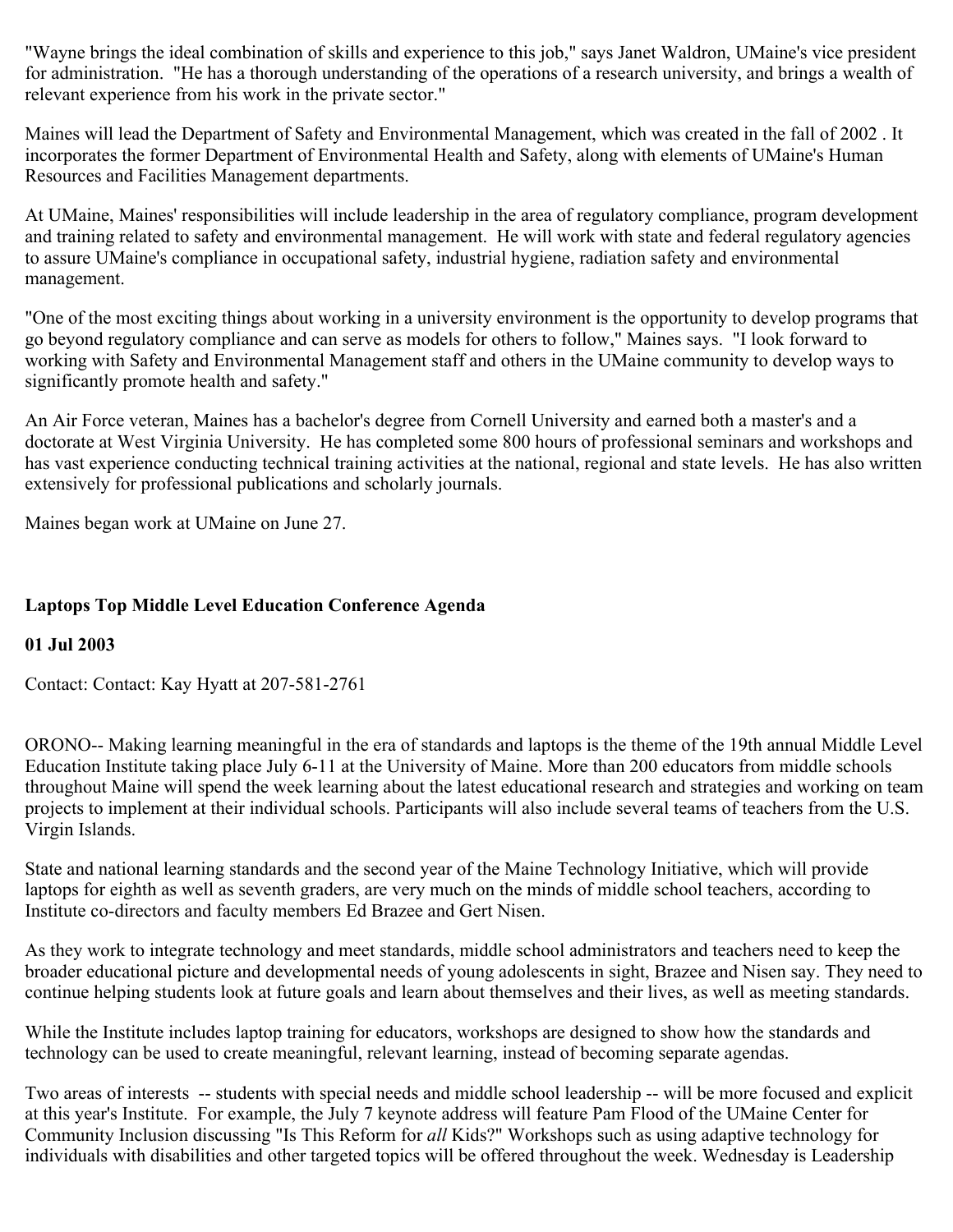"Wayne brings the ideal combination of skills and experience to this job," says Janet Waldron, UMaine's vice president for administration. "He has a thorough understanding of the operations of a research university, and brings a wealth of relevant experience from his work in the private sector."

Maines will lead the Department of Safety and Environmental Management, which was created in the fall of 2002 . It incorporates the former Department of Environmental Health and Safety, along with elements of UMaine's Human Resources and Facilities Management departments.

At UMaine, Maines' responsibilities will include leadership in the area of regulatory compliance, program development and training related to safety and environmental management. He will work with state and federal regulatory agencies to assure UMaine's compliance in occupational safety, industrial hygiene, radiation safety and environmental management.

"One of the most exciting things about working in a university environment is the opportunity to develop programs that go beyond regulatory compliance and can serve as models for others to follow," Maines says. "I look forward to working with Safety and Environmental Management staff and others in the UMaine community to develop ways to significantly promote health and safety."

An Air Force veteran, Maines has a bachelor's degree from Cornell University and earned both a master's and a doctorate at West Virginia University. He has completed some 800 hours of professional seminars and workshops and has vast experience conducting technical training activities at the national, regional and state levels. He has also written extensively for professional publications and scholarly journals.

Maines began work at UMaine on June 27.

## **Laptops Top Middle Level Education Conference Agenda**

## **01 Jul 2003**

Contact: Contact: Kay Hyatt at 207-581-2761

ORONO-- Making learning meaningful in the era of standards and laptops is the theme of the 19th annual Middle Level Education Institute taking place July 6-11 at the University of Maine. More than 200 educators from middle schools throughout Maine will spend the week learning about the latest educational research and strategies and working on team projects to implement at their individual schools. Participants will also include several teams of teachers from the U.S. Virgin Islands.

State and national learning standards and the second year of the Maine Technology Initiative, which will provide laptops for eighth as well as seventh graders, are very much on the minds of middle school teachers, according to Institute co-directors and faculty members Ed Brazee and Gert Nisen.

As they work to integrate technology and meet standards, middle school administrators and teachers need to keep the broader educational picture and developmental needs of young adolescents in sight, Brazee and Nisen say. They need to continue helping students look at future goals and learn about themselves and their lives, as well as meeting standards.

While the Institute includes laptop training for educators, workshops are designed to show how the standards and technology can be used to create meaningful, relevant learning, instead of becoming separate agendas.

Two areas of interests -- students with special needs and middle school leadership -- will be more focused and explicit at this year's Institute. For example, the July 7 keynote address will feature Pam Flood of the UMaine Center for Community Inclusion discussing "Is This Reform for *all* Kids?" Workshops such as using adaptive technology for individuals with disabilities and other targeted topics will be offered throughout the week. Wednesday is Leadership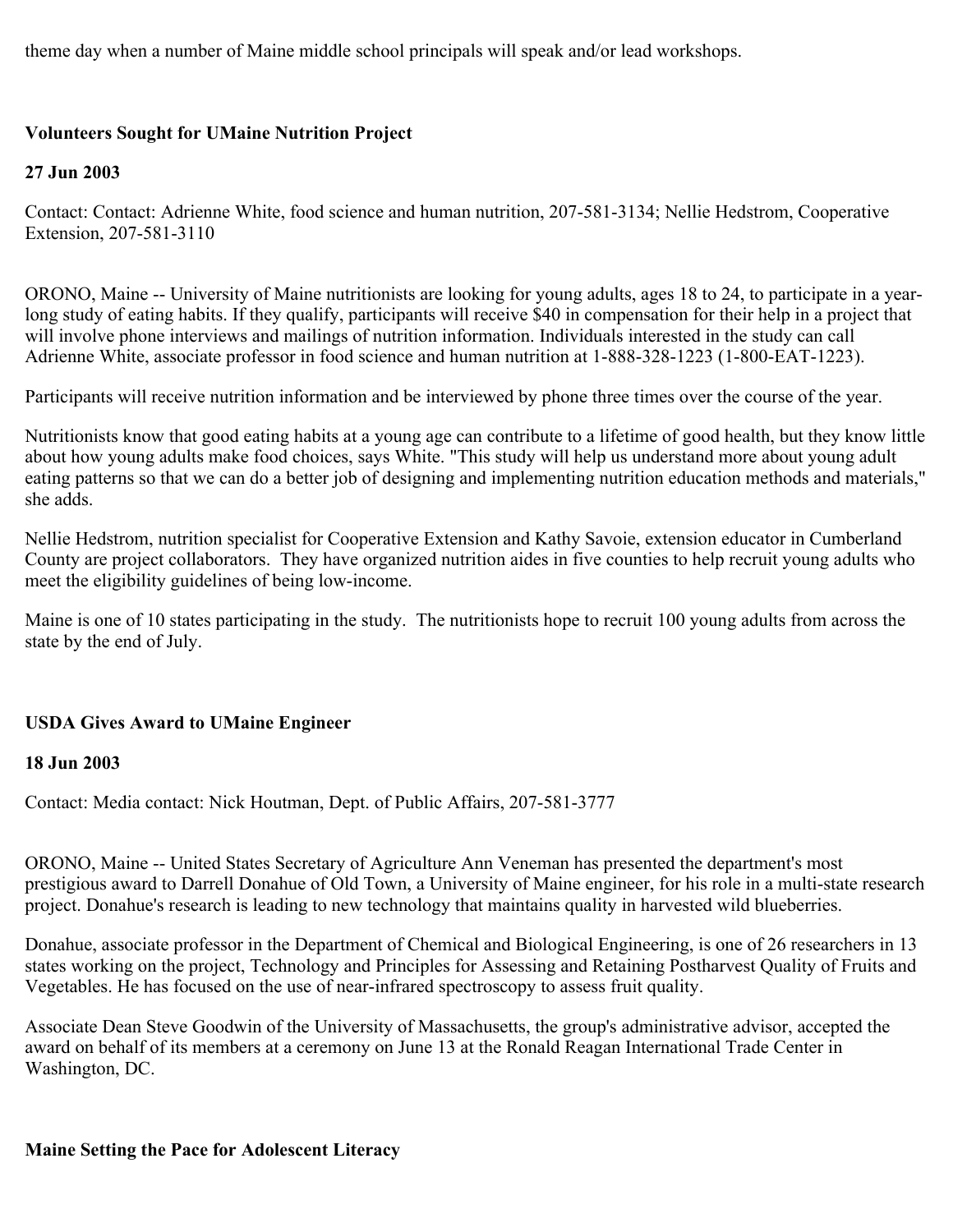theme day when a number of Maine middle school principals will speak and/or lead workshops.

## **Volunteers Sought for UMaine Nutrition Project**

## **27 Jun 2003**

Contact: Contact: Adrienne White, food science and human nutrition, 207-581-3134; Nellie Hedstrom, Cooperative Extension, 207-581-3110

ORONO, Maine -- University of Maine nutritionists are looking for young adults, ages 18 to 24, to participate in a yearlong study of eating habits. If they qualify, participants will receive \$40 in compensation for their help in a project that will involve phone interviews and mailings of nutrition information. Individuals interested in the study can call Adrienne White, associate professor in food science and human nutrition at 1-888-328-1223 (1-800-EAT-1223).

Participants will receive nutrition information and be interviewed by phone three times over the course of the year.

Nutritionists know that good eating habits at a young age can contribute to a lifetime of good health, but they know little about how young adults make food choices, says White. "This study will help us understand more about young adult eating patterns so that we can do a better job of designing and implementing nutrition education methods and materials," she adds.

Nellie Hedstrom, nutrition specialist for Cooperative Extension and Kathy Savoie, extension educator in Cumberland County are project collaborators. They have organized nutrition aides in five counties to help recruit young adults who meet the eligibility guidelines of being low-income.

Maine is one of 10 states participating in the study. The nutritionists hope to recruit 100 young adults from across the state by the end of July.

## **USDA Gives Award to UMaine Engineer**

## **18 Jun 2003**

Contact: Media contact: Nick Houtman, Dept. of Public Affairs, 207-581-3777

ORONO, Maine -- United States Secretary of Agriculture Ann Veneman has presented the department's most prestigious award to Darrell Donahue of Old Town, a University of Maine engineer, for his role in a multi-state research project. Donahue's research is leading to new technology that maintains quality in harvested wild blueberries.

Donahue, associate professor in the Department of Chemical and Biological Engineering, is one of 26 researchers in 13 states working on the project, Technology and Principles for Assessing and Retaining Postharvest Quality of Fruits and Vegetables. He has focused on the use of near-infrared spectroscopy to assess fruit quality.

Associate Dean Steve Goodwin of the University of Massachusetts, the group's administrative advisor, accepted the award on behalf of its members at a ceremony on June 13 at the Ronald Reagan International Trade Center in Washington, DC.

## **Maine Setting the Pace for Adolescent Literacy**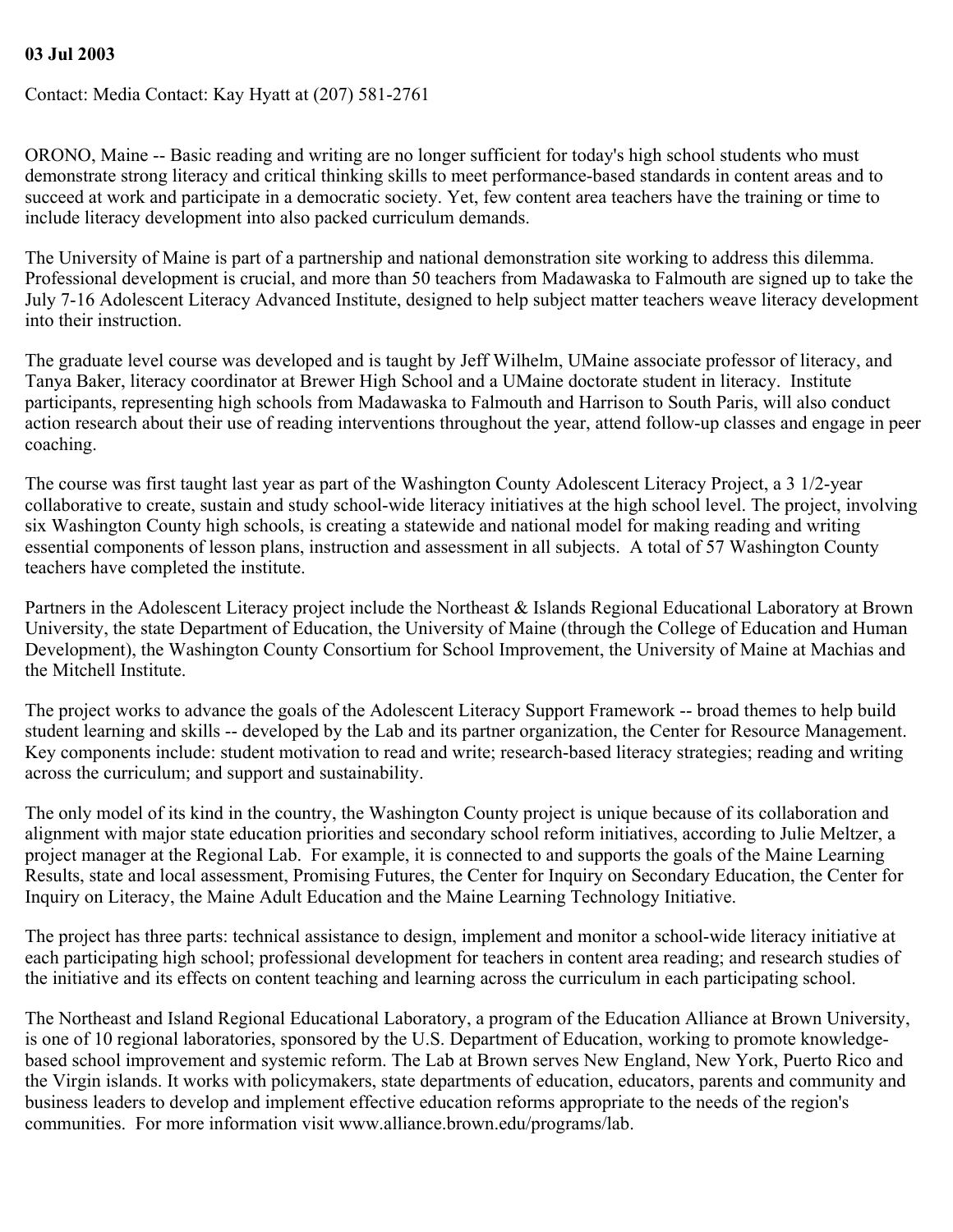#### **03 Jul 2003**

Contact: Media Contact: Kay Hyatt at (207) 581-2761

ORONO, Maine -- Basic reading and writing are no longer sufficient for today's high school students who must demonstrate strong literacy and critical thinking skills to meet performance-based standards in content areas and to succeed at work and participate in a democratic society. Yet, few content area teachers have the training or time to include literacy development into also packed curriculum demands.

The University of Maine is part of a partnership and national demonstration site working to address this dilemma. Professional development is crucial, and more than 50 teachers from Madawaska to Falmouth are signed up to take the July 7-16 Adolescent Literacy Advanced Institute, designed to help subject matter teachers weave literacy development into their instruction.

The graduate level course was developed and is taught by Jeff Wilhelm, UMaine associate professor of literacy, and Tanya Baker, literacy coordinator at Brewer High School and a UMaine doctorate student in literacy. Institute participants, representing high schools from Madawaska to Falmouth and Harrison to South Paris, will also conduct action research about their use of reading interventions throughout the year, attend follow-up classes and engage in peer coaching.

The course was first taught last year as part of the Washington County Adolescent Literacy Project, a 3 1/2-year collaborative to create, sustain and study school-wide literacy initiatives at the high school level. The project, involving six Washington County high schools, is creating a statewide and national model for making reading and writing essential components of lesson plans, instruction and assessment in all subjects. A total of 57 Washington County teachers have completed the institute.

Partners in the Adolescent Literacy project include the Northeast & Islands Regional Educational Laboratory at Brown University, the state Department of Education, the University of Maine (through the College of Education and Human Development), the Washington County Consortium for School Improvement, the University of Maine at Machias and the Mitchell Institute.

The project works to advance the goals of the Adolescent Literacy Support Framework -- broad themes to help build student learning and skills -- developed by the Lab and its partner organization, the Center for Resource Management. Key components include: student motivation to read and write; research-based literacy strategies; reading and writing across the curriculum; and support and sustainability.

The only model of its kind in the country, the Washington County project is unique because of its collaboration and alignment with major state education priorities and secondary school reform initiatives, according to Julie Meltzer, a project manager at the Regional Lab. For example, it is connected to and supports the goals of the Maine Learning Results, state and local assessment, Promising Futures, the Center for Inquiry on Secondary Education, the Center for Inquiry on Literacy, the Maine Adult Education and the Maine Learning Technology Initiative.

The project has three parts: technical assistance to design, implement and monitor a school-wide literacy initiative at each participating high school; professional development for teachers in content area reading; and research studies of the initiative and its effects on content teaching and learning across the curriculum in each participating school.

The Northeast and Island Regional Educational Laboratory, a program of the Education Alliance at Brown University, is one of 10 regional laboratories, sponsored by the U.S. Department of Education, working to promote knowledgebased school improvement and systemic reform. The Lab at Brown serves New England, New York, Puerto Rico and the Virgin islands. It works with policymakers, state departments of education, educators, parents and community and business leaders to develop and implement effective education reforms appropriate to the needs of the region's communities. For more information visit www.alliance.brown.edu/programs/lab.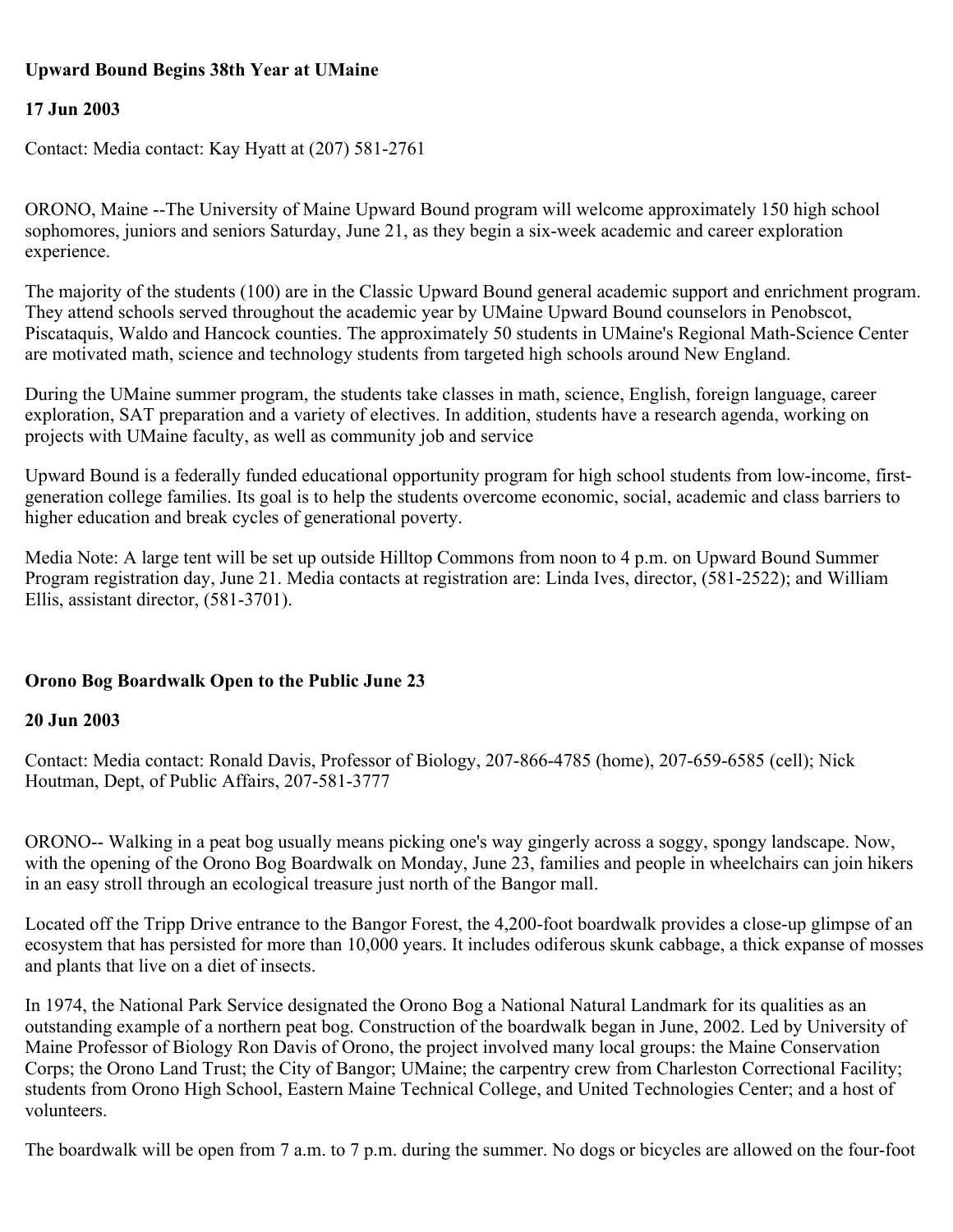## **Upward Bound Begins 38th Year at UMaine**

## **17 Jun 2003**

Contact: Media contact: Kay Hyatt at (207) 581-2761

ORONO, Maine --The University of Maine Upward Bound program will welcome approximately 150 high school sophomores, juniors and seniors Saturday, June 21, as they begin a six-week academic and career exploration experience.

The majority of the students (100) are in the Classic Upward Bound general academic support and enrichment program. They attend schools served throughout the academic year by UMaine Upward Bound counselors in Penobscot, Piscataquis, Waldo and Hancock counties. The approximately 50 students in UMaine's Regional Math-Science Center are motivated math, science and technology students from targeted high schools around New England.

During the UMaine summer program, the students take classes in math, science, English, foreign language, career exploration, SAT preparation and a variety of electives. In addition, students have a research agenda, working on projects with UMaine faculty, as well as community job and service

Upward Bound is a federally funded educational opportunity program for high school students from low-income, firstgeneration college families. Its goal is to help the students overcome economic, social, academic and class barriers to higher education and break cycles of generational poverty.

Media Note: A large tent will be set up outside Hilltop Commons from noon to 4 p.m. on Upward Bound Summer Program registration day, June 21. Media contacts at registration are: Linda Ives, director, (581-2522); and William Ellis, assistant director, (581-3701).

## **Orono Bog Boardwalk Open to the Public June 23**

## **20 Jun 2003**

Contact: Media contact: Ronald Davis, Professor of Biology, 207-866-4785 (home), 207-659-6585 (cell); Nick Houtman, Dept, of Public Affairs, 207-581-3777

ORONO-- Walking in a peat bog usually means picking one's way gingerly across a soggy, spongy landscape. Now, with the opening of the Orono Bog Boardwalk on Monday, June 23, families and people in wheelchairs can join hikers in an easy stroll through an ecological treasure just north of the Bangor mall.

Located off the Tripp Drive entrance to the Bangor Forest, the 4,200-foot boardwalk provides a close-up glimpse of an ecosystem that has persisted for more than 10,000 years. It includes odiferous skunk cabbage, a thick expanse of mosses and plants that live on a diet of insects.

In 1974, the National Park Service designated the Orono Bog a National Natural Landmark for its qualities as an outstanding example of a northern peat bog. Construction of the boardwalk began in June, 2002. Led by University of Maine Professor of Biology Ron Davis of Orono, the project involved many local groups: the Maine Conservation Corps; the Orono Land Trust; the City of Bangor; UMaine; the carpentry crew from Charleston Correctional Facility; students from Orono High School, Eastern Maine Technical College, and United Technologies Center; and a host of volunteers.

The boardwalk will be open from 7 a.m. to 7 p.m. during the summer. No dogs or bicycles are allowed on the four-foot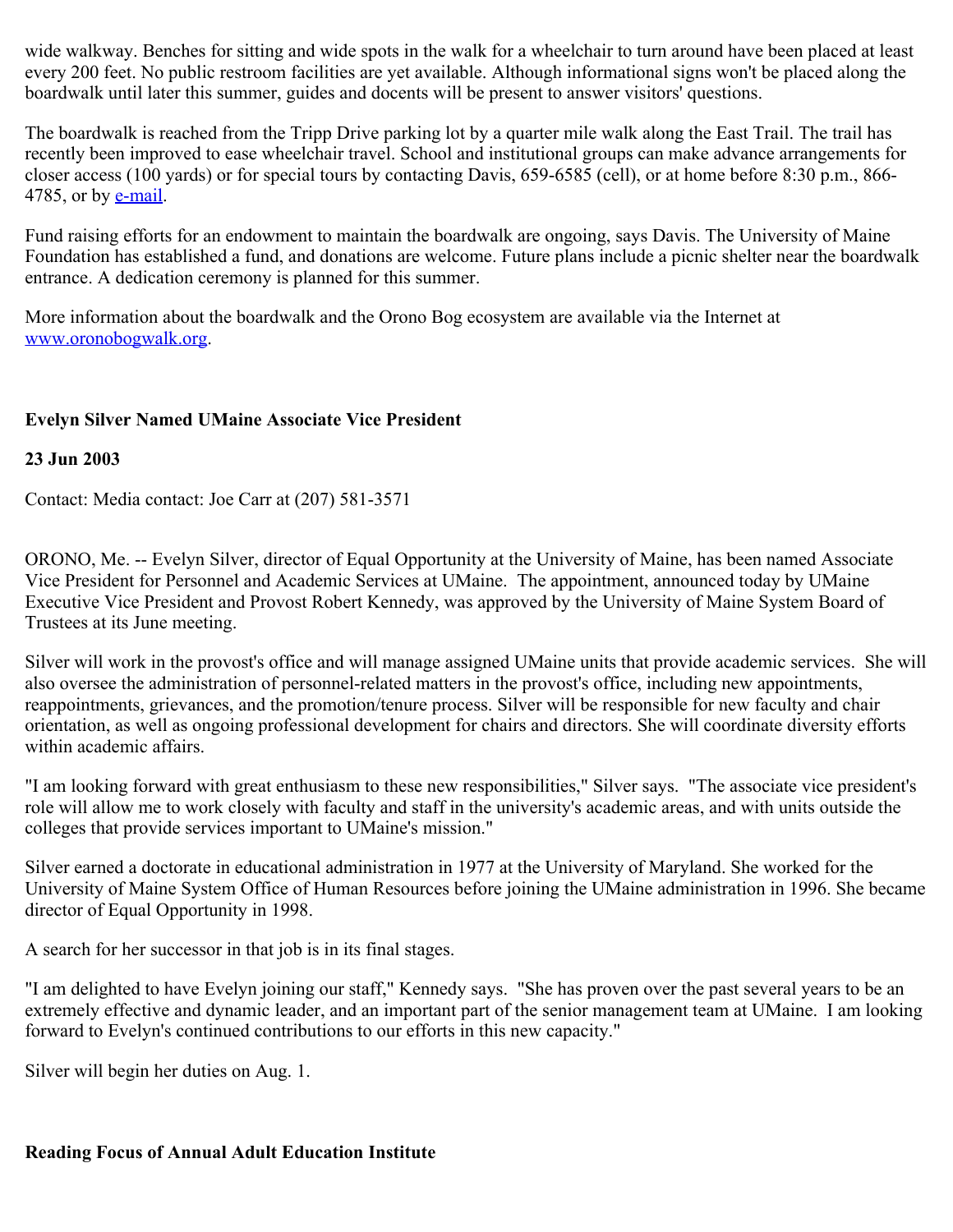wide walkway. Benches for sitting and wide spots in the walk for a wheelchair to turn around have been placed at least every 200 feet. No public restroom facilities are yet available. Although informational signs won't be placed along the boardwalk until later this summer, guides and docents will be present to answer visitors' questions.

The boardwalk is reached from the Tripp Drive parking lot by a quarter mile walk along the East Trail. The trail has recently been improved to ease wheelchair travel. School and institutional groups can make advance arrangements for closer access (100 yards) or for special tours by contacting Davis, 659-6585 (cell), or at home before 8:30 p.m., 866- 4785, or by **[e-mail](mailto:ronald_davis@umit.maine.edu)**.

Fund raising efforts for an endowment to maintain the boardwalk are ongoing, says Davis. The University of Maine Foundation has established a fund, and donations are welcome. Future plans include a picnic shelter near the boardwalk entrance. A dedication ceremony is planned for this summer.

More information about the boardwalk and the Orono Bog ecosystem are available via the Internet at [www.oronobogwalk.org](http://www.oronobogwalk.org/).

## **Evelyn Silver Named UMaine Associate Vice President**

#### **23 Jun 2003**

Contact: Media contact: Joe Carr at (207) 581-3571

ORONO, Me. -- Evelyn Silver, director of Equal Opportunity at the University of Maine, has been named Associate Vice President for Personnel and Academic Services at UMaine. The appointment, announced today by UMaine Executive Vice President and Provost Robert Kennedy, was approved by the University of Maine System Board of Trustees at its June meeting.

Silver will work in the provost's office and will manage assigned UMaine units that provide academic services. She will also oversee the administration of personnel-related matters in the provost's office, including new appointments, reappointments, grievances, and the promotion/tenure process. Silver will be responsible for new faculty and chair orientation, as well as ongoing professional development for chairs and directors. She will coordinate diversity efforts within academic affairs.

"I am looking forward with great enthusiasm to these new responsibilities," Silver says. "The associate vice president's role will allow me to work closely with faculty and staff in the university's academic areas, and with units outside the colleges that provide services important to UMaine's mission."

Silver earned a doctorate in educational administration in 1977 at the University of Maryland. She worked for the University of Maine System Office of Human Resources before joining the UMaine administration in 1996. She became director of Equal Opportunity in 1998.

A search for her successor in that job is in its final stages.

"I am delighted to have Evelyn joining our staff," Kennedy says. "She has proven over the past several years to be an extremely effective and dynamic leader, and an important part of the senior management team at UMaine. I am looking forward to Evelyn's continued contributions to our efforts in this new capacity."

Silver will begin her duties on Aug. 1.

## **Reading Focus of Annual Adult Education Institute**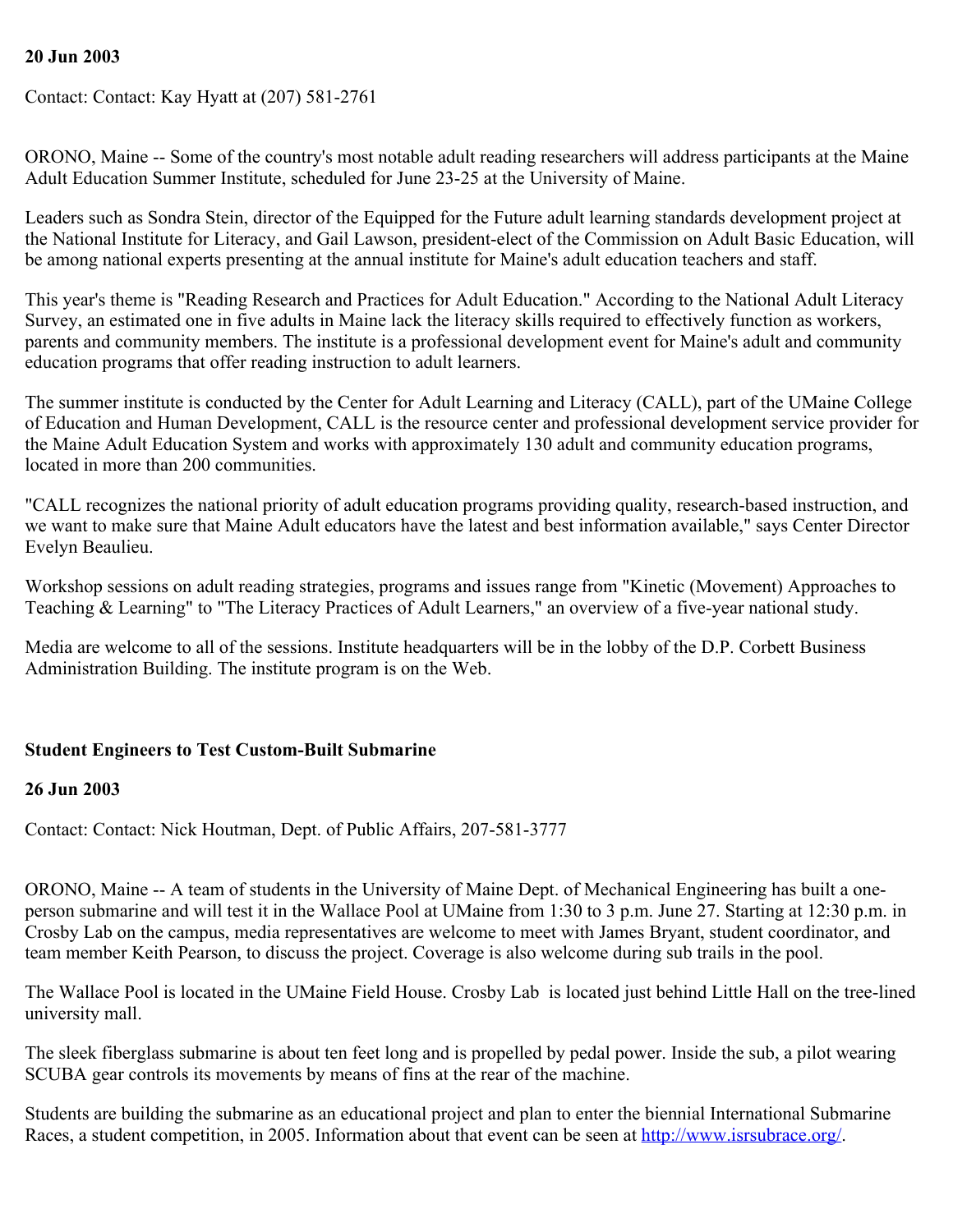#### **20 Jun 2003**

Contact: Contact: Kay Hyatt at (207) 581-2761

ORONO, Maine -- Some of the country's most notable adult reading researchers will address participants at the Maine Adult Education Summer Institute, scheduled for June 23-25 at the University of Maine.

Leaders such as Sondra Stein, director of the Equipped for the Future adult learning standards development project at the National Institute for Literacy, and Gail Lawson, president-elect of the Commission on Adult Basic Education, will be among national experts presenting at the annual institute for Maine's adult education teachers and staff.

This year's theme is "Reading Research and Practices for Adult Education." According to the National Adult Literacy Survey, an estimated one in five adults in Maine lack the literacy skills required to effectively function as workers, parents and community members. The institute is a professional development event for Maine's adult and community education programs that offer reading instruction to adult learners.

The summer institute is conducted by the Center for Adult Learning and Literacy (CALL), part of the UMaine College of Education and Human Development, CALL is the resource center and professional development service provider for the Maine Adult Education System and works with approximately 130 adult and community education programs, located in more than 200 communities.

"CALL recognizes the national priority of adult education programs providing quality, research-based instruction, and we want to make sure that Maine Adult educators have the latest and best information available," says Center Director Evelyn Beaulieu.

Workshop sessions on adult reading strategies, programs and issues range from "Kinetic (Movement) Approaches to Teaching & Learning" to "The Literacy Practices of Adult Learners," an overview of a five-year national study.

Media are welcome to all of the sessions. Institute headquarters will be in the lobby of the D.P. Corbett Business Administration Building. The institute program is on the Web.

## **Student Engineers to Test Custom-Built Submarine**

#### **26 Jun 2003**

Contact: Contact: Nick Houtman, Dept. of Public Affairs, 207-581-3777

ORONO, Maine -- A team of students in the University of Maine Dept. of Mechanical Engineering has built a oneperson submarine and will test it in the Wallace Pool at UMaine from 1:30 to 3 p.m. June 27. Starting at 12:30 p.m. in Crosby Lab on the campus, media representatives are welcome to meet with James Bryant, student coordinator, and team member Keith Pearson, to discuss the project. Coverage is also welcome during sub trails in the pool.

The Wallace Pool is located in the UMaine Field House. Crosby Lab is located just behind Little Hall on the tree-lined university mall.

The sleek fiberglass submarine is about ten feet long and is propelled by pedal power. Inside the sub, a pilot wearing SCUBA gear controls its movements by means of fins at the rear of the machine.

Students are building the submarine as an educational project and plan to enter the biennial International Submarine Races, a student competition, in 2005. Information about that event can be seen at<http://www.isrsubrace.org/>.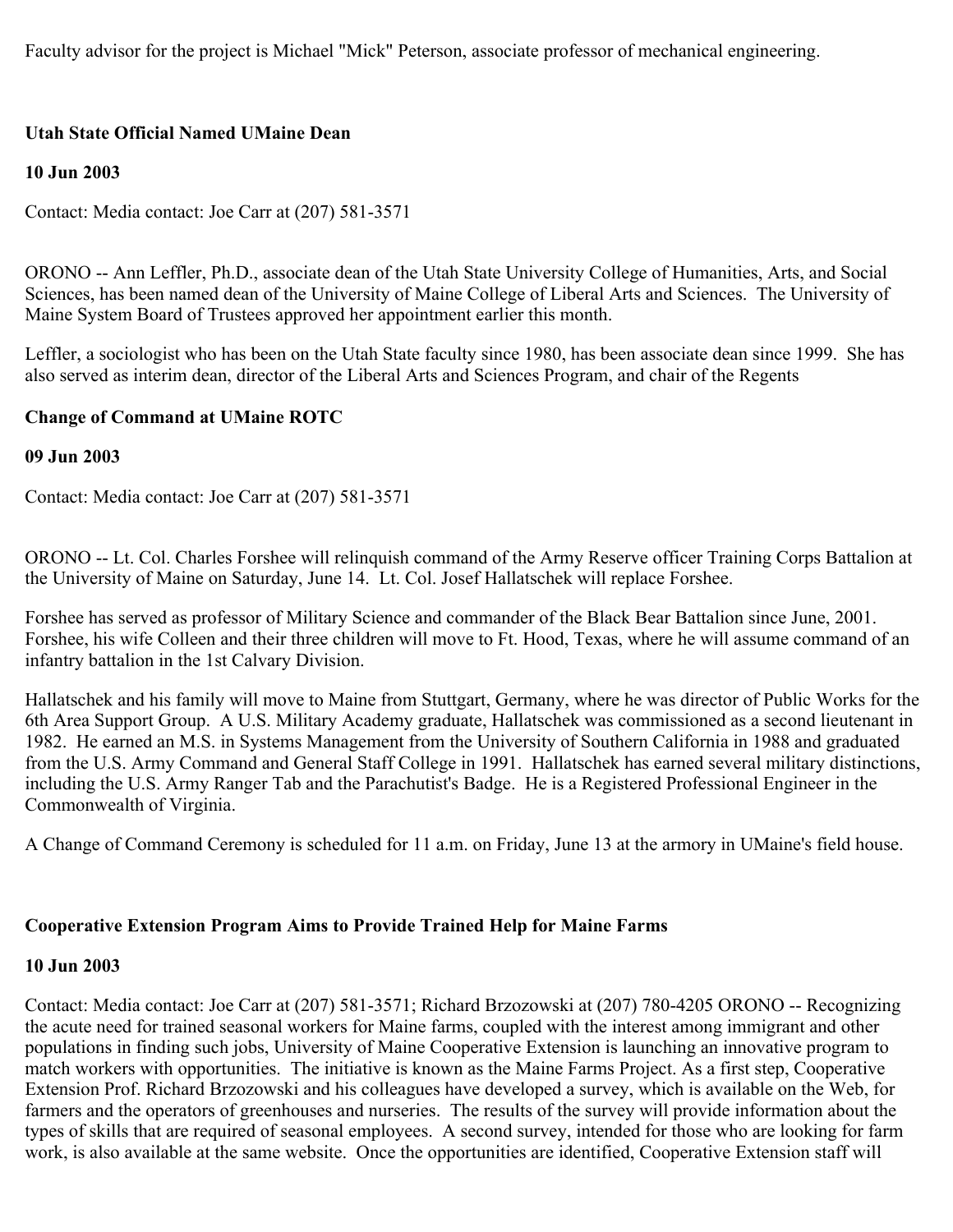Faculty advisor for the project is Michael "Mick" Peterson, associate professor of mechanical engineering.

## **Utah State Official Named UMaine Dean**

### **10 Jun 2003**

Contact: Media contact: Joe Carr at (207) 581-3571

ORONO -- Ann Leffler, Ph.D., associate dean of the Utah State University College of Humanities, Arts, and Social Sciences, has been named dean of the University of Maine College of Liberal Arts and Sciences. The University of Maine System Board of Trustees approved her appointment earlier this month.

Leffler, a sociologist who has been on the Utah State faculty since 1980, has been associate dean since 1999. She has also served as interim dean, director of the Liberal Arts and Sciences Program, and chair of the Regents

#### **Change of Command at UMaine ROTC**

#### **09 Jun 2003**

Contact: Media contact: Joe Carr at (207) 581-3571

ORONO -- Lt. Col. Charles Forshee will relinquish command of the Army Reserve officer Training Corps Battalion at the University of Maine on Saturday, June 14. Lt. Col. Josef Hallatschek will replace Forshee.

Forshee has served as professor of Military Science and commander of the Black Bear Battalion since June, 2001. Forshee, his wife Colleen and their three children will move to Ft. Hood, Texas, where he will assume command of an infantry battalion in the 1st Calvary Division.

Hallatschek and his family will move to Maine from Stuttgart, Germany, where he was director of Public Works for the 6th Area Support Group. A U.S. Military Academy graduate, Hallatschek was commissioned as a second lieutenant in 1982. He earned an M.S. in Systems Management from the University of Southern California in 1988 and graduated from the U.S. Army Command and General Staff College in 1991. Hallatschek has earned several military distinctions, including the U.S. Army Ranger Tab and the Parachutist's Badge. He is a Registered Professional Engineer in the Commonwealth of Virginia.

A Change of Command Ceremony is scheduled for 11 a.m. on Friday, June 13 at the armory in UMaine's field house.

#### **Cooperative Extension Program Aims to Provide Trained Help for Maine Farms**

#### **10 Jun 2003**

Contact: Media contact: Joe Carr at (207) 581-3571; Richard Brzozowski at (207) 780-4205 ORONO -- Recognizing the acute need for trained seasonal workers for Maine farms, coupled with the interest among immigrant and other populations in finding such jobs, University of Maine Cooperative Extension is launching an innovative program to match workers with opportunities. The initiative is known as the Maine Farms Project. As a first step, Cooperative Extension Prof. Richard Brzozowski and his colleagues have developed a survey, which is available on the Web, for farmers and the operators of greenhouses and nurseries. The results of the survey will provide information about the types of skills that are required of seasonal employees. A second survey, intended for those who are looking for farm work, is also available at the same website. Once the opportunities are identified, Cooperative Extension staff will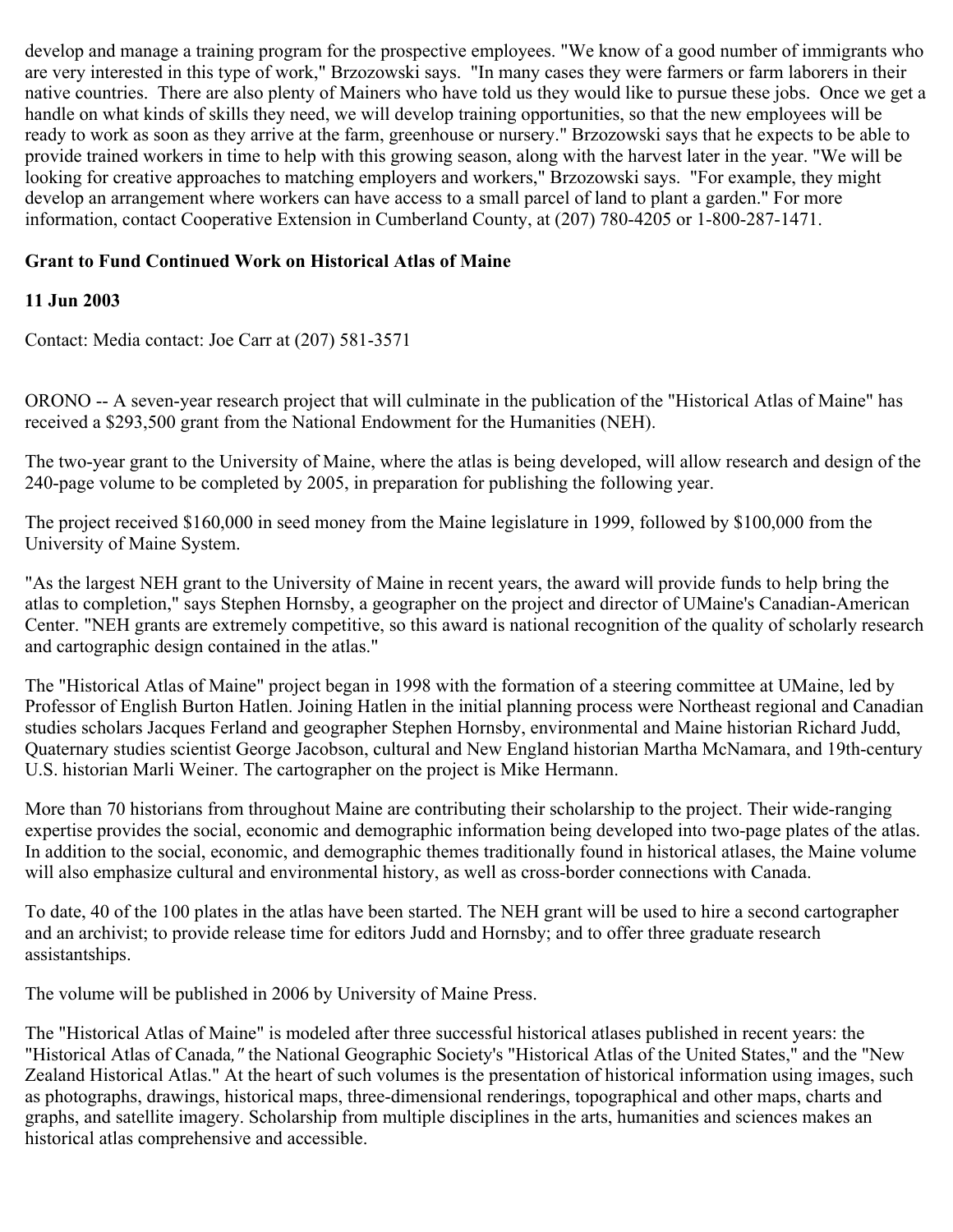develop and manage a training program for the prospective employees. "We know of a good number of immigrants who are very interested in this type of work," Brzozowski says. "In many cases they were farmers or farm laborers in their native countries. There are also plenty of Mainers who have told us they would like to pursue these jobs. Once we get a handle on what kinds of skills they need, we will develop training opportunities, so that the new employees will be ready to work as soon as they arrive at the farm, greenhouse or nursery." Brzozowski says that he expects to be able to provide trained workers in time to help with this growing season, along with the harvest later in the year. "We will be looking for creative approaches to matching employers and workers," Brzozowski says. "For example, they might develop an arrangement where workers can have access to a small parcel of land to plant a garden." For more information, contact Cooperative Extension in Cumberland County, at (207) 780-4205 or 1-800-287-1471.

## **Grant to Fund Continued Work on Historical Atlas of Maine**

## **11 Jun 2003**

Contact: Media contact: Joe Carr at (207) 581-3571

ORONO -- A seven-year research project that will culminate in the publication of the "Historical Atlas of Maine" has received a \$293,500 grant from the National Endowment for the Humanities (NEH).

The two-year grant to the University of Maine, where the atlas is being developed, will allow research and design of the 240-page volume to be completed by 2005, in preparation for publishing the following year.

The project received \$160,000 in seed money from the Maine legislature in 1999, followed by \$100,000 from the University of Maine System.

"As the largest NEH grant to the University of Maine in recent years, the award will provide funds to help bring the atlas to completion," says Stephen Hornsby, a geographer on the project and director of UMaine's Canadian-American Center. "NEH grants are extremely competitive, so this award is national recognition of the quality of scholarly research and cartographic design contained in the atlas."

The "Historical Atlas of Maine" project began in 1998 with the formation of a steering committee at UMaine, led by Professor of English Burton Hatlen. Joining Hatlen in the initial planning process were Northeast regional and Canadian studies scholars Jacques Ferland and geographer Stephen Hornsby, environmental and Maine historian Richard Judd, Quaternary studies scientist George Jacobson, cultural and New England historian Martha McNamara, and 19th-century U.S. historian Marli Weiner. The cartographer on the project is Mike Hermann.

More than 70 historians from throughout Maine are contributing their scholarship to the project. Their wide-ranging expertise provides the social, economic and demographic information being developed into two-page plates of the atlas. In addition to the social, economic, and demographic themes traditionally found in historical atlases, the Maine volume will also emphasize cultural and environmental history, as well as cross-border connections with Canada.

To date, 40 of the 100 plates in the atlas have been started. The NEH grant will be used to hire a second cartographer and an archivist; to provide release time for editors Judd and Hornsby; and to offer three graduate research assistantships.

The volume will be published in 2006 by University of Maine Press.

The "Historical Atlas of Maine" is modeled after three successful historical atlases published in recent years: the "Historical Atlas of Canada*,"* the National Geographic Society's "Historical Atlas of the United States," and the "New Zealand Historical Atlas." At the heart of such volumes is the presentation of historical information using images, such as photographs, drawings, historical maps, three-dimensional renderings, topographical and other maps, charts and graphs, and satellite imagery. Scholarship from multiple disciplines in the arts, humanities and sciences makes an historical atlas comprehensive and accessible.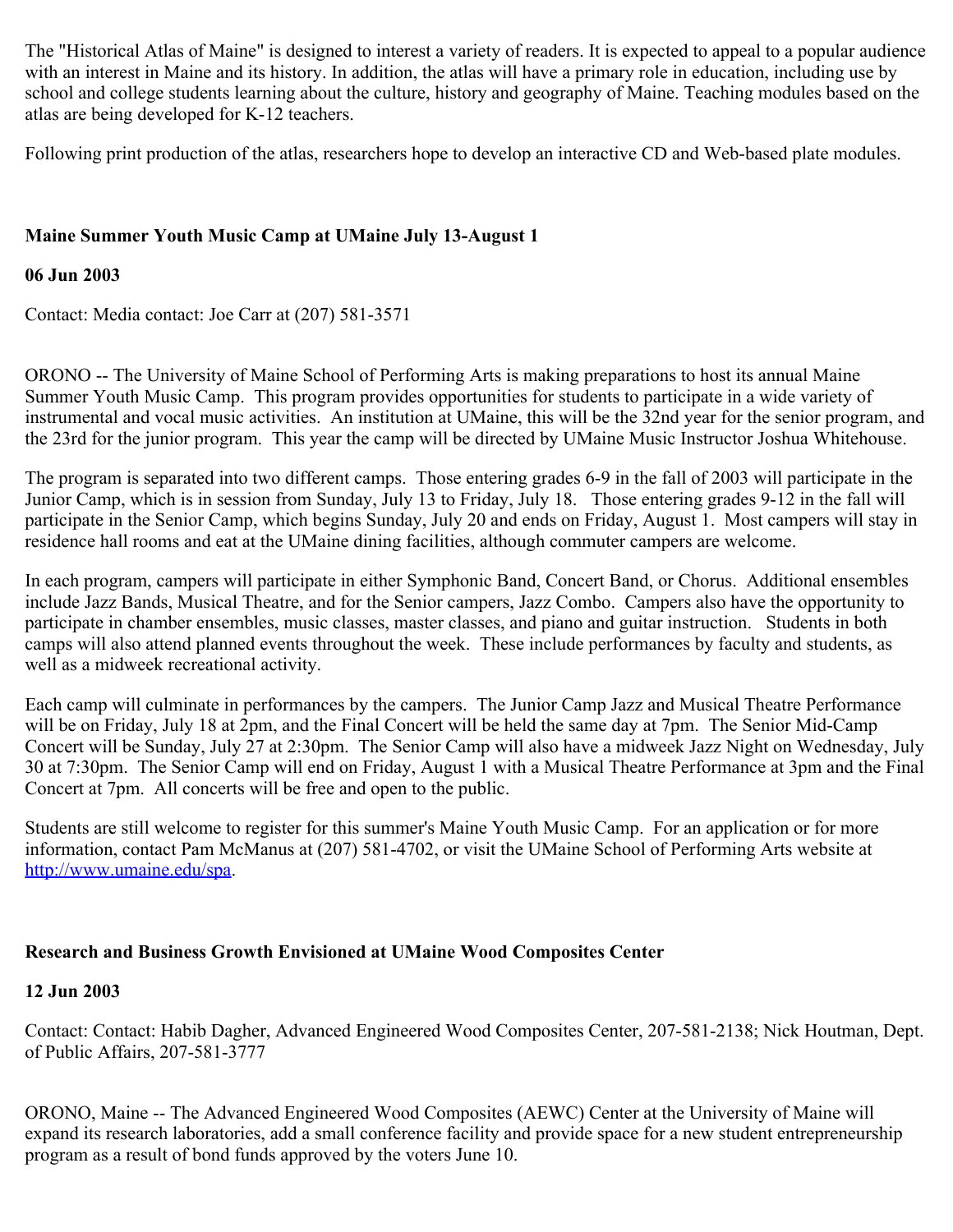The "Historical Atlas of Maine" is designed to interest a variety of readers. It is expected to appeal to a popular audience with an interest in Maine and its history. In addition, the atlas will have a primary role in education, including use by school and college students learning about the culture, history and geography of Maine. Teaching modules based on the atlas are being developed for K-12 teachers.

Following print production of the atlas, researchers hope to develop an interactive CD and Web-based plate modules.

## **Maine Summer Youth Music Camp at UMaine July 13-August 1**

#### **06 Jun 2003**

Contact: Media contact: Joe Carr at (207) 581-3571

ORONO -- The University of Maine School of Performing Arts is making preparations to host its annual Maine Summer Youth Music Camp. This program provides opportunities for students to participate in a wide variety of instrumental and vocal music activities. An institution at UMaine, this will be the 32nd year for the senior program, and the 23rd for the junior program. This year the camp will be directed by UMaine Music Instructor Joshua Whitehouse.

The program is separated into two different camps. Those entering grades 6-9 in the fall of 2003 will participate in the Junior Camp, which is in session from Sunday, July 13 to Friday, July 18. Those entering grades 9-12 in the fall will participate in the Senior Camp, which begins Sunday, July 20 and ends on Friday, August 1. Most campers will stay in residence hall rooms and eat at the UMaine dining facilities, although commuter campers are welcome.

In each program, campers will participate in either Symphonic Band, Concert Band, or Chorus. Additional ensembles include Jazz Bands, Musical Theatre, and for the Senior campers, Jazz Combo. Campers also have the opportunity to participate in chamber ensembles, music classes, master classes, and piano and guitar instruction. Students in both camps will also attend planned events throughout the week. These include performances by faculty and students, as well as a midweek recreational activity.

Each camp will culminate in performances by the campers. The Junior Camp Jazz and Musical Theatre Performance will be on Friday, July 18 at 2pm, and the Final Concert will be held the same day at 7pm. The Senior Mid-Camp Concert will be Sunday, July 27 at 2:30pm. The Senior Camp will also have a midweek Jazz Night on Wednesday, July 30 at 7:30pm. The Senior Camp will end on Friday, August 1 with a Musical Theatre Performance at 3pm and the Final Concert at 7pm. All concerts will be free and open to the public.

Students are still welcome to register for this summer's Maine Youth Music Camp. For an application or for more information, contact Pam McManus at (207) 581-4702, or visit the UMaine School of Performing Arts website at <http://www.umaine.edu/spa>.

## **Research and Business Growth Envisioned at UMaine Wood Composites Center**

#### **12 Jun 2003**

Contact: Contact: Habib Dagher, Advanced Engineered Wood Composites Center, 207-581-2138; Nick Houtman, Dept. of Public Affairs, 207-581-3777

ORONO, Maine -- The Advanced Engineered Wood Composites (AEWC) Center at the University of Maine will expand its research laboratories, add a small conference facility and provide space for a new student entrepreneurship program as a result of bond funds approved by the voters June 10.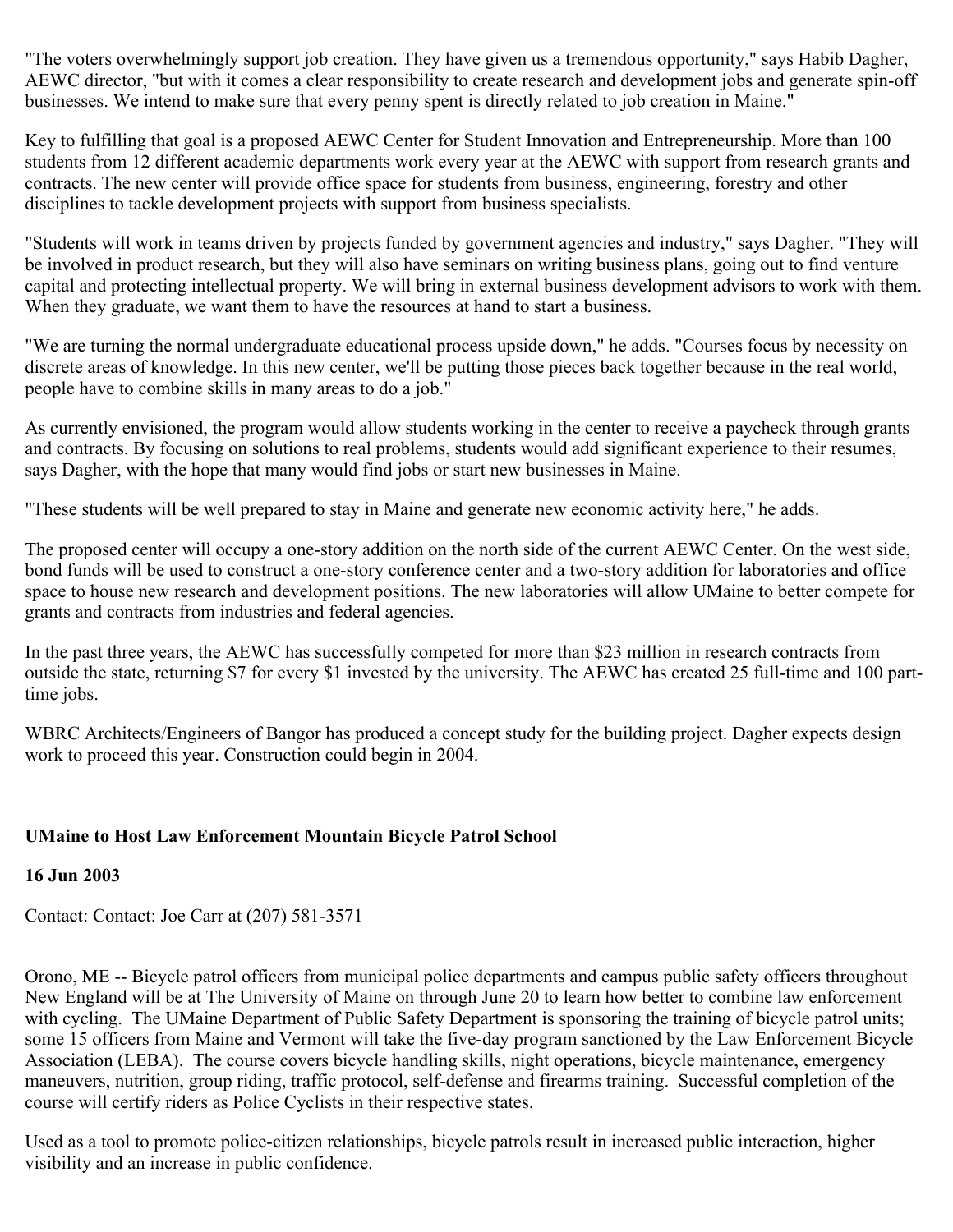"The voters overwhelmingly support job creation. They have given us a tremendous opportunity," says Habib Dagher, AEWC director, "but with it comes a clear responsibility to create research and development jobs and generate spin-off businesses. We intend to make sure that every penny spent is directly related to job creation in Maine."

Key to fulfilling that goal is a proposed AEWC Center for Student Innovation and Entrepreneurship. More than 100 students from 12 different academic departments work every year at the AEWC with support from research grants and contracts. The new center will provide office space for students from business, engineering, forestry and other disciplines to tackle development projects with support from business specialists.

"Students will work in teams driven by projects funded by government agencies and industry," says Dagher. "They will be involved in product research, but they will also have seminars on writing business plans, going out to find venture capital and protecting intellectual property. We will bring in external business development advisors to work with them. When they graduate, we want them to have the resources at hand to start a business.

"We are turning the normal undergraduate educational process upside down," he adds. "Courses focus by necessity on discrete areas of knowledge. In this new center, we'll be putting those pieces back together because in the real world, people have to combine skills in many areas to do a job."

As currently envisioned, the program would allow students working in the center to receive a paycheck through grants and contracts. By focusing on solutions to real problems, students would add significant experience to their resumes, says Dagher, with the hope that many would find jobs or start new businesses in Maine.

"These students will be well prepared to stay in Maine and generate new economic activity here," he adds.

The proposed center will occupy a one-story addition on the north side of the current AEWC Center. On the west side, bond funds will be used to construct a one-story conference center and a two-story addition for laboratories and office space to house new research and development positions. The new laboratories will allow UMaine to better compete for grants and contracts from industries and federal agencies.

In the past three years, the AEWC has successfully competed for more than \$23 million in research contracts from outside the state, returning \$7 for every \$1 invested by the university. The AEWC has created 25 full-time and 100 parttime jobs.

WBRC Architects/Engineers of Bangor has produced a concept study for the building project. Dagher expects design work to proceed this year. Construction could begin in 2004.

## **UMaine to Host Law Enforcement Mountain Bicycle Patrol School**

#### **16 Jun 2003**

Contact: Contact: Joe Carr at (207) 581-3571

Orono, ME -- Bicycle patrol officers from municipal police departments and campus public safety officers throughout New England will be at The University of Maine on through June 20 to learn how better to combine law enforcement with cycling. The UMaine Department of Public Safety Department is sponsoring the training of bicycle patrol units; some 15 officers from Maine and Vermont will take the five-day program sanctioned by the Law Enforcement Bicycle Association (LEBA). The course covers bicycle handling skills, night operations, bicycle maintenance, emergency maneuvers, nutrition, group riding, traffic protocol, self-defense and firearms training. Successful completion of the course will certify riders as Police Cyclists in their respective states.

Used as a tool to promote police-citizen relationships, bicycle patrols result in increased public interaction, higher visibility and an increase in public confidence.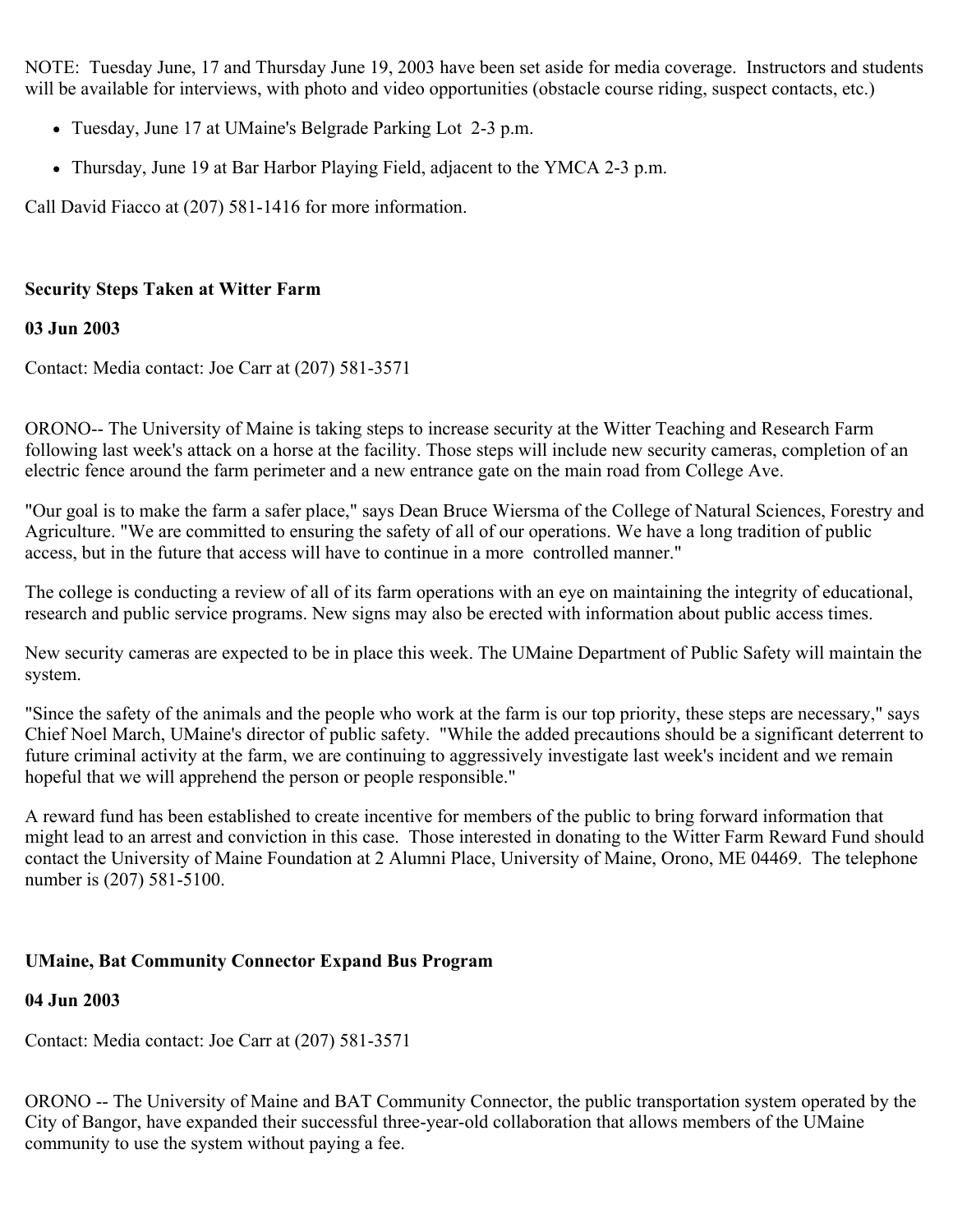NOTE: Tuesday June, 17 and Thursday June 19, 2003 have been set aside for media coverage. Instructors and students will be available for interviews, with photo and video opportunities (obstacle course riding, suspect contacts, etc.)

- Tuesday, June 17 at UMaine's Belgrade Parking Lot 2-3 p.m.
- Thursday, June 19 at Bar Harbor Playing Field, adjacent to the YMCA 2-3 p.m.

Call David Fiacco at (207) 581-1416 for more information.

### **Security Steps Taken at Witter Farm**

#### **03 Jun 2003**

Contact: Media contact: Joe Carr at (207) 581-3571

ORONO-- The University of Maine is taking steps to increase security at the Witter Teaching and Research Farm following last week's attack on a horse at the facility. Those steps will include new security cameras, completion of an electric fence around the farm perimeter and a new entrance gate on the main road from College Ave.

"Our goal is to make the farm a safer place," says Dean Bruce Wiersma of the College of Natural Sciences, Forestry and Agriculture. "We are committed to ensuring the safety of all of our operations. We have a long tradition of public access, but in the future that access will have to continue in a more controlled manner."

The college is conducting a review of all of its farm operations with an eye on maintaining the integrity of educational, research and public service programs. New signs may also be erected with information about public access times.

New security cameras are expected to be in place this week. The UMaine Department of Public Safety will maintain the system.

"Since the safety of the animals and the people who work at the farm is our top priority, these steps are necessary," says Chief Noel March, UMaine's director of public safety. "While the added precautions should be a significant deterrent to future criminal activity at the farm, we are continuing to aggressively investigate last week's incident and we remain hopeful that we will apprehend the person or people responsible."

A reward fund has been established to create incentive for members of the public to bring forward information that might lead to an arrest and conviction in this case. Those interested in donating to the Witter Farm Reward Fund should contact the University of Maine Foundation at 2 Alumni Place, University of Maine, Orono, ME 04469. The telephone number is (207) 581-5100.

## **UMaine, Bat Community Connector Expand Bus Program**

## **04 Jun 2003**

Contact: Media contact: Joe Carr at (207) 581-3571

ORONO -- The University of Maine and BAT Community Connector, the public transportation system operated by the City of Bangor, have expanded their successful three-year-old collaboration that allows members of the UMaine community to use the system without paying a fee.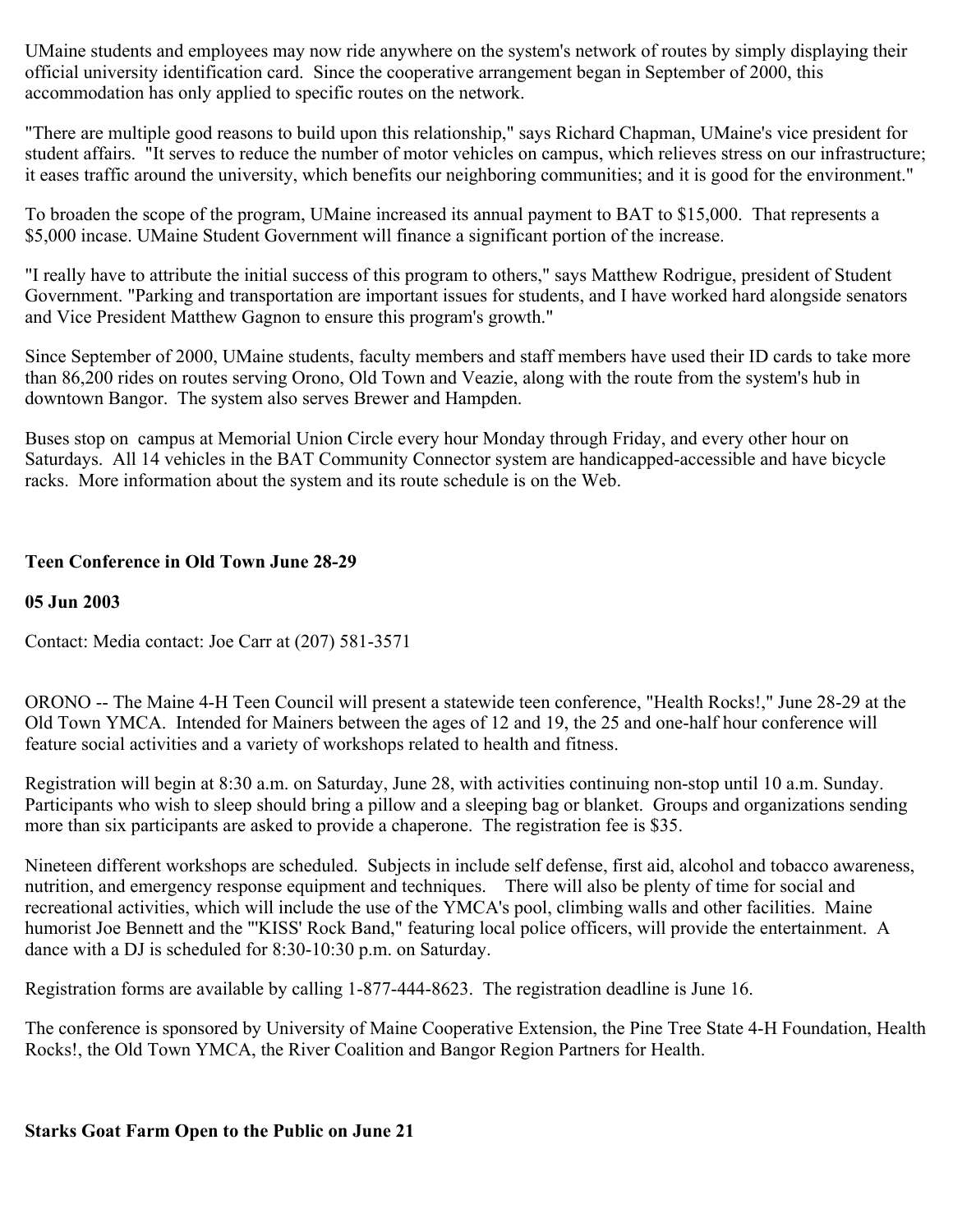UMaine students and employees may now ride anywhere on the system's network of routes by simply displaying their official university identification card. Since the cooperative arrangement began in September of 2000, this accommodation has only applied to specific routes on the network.

"There are multiple good reasons to build upon this relationship," says Richard Chapman, UMaine's vice president for student affairs. "It serves to reduce the number of motor vehicles on campus, which relieves stress on our infrastructure; it eases traffic around the university, which benefits our neighboring communities; and it is good for the environment."

To broaden the scope of the program, UMaine increased its annual payment to BAT to \$15,000. That represents a \$5,000 incase. UMaine Student Government will finance a significant portion of the increase.

"I really have to attribute the initial success of this program to others," says Matthew Rodrigue, president of Student Government. "Parking and transportation are important issues for students, and I have worked hard alongside senators and Vice President Matthew Gagnon to ensure this program's growth."

Since September of 2000, UMaine students, faculty members and staff members have used their ID cards to take more than 86,200 rides on routes serving Orono, Old Town and Veazie, along with the route from the system's hub in downtown Bangor. The system also serves Brewer and Hampden.

Buses stop on campus at Memorial Union Circle every hour Monday through Friday, and every other hour on Saturdays. All 14 vehicles in the BAT Community Connector system are handicapped-accessible and have bicycle racks. More information about the system and its route schedule is on the Web.

## **Teen Conference in Old Town June 28-29**

#### **05 Jun 2003**

Contact: Media contact: Joe Carr at (207) 581-3571

ORONO -- The Maine 4-H Teen Council will present a statewide teen conference, "Health Rocks!," June 28-29 at the Old Town YMCA. Intended for Mainers between the ages of 12 and 19, the 25 and one-half hour conference will feature social activities and a variety of workshops related to health and fitness.

Registration will begin at 8:30 a.m. on Saturday, June 28, with activities continuing non-stop until 10 a.m. Sunday. Participants who wish to sleep should bring a pillow and a sleeping bag or blanket. Groups and organizations sending more than six participants are asked to provide a chaperone. The registration fee is \$35.

Nineteen different workshops are scheduled. Subjects in include self defense, first aid, alcohol and tobacco awareness, nutrition, and emergency response equipment and techniques. There will also be plenty of time for social and recreational activities, which will include the use of the YMCA's pool, climbing walls and other facilities. Maine humorist Joe Bennett and the "'KISS' Rock Band," featuring local police officers, will provide the entertainment. A dance with a DJ is scheduled for 8:30-10:30 p.m. on Saturday.

Registration forms are available by calling 1-877-444-8623. The registration deadline is June 16.

The conference is sponsored by University of Maine Cooperative Extension, the Pine Tree State 4-H Foundation, Health Rocks!, the Old Town YMCA, the River Coalition and Bangor Region Partners for Health.

## **Starks Goat Farm Open to the Public on June 21**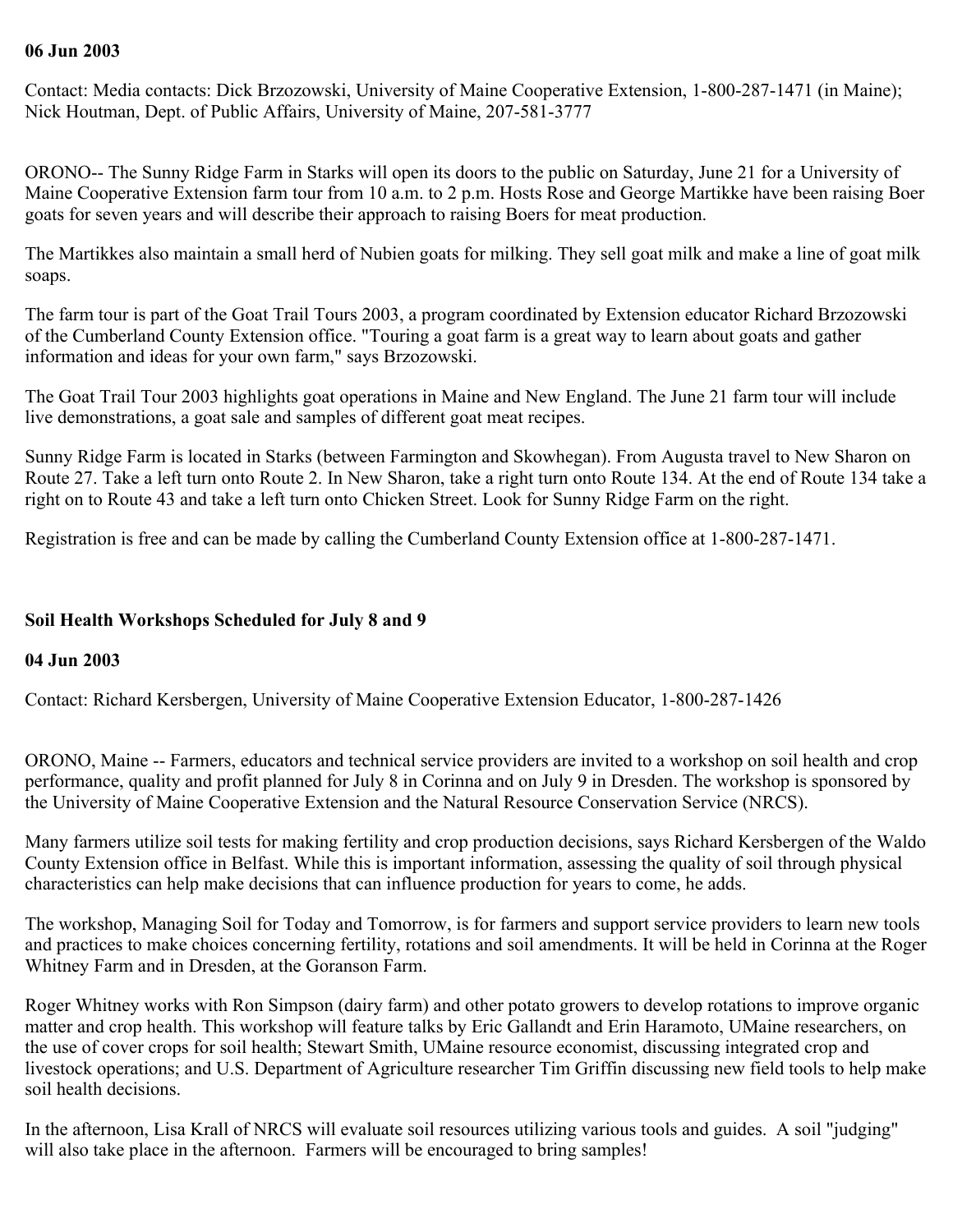#### **06 Jun 2003**

Contact: Media contacts: Dick Brzozowski, University of Maine Cooperative Extension, 1-800-287-1471 (in Maine); Nick Houtman, Dept. of Public Affairs, University of Maine, 207-581-3777

ORONO-- The Sunny Ridge Farm in Starks will open its doors to the public on Saturday, June 21 for a University of Maine Cooperative Extension farm tour from 10 a.m. to 2 p.m. Hosts Rose and George Martikke have been raising Boer goats for seven years and will describe their approach to raising Boers for meat production.

The Martikkes also maintain a small herd of Nubien goats for milking. They sell goat milk and make a line of goat milk soaps.

The farm tour is part of the Goat Trail Tours 2003, a program coordinated by Extension educator Richard Brzozowski of the Cumberland County Extension office. "Touring a goat farm is a great way to learn about goats and gather information and ideas for your own farm," says Brzozowski.

The Goat Trail Tour 2003 highlights goat operations in Maine and New England. The June 21 farm tour will include live demonstrations, a goat sale and samples of different goat meat recipes.

Sunny Ridge Farm is located in Starks (between Farmington and Skowhegan). From Augusta travel to New Sharon on Route 27. Take a left turn onto Route 2. In New Sharon, take a right turn onto Route 134. At the end of Route 134 take a right on to Route 43 and take a left turn onto Chicken Street. Look for Sunny Ridge Farm on the right.

Registration is free and can be made by calling the Cumberland County Extension office at 1-800-287-1471.

### **Soil Health Workshops Scheduled for July 8 and 9**

#### **04 Jun 2003**

Contact: Richard Kersbergen, University of Maine Cooperative Extension Educator, 1-800-287-1426

ORONO, Maine -- Farmers, educators and technical service providers are invited to a workshop on soil health and crop performance, quality and profit planned for July 8 in Corinna and on July 9 in Dresden. The workshop is sponsored by the University of Maine Cooperative Extension and the Natural Resource Conservation Service (NRCS).

Many farmers utilize soil tests for making fertility and crop production decisions, says Richard Kersbergen of the Waldo County Extension office in Belfast. While this is important information, assessing the quality of soil through physical characteristics can help make decisions that can influence production for years to come, he adds.

The workshop, Managing Soil for Today and Tomorrow, is for farmers and support service providers to learn new tools and practices to make choices concerning fertility, rotations and soil amendments. It will be held in Corinna at the Roger Whitney Farm and in Dresden, at the Goranson Farm.

Roger Whitney works with Ron Simpson (dairy farm) and other potato growers to develop rotations to improve organic matter and crop health. This workshop will feature talks by Eric Gallandt and Erin Haramoto, UMaine researchers, on the use of cover crops for soil health; Stewart Smith, UMaine resource economist, discussing integrated crop and livestock operations; and U.S. Department of Agriculture researcher Tim Griffin discussing new field tools to help make soil health decisions.

In the afternoon, Lisa Krall of NRCS will evaluate soil resources utilizing various tools and guides. A soil "judging" will also take place in the afternoon. Farmers will be encouraged to bring samples!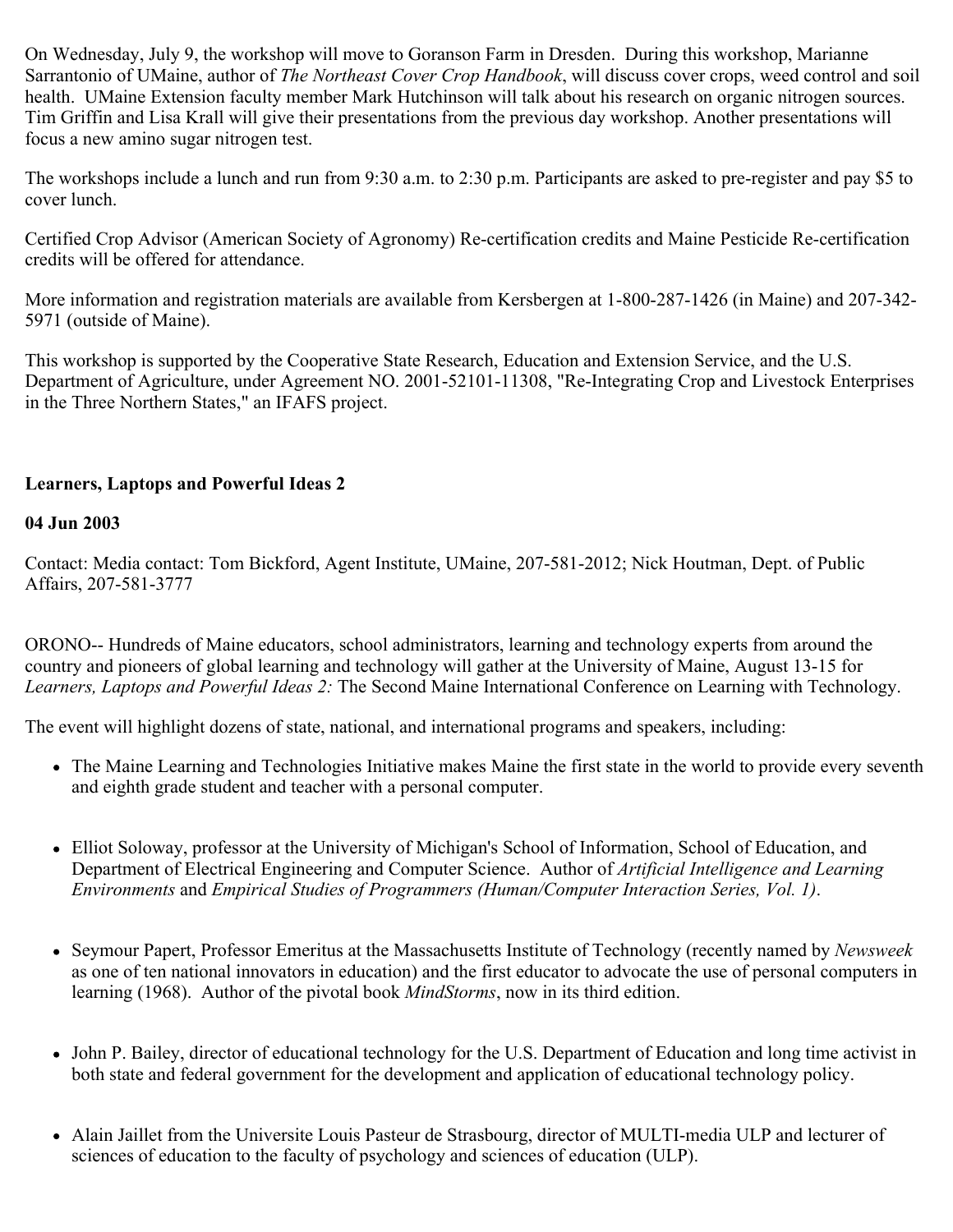On Wednesday, July 9, the workshop will move to Goranson Farm in Dresden. During this workshop, Marianne Sarrantonio of UMaine, author of *The Northeast Cover Crop Handbook*, will discuss cover crops, weed control and soil health. UMaine Extension faculty member Mark Hutchinson will talk about his research on organic nitrogen sources. Tim Griffin and Lisa Krall will give their presentations from the previous day workshop. Another presentations will focus a new amino sugar nitrogen test.

The workshops include a lunch and run from 9:30 a.m. to 2:30 p.m. Participants are asked to pre-register and pay \$5 to cover lunch.

Certified Crop Advisor (American Society of Agronomy) Re-certification credits and Maine Pesticide Re-certification credits will be offered for attendance.

More information and registration materials are available from Kersbergen at 1-800-287-1426 (in Maine) and 207-342- 5971 (outside of Maine).

This workshop is supported by the Cooperative State Research, Education and Extension Service, and the U.S. Department of Agriculture, under Agreement NO. 2001-52101-11308, "Re-Integrating Crop and Livestock Enterprises in the Three Northern States," an IFAFS project.

# **Learners, Laptops and Powerful Ideas 2**

#### **04 Jun 2003**

Contact: Media contact: Tom Bickford, Agent Institute, UMaine, 207-581-2012; Nick Houtman, Dept. of Public Affairs, 207-581-3777

ORONO-- Hundreds of Maine educators, school administrators, learning and technology experts from around the country and pioneers of global learning and technology will gather at the University of Maine, August 13-15 for *Learners, Laptops and Powerful Ideas 2:* The Second Maine International Conference on Learning with Technology.

The event will highlight dozens of state, national, and international programs and speakers, including:

- The Maine Learning and Technologies Initiative makes Maine the first state in the world to provide every seventh and eighth grade student and teacher with a personal computer.
- Elliot Soloway, professor at the University of Michigan's School of Information, School of Education, and Department of Electrical Engineering and Computer Science. Author of *Artificial Intelligence and Learning Environments* and *Empirical Studies of Programmers (Human/Computer Interaction Series, Vol. 1)*.
- Seymour Papert, Professor Emeritus at the Massachusetts Institute of Technology (recently named by *Newsweek* as one of ten national innovators in education) and the first educator to advocate the use of personal computers in learning (1968). Author of the pivotal book *MindStorms*, now in its third edition.
- John P. Bailey, director of educational technology for the U.S. Department of Education and long time activist in  $\bullet$ both state and federal government for the development and application of educational technology policy.
- Alain Jaillet from the Universite Louis Pasteur de Strasbourg, director of MULTI-media ULP and lecturer of sciences of education to the faculty of psychology and sciences of education (ULP).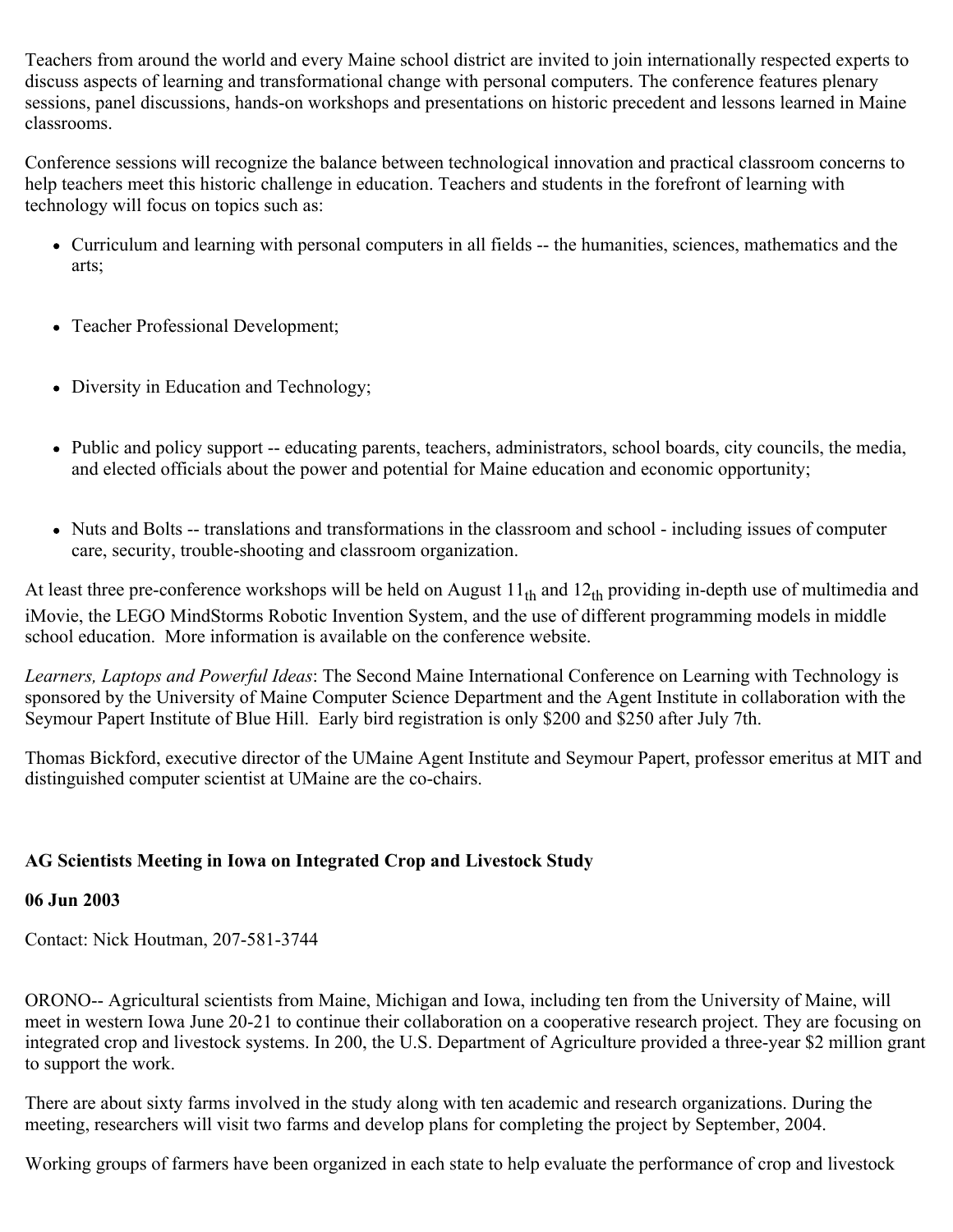Teachers from around the world and every Maine school district are invited to join internationally respected experts to discuss aspects of learning and transformational change with personal computers. The conference features plenary sessions, panel discussions, hands-on workshops and presentations on historic precedent and lessons learned in Maine classrooms.

Conference sessions will recognize the balance between technological innovation and practical classroom concerns to help teachers meet this historic challenge in education. Teachers and students in the forefront of learning with technology will focus on topics such as:

- Curriculum and learning with personal computers in all fields -- the humanities, sciences, mathematics and the arts;
- Teacher Professional Development;
- Diversity in Education and Technology;
- Public and policy support -- educating parents, teachers, administrators, school boards, city councils, the media, and elected officials about the power and potential for Maine education and economic opportunity;
- Nuts and Bolts -- translations and transformations in the classroom and school including issues of computer care, security, trouble-shooting and classroom organization.

At least three pre-conference workshops will be held on August  $11<sub>th</sub>$  and  $12<sub>th</sub>$  providing in-depth use of multimedia and iMovie, the LEGO MindStorms Robotic Invention System, and the use of different programming models in middle school education. More information is available on the conference website.

*Learners, Laptops and Powerful Ideas*: The Second Maine International Conference on Learning with Technology is sponsored by the University of Maine Computer Science Department and the Agent Institute in collaboration with the Seymour Papert Institute of Blue Hill. Early bird registration is only \$200 and \$250 after July 7th.

Thomas Bickford, executive director of the UMaine Agent Institute and Seymour Papert, professor emeritus at MIT and distinguished computer scientist at UMaine are the co-chairs.

# **AG Scientists Meeting in Iowa on Integrated Crop and Livestock Study**

# **06 Jun 2003**

Contact: Nick Houtman, 207-581-3744

ORONO-- Agricultural scientists from Maine, Michigan and Iowa, including ten from the University of Maine, will meet in western Iowa June 20-21 to continue their collaboration on a cooperative research project. They are focusing on integrated crop and livestock systems. In 200, the U.S. Department of Agriculture provided a three-year \$2 million grant to support the work.

There are about sixty farms involved in the study along with ten academic and research organizations. During the meeting, researchers will visit two farms and develop plans for completing the project by September, 2004.

Working groups of farmers have been organized in each state to help evaluate the performance of crop and livestock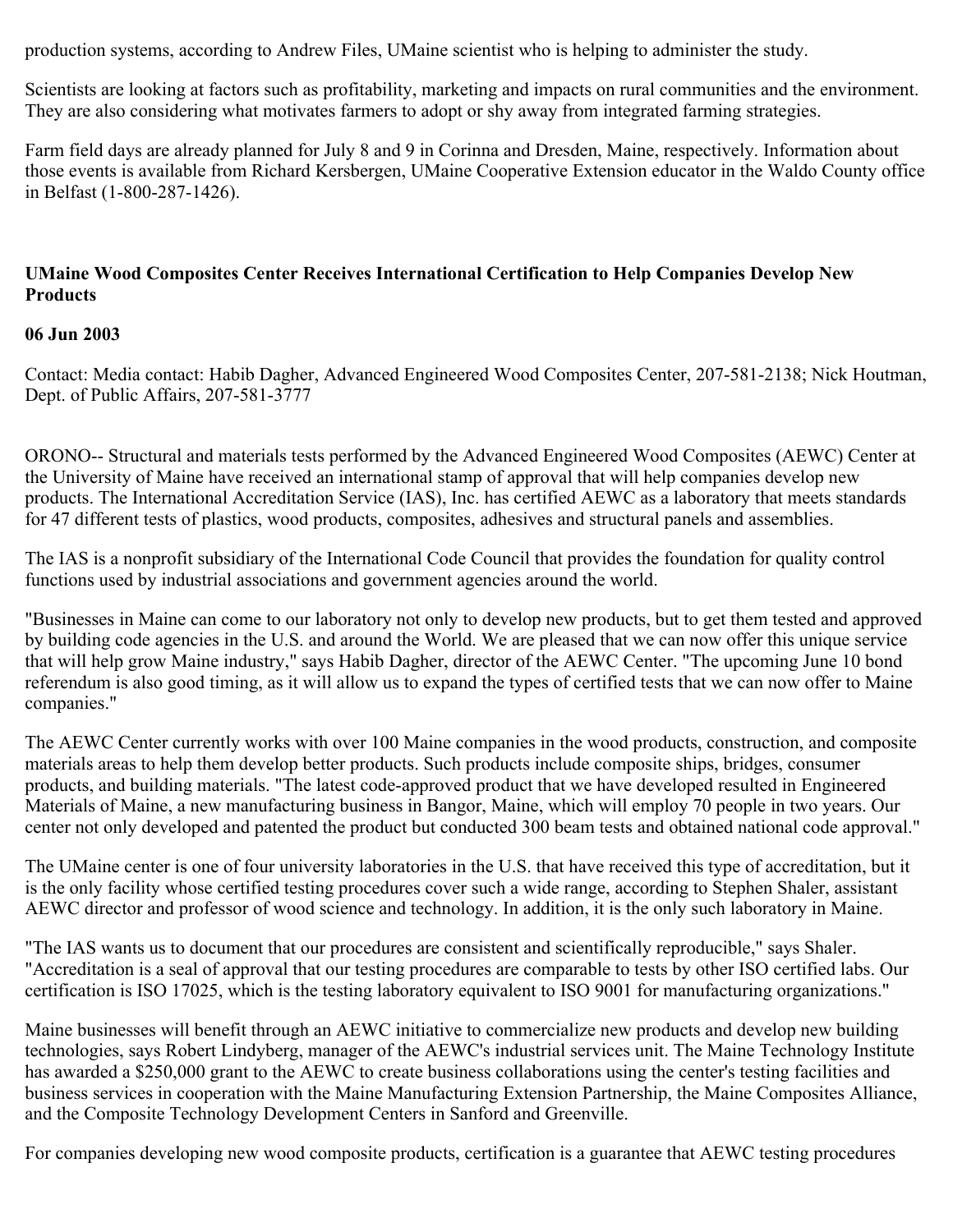production systems, according to Andrew Files, UMaine scientist who is helping to administer the study.

Scientists are looking at factors such as profitability, marketing and impacts on rural communities and the environment. They are also considering what motivates farmers to adopt or shy away from integrated farming strategies.

Farm field days are already planned for July 8 and 9 in Corinna and Dresden, Maine, respectively. Information about those events is available from Richard Kersbergen, UMaine Cooperative Extension educator in the Waldo County office in Belfast (1-800-287-1426).

#### **UMaine Wood Composites Center Receives International Certification to Help Companies Develop New Products**

#### **06 Jun 2003**

Contact: Media contact: Habib Dagher, Advanced Engineered Wood Composites Center, 207-581-2138; Nick Houtman, Dept. of Public Affairs, 207-581-3777

ORONO-- Structural and materials tests performed by the Advanced Engineered Wood Composites (AEWC) Center at the University of Maine have received an international stamp of approval that will help companies develop new products. The International Accreditation Service (IAS), Inc. has certified AEWC as a laboratory that meets standards for 47 different tests of plastics, wood products, composites, adhesives and structural panels and assemblies.

The IAS is a nonprofit subsidiary of the International Code Council that provides the foundation for quality control functions used by industrial associations and government agencies around the world.

"Businesses in Maine can come to our laboratory not only to develop new products, but to get them tested and approved by building code agencies in the U.S. and around the World. We are pleased that we can now offer this unique service that will help grow Maine industry," says Habib Dagher, director of the AEWC Center. "The upcoming June 10 bond referendum is also good timing, as it will allow us to expand the types of certified tests that we can now offer to Maine companies."

The AEWC Center currently works with over 100 Maine companies in the wood products, construction, and composite materials areas to help them develop better products. Such products include composite ships, bridges, consumer products, and building materials. "The latest code-approved product that we have developed resulted in Engineered Materials of Maine, a new manufacturing business in Bangor, Maine, which will employ 70 people in two years. Our center not only developed and patented the product but conducted 300 beam tests and obtained national code approval."

The UMaine center is one of four university laboratories in the U.S. that have received this type of accreditation, but it is the only facility whose certified testing procedures cover such a wide range, according to Stephen Shaler, assistant AEWC director and professor of wood science and technology. In addition, it is the only such laboratory in Maine.

"The IAS wants us to document that our procedures are consistent and scientifically reproducible," says Shaler. "Accreditation is a seal of approval that our testing procedures are comparable to tests by other ISO certified labs. Our certification is ISO 17025, which is the testing laboratory equivalent to ISO 9001 for manufacturing organizations."

Maine businesses will benefit through an AEWC initiative to commercialize new products and develop new building technologies, says Robert Lindyberg, manager of the AEWC's industrial services unit. The Maine Technology Institute has awarded a \$250,000 grant to the AEWC to create business collaborations using the center's testing facilities and business services in cooperation with the Maine Manufacturing Extension Partnership, the Maine Composites Alliance, and the Composite Technology Development Centers in Sanford and Greenville.

For companies developing new wood composite products, certification is a guarantee that AEWC testing procedures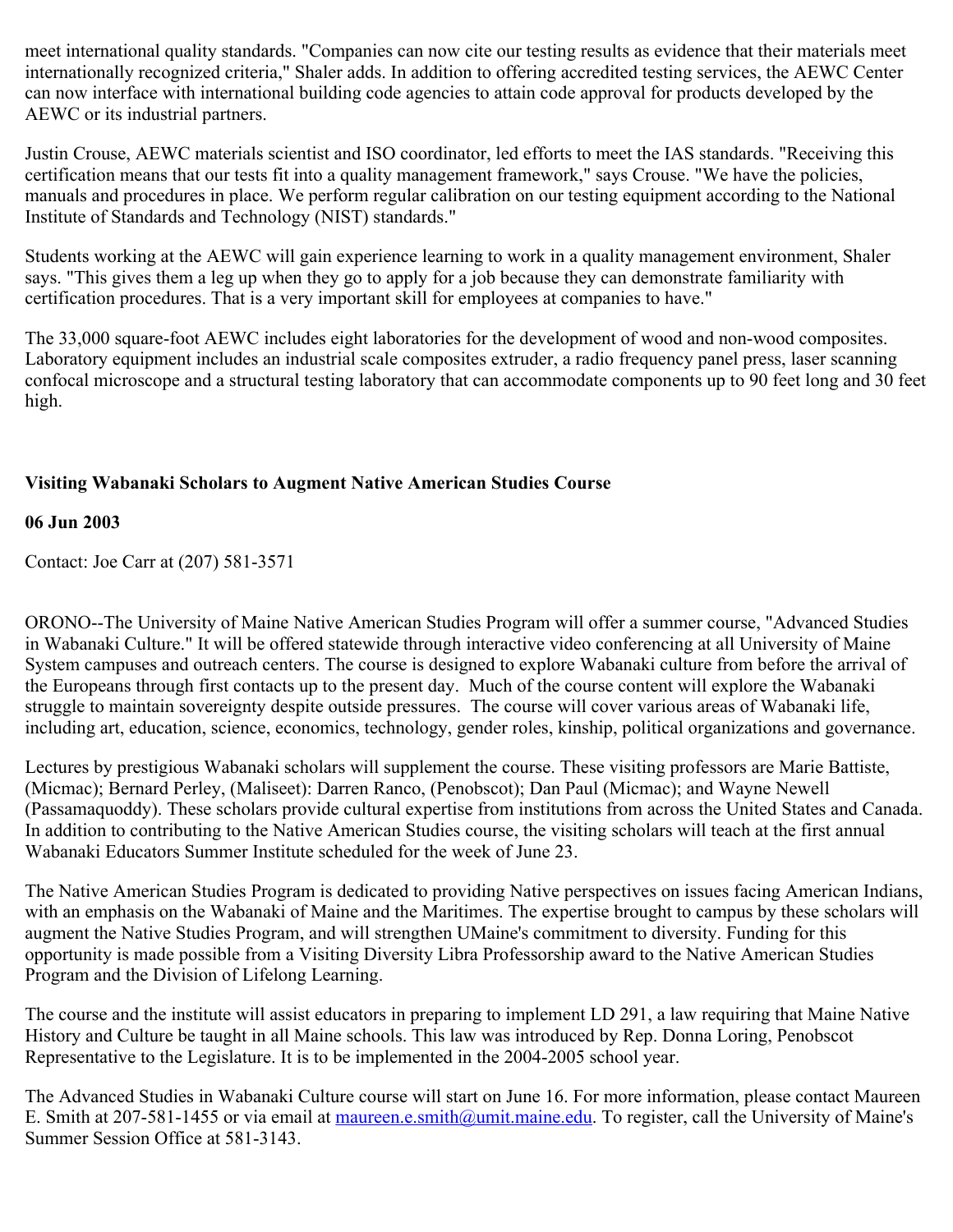meet international quality standards. "Companies can now cite our testing results as evidence that their materials meet internationally recognized criteria," Shaler adds. In addition to offering accredited testing services, the AEWC Center can now interface with international building code agencies to attain code approval for products developed by the AEWC or its industrial partners.

Justin Crouse, AEWC materials scientist and ISO coordinator, led efforts to meet the IAS standards. "Receiving this certification means that our tests fit into a quality management framework," says Crouse. "We have the policies, manuals and procedures in place. We perform regular calibration on our testing equipment according to the National Institute of Standards and Technology (NIST) standards."

Students working at the AEWC will gain experience learning to work in a quality management environment, Shaler says. "This gives them a leg up when they go to apply for a job because they can demonstrate familiarity with certification procedures. That is a very important skill for employees at companies to have."

The 33,000 square-foot AEWC includes eight laboratories for the development of wood and non-wood composites. Laboratory equipment includes an industrial scale composites extruder, a radio frequency panel press, laser scanning confocal microscope and a structural testing laboratory that can accommodate components up to 90 feet long and 30 feet high.

# **Visiting Wabanaki Scholars to Augment Native American Studies Course**

### **06 Jun 2003**

Contact: Joe Carr at (207) 581-3571

ORONO--The University of Maine Native American Studies Program will offer a summer course, "Advanced Studies in Wabanaki Culture." It will be offered statewide through interactive video conferencing at all University of Maine System campuses and outreach centers. The course is designed to explore Wabanaki culture from before the arrival of the Europeans through first contacts up to the present day. Much of the course content will explore the Wabanaki struggle to maintain sovereignty despite outside pressures. The course will cover various areas of Wabanaki life, including art, education, science, economics, technology, gender roles, kinship, political organizations and governance.

Lectures by prestigious Wabanaki scholars will supplement the course. These visiting professors are Marie Battiste, (Micmac); Bernard Perley, (Maliseet): Darren Ranco, (Penobscot); Dan Paul (Micmac); and Wayne Newell (Passamaquoddy). These scholars provide cultural expertise from institutions from across the United States and Canada. In addition to contributing to the Native American Studies course, the visiting scholars will teach at the first annual Wabanaki Educators Summer Institute scheduled for the week of June 23.

The Native American Studies Program is dedicated to providing Native perspectives on issues facing American Indians, with an emphasis on the Wabanaki of Maine and the Maritimes. The expertise brought to campus by these scholars will augment the Native Studies Program, and will strengthen UMaine's commitment to diversity. Funding for this opportunity is made possible from a Visiting Diversity Libra Professorship award to the Native American Studies Program and the Division of Lifelong Learning.

The course and the institute will assist educators in preparing to implement LD 291, a law requiring that Maine Native History and Culture be taught in all Maine schools. This law was introduced by Rep. Donna Loring, Penobscot Representative to the Legislature. It is to be implemented in the 2004-2005 school year.

The Advanced Studies in Wabanaki Culture course will start on June 16. For more information, please contact Maureen E. Smith at 207-581-1455 or via email at [maureen.e.smith@umit.maine.edu.](mailto:maureen.e.smith@umit.maine.edu) To register, call the University of Maine's Summer Session Office at 581-3143.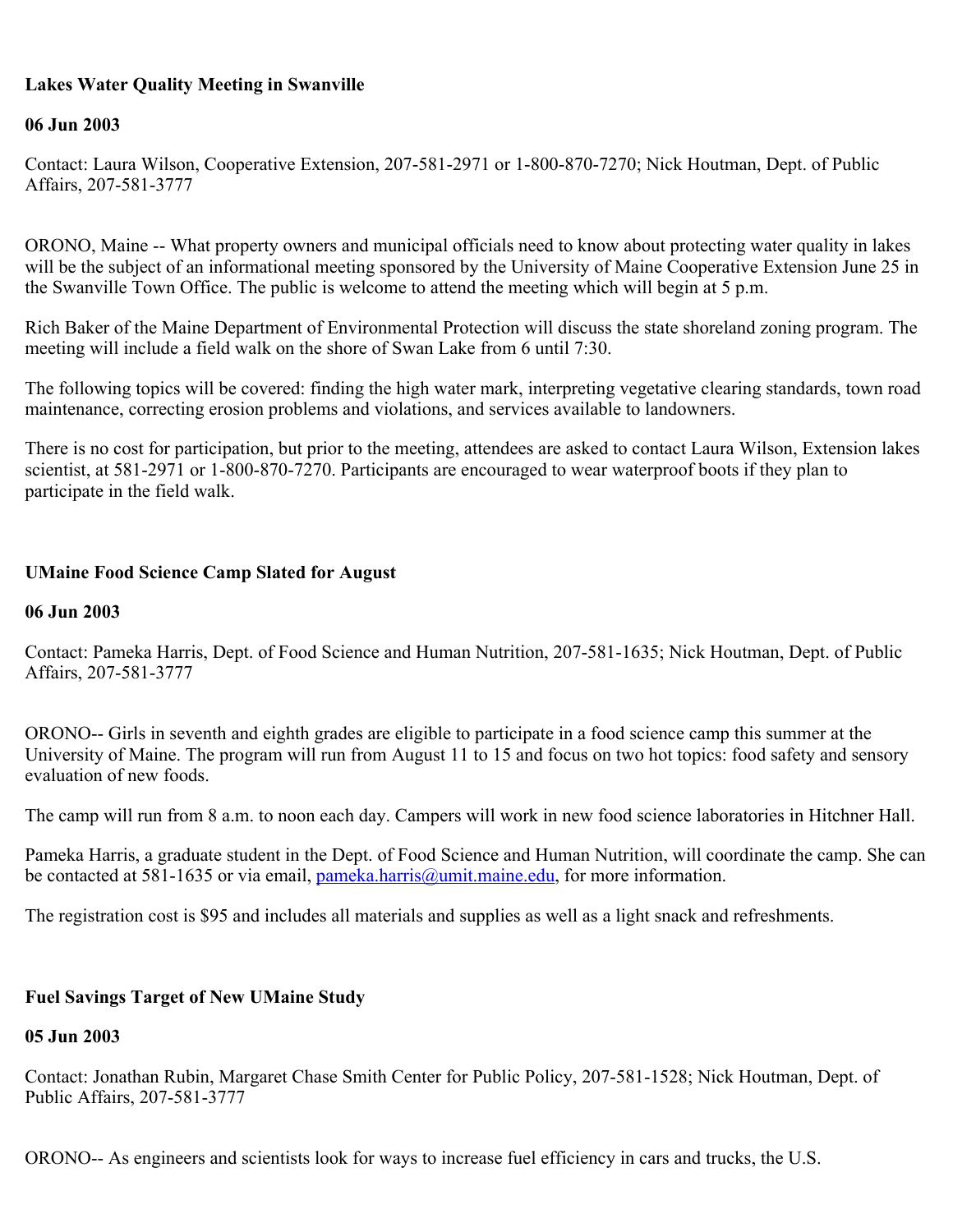### **Lakes Water Quality Meeting in Swanville**

### **06 Jun 2003**

Contact: Laura Wilson, Cooperative Extension, 207-581-2971 or 1-800-870-7270; Nick Houtman, Dept. of Public Affairs, 207-581-3777

ORONO, Maine -- What property owners and municipal officials need to know about protecting water quality in lakes will be the subject of an informational meeting sponsored by the University of Maine Cooperative Extension June 25 in the Swanville Town Office. The public is welcome to attend the meeting which will begin at 5 p.m.

Rich Baker of the Maine Department of Environmental Protection will discuss the state shoreland zoning program. The meeting will include a field walk on the shore of Swan Lake from 6 until 7:30.

The following topics will be covered: finding the high water mark, interpreting vegetative clearing standards, town road maintenance, correcting erosion problems and violations, and services available to landowners.

There is no cost for participation, but prior to the meeting, attendees are asked to contact Laura Wilson, Extension lakes scientist, at 581-2971 or 1-800-870-7270. Participants are encouraged to wear waterproof boots if they plan to participate in the field walk.

### **UMaine Food Science Camp Slated for August**

#### **06 Jun 2003**

Contact: Pameka Harris, Dept. of Food Science and Human Nutrition, 207-581-1635; Nick Houtman, Dept. of Public Affairs, 207-581-3777

ORONO-- Girls in seventh and eighth grades are eligible to participate in a food science camp this summer at the University of Maine. The program will run from August 11 to 15 and focus on two hot topics: food safety and sensory evaluation of new foods.

The camp will run from 8 a.m. to noon each day. Campers will work in new food science laboratories in Hitchner Hall.

Pameka Harris, a graduate student in the Dept. of Food Science and Human Nutrition, will coordinate the camp. She can be contacted at 581-1635 or via email, [pameka.harris@umit.maine.edu](mailto:pameka.harris@umit.maine.edu), for more information.

The registration cost is \$95 and includes all materials and supplies as well as a light snack and refreshments.

### **Fuel Savings Target of New UMaine Study**

#### **05 Jun 2003**

Contact: Jonathan Rubin, Margaret Chase Smith Center for Public Policy, 207-581-1528; Nick Houtman, Dept. of Public Affairs, 207-581-3777

ORONO-- As engineers and scientists look for ways to increase fuel efficiency in cars and trucks, the U.S.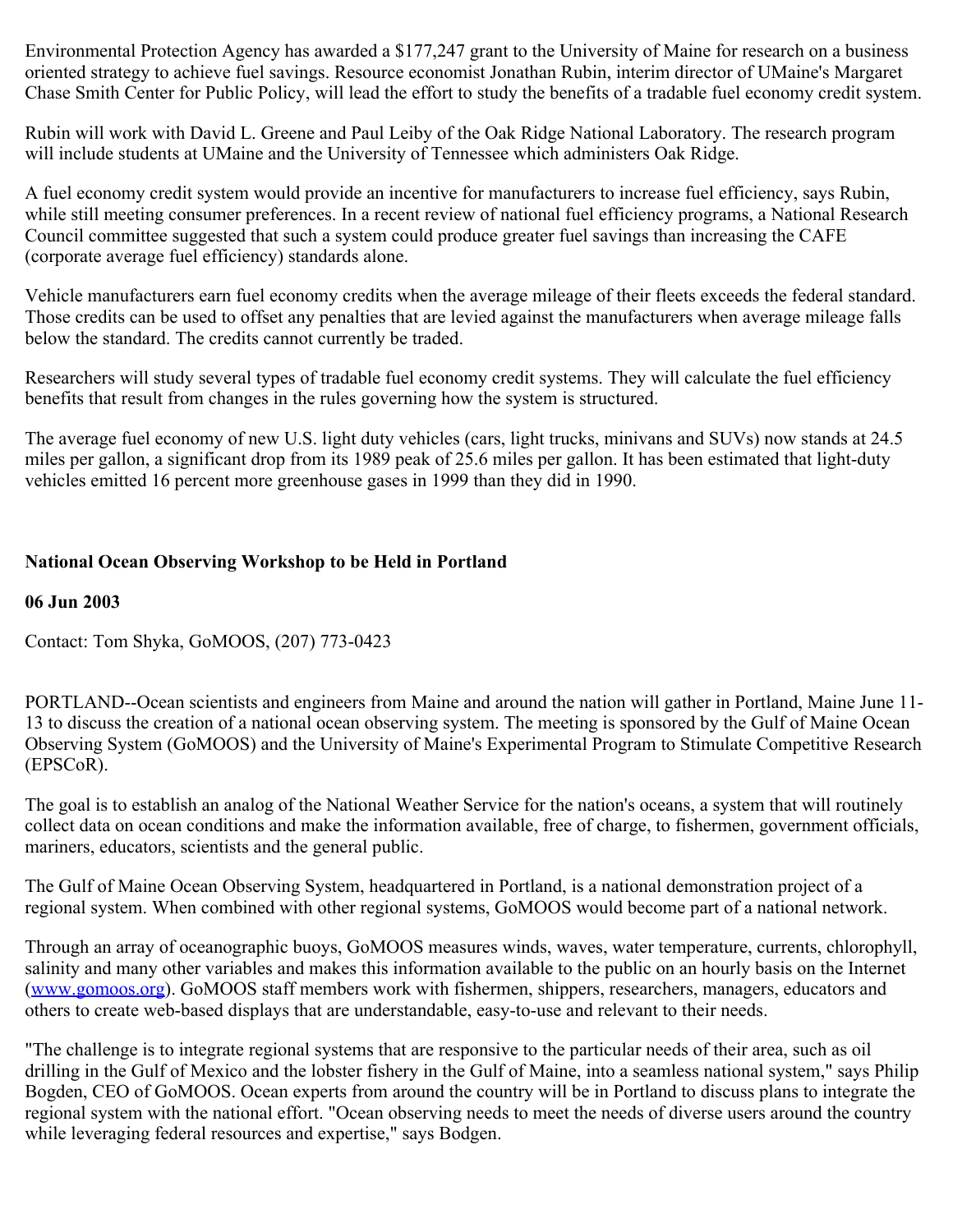Environmental Protection Agency has awarded a \$177,247 grant to the University of Maine for research on a business oriented strategy to achieve fuel savings. Resource economist Jonathan Rubin, interim director of UMaine's Margaret Chase Smith Center for Public Policy, will lead the effort to study the benefits of a tradable fuel economy credit system.

Rubin will work with David L. Greene and Paul Leiby of the Oak Ridge National Laboratory. The research program will include students at UMaine and the University of Tennessee which administers Oak Ridge.

A fuel economy credit system would provide an incentive for manufacturers to increase fuel efficiency, says Rubin, while still meeting consumer preferences. In a recent review of national fuel efficiency programs, a National Research Council committee suggested that such a system could produce greater fuel savings than increasing the CAFE (corporate average fuel efficiency) standards alone.

Vehicle manufacturers earn fuel economy credits when the average mileage of their fleets exceeds the federal standard. Those credits can be used to offset any penalties that are levied against the manufacturers when average mileage falls below the standard. The credits cannot currently be traded.

Researchers will study several types of tradable fuel economy credit systems. They will calculate the fuel efficiency benefits that result from changes in the rules governing how the system is structured.

The average fuel economy of new U.S. light duty vehicles (cars, light trucks, minivans and SUVs) now stands at 24.5 miles per gallon, a significant drop from its 1989 peak of 25.6 miles per gallon. It has been estimated that light-duty vehicles emitted 16 percent more greenhouse gases in 1999 than they did in 1990.

# **National Ocean Observing Workshop to be Held in Portland**

#### **06 Jun 2003**

Contact: Tom Shyka, GoMOOS, (207) 773-0423

PORTLAND--Ocean scientists and engineers from Maine and around the nation will gather in Portland, Maine June 11- 13 to discuss the creation of a national ocean observing system. The meeting is sponsored by the Gulf of Maine Ocean Observing System (GoMOOS) and the University of Maine's Experimental Program to Stimulate Competitive Research (EPSCoR).

The goal is to establish an analog of the National Weather Service for the nation's oceans, a system that will routinely collect data on ocean conditions and make the information available, free of charge, to fishermen, government officials, mariners, educators, scientists and the general public.

The Gulf of Maine Ocean Observing System, headquartered in Portland, is a national demonstration project of a regional system. When combined with other regional systems, GoMOOS would become part of a national network.

Through an array of oceanographic buoys, GoMOOS measures winds, waves, water temperature, currents, chlorophyll, salinity and many other variables and makes this information available to the public on an hourly basis on the Internet ([www.gomoos.org\)](http://www.gomoos.org/). GoMOOS staff members work with fishermen, shippers, researchers, managers, educators and others to create web-based displays that are understandable, easy-to-use and relevant to their needs.

"The challenge is to integrate regional systems that are responsive to the particular needs of their area, such as oil drilling in the Gulf of Mexico and the lobster fishery in the Gulf of Maine, into a seamless national system," says Philip Bogden, CEO of GoMOOS. Ocean experts from around the country will be in Portland to discuss plans to integrate the regional system with the national effort. "Ocean observing needs to meet the needs of diverse users around the country while leveraging federal resources and expertise," says Bodgen.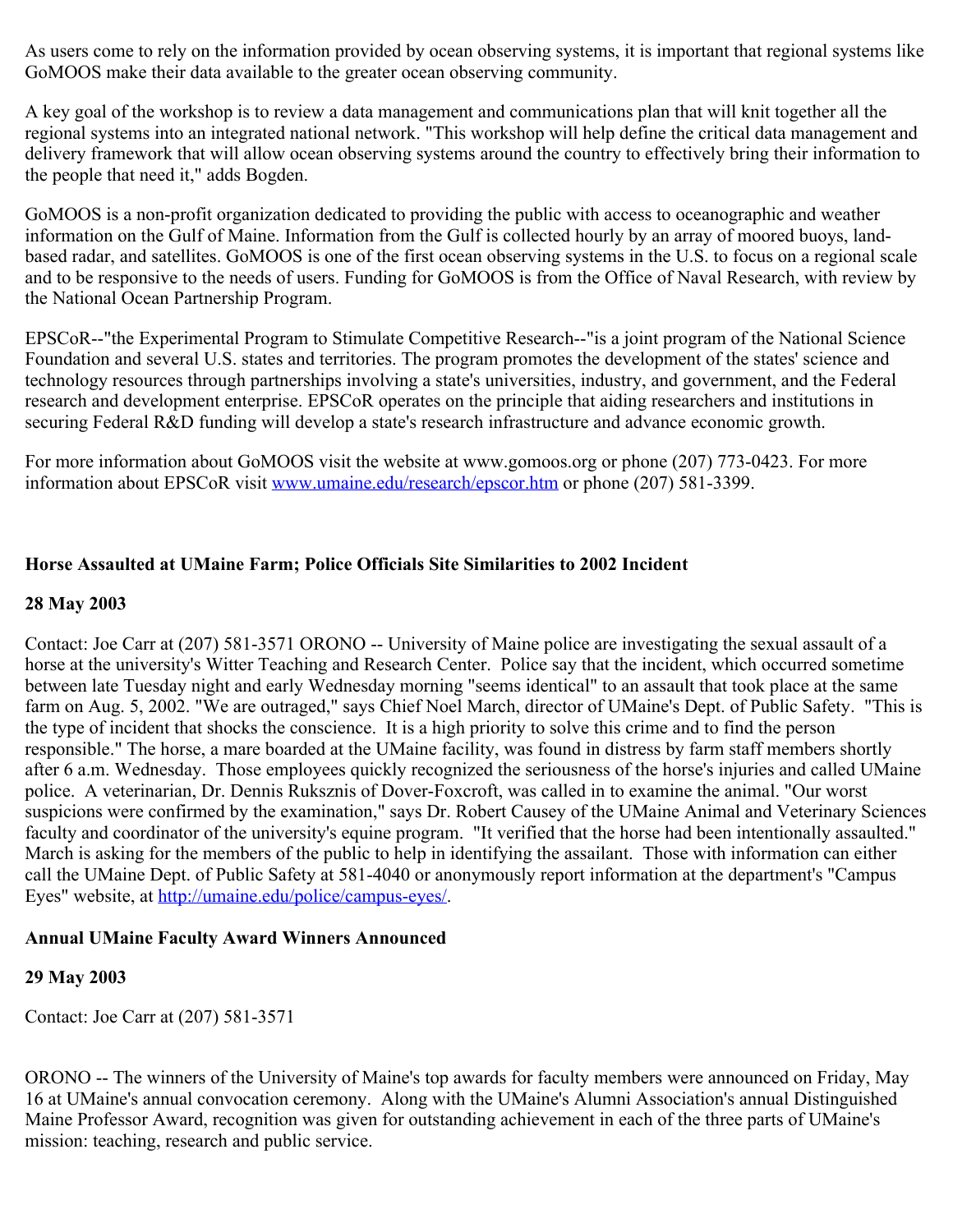As users come to rely on the information provided by ocean observing systems, it is important that regional systems like GoMOOS make their data available to the greater ocean observing community.

A key goal of the workshop is to review a data management and communications plan that will knit together all the regional systems into an integrated national network. "This workshop will help define the critical data management and delivery framework that will allow ocean observing systems around the country to effectively bring their information to the people that need it," adds Bogden.

GoMOOS is a non-profit organization dedicated to providing the public with access to oceanographic and weather information on the Gulf of Maine. Information from the Gulf is collected hourly by an array of moored buoys, landbased radar, and satellites. GoMOOS is one of the first ocean observing systems in the U.S. to focus on a regional scale and to be responsive to the needs of users. Funding for GoMOOS is from the Office of Naval Research, with review by the National Ocean Partnership Program.

EPSCoR--"the Experimental Program to Stimulate Competitive Research--"is a joint program of the National Science Foundation and several U.S. states and territories. The program promotes the development of the states' science and technology resources through partnerships involving a state's universities, industry, and government, and the Federal research and development enterprise. EPSCoR operates on the principle that aiding researchers and institutions in securing Federal R&D funding will develop a state's research infrastructure and advance economic growth.

For more information about GoMOOS visit the website at www.gomoos.org or phone (207) 773-0423. For more information about EPSCoR visit [www.umaine.edu/research/epscor.htm](http://www.umaine.edu/epscor/) or phone (207) 581-3399.

# **Horse Assaulted at UMaine Farm; Police Officials Site Similarities to 2002 Incident**

#### **28 May 2003**

Contact: Joe Carr at (207) 581-3571 ORONO -- University of Maine police are investigating the sexual assault of a horse at the university's Witter Teaching and Research Center. Police say that the incident, which occurred sometime between late Tuesday night and early Wednesday morning "seems identical" to an assault that took place at the same farm on Aug. 5, 2002. "We are outraged," says Chief Noel March, director of UMaine's Dept. of Public Safety. "This is the type of incident that shocks the conscience. It is a high priority to solve this crime and to find the person responsible." The horse, a mare boarded at the UMaine facility, was found in distress by farm staff members shortly after 6 a.m. Wednesday. Those employees quickly recognized the seriousness of the horse's injuries and called UMaine police. A veterinarian, Dr. Dennis Ruksznis of Dover-Foxcroft, was called in to examine the animal. "Our worst suspicions were confirmed by the examination," says Dr. Robert Causey of the UMaine Animal and Veterinary Sciences faculty and coordinator of the university's equine program. "It verified that the horse had been intentionally assaulted." March is asking for the members of the public to help in identifying the assailant. Those with information can either call the UMaine Dept. of Public Safety at 581-4040 or anonymously report information at the department's "Campus Eyes" website, at <http://umaine.edu/police/campus-eyes/>.

### **Annual UMaine Faculty Award Winners Announced**

### **29 May 2003**

Contact: Joe Carr at (207) 581-3571

ORONO -- The winners of the University of Maine's top awards for faculty members were announced on Friday, May 16 at UMaine's annual convocation ceremony. Along with the UMaine's Alumni Association's annual Distinguished Maine Professor Award, recognition was given for outstanding achievement in each of the three parts of UMaine's mission: teaching, research and public service.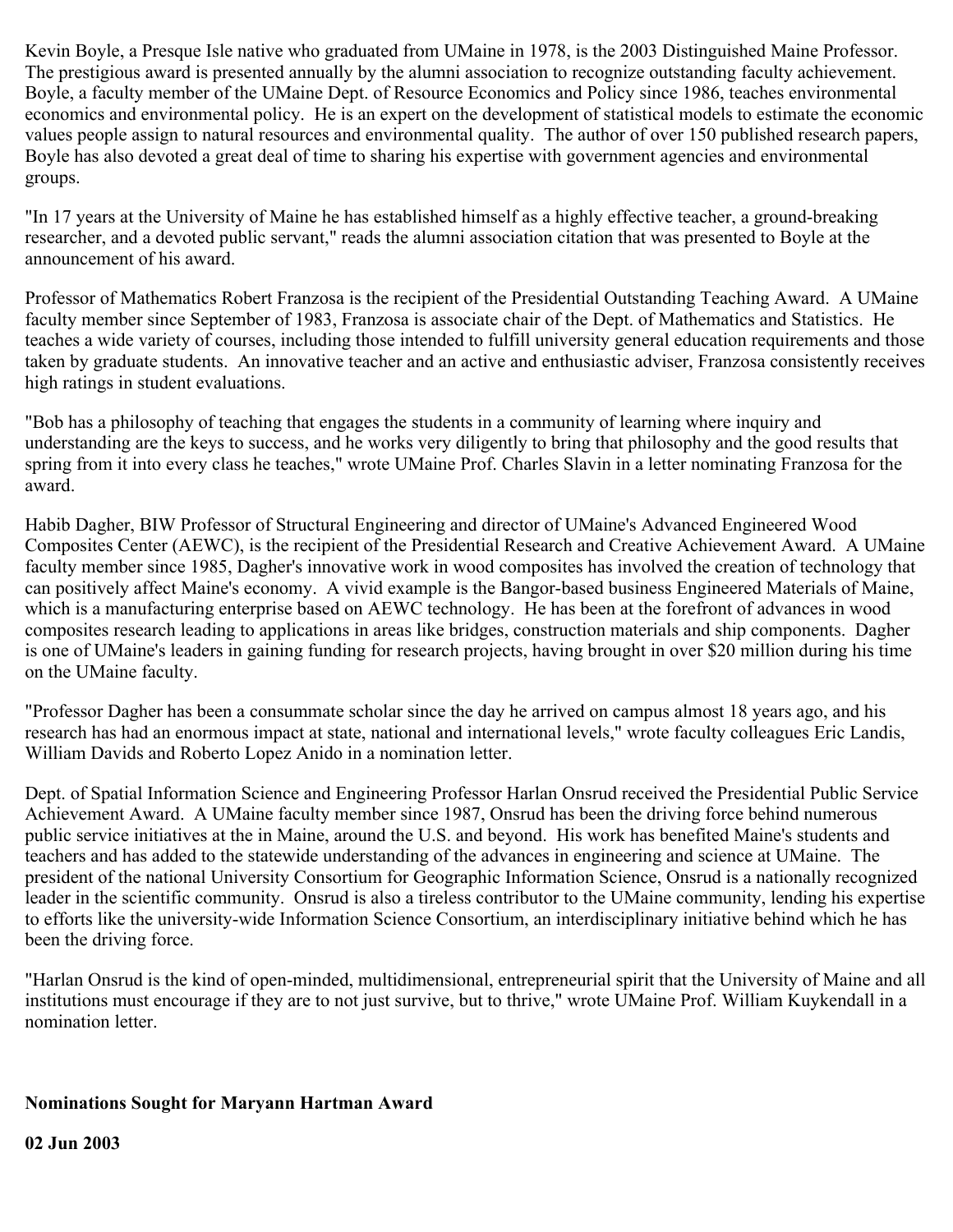Kevin Boyle, a Presque Isle native who graduated from UMaine in 1978, is the 2003 Distinguished Maine Professor. The prestigious award is presented annually by the alumni association to recognize outstanding faculty achievement. Boyle, a faculty member of the UMaine Dept. of Resource Economics and Policy since 1986, teaches environmental economics and environmental policy. He is an expert on the development of statistical models to estimate the economic values people assign to natural resources and environmental quality. The author of over 150 published research papers, Boyle has also devoted a great deal of time to sharing his expertise with government agencies and environmental groups.

"In 17 years at the University of Maine he has established himself as a highly effective teacher, a ground-breaking researcher, and a devoted public servant," reads the alumni association citation that was presented to Boyle at the announcement of his award.

Professor of Mathematics Robert Franzosa is the recipient of the Presidential Outstanding Teaching Award. A UMaine faculty member since September of 1983, Franzosa is associate chair of the Dept. of Mathematics and Statistics. He teaches a wide variety of courses, including those intended to fulfill university general education requirements and those taken by graduate students. An innovative teacher and an active and enthusiastic adviser, Franzosa consistently receives high ratings in student evaluations.

"Bob has a philosophy of teaching that engages the students in a community of learning where inquiry and understanding are the keys to success, and he works very diligently to bring that philosophy and the good results that spring from it into every class he teaches," wrote UMaine Prof. Charles Slavin in a letter nominating Franzosa for the award.

Habib Dagher, BIW Professor of Structural Engineering and director of UMaine's Advanced Engineered Wood Composites Center (AEWC), is the recipient of the Presidential Research and Creative Achievement Award. A UMaine faculty member since 1985, Dagher's innovative work in wood composites has involved the creation of technology that can positively affect Maine's economy. A vivid example is the Bangor-based business Engineered Materials of Maine, which is a manufacturing enterprise based on AEWC technology. He has been at the forefront of advances in wood composites research leading to applications in areas like bridges, construction materials and ship components. Dagher is one of UMaine's leaders in gaining funding for research projects, having brought in over \$20 million during his time on the UMaine faculty.

"Professor Dagher has been a consummate scholar since the day he arrived on campus almost 18 years ago, and his research has had an enormous impact at state, national and international levels," wrote faculty colleagues Eric Landis, William Davids and Roberto Lopez Anido in a nomination letter.

Dept. of Spatial Information Science and Engineering Professor Harlan Onsrud received the Presidential Public Service Achievement Award. A UMaine faculty member since 1987, Onsrud has been the driving force behind numerous public service initiatives at the in Maine, around the U.S. and beyond. His work has benefited Maine's students and teachers and has added to the statewide understanding of the advances in engineering and science at UMaine. The president of the national University Consortium for Geographic Information Science, Onsrud is a nationally recognized leader in the scientific community. Onsrud is also a tireless contributor to the UMaine community, lending his expertise to efforts like the university-wide Information Science Consortium, an interdisciplinary initiative behind which he has been the driving force.

"Harlan Onsrud is the kind of open-minded, multidimensional, entrepreneurial spirit that the University of Maine and all institutions must encourage if they are to not just survive, but to thrive," wrote UMaine Prof. William Kuykendall in a nomination letter.

### **Nominations Sought for Maryann Hartman Award**

**02 Jun 2003**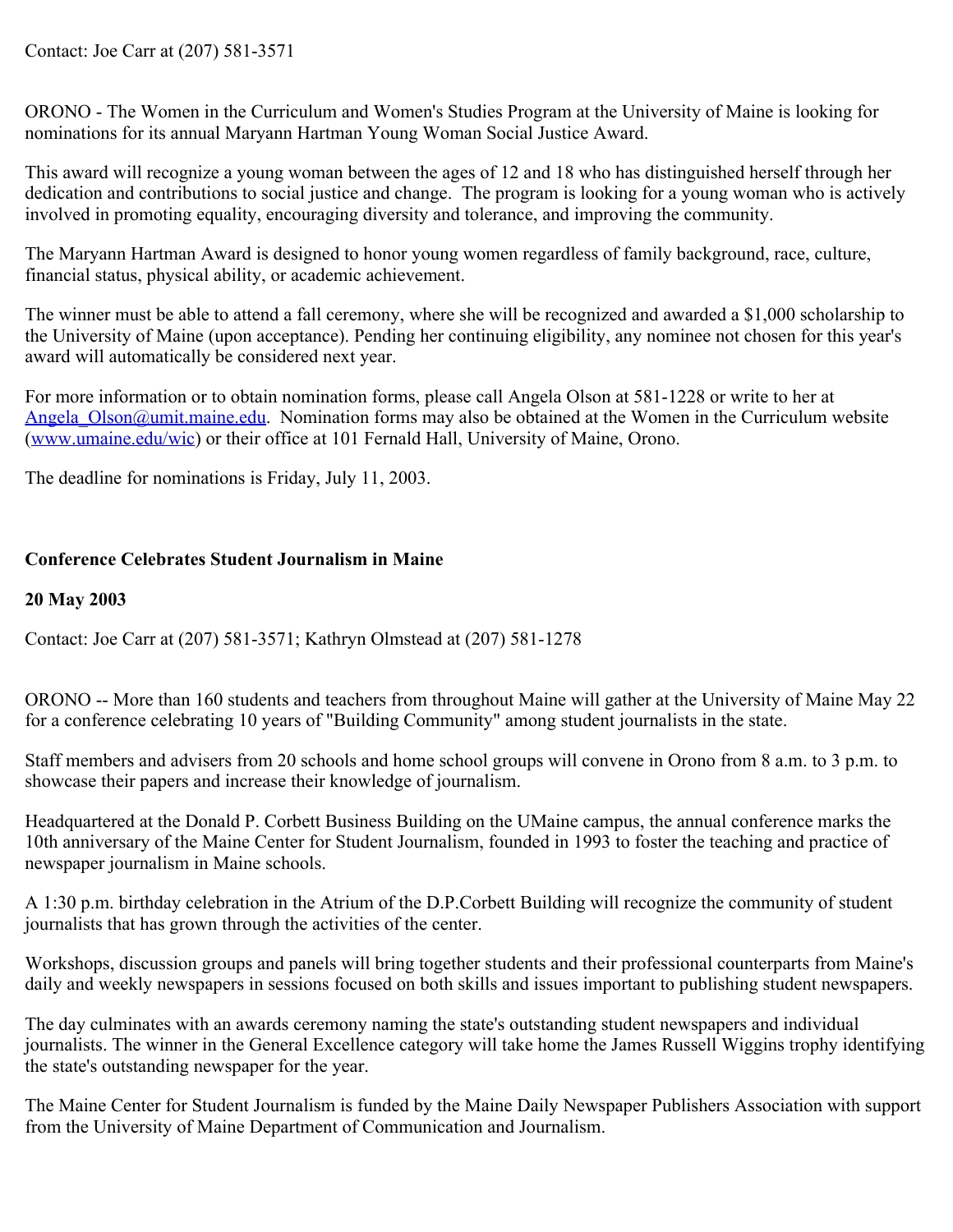ORONO - The Women in the Curriculum and Women's Studies Program at the University of Maine is looking for nominations for its annual Maryann Hartman Young Woman Social Justice Award.

This award will recognize a young woman between the ages of 12 and 18 who has distinguished herself through her dedication and contributions to social justice and change. The program is looking for a young woman who is actively involved in promoting equality, encouraging diversity and tolerance, and improving the community.

The Maryann Hartman Award is designed to honor young women regardless of family background, race, culture, financial status, physical ability, or academic achievement.

The winner must be able to attend a fall ceremony, where she will be recognized and awarded a \$1,000 scholarship to the University of Maine (upon acceptance). Pending her continuing eligibility, any nominee not chosen for this year's award will automatically be considered next year.

For more information or to obtain nomination forms, please call Angela Olson at 581-1228 or write to her at Angela Olson@umit.maine.edu. Nomination forms may also be obtained at the Women in the Curriculum website [\(www.umaine.edu/wic](http://www.umaine.edu/wic)) or their office at 101 Fernald Hall, University of Maine, Orono.

The deadline for nominations is Friday, July 11, 2003.

# **Conference Celebrates Student Journalism in Maine**

# **20 May 2003**

Contact: Joe Carr at (207) 581-3571; Kathryn Olmstead at (207) 581-1278

ORONO -- More than 160 students and teachers from throughout Maine will gather at the University of Maine May 22 for a conference celebrating 10 years of "Building Community" among student journalists in the state.

Staff members and advisers from 20 schools and home school groups will convene in Orono from 8 a.m. to 3 p.m. to showcase their papers and increase their knowledge of journalism.

Headquartered at the Donald P. Corbett Business Building on the UMaine campus, the annual conference marks the 10th anniversary of the Maine Center for Student Journalism, founded in 1993 to foster the teaching and practice of newspaper journalism in Maine schools.

A 1:30 p.m. birthday celebration in the Atrium of the D.P.Corbett Building will recognize the community of student journalists that has grown through the activities of the center.

Workshops, discussion groups and panels will bring together students and their professional counterparts from Maine's daily and weekly newspapers in sessions focused on both skills and issues important to publishing student newspapers.

The day culminates with an awards ceremony naming the state's outstanding student newspapers and individual journalists. The winner in the General Excellence category will take home the James Russell Wiggins trophy identifying the state's outstanding newspaper for the year.

The Maine Center for Student Journalism is funded by the Maine Daily Newspaper Publishers Association with support from the University of Maine Department of Communication and Journalism.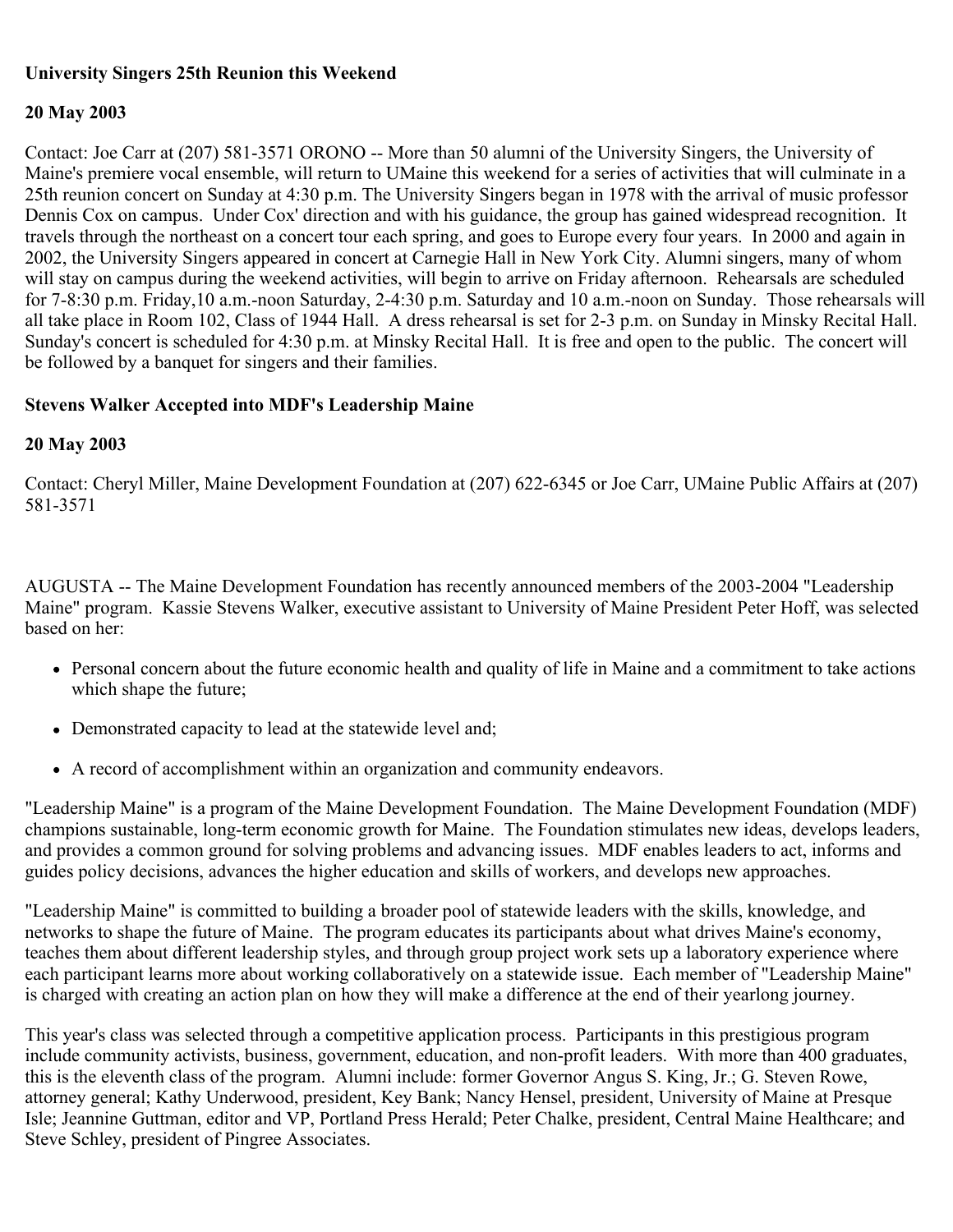# **University Singers 25th Reunion this Weekend**

# **20 May 2003**

Contact: Joe Carr at (207) 581-3571 ORONO -- More than 50 alumni of the University Singers, the University of Maine's premiere vocal ensemble, will return to UMaine this weekend for a series of activities that will culminate in a 25th reunion concert on Sunday at 4:30 p.m. The University Singers began in 1978 with the arrival of music professor Dennis Cox on campus. Under Cox' direction and with his guidance, the group has gained widespread recognition. It travels through the northeast on a concert tour each spring, and goes to Europe every four years. In 2000 and again in 2002, the University Singers appeared in concert at Carnegie Hall in New York City. Alumni singers, many of whom will stay on campus during the weekend activities, will begin to arrive on Friday afternoon. Rehearsals are scheduled for 7-8:30 p.m. Friday,10 a.m.-noon Saturday, 2-4:30 p.m. Saturday and 10 a.m.-noon on Sunday. Those rehearsals will all take place in Room 102, Class of 1944 Hall. A dress rehearsal is set for 2-3 p.m. on Sunday in Minsky Recital Hall. Sunday's concert is scheduled for 4:30 p.m. at Minsky Recital Hall. It is free and open to the public. The concert will be followed by a banquet for singers and their families.

# **Stevens Walker Accepted into MDF's Leadership Maine**

### **20 May 2003**

Contact: Cheryl Miller, Maine Development Foundation at (207) 622-6345 or Joe Carr, UMaine Public Affairs at (207) 581-3571

AUGUSTA -- The Maine Development Foundation has recently announced members of the 2003-2004 "Leadership Maine" program. Kassie Stevens Walker, executive assistant to University of Maine President Peter Hoff, was selected based on her:

- Personal concern about the future economic health and quality of life in Maine and a commitment to take actions which shape the future;
- Demonstrated capacity to lead at the statewide level and;
- A record of accomplishment within an organization and community endeavors.

"Leadership Maine" is a program of the Maine Development Foundation. The Maine Development Foundation (MDF) champions sustainable, long-term economic growth for Maine. The Foundation stimulates new ideas, develops leaders, and provides a common ground for solving problems and advancing issues. MDF enables leaders to act, informs and guides policy decisions, advances the higher education and skills of workers, and develops new approaches.

"Leadership Maine" is committed to building a broader pool of statewide leaders with the skills, knowledge, and networks to shape the future of Maine. The program educates its participants about what drives Maine's economy, teaches them about different leadership styles, and through group project work sets up a laboratory experience where each participant learns more about working collaboratively on a statewide issue. Each member of "Leadership Maine" is charged with creating an action plan on how they will make a difference at the end of their yearlong journey.

This year's class was selected through a competitive application process. Participants in this prestigious program include community activists, business, government, education, and non-profit leaders. With more than 400 graduates, this is the eleventh class of the program. Alumni include: former Governor Angus S. King, Jr.; G. Steven Rowe, attorney general; Kathy Underwood, president, Key Bank; Nancy Hensel, president, University of Maine at Presque Isle; Jeannine Guttman, editor and VP, Portland Press Herald; Peter Chalke, president, Central Maine Healthcare; and Steve Schley, president of Pingree Associates.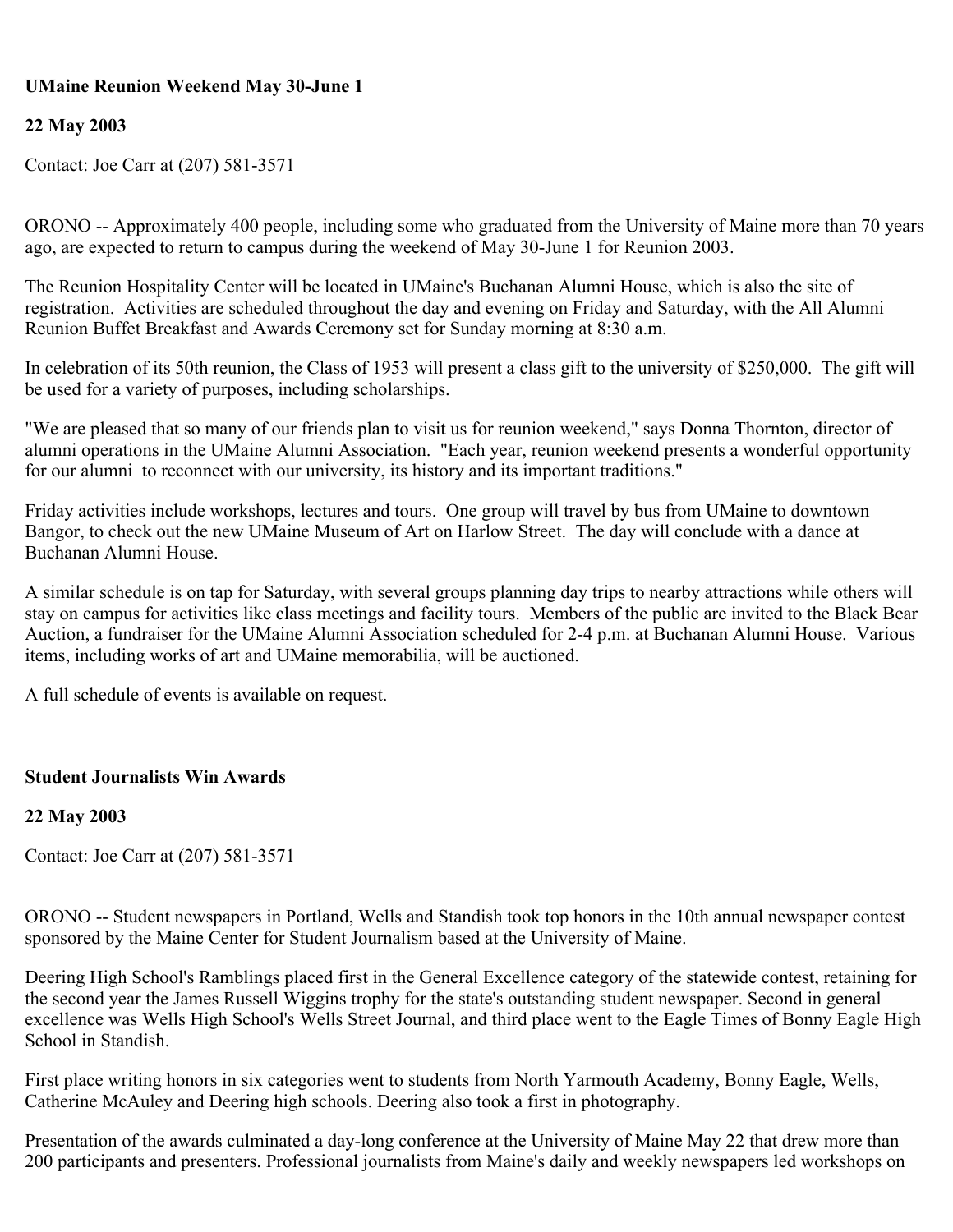# **UMaine Reunion Weekend May 30-June 1**

# **22 May 2003**

Contact: Joe Carr at (207) 581-3571

ORONO -- Approximately 400 people, including some who graduated from the University of Maine more than 70 years ago, are expected to return to campus during the weekend of May 30-June 1 for Reunion 2003.

The Reunion Hospitality Center will be located in UMaine's Buchanan Alumni House, which is also the site of registration. Activities are scheduled throughout the day and evening on Friday and Saturday, with the All Alumni Reunion Buffet Breakfast and Awards Ceremony set for Sunday morning at 8:30 a.m.

In celebration of its 50th reunion, the Class of 1953 will present a class gift to the university of \$250,000. The gift will be used for a variety of purposes, including scholarships.

"We are pleased that so many of our friends plan to visit us for reunion weekend," says Donna Thornton, director of alumni operations in the UMaine Alumni Association. "Each year, reunion weekend presents a wonderful opportunity for our alumni to reconnect with our university, its history and its important traditions."

Friday activities include workshops, lectures and tours. One group will travel by bus from UMaine to downtown Bangor, to check out the new UMaine Museum of Art on Harlow Street. The day will conclude with a dance at Buchanan Alumni House.

A similar schedule is on tap for Saturday, with several groups planning day trips to nearby attractions while others will stay on campus for activities like class meetings and facility tours. Members of the public are invited to the Black Bear Auction, a fundraiser for the UMaine Alumni Association scheduled for 2-4 p.m. at Buchanan Alumni House. Various items, including works of art and UMaine memorabilia, will be auctioned.

A full schedule of events is available on request.

### **Student Journalists Win Awards**

### **22 May 2003**

Contact: Joe Carr at (207) 581-3571

ORONO -- Student newspapers in Portland, Wells and Standish took top honors in the 10th annual newspaper contest sponsored by the Maine Center for Student Journalism based at the University of Maine.

Deering High School's Ramblings placed first in the General Excellence category of the statewide contest, retaining for the second year the James Russell Wiggins trophy for the state's outstanding student newspaper. Second in general excellence was Wells High School's Wells Street Journal, and third place went to the Eagle Times of Bonny Eagle High School in Standish.

First place writing honors in six categories went to students from North Yarmouth Academy, Bonny Eagle, Wells, Catherine McAuley and Deering high schools. Deering also took a first in photography.

Presentation of the awards culminated a day-long conference at the University of Maine May 22 that drew more than 200 participants and presenters. Professional journalists from Maine's daily and weekly newspapers led workshops on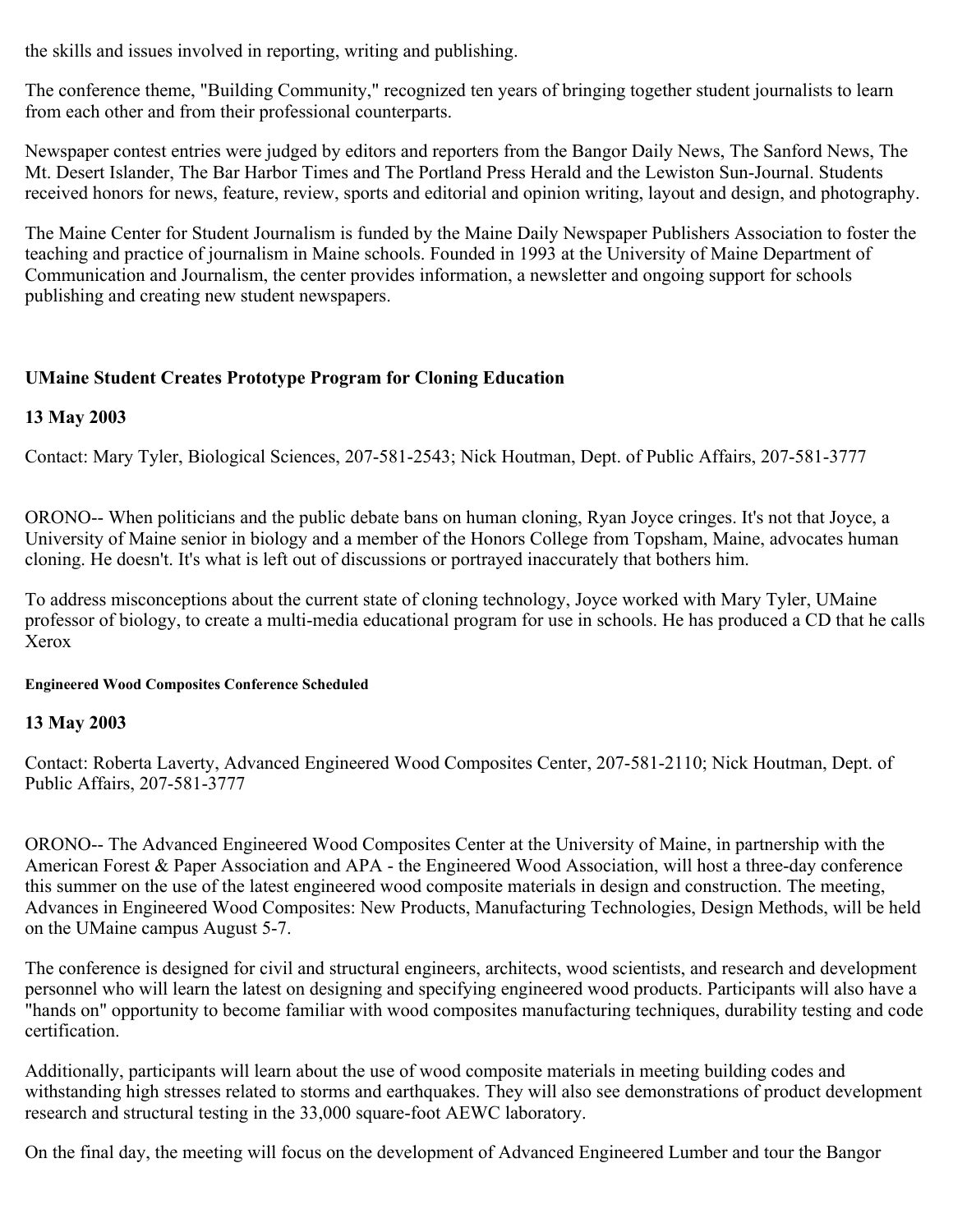the skills and issues involved in reporting, writing and publishing.

The conference theme, "Building Community," recognized ten years of bringing together student journalists to learn from each other and from their professional counterparts.

Newspaper contest entries were judged by editors and reporters from the Bangor Daily News, The Sanford News, The Mt. Desert Islander, The Bar Harbor Times and The Portland Press Herald and the Lewiston Sun-Journal. Students received honors for news, feature, review, sports and editorial and opinion writing, layout and design, and photography.

The Maine Center for Student Journalism is funded by the Maine Daily Newspaper Publishers Association to foster the teaching and practice of journalism in Maine schools. Founded in 1993 at the University of Maine Department of Communication and Journalism, the center provides information, a newsletter and ongoing support for schools publishing and creating new student newspapers.

# **UMaine Student Creates Prototype Program for Cloning Education**

# **13 May 2003**

Contact: Mary Tyler, Biological Sciences, 207-581-2543; Nick Houtman, Dept. of Public Affairs, 207-581-3777

ORONO-- When politicians and the public debate bans on human cloning, Ryan Joyce cringes. It's not that Joyce, a University of Maine senior in biology and a member of the Honors College from Topsham, Maine, advocates human cloning. He doesn't. It's what is left out of discussions or portrayed inaccurately that bothers him.

To address misconceptions about the current state of cloning technology, Joyce worked with Mary Tyler, UMaine professor of biology, to create a multi-media educational program for use in schools. He has produced a CD that he calls Xerox

### **Engineered Wood Composites Conference Scheduled**

# **13 May 2003**

Contact: Roberta Laverty, Advanced Engineered Wood Composites Center, 207-581-2110; Nick Houtman, Dept. of Public Affairs, 207-581-3777

ORONO-- The Advanced Engineered Wood Composites Center at the University of Maine, in partnership with the American Forest & Paper Association and APA - the Engineered Wood Association, will host a three-day conference this summer on the use of the latest engineered wood composite materials in design and construction. The meeting, Advances in Engineered Wood Composites: New Products, Manufacturing Technologies, Design Methods, will be held on the UMaine campus August 5-7.

The conference is designed for civil and structural engineers, architects, wood scientists, and research and development personnel who will learn the latest on designing and specifying engineered wood products. Participants will also have a "hands on" opportunity to become familiar with wood composites manufacturing techniques, durability testing and code certification.

Additionally, participants will learn about the use of wood composite materials in meeting building codes and withstanding high stresses related to storms and earthquakes. They will also see demonstrations of product development research and structural testing in the 33,000 square-foot AEWC laboratory.

On the final day, the meeting will focus on the development of Advanced Engineered Lumber and tour the Bangor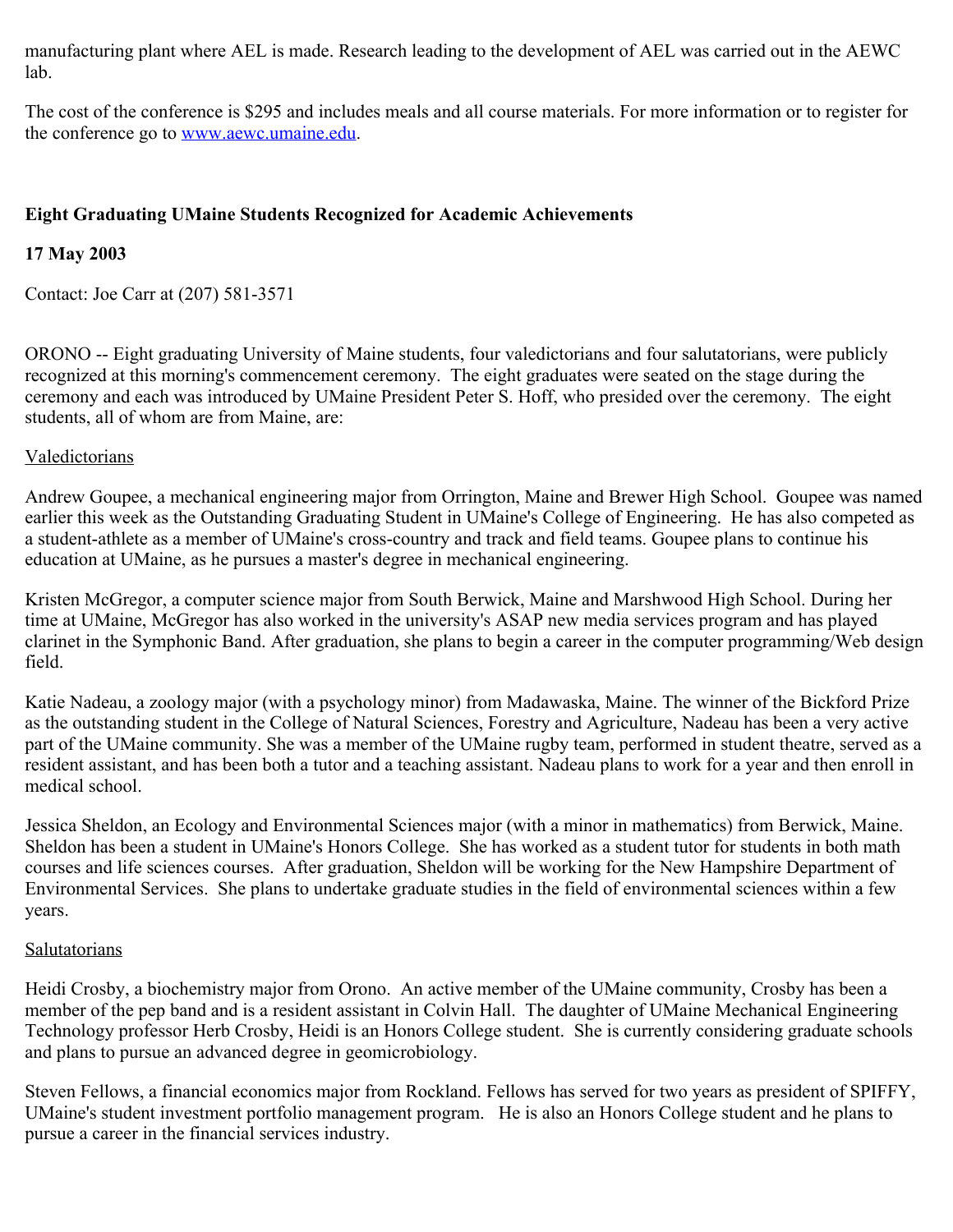manufacturing plant where AEL is made. Research leading to the development of AEL was carried out in the AEWC lab.

The cost of the conference is \$295 and includes meals and all course materials. For more information or to register for the conference go to [www.aewc.umaine.edu.](http://www.aewc.umaine.edu/)

# **Eight Graduating UMaine Students Recognized for Academic Achievements**

### **17 May 2003**

Contact: Joe Carr at (207) 581-3571

ORONO -- Eight graduating University of Maine students, four valedictorians and four salutatorians, were publicly recognized at this morning's commencement ceremony. The eight graduates were seated on the stage during the ceremony and each was introduced by UMaine President Peter S. Hoff, who presided over the ceremony. The eight students, all of whom are from Maine, are:

#### **Valedictorians**

Andrew Goupee, a mechanical engineering major from Orrington, Maine and Brewer High School. Goupee was named earlier this week as the Outstanding Graduating Student in UMaine's College of Engineering. He has also competed as a student-athlete as a member of UMaine's cross-country and track and field teams. Goupee plans to continue his education at UMaine, as he pursues a master's degree in mechanical engineering.

Kristen McGregor, a computer science major from South Berwick, Maine and Marshwood High School. During her time at UMaine, McGregor has also worked in the university's ASAP new media services program and has played clarinet in the Symphonic Band. After graduation, she plans to begin a career in the computer programming/Web design field.

Katie Nadeau, a zoology major (with a psychology minor) from Madawaska, Maine. The winner of the Bickford Prize as the outstanding student in the College of Natural Sciences, Forestry and Agriculture, Nadeau has been a very active part of the UMaine community. She was a member of the UMaine rugby team, performed in student theatre, served as a resident assistant, and has been both a tutor and a teaching assistant. Nadeau plans to work for a year and then enroll in medical school.

Jessica Sheldon, an Ecology and Environmental Sciences major (with a minor in mathematics) from Berwick, Maine. Sheldon has been a student in UMaine's Honors College. She has worked as a student tutor for students in both math courses and life sciences courses. After graduation, Sheldon will be working for the New Hampshire Department of Environmental Services. She plans to undertake graduate studies in the field of environmental sciences within a few years.

#### **Salutatorians**

Heidi Crosby, a biochemistry major from Orono. An active member of the UMaine community, Crosby has been a member of the pep band and is a resident assistant in Colvin Hall. The daughter of UMaine Mechanical Engineering Technology professor Herb Crosby, Heidi is an Honors College student. She is currently considering graduate schools and plans to pursue an advanced degree in geomicrobiology.

Steven Fellows, a financial economics major from Rockland. Fellows has served for two years as president of SPIFFY, UMaine's student investment portfolio management program. He is also an Honors College student and he plans to pursue a career in the financial services industry.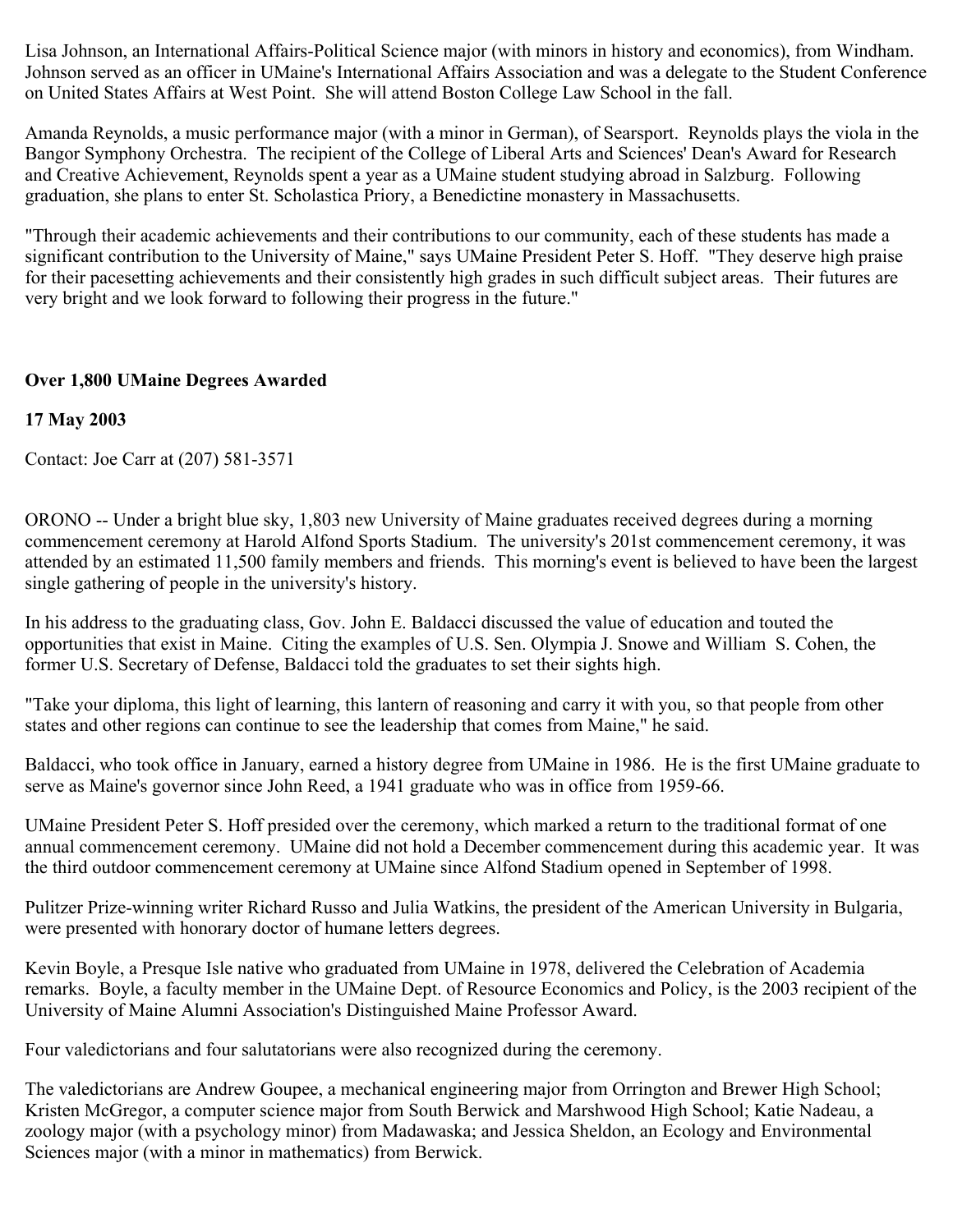Lisa Johnson, an International Affairs-Political Science major (with minors in history and economics), from Windham. Johnson served as an officer in UMaine's International Affairs Association and was a delegate to the Student Conference on United States Affairs at West Point. She will attend Boston College Law School in the fall.

Amanda Reynolds, a music performance major (with a minor in German), of Searsport. Reynolds plays the viola in the Bangor Symphony Orchestra. The recipient of the College of Liberal Arts and Sciences' Dean's Award for Research and Creative Achievement, Reynolds spent a year as a UMaine student studying abroad in Salzburg. Following graduation, she plans to enter St. Scholastica Priory, a Benedictine monastery in Massachusetts.

"Through their academic achievements and their contributions to our community, each of these students has made a significant contribution to the University of Maine," says UMaine President Peter S. Hoff. "They deserve high praise for their pacesetting achievements and their consistently high grades in such difficult subject areas. Their futures are very bright and we look forward to following their progress in the future."

# **Over 1,800 UMaine Degrees Awarded**

# **17 May 2003**

Contact: Joe Carr at (207) 581-3571

ORONO -- Under a bright blue sky, 1,803 new University of Maine graduates received degrees during a morning commencement ceremony at Harold Alfond Sports Stadium. The university's 201st commencement ceremony, it was attended by an estimated 11,500 family members and friends. This morning's event is believed to have been the largest single gathering of people in the university's history.

In his address to the graduating class, Gov. John E. Baldacci discussed the value of education and touted the opportunities that exist in Maine. Citing the examples of U.S. Sen. Olympia J. Snowe and William S. Cohen, the former U.S. Secretary of Defense, Baldacci told the graduates to set their sights high.

"Take your diploma, this light of learning, this lantern of reasoning and carry it with you, so that people from other states and other regions can continue to see the leadership that comes from Maine," he said.

Baldacci, who took office in January, earned a history degree from UMaine in 1986. He is the first UMaine graduate to serve as Maine's governor since John Reed, a 1941 graduate who was in office from 1959-66.

UMaine President Peter S. Hoff presided over the ceremony, which marked a return to the traditional format of one annual commencement ceremony. UMaine did not hold a December commencement during this academic year. It was the third outdoor commencement ceremony at UMaine since Alfond Stadium opened in September of 1998.

Pulitzer Prize-winning writer Richard Russo and Julia Watkins, the president of the American University in Bulgaria, were presented with honorary doctor of humane letters degrees.

Kevin Boyle, a Presque Isle native who graduated from UMaine in 1978, delivered the Celebration of Academia remarks. Boyle, a faculty member in the UMaine Dept. of Resource Economics and Policy, is the 2003 recipient of the University of Maine Alumni Association's Distinguished Maine Professor Award.

Four valedictorians and four salutatorians were also recognized during the ceremony.

The valedictorians are Andrew Goupee, a mechanical engineering major from Orrington and Brewer High School; Kristen McGregor, a computer science major from South Berwick and Marshwood High School; Katie Nadeau, a zoology major (with a psychology minor) from Madawaska; and Jessica Sheldon, an Ecology and Environmental Sciences major (with a minor in mathematics) from Berwick.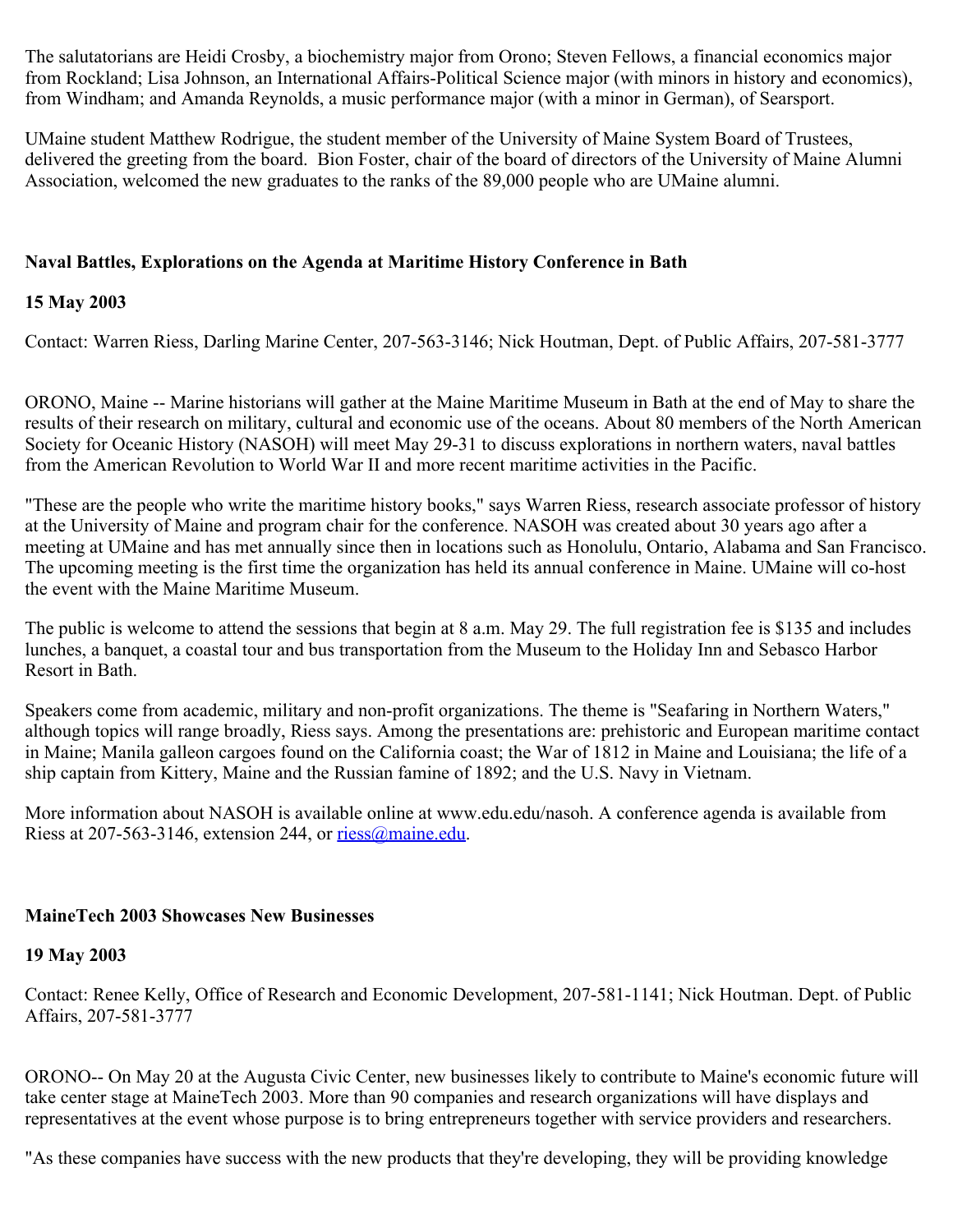The salutatorians are Heidi Crosby, a biochemistry major from Orono; Steven Fellows, a financial economics major from Rockland; Lisa Johnson, an International Affairs-Political Science major (with minors in history and economics), from Windham; and Amanda Reynolds, a music performance major (with a minor in German), of Searsport.

UMaine student Matthew Rodrigue, the student member of the University of Maine System Board of Trustees, delivered the greeting from the board. Bion Foster, chair of the board of directors of the University of Maine Alumni Association, welcomed the new graduates to the ranks of the 89,000 people who are UMaine alumni.

### **Naval Battles, Explorations on the Agenda at Maritime History Conference in Bath**

### **15 May 2003**

Contact: Warren Riess, Darling Marine Center, 207-563-3146; Nick Houtman, Dept. of Public Affairs, 207-581-3777

ORONO, Maine -- Marine historians will gather at the Maine Maritime Museum in Bath at the end of May to share the results of their research on military, cultural and economic use of the oceans. About 80 members of the North American Society for Oceanic History (NASOH) will meet May 29-31 to discuss explorations in northern waters, naval battles from the American Revolution to World War II and more recent maritime activities in the Pacific.

"These are the people who write the maritime history books," says Warren Riess, research associate professor of history at the University of Maine and program chair for the conference. NASOH was created about 30 years ago after a meeting at UMaine and has met annually since then in locations such as Honolulu, Ontario, Alabama and San Francisco. The upcoming meeting is the first time the organization has held its annual conference in Maine. UMaine will co-host the event with the Maine Maritime Museum.

The public is welcome to attend the sessions that begin at 8 a.m. May 29. The full registration fee is \$135 and includes lunches, a banquet, a coastal tour and bus transportation from the Museum to the Holiday Inn and Sebasco Harbor Resort in Bath.

Speakers come from academic, military and non-profit organizations. The theme is "Seafaring in Northern Waters," although topics will range broadly, Riess says. Among the presentations are: prehistoric and European maritime contact in Maine; Manila galleon cargoes found on the California coast; the War of 1812 in Maine and Louisiana; the life of a ship captain from Kittery, Maine and the Russian famine of 1892; and the U.S. Navy in Vietnam.

More information about NASOH is available online at www.edu.edu/nasoh. A conference agenda is available from Riess at 207-563-3146, extension 244, or [riess@maine.edu](mailto:riess@maine.edu).

### **MaineTech 2003 Showcases New Businesses**

### **19 May 2003**

Contact: Renee Kelly, Office of Research and Economic Development, 207-581-1141; Nick Houtman. Dept. of Public Affairs, 207-581-3777

ORONO-- On May 20 at the Augusta Civic Center, new businesses likely to contribute to Maine's economic future will take center stage at MaineTech 2003. More than 90 companies and research organizations will have displays and representatives at the event whose purpose is to bring entrepreneurs together with service providers and researchers.

"As these companies have success with the new products that they're developing, they will be providing knowledge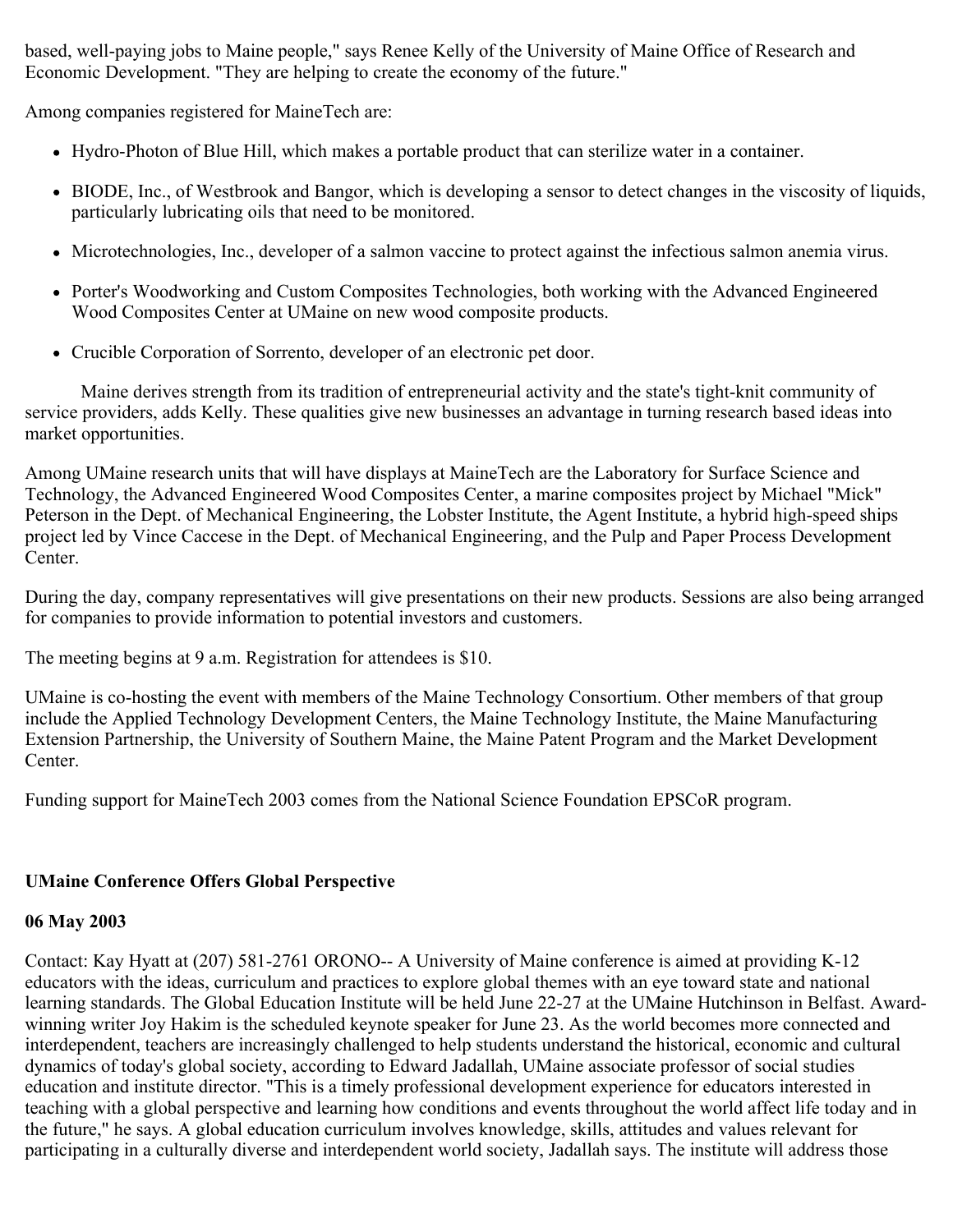based, well-paying jobs to Maine people," says Renee Kelly of the University of Maine Office of Research and Economic Development. "They are helping to create the economy of the future."

Among companies registered for MaineTech are:

- Hydro-Photon of Blue Hill, which makes a portable product that can sterilize water in a container.
- BIODE, Inc., of Westbrook and Bangor, which is developing a sensor to detect changes in the viscosity of liquids, particularly lubricating oils that need to be monitored.
- Microtechnologies, Inc., developer of a salmon vaccine to protect against the infectious salmon anemia virus.
- Porter's Woodworking and Custom Composites Technologies, both working with the Advanced Engineered Wood Composites Center at UMaine on new wood composite products.
- Crucible Corporation of Sorrento, developer of an electronic pet door.

 Maine derives strength from its tradition of entrepreneurial activity and the state's tight-knit community of service providers, adds Kelly. These qualities give new businesses an advantage in turning research based ideas into market opportunities.

Among UMaine research units that will have displays at MaineTech are the Laboratory for Surface Science and Technology, the Advanced Engineered Wood Composites Center, a marine composites project by Michael "Mick" Peterson in the Dept. of Mechanical Engineering, the Lobster Institute, the Agent Institute, a hybrid high-speed ships project led by Vince Caccese in the Dept. of Mechanical Engineering, and the Pulp and Paper Process Development Center.

During the day, company representatives will give presentations on their new products. Sessions are also being arranged for companies to provide information to potential investors and customers.

The meeting begins at 9 a.m. Registration for attendees is \$10.

UMaine is co-hosting the event with members of the Maine Technology Consortium. Other members of that group include the Applied Technology Development Centers, the Maine Technology Institute, the Maine Manufacturing Extension Partnership, the University of Southern Maine, the Maine Patent Program and the Market Development Center.

Funding support for MaineTech 2003 comes from the National Science Foundation EPSCoR program.

# **UMaine Conference Offers Global Perspective**

# **06 May 2003**

Contact: Kay Hyatt at (207) 581-2761 ORONO-- A University of Maine conference is aimed at providing K-12 educators with the ideas, curriculum and practices to explore global themes with an eye toward state and national learning standards. The Global Education Institute will be held June 22-27 at the UMaine Hutchinson in Belfast. Awardwinning writer Joy Hakim is the scheduled keynote speaker for June 23. As the world becomes more connected and interdependent, teachers are increasingly challenged to help students understand the historical, economic and cultural dynamics of today's global society, according to Edward Jadallah, UMaine associate professor of social studies education and institute director. "This is a timely professional development experience for educators interested in teaching with a global perspective and learning how conditions and events throughout the world affect life today and in the future," he says. A global education curriculum involves knowledge, skills, attitudes and values relevant for participating in a culturally diverse and interdependent world society, Jadallah says. The institute will address those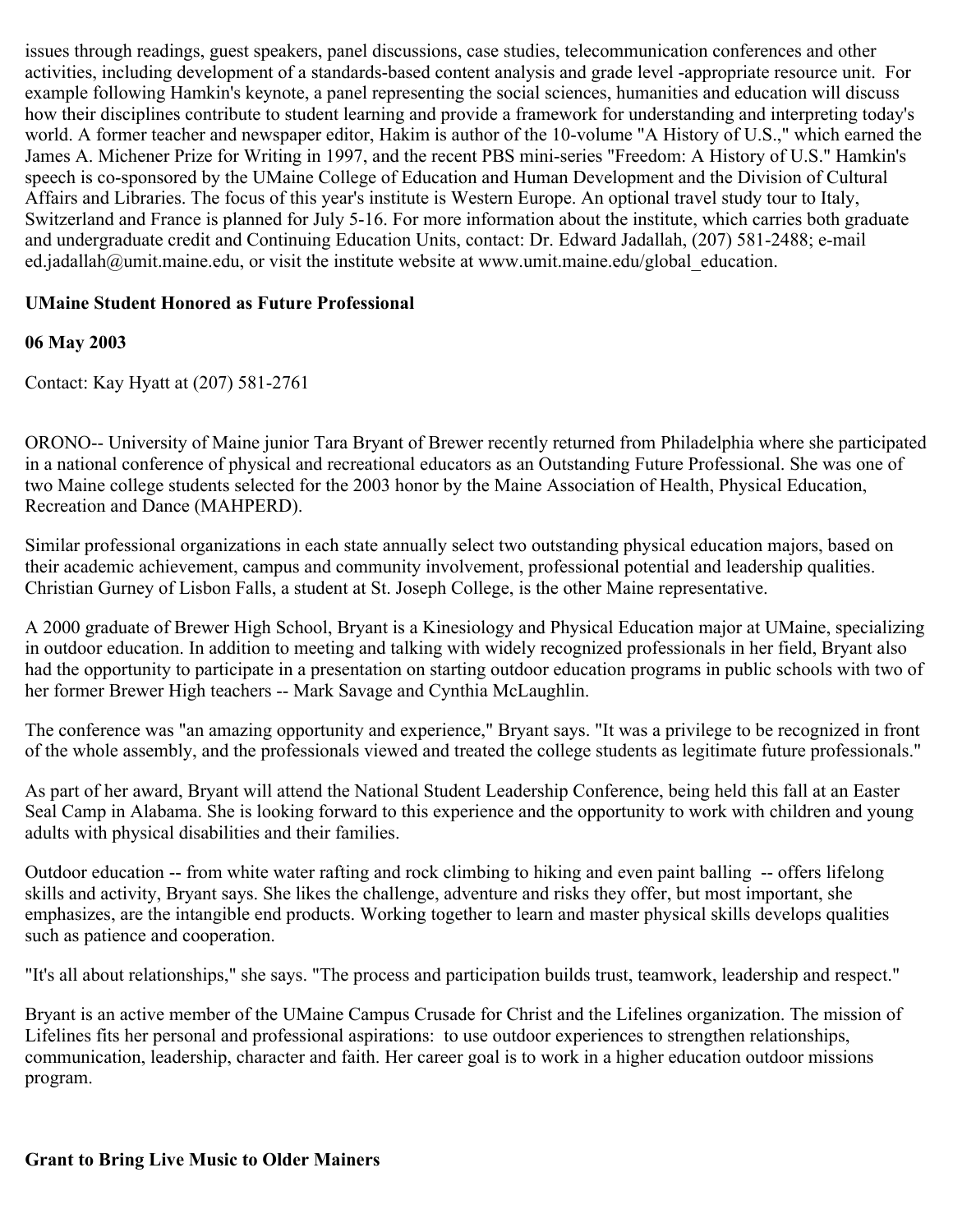issues through readings, guest speakers, panel discussions, case studies, telecommunication conferences and other activities, including development of a standards-based content analysis and grade level -appropriate resource unit. For example following Hamkin's keynote, a panel representing the social sciences, humanities and education will discuss how their disciplines contribute to student learning and provide a framework for understanding and interpreting today's world. A former teacher and newspaper editor, Hakim is author of the 10-volume "A History of U.S.," which earned the James A. Michener Prize for Writing in 1997, and the recent PBS mini-series "Freedom: A History of U.S." Hamkin's speech is co-sponsored by the UMaine College of Education and Human Development and the Division of Cultural Affairs and Libraries. The focus of this year's institute is Western Europe. An optional travel study tour to Italy, Switzerland and France is planned for July 5-16. For more information about the institute, which carries both graduate and undergraduate credit and Continuing Education Units, contact: Dr. Edward Jadallah, (207) 581-2488; e-mail ed.jadallah@umit.maine.edu, or visit the institute website at www.umit.maine.edu/global education.

# **UMaine Student Honored as Future Professional**

### **06 May 2003**

Contact: Kay Hyatt at (207) 581-2761

ORONO-- University of Maine junior Tara Bryant of Brewer recently returned from Philadelphia where she participated in a national conference of physical and recreational educators as an Outstanding Future Professional. She was one of two Maine college students selected for the 2003 honor by the Maine Association of Health, Physical Education, Recreation and Dance (MAHPERD).

Similar professional organizations in each state annually select two outstanding physical education majors, based on their academic achievement, campus and community involvement, professional potential and leadership qualities. Christian Gurney of Lisbon Falls, a student at St. Joseph College, is the other Maine representative.

A 2000 graduate of Brewer High School, Bryant is a Kinesiology and Physical Education major at UMaine, specializing in outdoor education. In addition to meeting and talking with widely recognized professionals in her field, Bryant also had the opportunity to participate in a presentation on starting outdoor education programs in public schools with two of her former Brewer High teachers -- Mark Savage and Cynthia McLaughlin.

The conference was "an amazing opportunity and experience," Bryant says. "It was a privilege to be recognized in front of the whole assembly, and the professionals viewed and treated the college students as legitimate future professionals."

As part of her award, Bryant will attend the National Student Leadership Conference, being held this fall at an Easter Seal Camp in Alabama. She is looking forward to this experience and the opportunity to work with children and young adults with physical disabilities and their families.

Outdoor education -- from white water rafting and rock climbing to hiking and even paint balling -- offers lifelong skills and activity, Bryant says. She likes the challenge, adventure and risks they offer, but most important, she emphasizes, are the intangible end products. Working together to learn and master physical skills develops qualities such as patience and cooperation.

"It's all about relationships," she says. "The process and participation builds trust, teamwork, leadership and respect."

Bryant is an active member of the UMaine Campus Crusade for Christ and the Lifelines organization. The mission of Lifelines fits her personal and professional aspirations: to use outdoor experiences to strengthen relationships, communication, leadership, character and faith. Her career goal is to work in a higher education outdoor missions program.

#### **Grant to Bring Live Music to Older Mainers**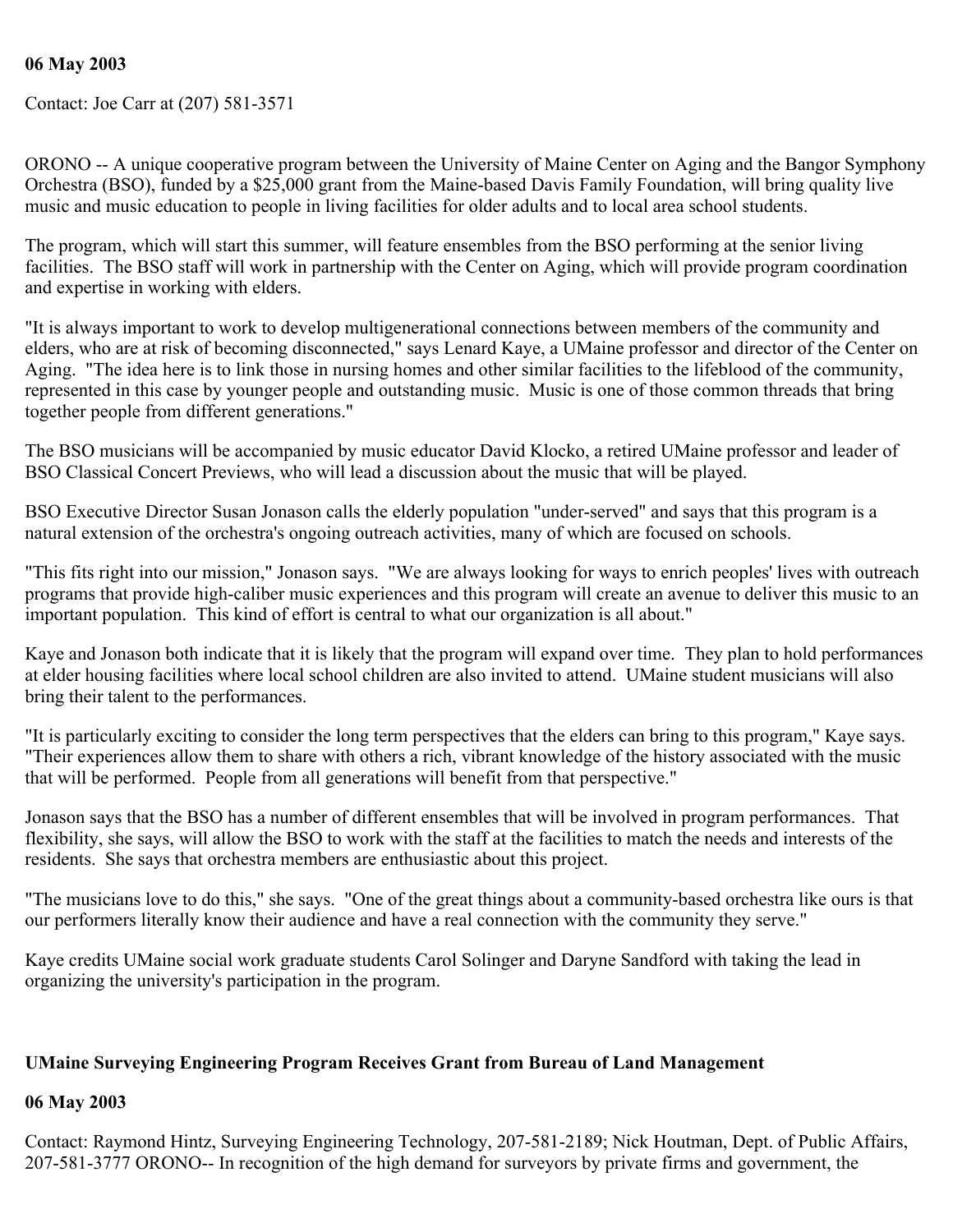#### **06 May 2003**

Contact: Joe Carr at (207) 581-3571

ORONO -- A unique cooperative program between the University of Maine Center on Aging and the Bangor Symphony Orchestra (BSO), funded by a \$25,000 grant from the Maine-based Davis Family Foundation, will bring quality live music and music education to people in living facilities for older adults and to local area school students.

The program, which will start this summer, will feature ensembles from the BSO performing at the senior living facilities. The BSO staff will work in partnership with the Center on Aging, which will provide program coordination and expertise in working with elders.

"It is always important to work to develop multigenerational connections between members of the community and elders, who are at risk of becoming disconnected," says Lenard Kaye, a UMaine professor and director of the Center on Aging. "The idea here is to link those in nursing homes and other similar facilities to the lifeblood of the community, represented in this case by younger people and outstanding music. Music is one of those common threads that bring together people from different generations."

The BSO musicians will be accompanied by music educator David Klocko, a retired UMaine professor and leader of BSO Classical Concert Previews, who will lead a discussion about the music that will be played.

BSO Executive Director Susan Jonason calls the elderly population "under-served" and says that this program is a natural extension of the orchestra's ongoing outreach activities, many of which are focused on schools.

"This fits right into our mission," Jonason says. "We are always looking for ways to enrich peoples' lives with outreach programs that provide high-caliber music experiences and this program will create an avenue to deliver this music to an important population. This kind of effort is central to what our organization is all about."

Kaye and Jonason both indicate that it is likely that the program will expand over time. They plan to hold performances at elder housing facilities where local school children are also invited to attend. UMaine student musicians will also bring their talent to the performances.

"It is particularly exciting to consider the long term perspectives that the elders can bring to this program," Kaye says. "Their experiences allow them to share with others a rich, vibrant knowledge of the history associated with the music that will be performed. People from all generations will benefit from that perspective."

Jonason says that the BSO has a number of different ensembles that will be involved in program performances. That flexibility, she says, will allow the BSO to work with the staff at the facilities to match the needs and interests of the residents. She says that orchestra members are enthusiastic about this project.

"The musicians love to do this," she says. "One of the great things about a community-based orchestra like ours is that our performers literally know their audience and have a real connection with the community they serve."

Kaye credits UMaine social work graduate students Carol Solinger and Daryne Sandford with taking the lead in organizing the university's participation in the program.

### **UMaine Surveying Engineering Program Receives Grant from Bureau of Land Management**

#### **06 May 2003**

Contact: Raymond Hintz, Surveying Engineering Technology, 207-581-2189; Nick Houtman, Dept. of Public Affairs, 207-581-3777 ORONO-- In recognition of the high demand for surveyors by private firms and government, the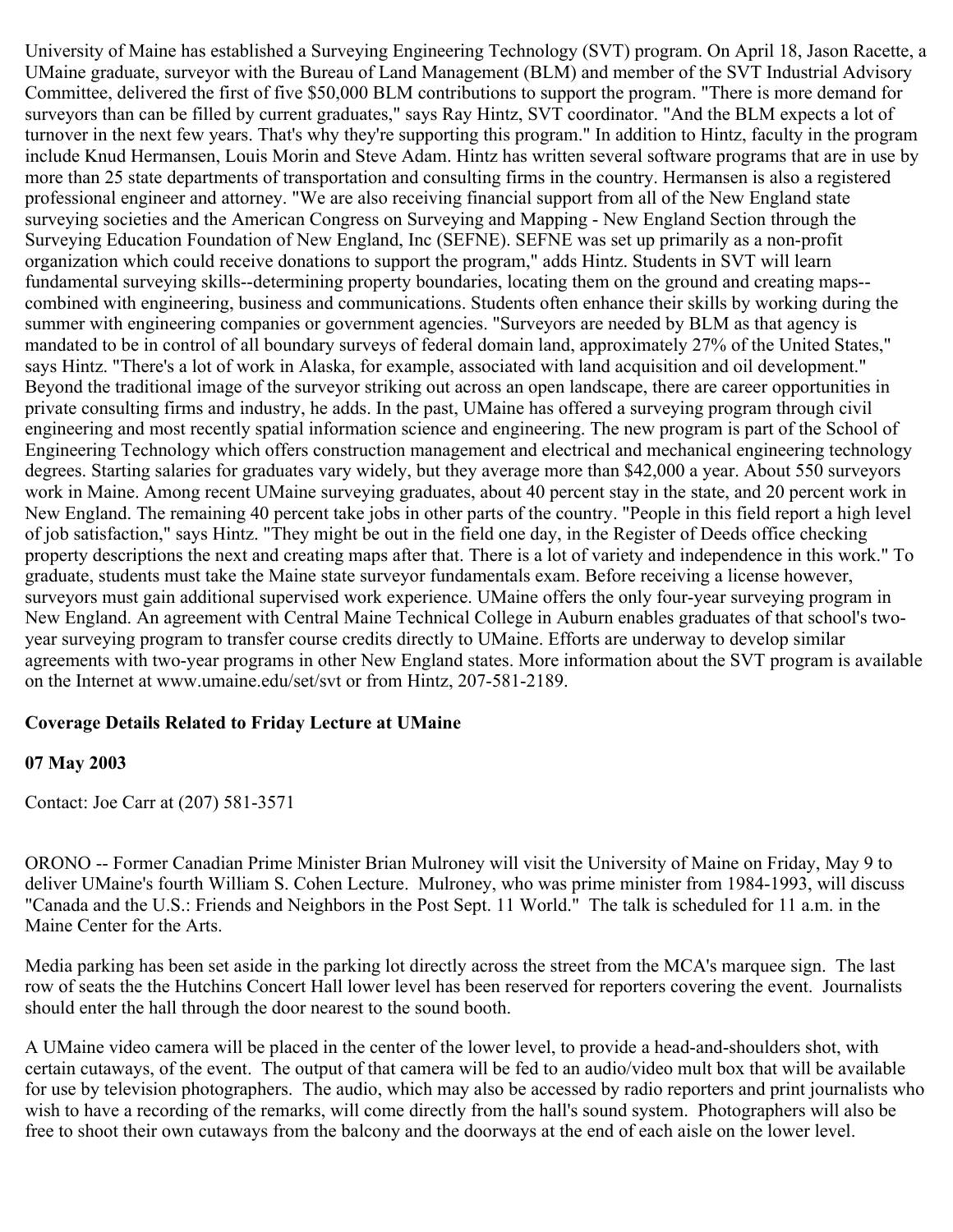University of Maine has established a Surveying Engineering Technology (SVT) program. On April 18, Jason Racette, a UMaine graduate, surveyor with the Bureau of Land Management (BLM) and member of the SVT Industrial Advisory Committee, delivered the first of five \$50,000 BLM contributions to support the program. "There is more demand for surveyors than can be filled by current graduates," says Ray Hintz, SVT coordinator. "And the BLM expects a lot of turnover in the next few years. That's why they're supporting this program." In addition to Hintz, faculty in the program include Knud Hermansen, Louis Morin and Steve Adam. Hintz has written several software programs that are in use by more than 25 state departments of transportation and consulting firms in the country. Hermansen is also a registered professional engineer and attorney. "We are also receiving financial support from all of the New England state surveying societies and the American Congress on Surveying and Mapping - New England Section through the Surveying Education Foundation of New England, Inc (SEFNE). SEFNE was set up primarily as a non-profit organization which could receive donations to support the program," adds Hintz. Students in SVT will learn fundamental surveying skills--determining property boundaries, locating them on the ground and creating maps- combined with engineering, business and communications. Students often enhance their skills by working during the summer with engineering companies or government agencies. "Surveyors are needed by BLM as that agency is mandated to be in control of all boundary surveys of federal domain land, approximately 27% of the United States," says Hintz. "There's a lot of work in Alaska, for example, associated with land acquisition and oil development." Beyond the traditional image of the surveyor striking out across an open landscape, there are career opportunities in private consulting firms and industry, he adds. In the past, UMaine has offered a surveying program through civil engineering and most recently spatial information science and engineering. The new program is part of the School of Engineering Technology which offers construction management and electrical and mechanical engineering technology degrees. Starting salaries for graduates vary widely, but they average more than \$42,000 a year. About 550 surveyors work in Maine. Among recent UMaine surveying graduates, about 40 percent stay in the state, and 20 percent work in New England. The remaining 40 percent take jobs in other parts of the country. "People in this field report a high level of job satisfaction," says Hintz. "They might be out in the field one day, in the Register of Deeds office checking property descriptions the next and creating maps after that. There is a lot of variety and independence in this work." To graduate, students must take the Maine state surveyor fundamentals exam. Before receiving a license however, surveyors must gain additional supervised work experience. UMaine offers the only four-year surveying program in New England. An agreement with Central Maine Technical College in Auburn enables graduates of that school's twoyear surveying program to transfer course credits directly to UMaine. Efforts are underway to develop similar agreements with two-year programs in other New England states. More information about the SVT program is available on the Internet at www.umaine.edu/set/svt or from Hintz, 207-581-2189.

#### **Coverage Details Related to Friday Lecture at UMaine**

#### **07 May 2003**

Contact: Joe Carr at (207) 581-3571

ORONO -- Former Canadian Prime Minister Brian Mulroney will visit the University of Maine on Friday, May 9 to deliver UMaine's fourth William S. Cohen Lecture. Mulroney, who was prime minister from 1984-1993, will discuss "Canada and the U.S.: Friends and Neighbors in the Post Sept. 11 World." The talk is scheduled for 11 a.m. in the Maine Center for the Arts.

Media parking has been set aside in the parking lot directly across the street from the MCA's marquee sign. The last row of seats the the Hutchins Concert Hall lower level has been reserved for reporters covering the event. Journalists should enter the hall through the door nearest to the sound booth.

A UMaine video camera will be placed in the center of the lower level, to provide a head-and-shoulders shot, with certain cutaways, of the event. The output of that camera will be fed to an audio/video mult box that will be available for use by television photographers. The audio, which may also be accessed by radio reporters and print journalists who wish to have a recording of the remarks, will come directly from the hall's sound system. Photographers will also be free to shoot their own cutaways from the balcony and the doorways at the end of each aisle on the lower level.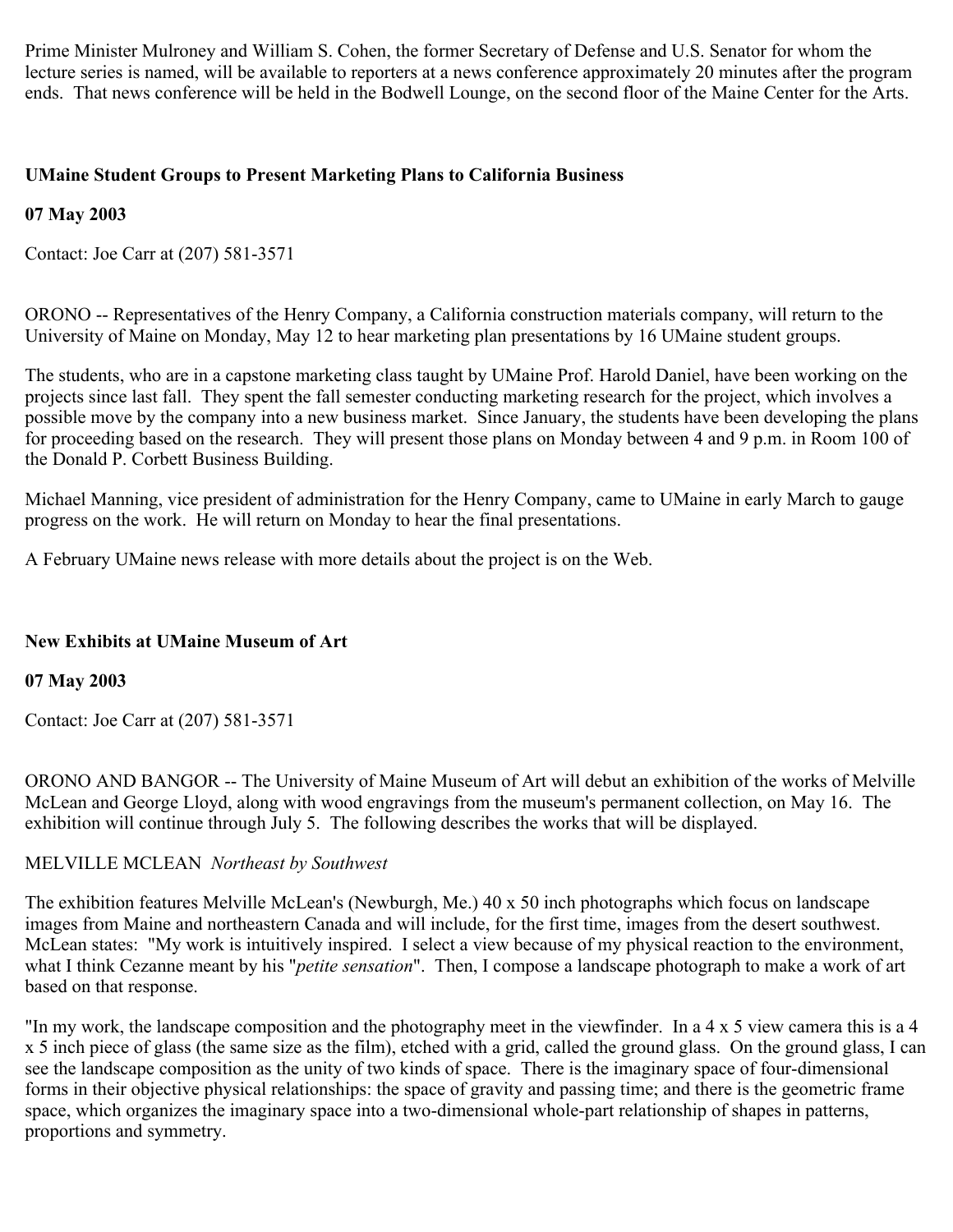Prime Minister Mulroney and William S. Cohen, the former Secretary of Defense and U.S. Senator for whom the lecture series is named, will be available to reporters at a news conference approximately 20 minutes after the program ends. That news conference will be held in the Bodwell Lounge, on the second floor of the Maine Center for the Arts.

# **UMaine Student Groups to Present Marketing Plans to California Business**

### **07 May 2003**

Contact: Joe Carr at (207) 581-3571

ORONO -- Representatives of the Henry Company, a California construction materials company, will return to the University of Maine on Monday, May 12 to hear marketing plan presentations by 16 UMaine student groups.

The students, who are in a capstone marketing class taught by UMaine Prof. Harold Daniel, have been working on the projects since last fall. They spent the fall semester conducting marketing research for the project, which involves a possible move by the company into a new business market. Since January, the students have been developing the plans for proceeding based on the research. They will present those plans on Monday between 4 and 9 p.m. in Room 100 of the Donald P. Corbett Business Building.

Michael Manning, vice president of administration for the Henry Company, came to UMaine in early March to gauge progress on the work. He will return on Monday to hear the final presentations.

A February UMaine news release with more details about the project is on the Web.

### **New Exhibits at UMaine Museum of Art**

### **07 May 2003**

Contact: Joe Carr at (207) 581-3571

ORONO AND BANGOR -- The University of Maine Museum of Art will debut an exhibition of the works of Melville McLean and George Lloyd, along with wood engravings from the museum's permanent collection, on May 16. The exhibition will continue through July 5. The following describes the works that will be displayed.

### MELVILLE MCLEAN *Northeast by Southwest*

The exhibition features Melville McLean's (Newburgh, Me.) 40 x 50 inch photographs which focus on landscape images from Maine and northeastern Canada and will include, for the first time, images from the desert southwest. McLean states: "My work is intuitively inspired. I select a view because of my physical reaction to the environment, what I think Cezanne meant by his "*petite sensation*". Then, I compose a landscape photograph to make a work of art based on that response.

"In my work, the landscape composition and the photography meet in the viewfinder. In a 4 x 5 view camera this is a 4 x 5 inch piece of glass (the same size as the film), etched with a grid, called the ground glass. On the ground glass, I can see the landscape composition as the unity of two kinds of space. There is the imaginary space of four-dimensional forms in their objective physical relationships: the space of gravity and passing time; and there is the geometric frame space, which organizes the imaginary space into a two-dimensional whole-part relationship of shapes in patterns, proportions and symmetry.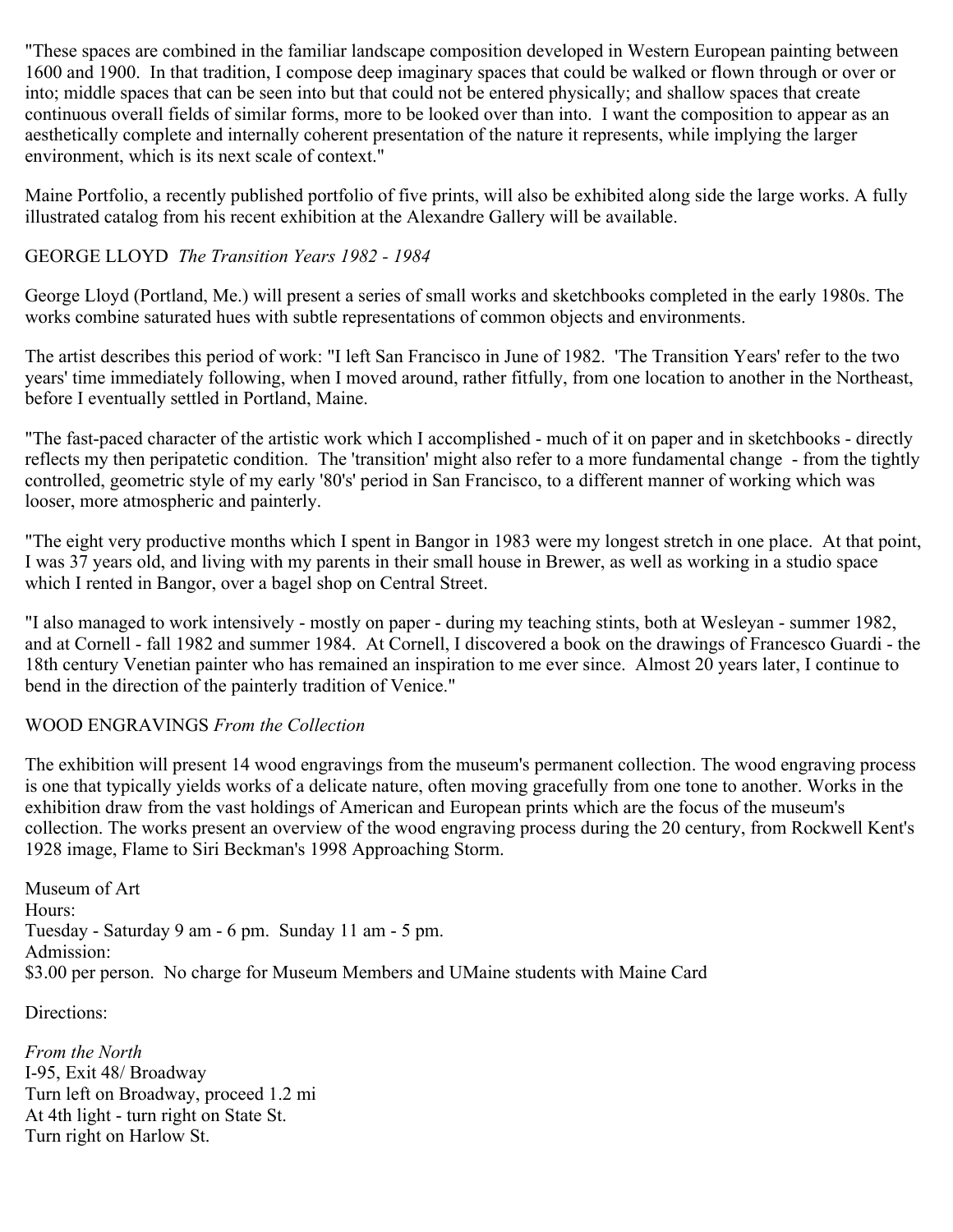"These spaces are combined in the familiar landscape composition developed in Western European painting between 1600 and 1900. In that tradition, I compose deep imaginary spaces that could be walked or flown through or over or into; middle spaces that can be seen into but that could not be entered physically; and shallow spaces that create continuous overall fields of similar forms, more to be looked over than into. I want the composition to appear as an aesthetically complete and internally coherent presentation of the nature it represents, while implying the larger environment, which is its next scale of context."

Maine Portfolio, a recently published portfolio of five prints, will also be exhibited along side the large works. A fully illustrated catalog from his recent exhibition at the Alexandre Gallery will be available.

# GEORGE LLOYD *The Transition Years 1982 - 1984*

George Lloyd (Portland, Me.) will present a series of small works and sketchbooks completed in the early 1980s. The works combine saturated hues with subtle representations of common objects and environments.

The artist describes this period of work: "I left San Francisco in June of 1982. 'The Transition Years' refer to the two years' time immediately following, when I moved around, rather fitfully, from one location to another in the Northeast, before I eventually settled in Portland, Maine.

"The fast-paced character of the artistic work which I accomplished - much of it on paper and in sketchbooks - directly reflects my then peripatetic condition. The 'transition' might also refer to a more fundamental change - from the tightly controlled, geometric style of my early '80's' period in San Francisco, to a different manner of working which was looser, more atmospheric and painterly.

"The eight very productive months which I spent in Bangor in 1983 were my longest stretch in one place. At that point, I was 37 years old, and living with my parents in their small house in Brewer, as well as working in a studio space which I rented in Bangor, over a bagel shop on Central Street.

"I also managed to work intensively - mostly on paper - during my teaching stints, both at Wesleyan - summer 1982, and at Cornell - fall 1982 and summer 1984. At Cornell, I discovered a book on the drawings of Francesco Guardi - the 18th century Venetian painter who has remained an inspiration to me ever since. Almost 20 years later, I continue to bend in the direction of the painterly tradition of Venice."

### WOOD ENGRAVINGS *From the Collection*

The exhibition will present 14 wood engravings from the museum's permanent collection. The wood engraving process is one that typically yields works of a delicate nature, often moving gracefully from one tone to another. Works in the exhibition draw from the vast holdings of American and European prints which are the focus of the museum's collection. The works present an overview of the wood engraving process during the 20 century, from Rockwell Kent's 1928 image, Flame to Siri Beckman's 1998 Approaching Storm.

Museum of Art Hours: Tuesday - Saturday 9 am - 6 pm. Sunday 11 am - 5 pm. Admission: \$3.00 per person. No charge for Museum Members and UMaine students with Maine Card

Directions:

*From the North*  I-95, Exit 48/ Broadway Turn left on Broadway, proceed 1.2 mi At 4th light - turn right on State St. Turn right on Harlow St.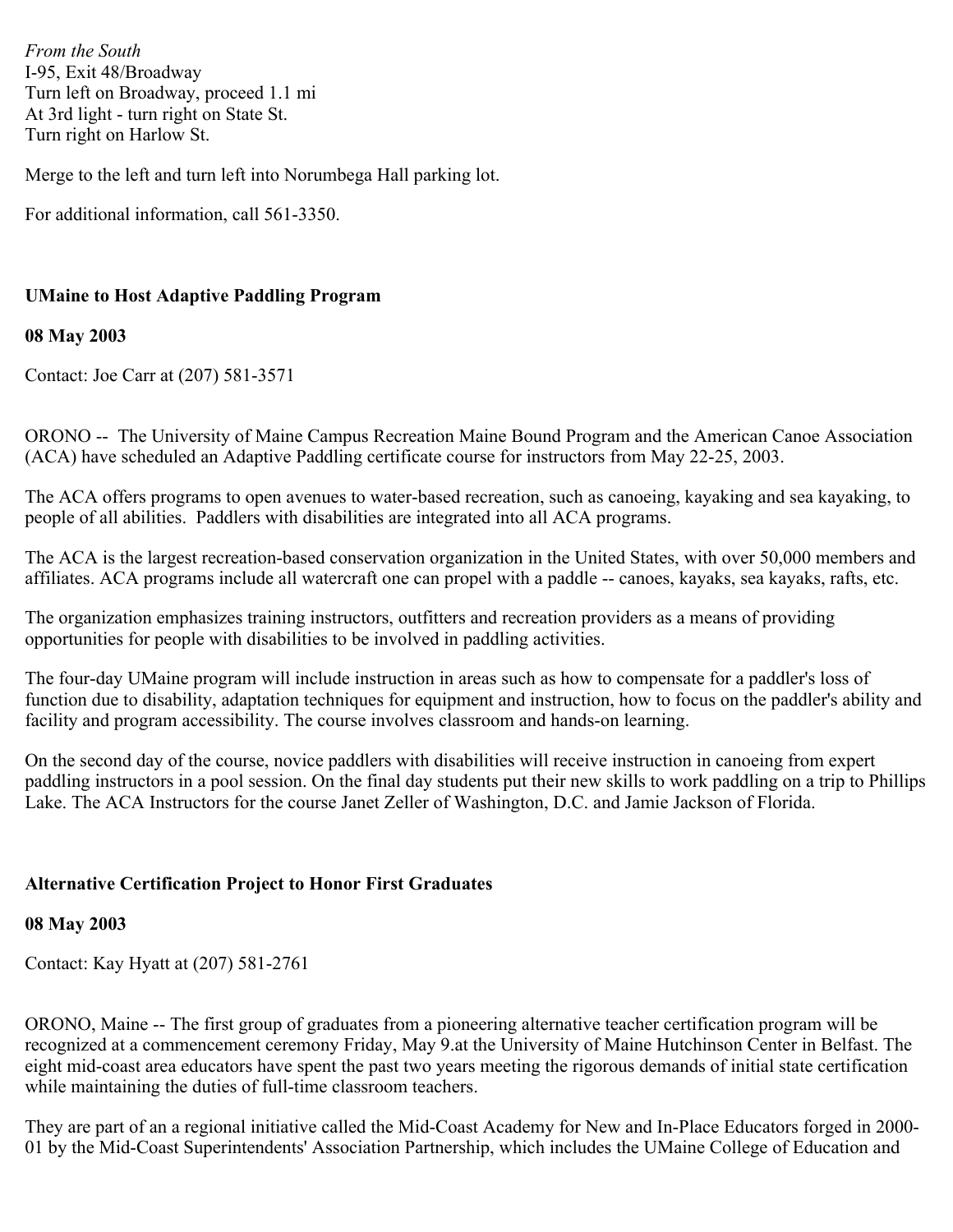*From the South* I-95, Exit 48/Broadway Turn left on Broadway, proceed 1.1 mi At 3rd light - turn right on State St. Turn right on Harlow St.

Merge to the left and turn left into Norumbega Hall parking lot.

For additional information, call 561-3350.

# **UMaine to Host Adaptive Paddling Program**

#### **08 May 2003**

Contact: Joe Carr at (207) 581-3571

ORONO -- The University of Maine Campus Recreation Maine Bound Program and the American Canoe Association (ACA) have scheduled an Adaptive Paddling certificate course for instructors from May 22-25, 2003.

The ACA offers programs to open avenues to water-based recreation, such as canoeing, kayaking and sea kayaking, to people of all abilities. Paddlers with disabilities are integrated into all ACA programs.

The ACA is the largest recreation-based conservation organization in the United States, with over 50,000 members and affiliates. ACA programs include all watercraft one can propel with a paddle -- canoes, kayaks, sea kayaks, rafts, etc.

The organization emphasizes training instructors, outfitters and recreation providers as a means of providing opportunities for people with disabilities to be involved in paddling activities.

The four-day UMaine program will include instruction in areas such as how to compensate for a paddler's loss of function due to disability, adaptation techniques for equipment and instruction, how to focus on the paddler's ability and facility and program accessibility. The course involves classroom and hands-on learning.

On the second day of the course, novice paddlers with disabilities will receive instruction in canoeing from expert paddling instructors in a pool session. On the final day students put their new skills to work paddling on a trip to Phillips Lake. The ACA Instructors for the course Janet Zeller of Washington, D.C. and Jamie Jackson of Florida.

### **Alternative Certification Project to Honor First Graduates**

#### **08 May 2003**

Contact: Kay Hyatt at (207) 581-2761

ORONO, Maine -- The first group of graduates from a pioneering alternative teacher certification program will be recognized at a commencement ceremony Friday, May 9.at the University of Maine Hutchinson Center in Belfast. The eight mid-coast area educators have spent the past two years meeting the rigorous demands of initial state certification while maintaining the duties of full-time classroom teachers.

They are part of an a regional initiative called the Mid-Coast Academy for New and In-Place Educators forged in 2000- 01 by the Mid-Coast Superintendents' Association Partnership, which includes the UMaine College of Education and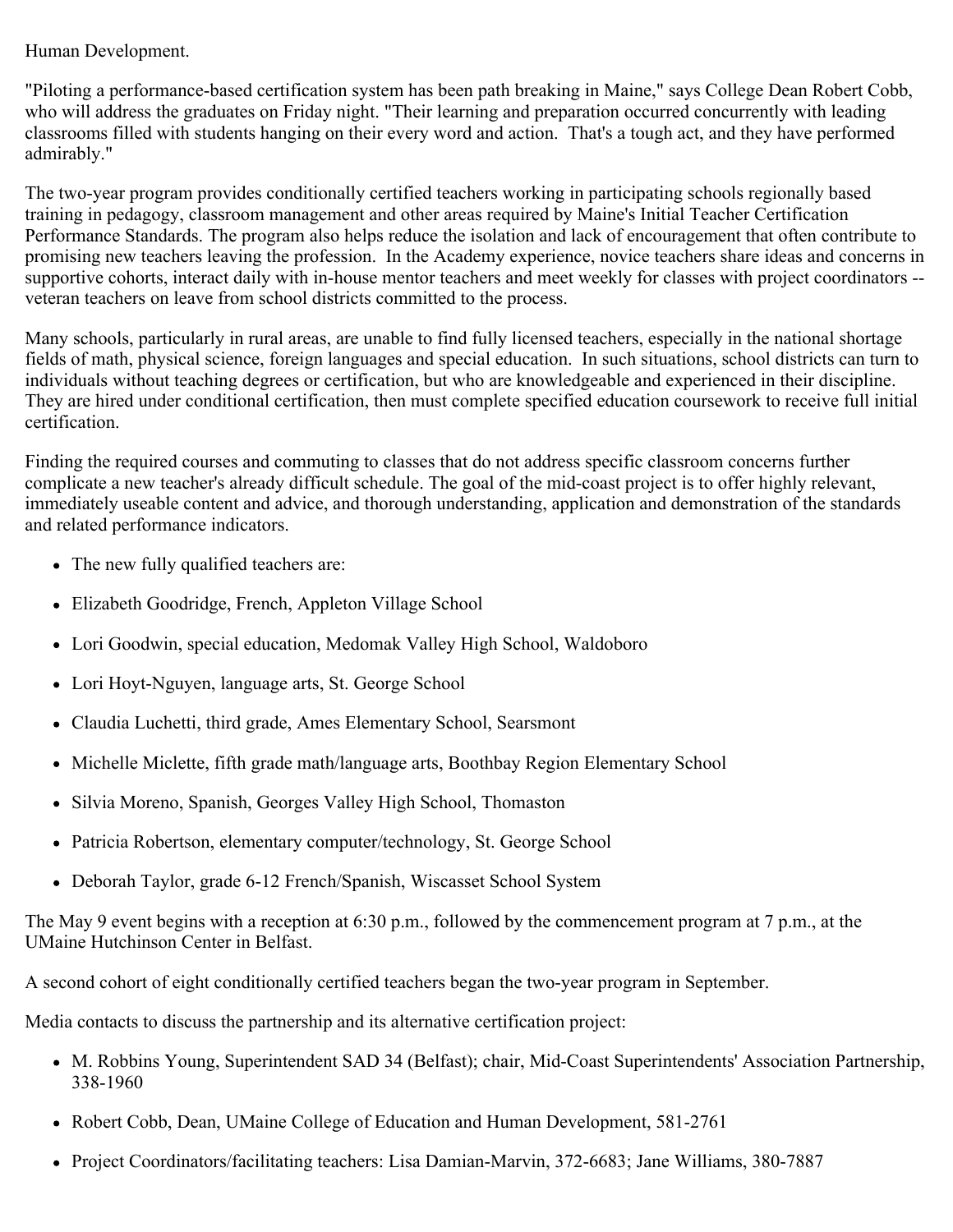### Human Development.

"Piloting a performance-based certification system has been path breaking in Maine," says College Dean Robert Cobb, who will address the graduates on Friday night. "Their learning and preparation occurred concurrently with leading classrooms filled with students hanging on their every word and action. That's a tough act, and they have performed admirably."

The two-year program provides conditionally certified teachers working in participating schools regionally based training in pedagogy, classroom management and other areas required by Maine's Initial Teacher Certification Performance Standards. The program also helps reduce the isolation and lack of encouragement that often contribute to promising new teachers leaving the profession. In the Academy experience, novice teachers share ideas and concerns in supportive cohorts, interact daily with in-house mentor teachers and meet weekly for classes with project coordinators - veteran teachers on leave from school districts committed to the process.

Many schools, particularly in rural areas, are unable to find fully licensed teachers, especially in the national shortage fields of math, physical science, foreign languages and special education. In such situations, school districts can turn to individuals without teaching degrees or certification, but who are knowledgeable and experienced in their discipline. They are hired under conditional certification, then must complete specified education coursework to receive full initial certification.

Finding the required courses and commuting to classes that do not address specific classroom concerns further complicate a new teacher's already difficult schedule. The goal of the mid-coast project is to offer highly relevant, immediately useable content and advice, and thorough understanding, application and demonstration of the standards and related performance indicators.

- The new fully qualified teachers are:
- Elizabeth Goodridge, French, Appleton Village School
- Lori Goodwin, special education, Medomak Valley High School, Waldoboro
- Lori Hoyt-Nguyen, language arts, St. George School
- Claudia Luchetti, third grade, Ames Elementary School, Searsmont
- Michelle Miclette, fifth grade math/language arts, Boothbay Region Elementary School
- Silvia Moreno, Spanish, Georges Valley High School, Thomaston
- Patricia Robertson, elementary computer/technology, St. George School
- Deborah Taylor, grade 6-12 French/Spanish, Wiscasset School System

The May 9 event begins with a reception at 6:30 p.m., followed by the commencement program at 7 p.m., at the UMaine Hutchinson Center in Belfast.

A second cohort of eight conditionally certified teachers began the two-year program in September.

Media contacts to discuss the partnership and its alternative certification project:

- M. Robbins Young, Superintendent SAD 34 (Belfast); chair, Mid-Coast Superintendents' Association Partnership, 338-1960
- Robert Cobb, Dean, UMaine College of Education and Human Development, 581-2761
- Project Coordinators/facilitating teachers: Lisa Damian-Marvin, 372-6683; Jane Williams, 380-7887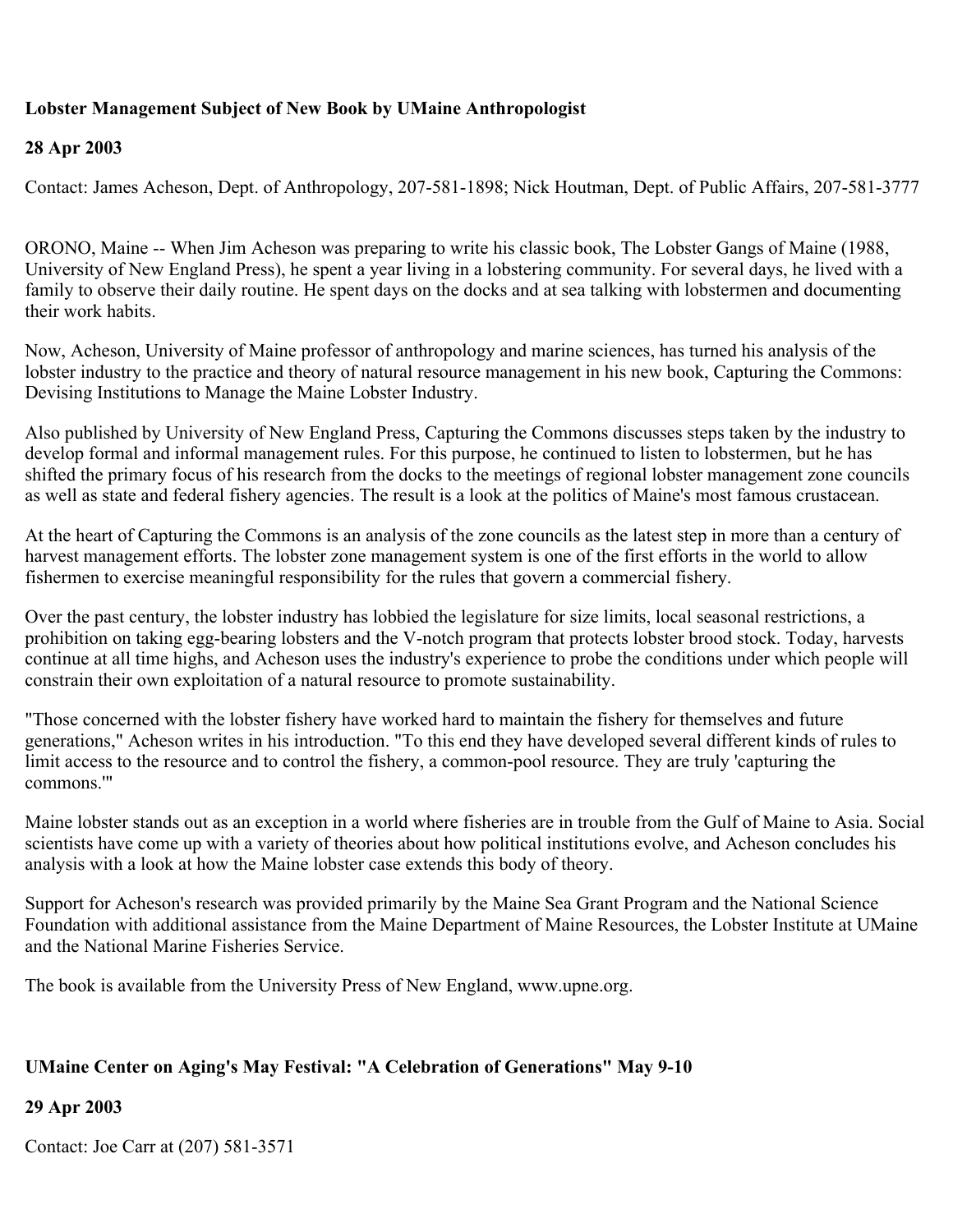# **Lobster Management Subject of New Book by UMaine Anthropologist**

#### **28 Apr 2003**

Contact: James Acheson, Dept. of Anthropology, 207-581-1898; Nick Houtman, Dept. of Public Affairs, 207-581-3777

ORONO, Maine -- When Jim Acheson was preparing to write his classic book, The Lobster Gangs of Maine (1988, University of New England Press), he spent a year living in a lobstering community. For several days, he lived with a family to observe their daily routine. He spent days on the docks and at sea talking with lobstermen and documenting their work habits.

Now, Acheson, University of Maine professor of anthropology and marine sciences, has turned his analysis of the lobster industry to the practice and theory of natural resource management in his new book, Capturing the Commons: Devising Institutions to Manage the Maine Lobster Industry.

Also published by University of New England Press, Capturing the Commons discusses steps taken by the industry to develop formal and informal management rules. For this purpose, he continued to listen to lobstermen, but he has shifted the primary focus of his research from the docks to the meetings of regional lobster management zone councils as well as state and federal fishery agencies. The result is a look at the politics of Maine's most famous crustacean.

At the heart of Capturing the Commons is an analysis of the zone councils as the latest step in more than a century of harvest management efforts. The lobster zone management system is one of the first efforts in the world to allow fishermen to exercise meaningful responsibility for the rules that govern a commercial fishery.

Over the past century, the lobster industry has lobbied the legislature for size limits, local seasonal restrictions, a prohibition on taking egg-bearing lobsters and the V-notch program that protects lobster brood stock. Today, harvests continue at all time highs, and Acheson uses the industry's experience to probe the conditions under which people will constrain their own exploitation of a natural resource to promote sustainability.

"Those concerned with the lobster fishery have worked hard to maintain the fishery for themselves and future generations," Acheson writes in his introduction. "To this end they have developed several different kinds of rules to limit access to the resource and to control the fishery, a common-pool resource. They are truly 'capturing the commons.'"

Maine lobster stands out as an exception in a world where fisheries are in trouble from the Gulf of Maine to Asia. Social scientists have come up with a variety of theories about how political institutions evolve, and Acheson concludes his analysis with a look at how the Maine lobster case extends this body of theory.

Support for Acheson's research was provided primarily by the Maine Sea Grant Program and the National Science Foundation with additional assistance from the Maine Department of Maine Resources, the Lobster Institute at UMaine and the National Marine Fisheries Service.

The book is available from the University Press of New England, www.upne.org.

# **UMaine Center on Aging's May Festival: "A Celebration of Generations" May 9-10**

### **29 Apr 2003**

Contact: Joe Carr at (207) 581-3571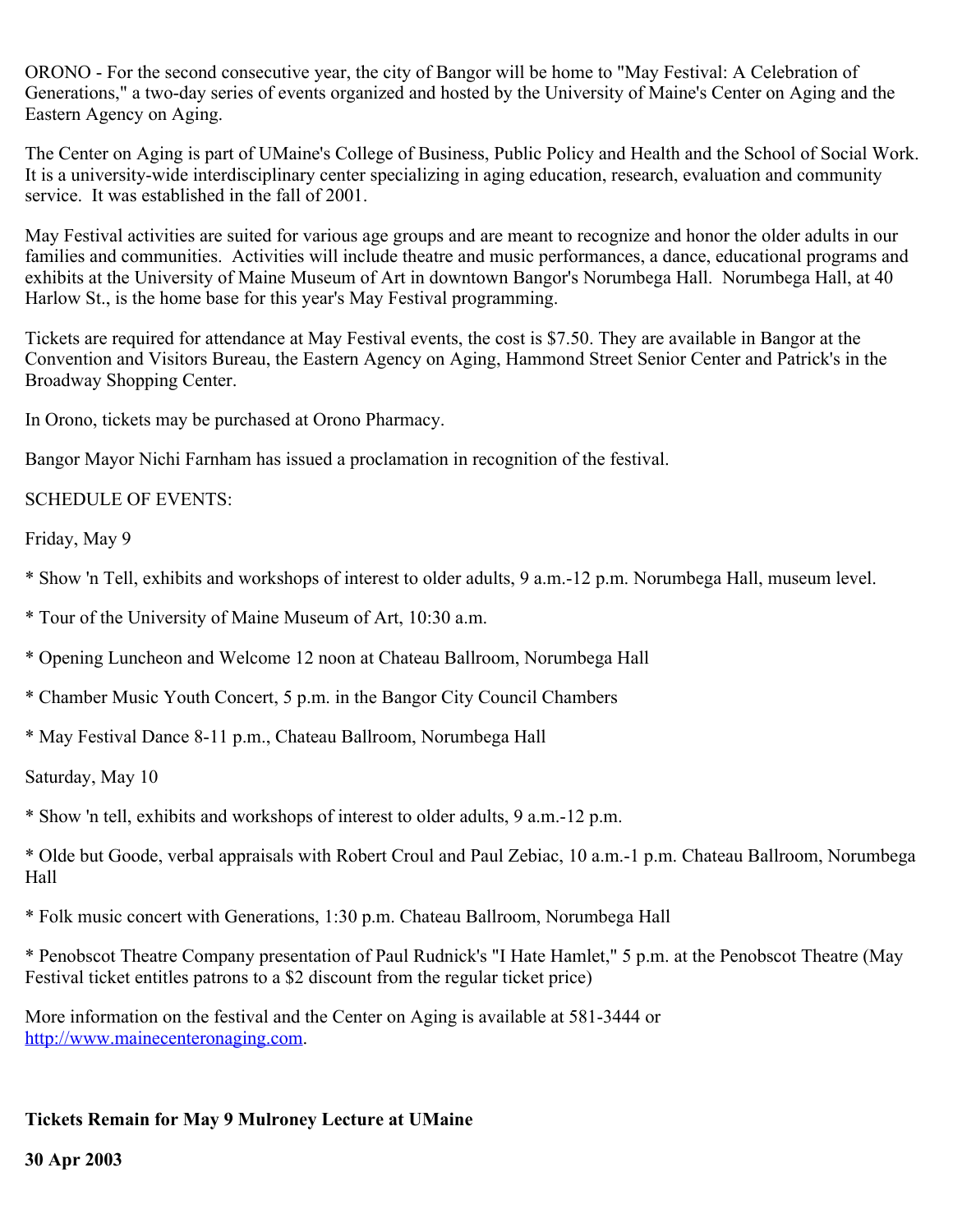ORONO - For the second consecutive year, the city of Bangor will be home to "May Festival: A Celebration of Generations," a two-day series of events organized and hosted by the University of Maine's Center on Aging and the Eastern Agency on Aging.

The Center on Aging is part of UMaine's College of Business, Public Policy and Health and the School of Social Work. It is a university-wide interdisciplinary center specializing in aging education, research, evaluation and community service. It was established in the fall of 2001.

May Festival activities are suited for various age groups and are meant to recognize and honor the older adults in our families and communities. Activities will include theatre and music performances, a dance, educational programs and exhibits at the University of Maine Museum of Art in downtown Bangor's Norumbega Hall. Norumbega Hall, at 40 Harlow St., is the home base for this year's May Festival programming.

Tickets are required for attendance at May Festival events, the cost is \$7.50. They are available in Bangor at the Convention and Visitors Bureau, the Eastern Agency on Aging, Hammond Street Senior Center and Patrick's in the Broadway Shopping Center.

In Orono, tickets may be purchased at Orono Pharmacy.

Bangor Mayor Nichi Farnham has issued a proclamation in recognition of the festival.

### SCHEDULE OF EVENTS:

Friday, May 9

- \* Show 'n Tell, exhibits and workshops of interest to older adults, 9 a.m.-12 p.m. Norumbega Hall, museum level.
- \* Tour of the University of Maine Museum of Art, 10:30 a.m.
- \* Opening Luncheon and Welcome 12 noon at Chateau Ballroom, Norumbega Hall
- \* Chamber Music Youth Concert, 5 p.m. in the Bangor City Council Chambers
- \* May Festival Dance 8-11 p.m., Chateau Ballroom, Norumbega Hall

Saturday, May 10

\* Show 'n tell, exhibits and workshops of interest to older adults, 9 a.m.-12 p.m.

\* Olde but Goode, verbal appraisals with Robert Croul and Paul Zebiac, 10 a.m.-1 p.m. Chateau Ballroom, Norumbega Hall

\* Folk music concert with Generations, 1:30 p.m. Chateau Ballroom, Norumbega Hall

\* Penobscot Theatre Company presentation of Paul Rudnick's "I Hate Hamlet," 5 p.m. at the Penobscot Theatre (May Festival ticket entitles patrons to a \$2 discount from the regular ticket price)

More information on the festival and the Center on Aging is available at 581-3444 or [http://www.mainecenteronaging.com.](http://www.mainecenteronaging.com/)

# **Tickets Remain for May 9 Mulroney Lecture at UMaine**

**30 Apr 2003**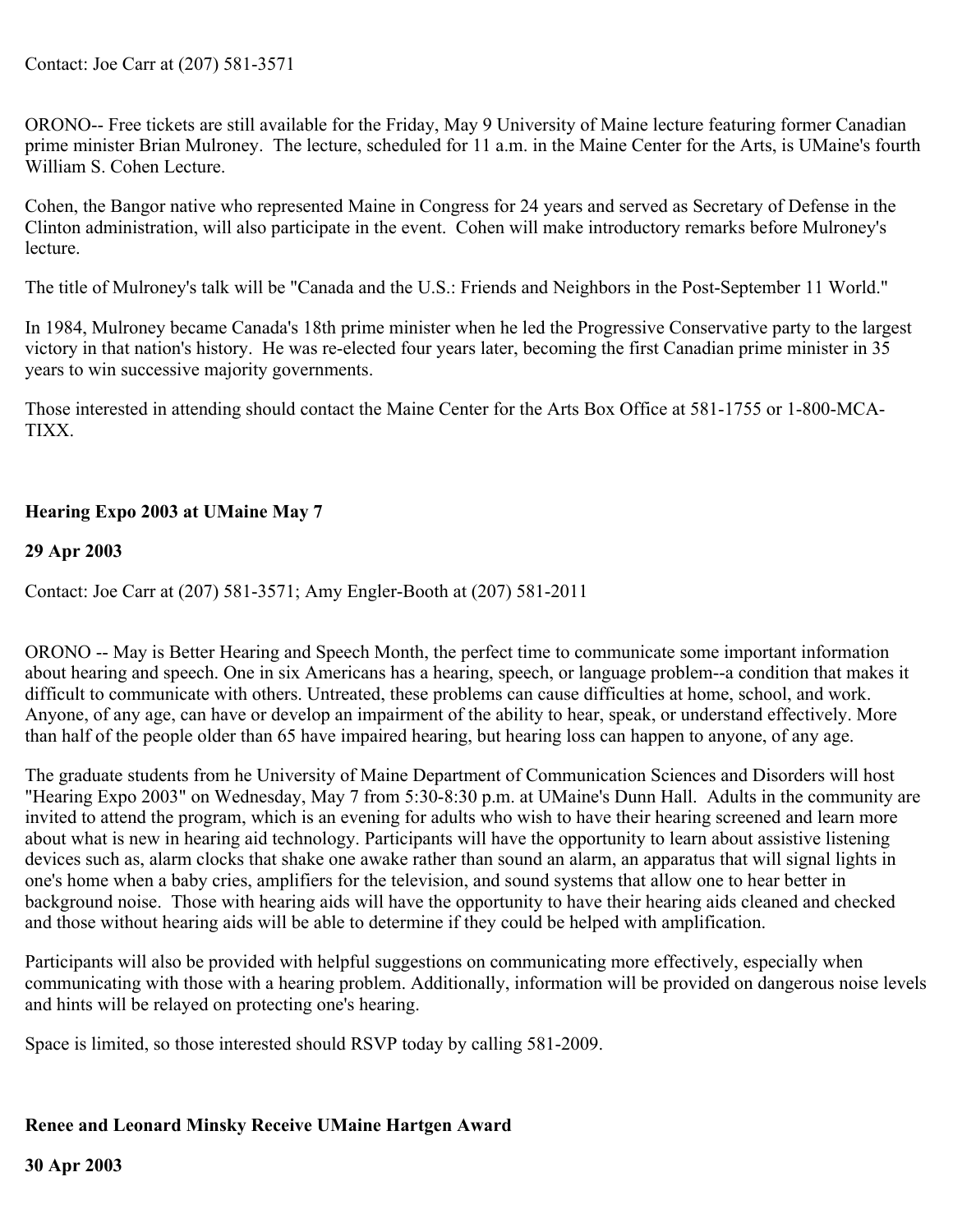ORONO-- Free tickets are still available for the Friday, May 9 University of Maine lecture featuring former Canadian prime minister Brian Mulroney. The lecture, scheduled for 11 a.m. in the Maine Center for the Arts, is UMaine's fourth William S. Cohen Lecture.

Cohen, the Bangor native who represented Maine in Congress for 24 years and served as Secretary of Defense in the Clinton administration, will also participate in the event. Cohen will make introductory remarks before Mulroney's lecture.

The title of Mulroney's talk will be "Canada and the U.S.: Friends and Neighbors in the Post-September 11 World."

In 1984, Mulroney became Canada's 18th prime minister when he led the Progressive Conservative party to the largest victory in that nation's history. He was re-elected four years later, becoming the first Canadian prime minister in 35 years to win successive majority governments.

Those interested in attending should contact the Maine Center for the Arts Box Office at 581-1755 or 1-800-MCA-TIXX.

# **Hearing Expo 2003 at UMaine May 7**

### **29 Apr 2003**

Contact: Joe Carr at (207) 581-3571; Amy Engler-Booth at (207) 581-2011

ORONO -- May is Better Hearing and Speech Month, the perfect time to communicate some important information about hearing and speech. One in six Americans has a hearing, speech, or language problem--a condition that makes it difficult to communicate with others. Untreated, these problems can cause difficulties at home, school, and work. Anyone, of any age, can have or develop an impairment of the ability to hear, speak, or understand effectively. More than half of the people older than 65 have impaired hearing, but hearing loss can happen to anyone, of any age.

The graduate students from he University of Maine Department of Communication Sciences and Disorders will host "Hearing Expo 2003" on Wednesday, May 7 from 5:30-8:30 p.m. at UMaine's Dunn Hall. Adults in the community are invited to attend the program, which is an evening for adults who wish to have their hearing screened and learn more about what is new in hearing aid technology. Participants will have the opportunity to learn about assistive listening devices such as, alarm clocks that shake one awake rather than sound an alarm, an apparatus that will signal lights in one's home when a baby cries, amplifiers for the television, and sound systems that allow one to hear better in background noise. Those with hearing aids will have the opportunity to have their hearing aids cleaned and checked and those without hearing aids will be able to determine if they could be helped with amplification.

Participants will also be provided with helpful suggestions on communicating more effectively, especially when communicating with those with a hearing problem. Additionally, information will be provided on dangerous noise levels and hints will be relayed on protecting one's hearing.

Space is limited, so those interested should RSVP today by calling 581-2009.

### **Renee and Leonard Minsky Receive UMaine Hartgen Award**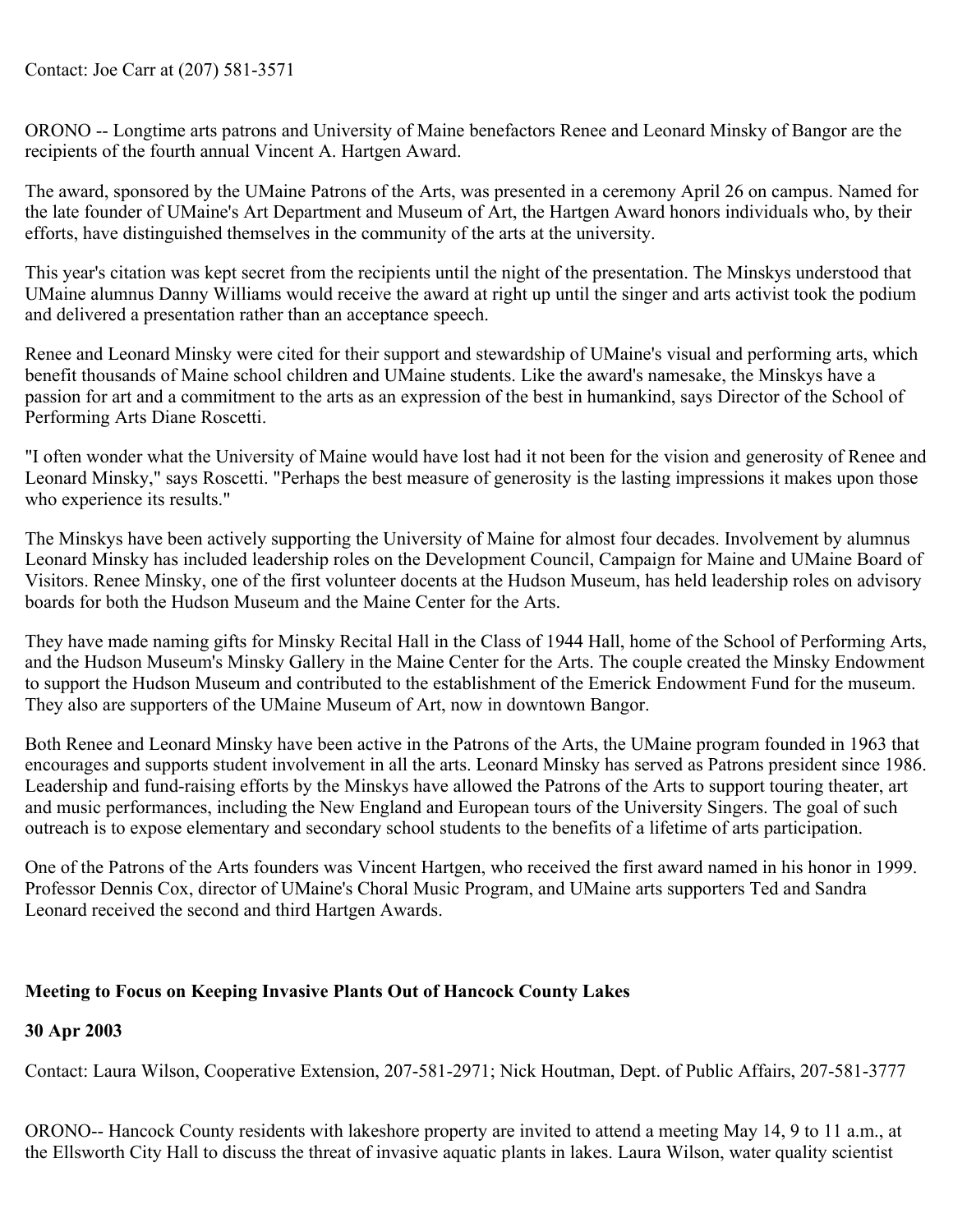ORONO -- Longtime arts patrons and University of Maine benefactors Renee and Leonard Minsky of Bangor are the recipients of the fourth annual Vincent A. Hartgen Award.

The award, sponsored by the UMaine Patrons of the Arts, was presented in a ceremony April 26 on campus. Named for the late founder of UMaine's Art Department and Museum of Art, the Hartgen Award honors individuals who, by their efforts, have distinguished themselves in the community of the arts at the university.

This year's citation was kept secret from the recipients until the night of the presentation. The Minskys understood that UMaine alumnus Danny Williams would receive the award at right up until the singer and arts activist took the podium and delivered a presentation rather than an acceptance speech.

Renee and Leonard Minsky were cited for their support and stewardship of UMaine's visual and performing arts, which benefit thousands of Maine school children and UMaine students. Like the award's namesake, the Minskys have a passion for art and a commitment to the arts as an expression of the best in humankind, says Director of the School of Performing Arts Diane Roscetti.

"I often wonder what the University of Maine would have lost had it not been for the vision and generosity of Renee and Leonard Minsky," says Roscetti. "Perhaps the best measure of generosity is the lasting impressions it makes upon those who experience its results."

The Minskys have been actively supporting the University of Maine for almost four decades. Involvement by alumnus Leonard Minsky has included leadership roles on the Development Council, Campaign for Maine and UMaine Board of Visitors. Renee Minsky, one of the first volunteer docents at the Hudson Museum, has held leadership roles on advisory boards for both the Hudson Museum and the Maine Center for the Arts.

They have made naming gifts for Minsky Recital Hall in the Class of 1944 Hall, home of the School of Performing Arts, and the Hudson Museum's Minsky Gallery in the Maine Center for the Arts. The couple created the Minsky Endowment to support the Hudson Museum and contributed to the establishment of the Emerick Endowment Fund for the museum. They also are supporters of the UMaine Museum of Art, now in downtown Bangor.

Both Renee and Leonard Minsky have been active in the Patrons of the Arts, the UMaine program founded in 1963 that encourages and supports student involvement in all the arts. Leonard Minsky has served as Patrons president since 1986. Leadership and fund-raising efforts by the Minskys have allowed the Patrons of the Arts to support touring theater, art and music performances, including the New England and European tours of the University Singers. The goal of such outreach is to expose elementary and secondary school students to the benefits of a lifetime of arts participation.

One of the Patrons of the Arts founders was Vincent Hartgen, who received the first award named in his honor in 1999. Professor Dennis Cox, director of UMaine's Choral Music Program, and UMaine arts supporters Ted and Sandra Leonard received the second and third Hartgen Awards.

### **Meeting to Focus on Keeping Invasive Plants Out of Hancock County Lakes**

### **30 Apr 2003**

Contact: Laura Wilson, Cooperative Extension, 207-581-2971; Nick Houtman, Dept. of Public Affairs, 207-581-3777

ORONO-- Hancock County residents with lakeshore property are invited to attend a meeting May 14, 9 to 11 a.m., at the Ellsworth City Hall to discuss the threat of invasive aquatic plants in lakes. Laura Wilson, water quality scientist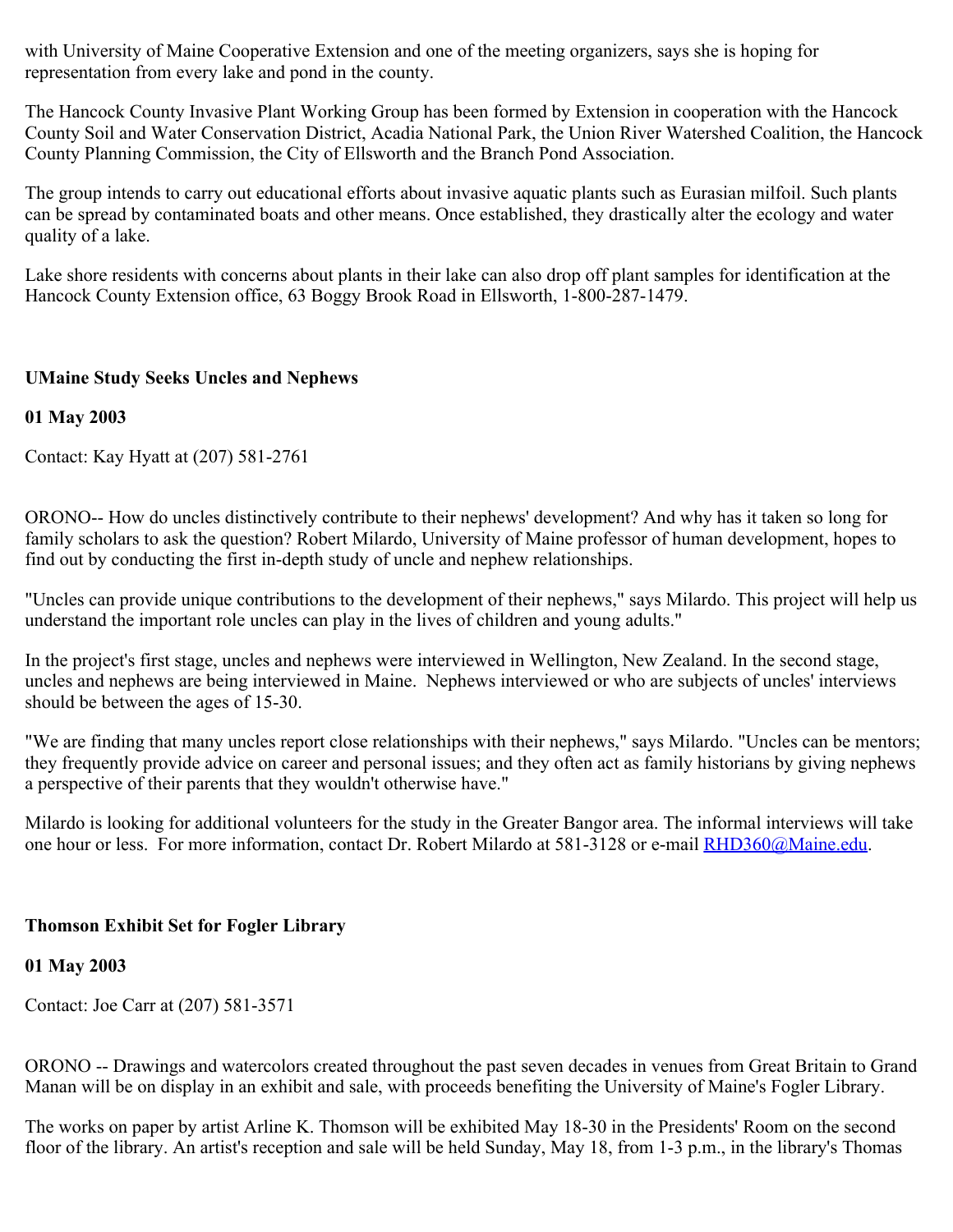with University of Maine Cooperative Extension and one of the meeting organizers, says she is hoping for representation from every lake and pond in the county.

The Hancock County Invasive Plant Working Group has been formed by Extension in cooperation with the Hancock County Soil and Water Conservation District, Acadia National Park, the Union River Watershed Coalition, the Hancock County Planning Commission, the City of Ellsworth and the Branch Pond Association.

The group intends to carry out educational efforts about invasive aquatic plants such as Eurasian milfoil. Such plants can be spread by contaminated boats and other means. Once established, they drastically alter the ecology and water quality of a lake.

Lake shore residents with concerns about plants in their lake can also drop off plant samples for identification at the Hancock County Extension office, 63 Boggy Brook Road in Ellsworth, 1-800-287-1479.

# **UMaine Study Seeks Uncles and Nephews**

# **01 May 2003**

Contact: Kay Hyatt at (207) 581-2761

ORONO-- How do uncles distinctively contribute to their nephews' development? And why has it taken so long for family scholars to ask the question? Robert Milardo, University of Maine professor of human development, hopes to find out by conducting the first in-depth study of uncle and nephew relationships.

"Uncles can provide unique contributions to the development of their nephews," says Milardo. This project will help us understand the important role uncles can play in the lives of children and young adults."

In the project's first stage, uncles and nephews were interviewed in Wellington, New Zealand. In the second stage, uncles and nephews are being interviewed in Maine. Nephews interviewed or who are subjects of uncles' interviews should be between the ages of 15-30.

"We are finding that many uncles report close relationships with their nephews," says Milardo. "Uncles can be mentors; they frequently provide advice on career and personal issues; and they often act as family historians by giving nephews a perspective of their parents that they wouldn't otherwise have."

Milardo is looking for additional volunteers for the study in the Greater Bangor area. The informal interviews will take one hour or less. For more information, contact Dr. Robert Milardo at 581-3128 or e-mail [RHD360@Maine.edu](mailto:RHD360@Maine.edu).

### **Thomson Exhibit Set for Fogler Library**

### **01 May 2003**

Contact: Joe Carr at (207) 581-3571

ORONO -- Drawings and watercolors created throughout the past seven decades in venues from Great Britain to Grand Manan will be on display in an exhibit and sale, with proceeds benefiting the University of Maine's Fogler Library.

The works on paper by artist Arline K. Thomson will be exhibited May 18-30 in the Presidents' Room on the second floor of the library. An artist's reception and sale will be held Sunday, May 18, from 1-3 p.m., in the library's Thomas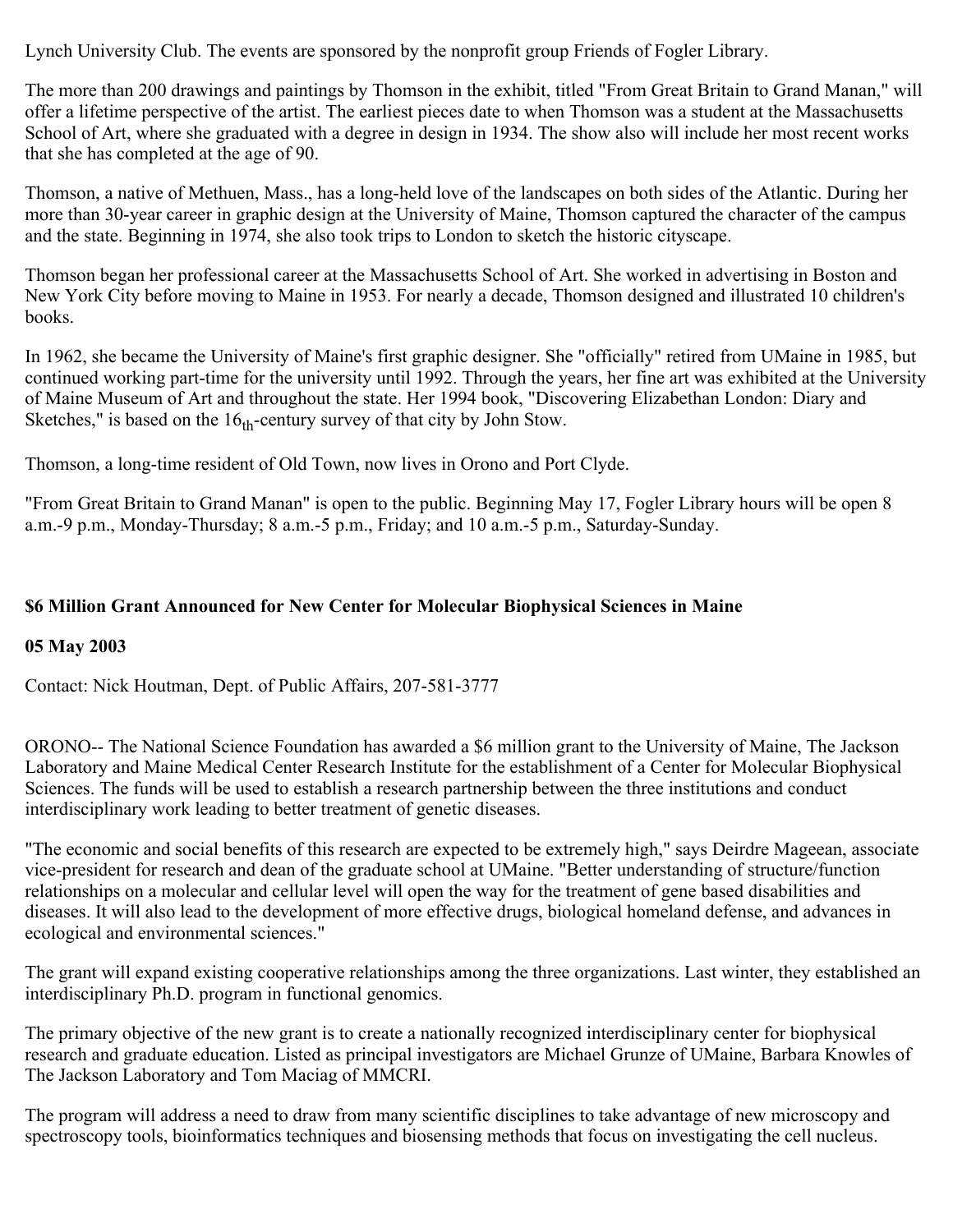Lynch University Club. The events are sponsored by the nonprofit group Friends of Fogler Library.

The more than 200 drawings and paintings by Thomson in the exhibit, titled "From Great Britain to Grand Manan," will offer a lifetime perspective of the artist. The earliest pieces date to when Thomson was a student at the Massachusetts School of Art, where she graduated with a degree in design in 1934. The show also will include her most recent works that she has completed at the age of 90.

Thomson, a native of Methuen, Mass., has a long-held love of the landscapes on both sides of the Atlantic. During her more than 30-year career in graphic design at the University of Maine, Thomson captured the character of the campus and the state. Beginning in 1974, she also took trips to London to sketch the historic cityscape.

Thomson began her professional career at the Massachusetts School of Art. She worked in advertising in Boston and New York City before moving to Maine in 1953. For nearly a decade, Thomson designed and illustrated 10 children's books.

In 1962, she became the University of Maine's first graphic designer. She "officially" retired from UMaine in 1985, but continued working part-time for the university until 1992. Through the years, her fine art was exhibited at the University of Maine Museum of Art and throughout the state. Her 1994 book, "Discovering Elizabethan London: Diary and Sketches," is based on the  $16<sub>th</sub>$ -century survey of that city by John Stow.

Thomson, a long-time resident of Old Town, now lives in Orono and Port Clyde.

"From Great Britain to Grand Manan" is open to the public. Beginning May 17, Fogler Library hours will be open 8 a.m.-9 p.m., Monday-Thursday; 8 a.m.-5 p.m., Friday; and 10 a.m.-5 p.m., Saturday-Sunday.

### **\$6 Million Grant Announced for New Center for Molecular Biophysical Sciences in Maine**

### **05 May 2003**

Contact: Nick Houtman, Dept. of Public Affairs, 207-581-3777

ORONO-- The National Science Foundation has awarded a \$6 million grant to the University of Maine, The Jackson Laboratory and Maine Medical Center Research Institute for the establishment of a Center for Molecular Biophysical Sciences. The funds will be used to establish a research partnership between the three institutions and conduct interdisciplinary work leading to better treatment of genetic diseases.

"The economic and social benefits of this research are expected to be extremely high," says Deirdre Mageean, associate vice-president for research and dean of the graduate school at UMaine. "Better understanding of structure/function relationships on a molecular and cellular level will open the way for the treatment of gene based disabilities and diseases. It will also lead to the development of more effective drugs, biological homeland defense, and advances in ecological and environmental sciences."

The grant will expand existing cooperative relationships among the three organizations. Last winter, they established an interdisciplinary Ph.D. program in functional genomics.

The primary objective of the new grant is to create a nationally recognized interdisciplinary center for biophysical research and graduate education. Listed as principal investigators are Michael Grunze of UMaine, Barbara Knowles of The Jackson Laboratory and Tom Maciag of MMCRI.

The program will address a need to draw from many scientific disciplines to take advantage of new microscopy and spectroscopy tools, bioinformatics techniques and biosensing methods that focus on investigating the cell nucleus.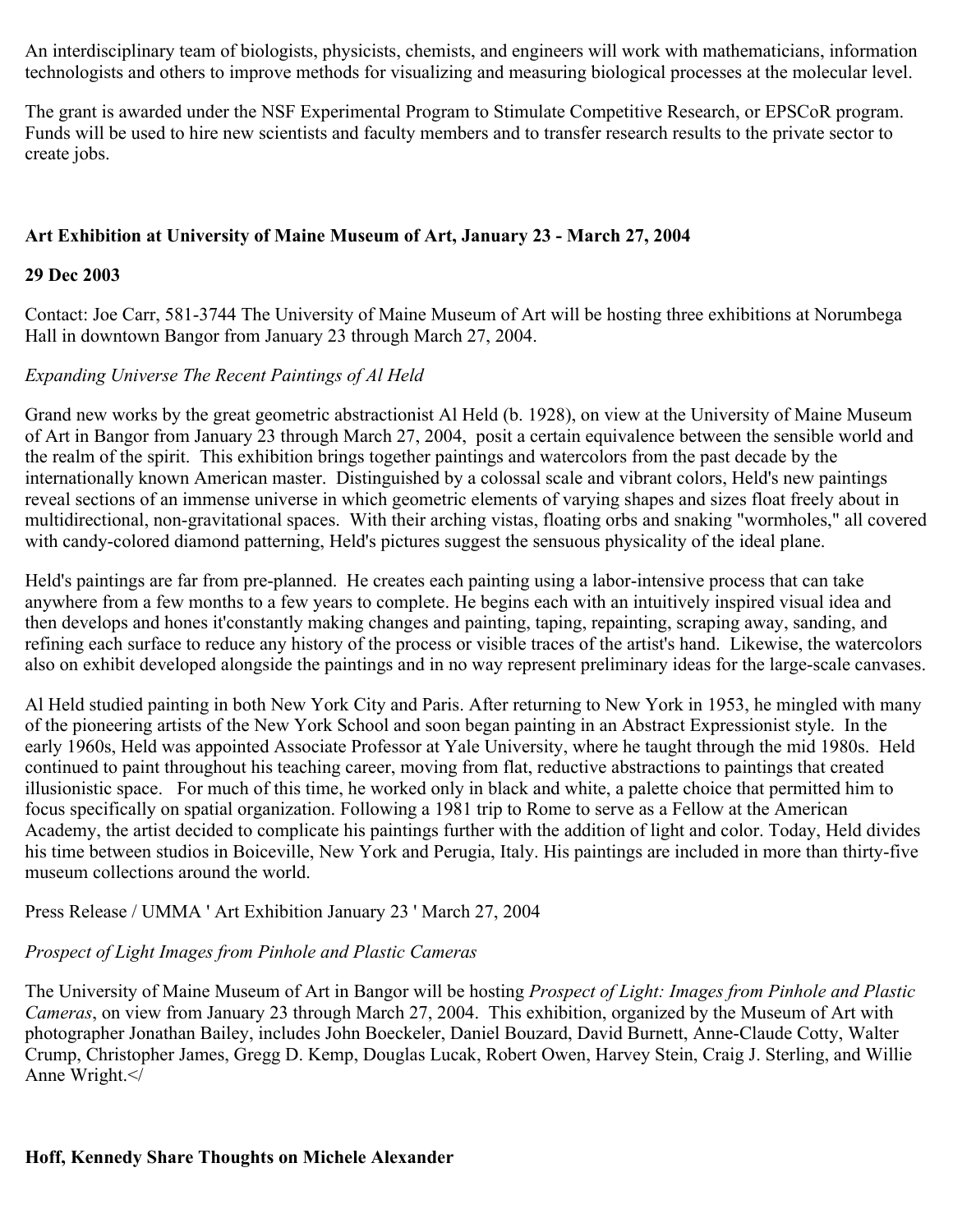An interdisciplinary team of biologists, physicists, chemists, and engineers will work with mathematicians, information technologists and others to improve methods for visualizing and measuring biological processes at the molecular level.

The grant is awarded under the NSF Experimental Program to Stimulate Competitive Research, or EPSCoR program. Funds will be used to hire new scientists and faculty members and to transfer research results to the private sector to create jobs.

### **Art Exhibition at University of Maine Museum of Art, January 23 - March 27, 2004**

#### **29 Dec 2003**

Contact: Joe Carr, 581-3744 The University of Maine Museum of Art will be hosting three exhibitions at Norumbega Hall in downtown Bangor from January 23 through March 27, 2004.

#### *Expanding Universe The Recent Paintings of Al Held*

Grand new works by the great geometric abstractionist Al Held (b. 1928), on view at the University of Maine Museum of Art in Bangor from January 23 through March 27, 2004, posit a certain equivalence between the sensible world and the realm of the spirit. This exhibition brings together paintings and watercolors from the past decade by the internationally known American master. Distinguished by a colossal scale and vibrant colors, Held's new paintings reveal sections of an immense universe in which geometric elements of varying shapes and sizes float freely about in multidirectional, non-gravitational spaces. With their arching vistas, floating orbs and snaking "wormholes," all covered with candy-colored diamond patterning, Held's pictures suggest the sensuous physicality of the ideal plane.

Held's paintings are far from pre-planned. He creates each painting using a labor-intensive process that can take anywhere from a few months to a few years to complete. He begins each with an intuitively inspired visual idea and then develops and hones it'constantly making changes and painting, taping, repainting, scraping away, sanding, and refining each surface to reduce any history of the process or visible traces of the artist's hand. Likewise, the watercolors also on exhibit developed alongside the paintings and in no way represent preliminary ideas for the large-scale canvases.

Al Held studied painting in both New York City and Paris. After returning to New York in 1953, he mingled with many of the pioneering artists of the New York School and soon began painting in an Abstract Expressionist style. In the early 1960s, Held was appointed Associate Professor at Yale University, where he taught through the mid 1980s. Held continued to paint throughout his teaching career, moving from flat, reductive abstractions to paintings that created illusionistic space. For much of this time, he worked only in black and white, a palette choice that permitted him to focus specifically on spatial organization. Following a 1981 trip to Rome to serve as a Fellow at the American Academy, the artist decided to complicate his paintings further with the addition of light and color. Today, Held divides his time between studios in Boiceville, New York and Perugia, Italy. His paintings are included in more than thirty-five museum collections around the world.

Press Release / UMMA ' Art Exhibition January 23 ' March 27, 2004

### *Prospect of Light Images from Pinhole and Plastic Cameras*

The University of Maine Museum of Art in Bangor will be hosting *Prospect of Light: Images from Pinhole and Plastic Cameras*, on view from January 23 through March 27, 2004. This exhibition, organized by the Museum of Art with photographer Jonathan Bailey, includes John Boeckeler, Daniel Bouzard, David Burnett, Anne-Claude Cotty, Walter Crump, Christopher James, Gregg D. Kemp, Douglas Lucak, Robert Owen, Harvey Stein, Craig J. Sterling, and Willie Anne Wright.</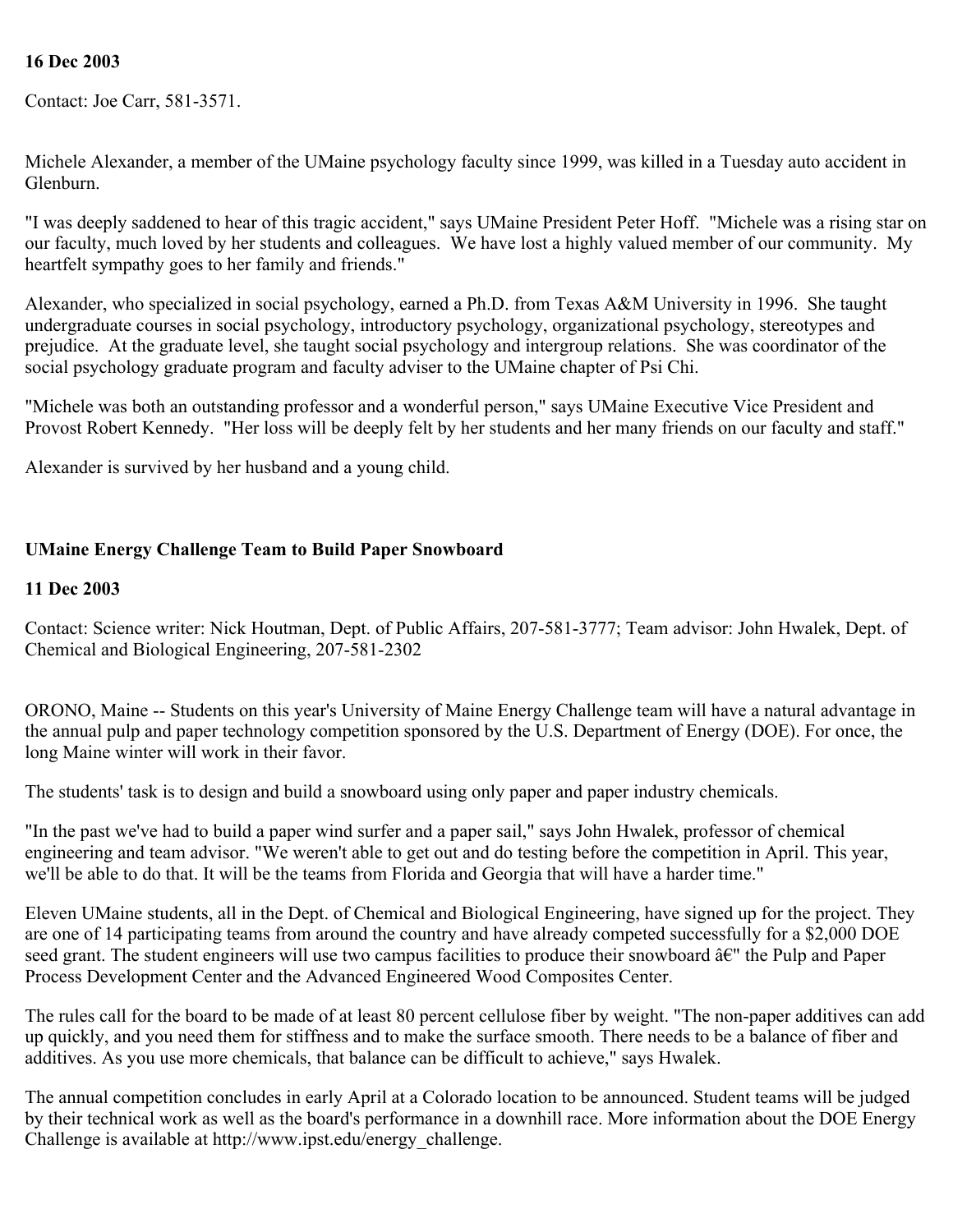#### **16 Dec 2003**

Contact: Joe Carr, 581-3571.

Michele Alexander, a member of the UMaine psychology faculty since 1999, was killed in a Tuesday auto accident in Glenburn.

"I was deeply saddened to hear of this tragic accident," says UMaine President Peter Hoff. "Michele was a rising star on our faculty, much loved by her students and colleagues. We have lost a highly valued member of our community. My heartfelt sympathy goes to her family and friends."

Alexander, who specialized in social psychology, earned a Ph.D. from Texas A&M University in 1996. She taught undergraduate courses in social psychology, introductory psychology, organizational psychology, stereotypes and prejudice. At the graduate level, she taught social psychology and intergroup relations. She was coordinator of the social psychology graduate program and faculty adviser to the UMaine chapter of Psi Chi.

"Michele was both an outstanding professor and a wonderful person," says UMaine Executive Vice President and Provost Robert Kennedy. "Her loss will be deeply felt by her students and her many friends on our faculty and staff."

Alexander is survived by her husband and a young child.

#### **UMaine Energy Challenge Team to Build Paper Snowboard**

#### **11 Dec 2003**

Contact: Science writer: Nick Houtman, Dept. of Public Affairs, 207-581-3777; Team advisor: John Hwalek, Dept. of Chemical and Biological Engineering, 207-581-2302

ORONO, Maine -- Students on this year's University of Maine Energy Challenge team will have a natural advantage in the annual pulp and paper technology competition sponsored by the U.S. Department of Energy (DOE). For once, the long Maine winter will work in their favor.

The students' task is to design and build a snowboard using only paper and paper industry chemicals.

"In the past we've had to build a paper wind surfer and a paper sail," says John Hwalek, professor of chemical engineering and team advisor. "We weren't able to get out and do testing before the competition in April. This year, we'll be able to do that. It will be the teams from Florida and Georgia that will have a harder time."

Eleven UMaine students, all in the Dept. of Chemical and Biological Engineering, have signed up for the project. They are one of 14 participating teams from around the country and have already competed successfully for a \$2,000 DOE seed grant. The student engineers will use two campus facilities to produce their snowboard â€" the Pulp and Paper Process Development Center and the Advanced Engineered Wood Composites Center.

The rules call for the board to be made of at least 80 percent cellulose fiber by weight. "The non-paper additives can add up quickly, and you need them for stiffness and to make the surface smooth. There needs to be a balance of fiber and additives. As you use more chemicals, that balance can be difficult to achieve," says Hwalek.

The annual competition concludes in early April at a Colorado location to be announced. Student teams will be judged by their technical work as well as the board's performance in a downhill race. More information about the DOE Energy Challenge is available at http://www.ipst.edu/energy\_challenge.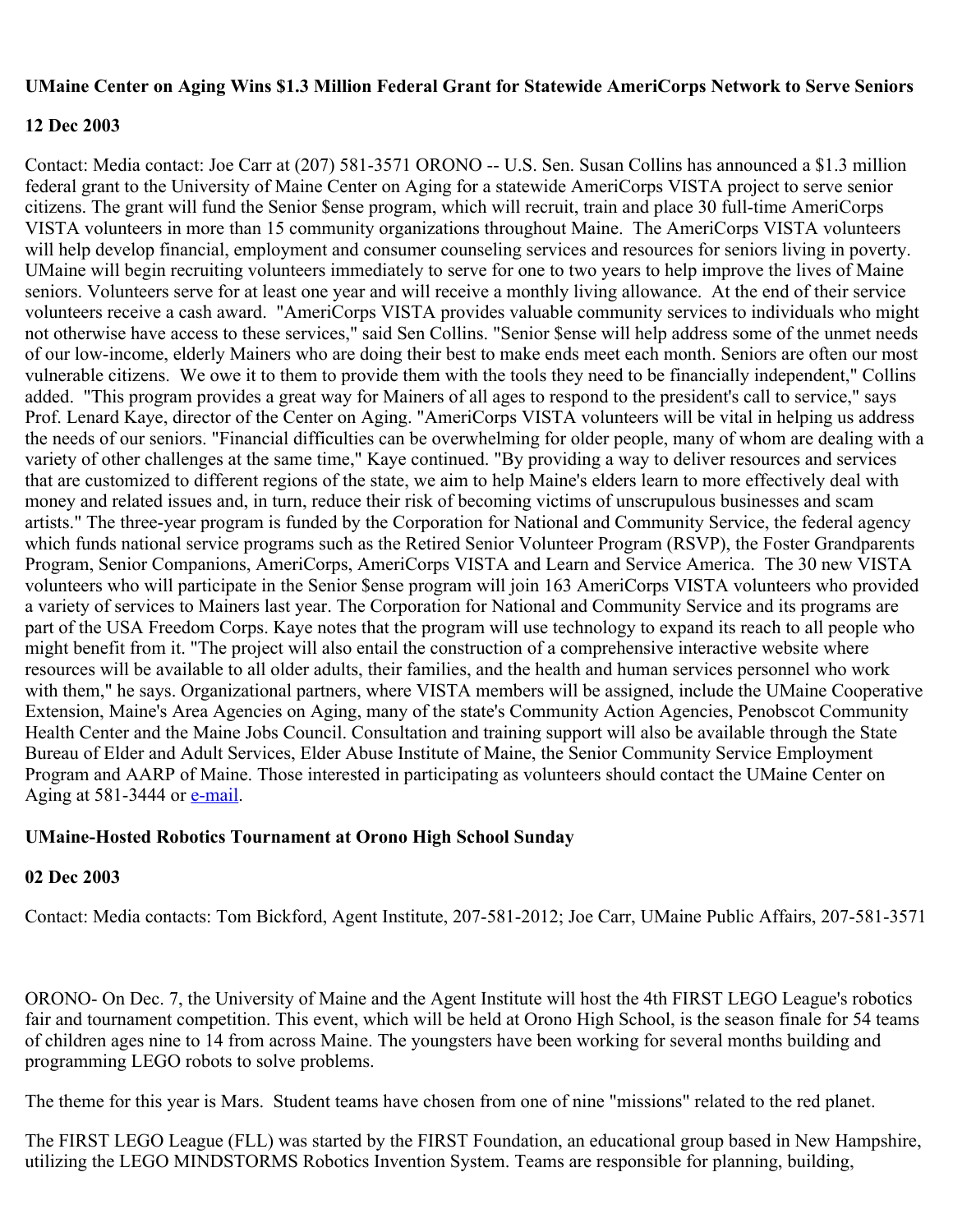#### **UMaine Center on Aging Wins \$1.3 Million Federal Grant for Statewide AmeriCorps Network to Serve Seniors**

#### **12 Dec 2003**

Contact: Media contact: Joe Carr at (207) 581-3571 ORONO -- U.S. Sen. Susan Collins has announced a \$1.3 million federal grant to the University of Maine Center on Aging for a statewide AmeriCorps VISTA project to serve senior citizens. The grant will fund the Senior \$ense program, which will recruit, train and place 30 full-time AmeriCorps VISTA volunteers in more than 15 community organizations throughout Maine. The AmeriCorps VISTA volunteers will help develop financial, employment and consumer counseling services and resources for seniors living in poverty. UMaine will begin recruiting volunteers immediately to serve for one to two years to help improve the lives of Maine seniors. Volunteers serve for at least one year and will receive a monthly living allowance. At the end of their service volunteers receive a cash award. "AmeriCorps VISTA provides valuable community services to individuals who might not otherwise have access to these services," said Sen Collins. "Senior \$ense will help address some of the unmet needs of our low-income, elderly Mainers who are doing their best to make ends meet each month. Seniors are often our most vulnerable citizens. We owe it to them to provide them with the tools they need to be financially independent," Collins added. "This program provides a great way for Mainers of all ages to respond to the president's call to service," says Prof. Lenard Kaye, director of the Center on Aging. "AmeriCorps VISTA volunteers will be vital in helping us address the needs of our seniors. "Financial difficulties can be overwhelming for older people, many of whom are dealing with a variety of other challenges at the same time," Kaye continued. "By providing a way to deliver resources and services that are customized to different regions of the state, we aim to help Maine's elders learn to more effectively deal with money and related issues and, in turn, reduce their risk of becoming victims of unscrupulous businesses and scam artists." The three-year program is funded by the Corporation for National and Community Service, the federal agency which funds national service programs such as the Retired Senior Volunteer Program (RSVP), the Foster Grandparents Program, Senior Companions, AmeriCorps, AmeriCorps VISTA and Learn and Service America. The 30 new VISTA volunteers who will participate in the Senior \$ense program will join 163 AmeriCorps VISTA volunteers who provided a variety of services to Mainers last year. The Corporation for National and Community Service and its programs are part of the USA Freedom Corps. Kaye notes that the program will use technology to expand its reach to all people who might benefit from it. "The project will also entail the construction of a comprehensive interactive website where resources will be available to all older adults, their families, and the health and human services personnel who work with them," he says. Organizational partners, where VISTA members will be assigned, include the UMaine Cooperative Extension, Maine's Area Agencies on Aging, many of the state's Community Action Agencies, Penobscot Community Health Center and the Maine Jobs Council. Consultation and training support will also be available through the State Bureau of Elder and Adult Services, Elder Abuse Institute of Maine, the Senior Community Service Employment Program and AARP of Maine. Those interested in participating as volunteers should contact the UMaine Center on Aging at 581-3444 or **[e-mail](mailto:vista@mainecenteronaging.org)**.

### **UMaine-Hosted Robotics Tournament at Orono High School Sunday**

#### **02 Dec 2003**

Contact: Media contacts: Tom Bickford, Agent Institute, 207-581-2012; Joe Carr, UMaine Public Affairs, 207-581-3571

ORONO- On Dec. 7, the University of Maine and the Agent Institute will host the 4th FIRST LEGO League's robotics fair and tournament competition. This event, which will be held at Orono High School, is the season finale for 54 teams of children ages nine to 14 from across Maine. The youngsters have been working for several months building and programming LEGO robots to solve problems.

The theme for this year is Mars. Student teams have chosen from one of nine "missions" related to the red planet.

The FIRST LEGO League (FLL) was started by the FIRST Foundation, an educational group based in New Hampshire, utilizing the LEGO MINDSTORMS Robotics Invention System. Teams are responsible for planning, building,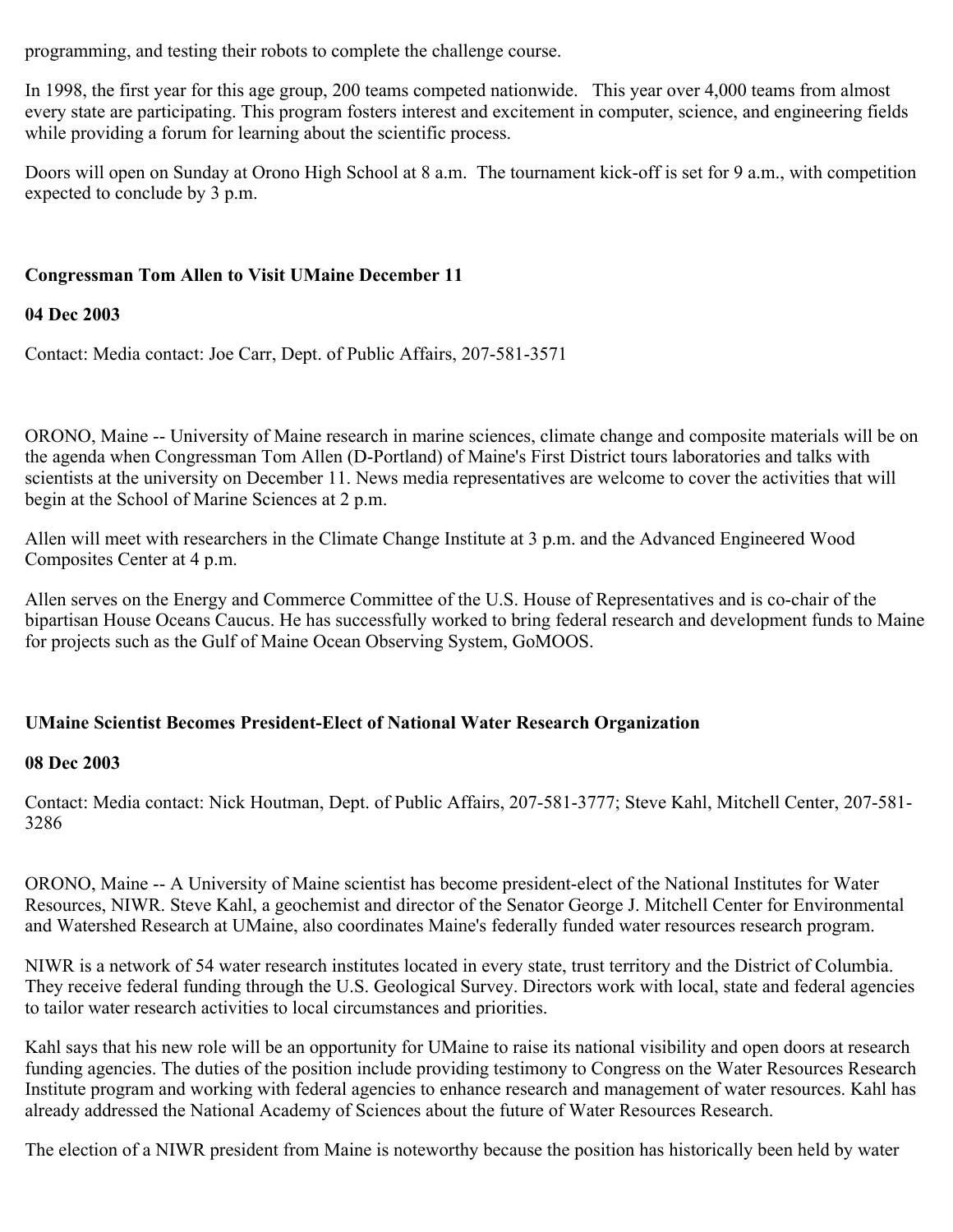programming, and testing their robots to complete the challenge course.

In 1998, the first year for this age group, 200 teams competed nationwide. This year over 4,000 teams from almost every state are participating. This program fosters interest and excitement in computer, science, and engineering fields while providing a forum for learning about the scientific process.

Doors will open on Sunday at Orono High School at 8 a.m. The tournament kick-off is set for 9 a.m., with competition expected to conclude by 3 p.m.

### **Congressman Tom Allen to Visit UMaine December 11**

### **04 Dec 2003**

Contact: Media contact: Joe Carr, Dept. of Public Affairs, 207-581-3571

ORONO, Maine -- University of Maine research in marine sciences, climate change and composite materials will be on the agenda when Congressman Tom Allen (D-Portland) of Maine's First District tours laboratories and talks with scientists at the university on December 11. News media representatives are welcome to cover the activities that will begin at the School of Marine Sciences at 2 p.m.

Allen will meet with researchers in the Climate Change Institute at 3 p.m. and the Advanced Engineered Wood Composites Center at 4 p.m.

Allen serves on the Energy and Commerce Committee of the U.S. House of Representatives and is co-chair of the bipartisan House Oceans Caucus. He has successfully worked to bring federal research and development funds to Maine for projects such as the Gulf of Maine Ocean Observing System, GoMOOS.

### **UMaine Scientist Becomes President-Elect of National Water Research Organization**

### **08 Dec 2003**

Contact: Media contact: Nick Houtman, Dept. of Public Affairs, 207-581-3777; Steve Kahl, Mitchell Center, 207-581- 3286

ORONO, Maine -- A University of Maine scientist has become president-elect of the National Institutes for Water Resources, NIWR. Steve Kahl, a geochemist and director of the Senator George J. Mitchell Center for Environmental and Watershed Research at UMaine, also coordinates Maine's federally funded water resources research program.

NIWR is a network of 54 water research institutes located in every state, trust territory and the District of Columbia. They receive federal funding through the U.S. Geological Survey. Directors work with local, state and federal agencies to tailor water research activities to local circumstances and priorities.

Kahl says that his new role will be an opportunity for UMaine to raise its national visibility and open doors at research funding agencies. The duties of the position include providing testimony to Congress on the Water Resources Research Institute program and working with federal agencies to enhance research and management of water resources. Kahl has already addressed the National Academy of Sciences about the future of Water Resources Research.

The election of a NIWR president from Maine is noteworthy because the position has historically been held by water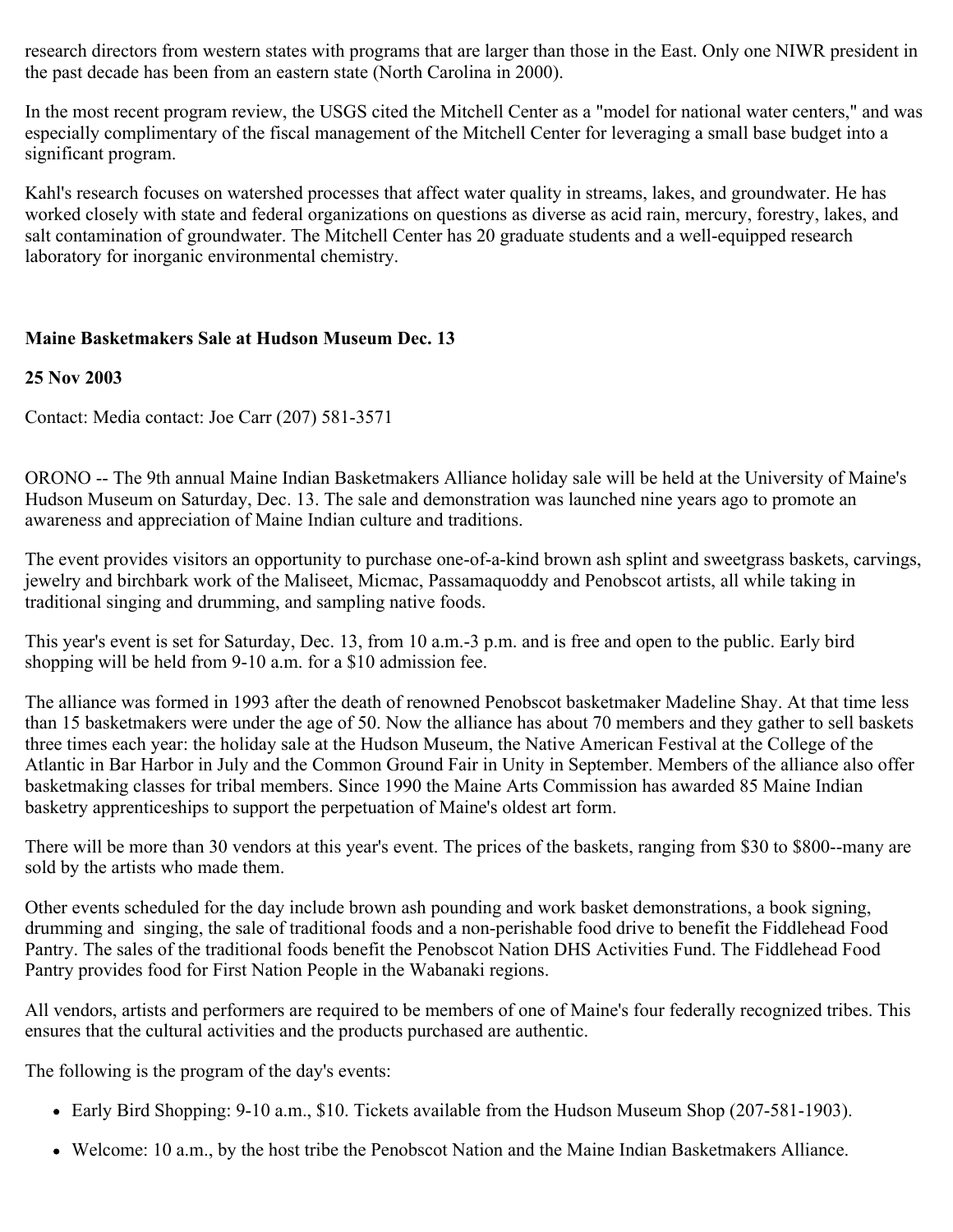research directors from western states with programs that are larger than those in the East. Only one NIWR president in the past decade has been from an eastern state (North Carolina in 2000).

In the most recent program review, the USGS cited the Mitchell Center as a "model for national water centers," and was especially complimentary of the fiscal management of the Mitchell Center for leveraging a small base budget into a significant program.

Kahl's research focuses on watershed processes that affect water quality in streams, lakes, and groundwater. He has worked closely with state and federal organizations on questions as diverse as acid rain, mercury, forestry, lakes, and salt contamination of groundwater. The Mitchell Center has 20 graduate students and a well-equipped research laboratory for inorganic environmental chemistry.

# **Maine Basketmakers Sale at Hudson Museum Dec. 13**

### **25 Nov 2003**

Contact: Media contact: Joe Carr (207) 581-3571

ORONO -- The 9th annual Maine Indian Basketmakers Alliance holiday sale will be held at the University of Maine's Hudson Museum on Saturday, Dec. 13. The sale and demonstration was launched nine years ago to promote an awareness and appreciation of Maine Indian culture and traditions.

The event provides visitors an opportunity to purchase one-of-a-kind brown ash splint and sweetgrass baskets, carvings, jewelry and birchbark work of the Maliseet, Micmac, Passamaquoddy and Penobscot artists, all while taking in traditional singing and drumming, and sampling native foods.

This year's event is set for Saturday, Dec. 13, from 10 a.m.-3 p.m. and is free and open to the public. Early bird shopping will be held from 9-10 a.m. for a \$10 admission fee.

The alliance was formed in 1993 after the death of renowned Penobscot basketmaker Madeline Shay. At that time less than 15 basketmakers were under the age of 50. Now the alliance has about 70 members and they gather to sell baskets three times each year: the holiday sale at the Hudson Museum, the Native American Festival at the College of the Atlantic in Bar Harbor in July and the Common Ground Fair in Unity in September. Members of the alliance also offer basketmaking classes for tribal members. Since 1990 the Maine Arts Commission has awarded 85 Maine Indian basketry apprenticeships to support the perpetuation of Maine's oldest art form.

There will be more than 30 vendors at this year's event. The prices of the baskets, ranging from \$30 to \$800--many are sold by the artists who made them.

Other events scheduled for the day include brown ash pounding and work basket demonstrations, a book signing, drumming and singing, the sale of traditional foods and a non-perishable food drive to benefit the Fiddlehead Food Pantry. The sales of the traditional foods benefit the Penobscot Nation DHS Activities Fund. The Fiddlehead Food Pantry provides food for First Nation People in the Wabanaki regions.

All vendors, artists and performers are required to be members of one of Maine's four federally recognized tribes. This ensures that the cultural activities and the products purchased are authentic.

The following is the program of the day's events:

- Early Bird Shopping: 9-10 a.m., \$10. Tickets available from the Hudson Museum Shop (207-581-1903).
- Welcome: 10 a.m., by the host tribe the Penobscot Nation and the Maine Indian Basketmakers Alliance.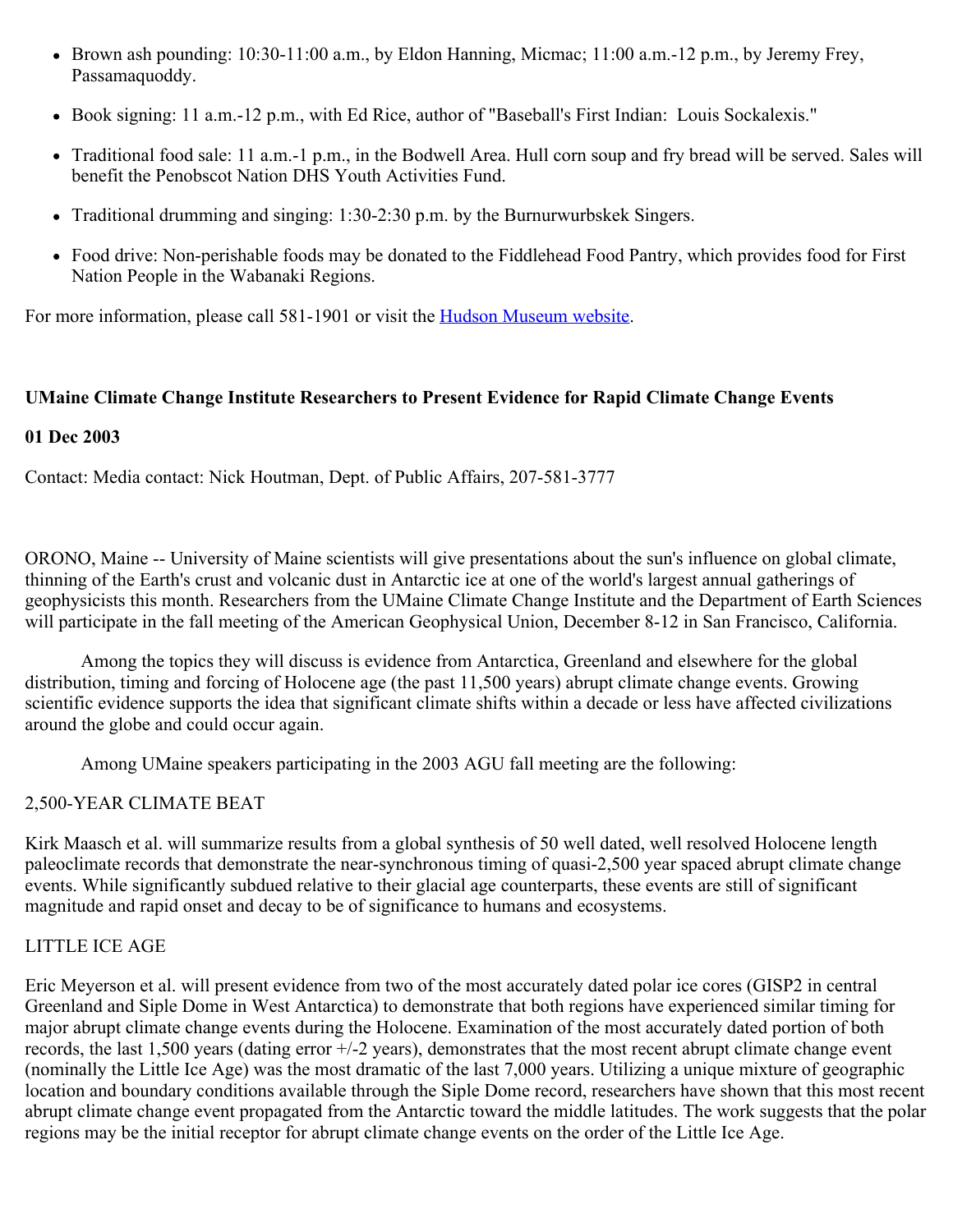- Brown ash pounding: 10:30-11:00 a.m., by Eldon Hanning, Micmac; 11:00 a.m.-12 p.m., by Jeremy Frey, Passamaquoddy.
- Book signing: 11 a.m.-12 p.m., with Ed Rice, author of "Baseball's First Indian: Louis Sockalexis."
- Traditional food sale: 11 a.m.-1 p.m., in the Bodwell Area. Hull corn soup and fry bread will be served. Sales will benefit the Penobscot Nation DHS Youth Activities Fund.
- Traditional drumming and singing: 1:30-2:30 p.m. by the Burnurwurbskek Singers.
- Food drive: Non-perishable foods may be donated to the Fiddlehead Food Pantry, which provides food for First Nation People in the Wabanaki Regions.

For more information, please call 581-1901 or visit the **Hudson Museum website**.

### **UMaine Climate Change Institute Researchers to Present Evidence for Rapid Climate Change Events**

#### **01 Dec 2003**

Contact: Media contact: Nick Houtman, Dept. of Public Affairs, 207-581-3777

ORONO, Maine -- University of Maine scientists will give presentations about the sun's influence on global climate, thinning of the Earth's crust and volcanic dust in Antarctic ice at one of the world's largest annual gatherings of geophysicists this month. Researchers from the UMaine Climate Change Institute and the Department of Earth Sciences will participate in the fall meeting of the American Geophysical Union, December 8-12 in San Francisco, California.

 Among the topics they will discuss is evidence from Antarctica, Greenland and elsewhere for the global distribution, timing and forcing of Holocene age (the past 11,500 years) abrupt climate change events. Growing scientific evidence supports the idea that significant climate shifts within a decade or less have affected civilizations around the globe and could occur again.

Among UMaine speakers participating in the 2003 AGU fall meeting are the following:

### 2,500-YEAR CLIMATE BEAT

Kirk Maasch et al. will summarize results from a global synthesis of 50 well dated, well resolved Holocene length paleoclimate records that demonstrate the near-synchronous timing of quasi-2,500 year spaced abrupt climate change events. While significantly subdued relative to their glacial age counterparts, these events are still of significant magnitude and rapid onset and decay to be of significance to humans and ecosystems.

### LITTLE ICE AGE

Eric Meyerson et al. will present evidence from two of the most accurately dated polar ice cores (GISP2 in central Greenland and Siple Dome in West Antarctica) to demonstrate that both regions have experienced similar timing for major abrupt climate change events during the Holocene. Examination of the most accurately dated portion of both records, the last 1,500 years (dating error +/-2 years), demonstrates that the most recent abrupt climate change event (nominally the Little Ice Age) was the most dramatic of the last 7,000 years. Utilizing a unique mixture of geographic location and boundary conditions available through the Siple Dome record, researchers have shown that this most recent abrupt climate change event propagated from the Antarctic toward the middle latitudes. The work suggests that the polar regions may be the initial receptor for abrupt climate change events on the order of the Little Ice Age.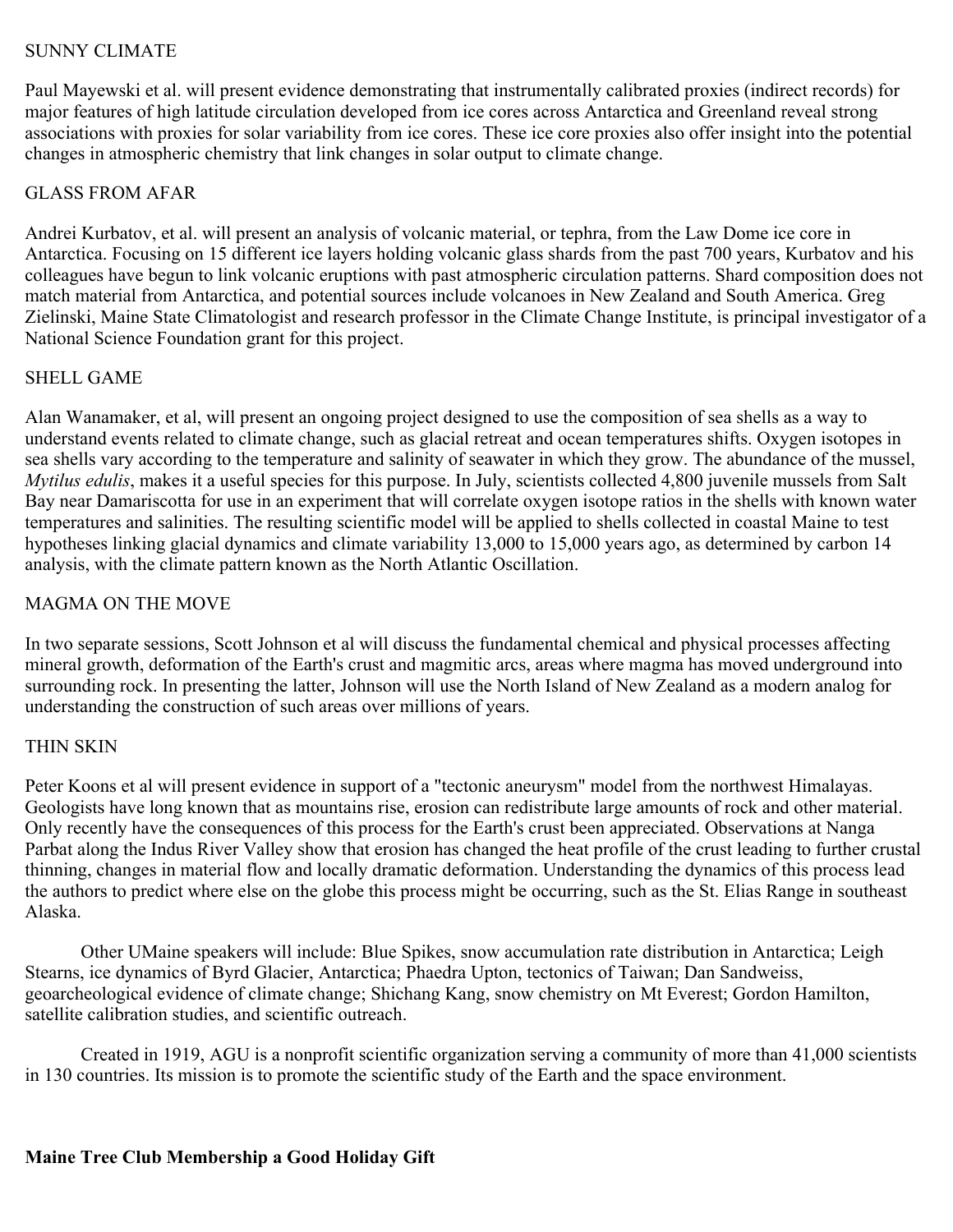# SUNNY CLIMATE

Paul Mayewski et al. will present evidence demonstrating that instrumentally calibrated proxies (indirect records) for major features of high latitude circulation developed from ice cores across Antarctica and Greenland reveal strong associations with proxies for solar variability from ice cores. These ice core proxies also offer insight into the potential changes in atmospheric chemistry that link changes in solar output to climate change.

## GLASS FROM AFAR

Andrei Kurbatov, et al. will present an analysis of volcanic material, or tephra, from the Law Dome ice core in Antarctica. Focusing on 15 different ice layers holding volcanic glass shards from the past 700 years, Kurbatov and his colleagues have begun to link volcanic eruptions with past atmospheric circulation patterns. Shard composition does not match material from Antarctica, and potential sources include volcanoes in New Zealand and South America. Greg Zielinski, Maine State Climatologist and research professor in the Climate Change Institute, is principal investigator of a National Science Foundation grant for this project.

## SHELL GAME

Alan Wanamaker, et al, will present an ongoing project designed to use the composition of sea shells as a way to understand events related to climate change, such as glacial retreat and ocean temperatures shifts. Oxygen isotopes in sea shells vary according to the temperature and salinity of seawater in which they grow. The abundance of the mussel, *Mytilus edulis*, makes it a useful species for this purpose. In July, scientists collected 4,800 juvenile mussels from Salt Bay near Damariscotta for use in an experiment that will correlate oxygen isotope ratios in the shells with known water temperatures and salinities. The resulting scientific model will be applied to shells collected in coastal Maine to test hypotheses linking glacial dynamics and climate variability 13,000 to 15,000 years ago, as determined by carbon 14 analysis, with the climate pattern known as the North Atlantic Oscillation.

# MAGMA ON THE MOVE

In two separate sessions, Scott Johnson et al will discuss the fundamental chemical and physical processes affecting mineral growth, deformation of the Earth's crust and magmitic arcs, areas where magma has moved underground into surrounding rock. In presenting the latter, Johnson will use the North Island of New Zealand as a modern analog for understanding the construction of such areas over millions of years.

# THIN SKIN

Peter Koons et al will present evidence in support of a "tectonic aneurysm" model from the northwest Himalayas. Geologists have long known that as mountains rise, erosion can redistribute large amounts of rock and other material. Only recently have the consequences of this process for the Earth's crust been appreciated. Observations at Nanga Parbat along the Indus River Valley show that erosion has changed the heat profile of the crust leading to further crustal thinning, changes in material flow and locally dramatic deformation. Understanding the dynamics of this process lead the authors to predict where else on the globe this process might be occurring, such as the St. Elias Range in southeast Alaska.

 Other UMaine speakers will include: Blue Spikes, snow accumulation rate distribution in Antarctica; Leigh Stearns, ice dynamics of Byrd Glacier, Antarctica; Phaedra Upton, tectonics of Taiwan; Dan Sandweiss, geoarcheological evidence of climate change; Shichang Kang, snow chemistry on Mt Everest; Gordon Hamilton, satellite calibration studies, and scientific outreach.

 Created in 1919, AGU is a nonprofit scientific organization serving a community of more than 41,000 scientists in 130 countries. Its mission is to promote the scientific study of the Earth and the space environment.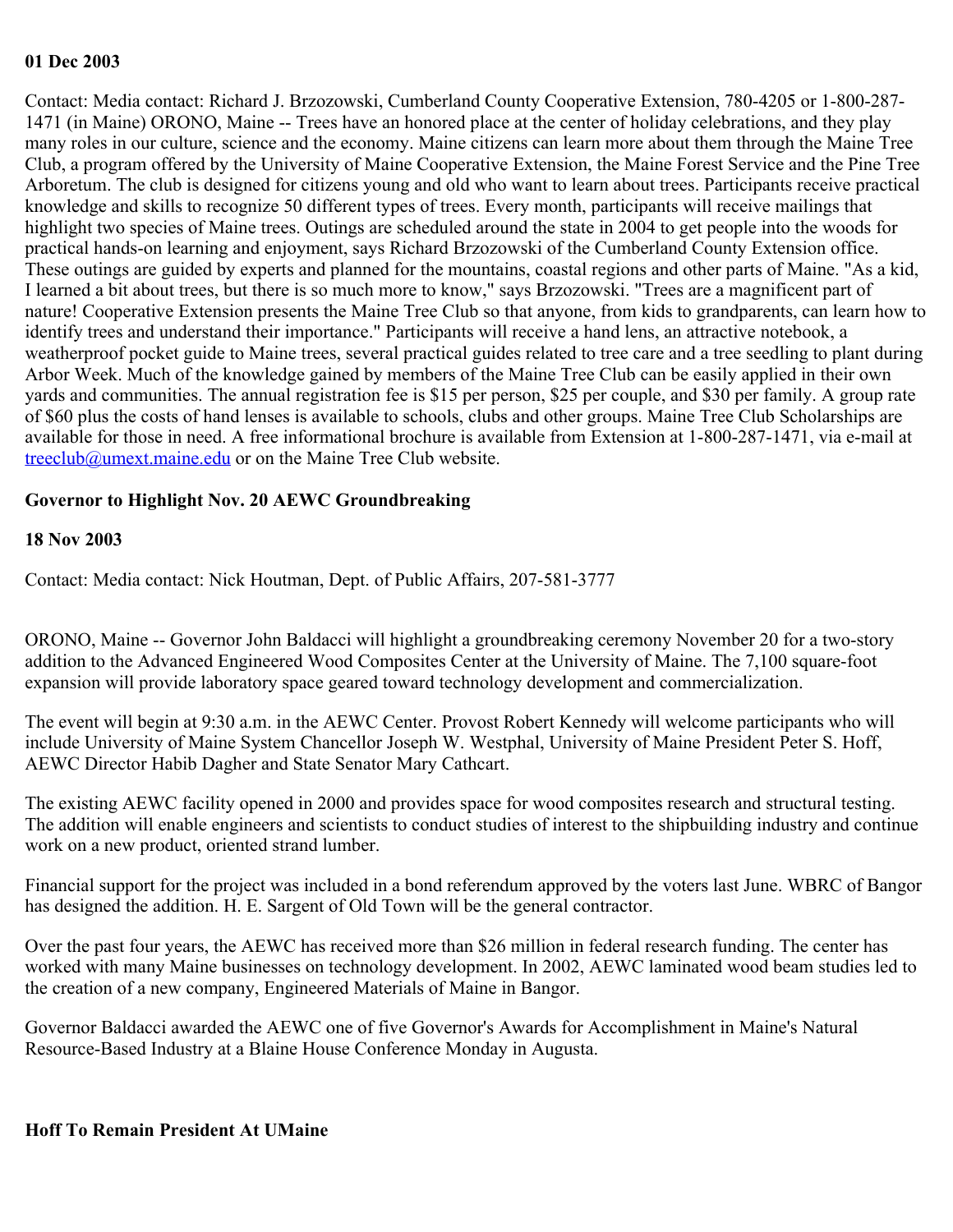#### **01 Dec 2003**

Contact: Media contact: Richard J. Brzozowski, Cumberland County Cooperative Extension, 780-4205 or 1-800-287- 1471 (in Maine) ORONO, Maine -- Trees have an honored place at the center of holiday celebrations, and they play many roles in our culture, science and the economy. Maine citizens can learn more about them through the Maine Tree Club, a program offered by the University of Maine Cooperative Extension, the Maine Forest Service and the Pine Tree Arboretum. The club is designed for citizens young and old who want to learn about trees. Participants receive practical knowledge and skills to recognize 50 different types of trees. Every month, participants will receive mailings that highlight two species of Maine trees. Outings are scheduled around the state in 2004 to get people into the woods for practical hands-on learning and enjoyment, says Richard Brzozowski of the Cumberland County Extension office. These outings are guided by experts and planned for the mountains, coastal regions and other parts of Maine. "As a kid, I learned a bit about trees, but there is so much more to know," says Brzozowski. "Trees are a magnificent part of nature! Cooperative Extension presents the Maine Tree Club so that anyone, from kids to grandparents, can learn how to identify trees and understand their importance." Participants will receive a hand lens, an attractive notebook, a weatherproof pocket guide to Maine trees, several practical guides related to tree care and a tree seedling to plant during Arbor Week. Much of the knowledge gained by members of the Maine Tree Club can be easily applied in their own yards and communities. The annual registration fee is \$15 per person, \$25 per couple, and \$30 per family. A group rate of \$60 plus the costs of hand lenses is available to schools, clubs and other groups. Maine Tree Club Scholarships are available for those in need. A free informational brochure is available from Extension at 1-800-287-1471, via e-mail at [treeclub@umext.maine.edu](mailto:treeclub@umext.maine.edu) or on the Maine Tree Club website.

## **Governor to Highlight Nov. 20 AEWC Groundbreaking**

### **18 Nov 2003**

Contact: Media contact: Nick Houtman, Dept. of Public Affairs, 207-581-3777

ORONO, Maine -- Governor John Baldacci will highlight a groundbreaking ceremony November 20 for a two-story addition to the Advanced Engineered Wood Composites Center at the University of Maine. The 7,100 square-foot expansion will provide laboratory space geared toward technology development and commercialization.

The event will begin at 9:30 a.m. in the AEWC Center. Provost Robert Kennedy will welcome participants who will include University of Maine System Chancellor Joseph W. Westphal, University of Maine President Peter S. Hoff, AEWC Director Habib Dagher and State Senator Mary Cathcart.

The existing AEWC facility opened in 2000 and provides space for wood composites research and structural testing. The addition will enable engineers and scientists to conduct studies of interest to the shipbuilding industry and continue work on a new product, oriented strand lumber.

Financial support for the project was included in a bond referendum approved by the voters last June. WBRC of Bangor has designed the addition. H. E. Sargent of Old Town will be the general contractor.

Over the past four years, the AEWC has received more than \$26 million in federal research funding. The center has worked with many Maine businesses on technology development. In 2002, AEWC laminated wood beam studies led to the creation of a new company, Engineered Materials of Maine in Bangor.

Governor Baldacci awarded the AEWC one of five Governor's Awards for Accomplishment in Maine's Natural Resource-Based Industry at a Blaine House Conference Monday in Augusta.

### **Hoff To Remain President At UMaine**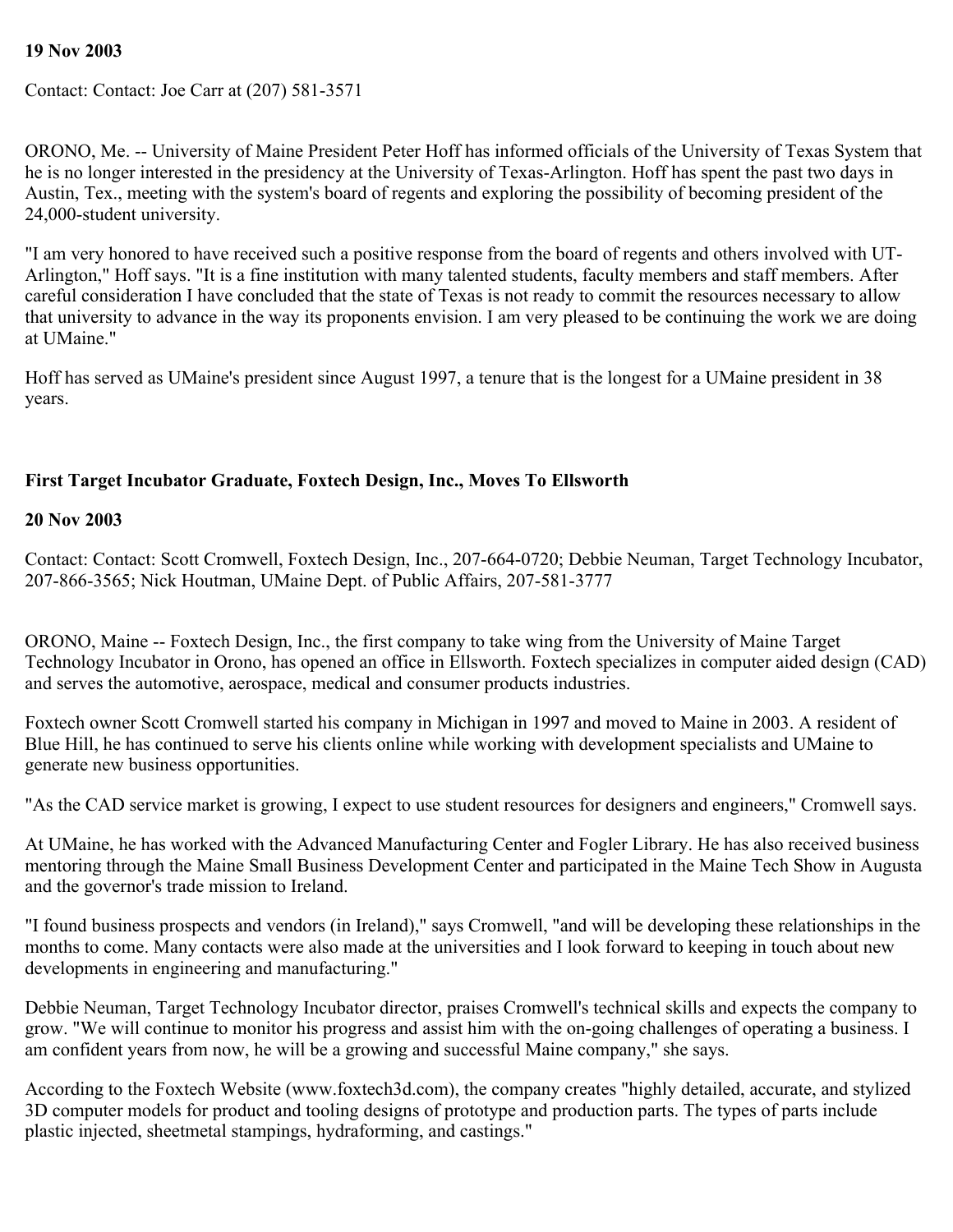# **19 Nov 2003**

Contact: Contact: Joe Carr at (207) 581-3571

ORONO, Me. -- University of Maine President Peter Hoff has informed officials of the University of Texas System that he is no longer interested in the presidency at the University of Texas-Arlington. Hoff has spent the past two days in Austin, Tex., meeting with the system's board of regents and exploring the possibility of becoming president of the 24,000-student university.

"I am very honored to have received such a positive response from the board of regents and others involved with UT-Arlington," Hoff says. "It is a fine institution with many talented students, faculty members and staff members. After careful consideration I have concluded that the state of Texas is not ready to commit the resources necessary to allow that university to advance in the way its proponents envision. I am very pleased to be continuing the work we are doing at UMaine."

Hoff has served as UMaine's president since August 1997, a tenure that is the longest for a UMaine president in 38 years.

# **First Target Incubator Graduate, Foxtech Design, Inc., Moves To Ellsworth**

### **20 Nov 2003**

Contact: Contact: Scott Cromwell, Foxtech Design, Inc., 207-664-0720; Debbie Neuman, Target Technology Incubator, 207-866-3565; Nick Houtman, UMaine Dept. of Public Affairs, 207-581-3777

ORONO, Maine -- Foxtech Design, Inc., the first company to take wing from the University of Maine Target Technology Incubator in Orono, has opened an office in Ellsworth. Foxtech specializes in computer aided design (CAD) and serves the automotive, aerospace, medical and consumer products industries.

Foxtech owner Scott Cromwell started his company in Michigan in 1997 and moved to Maine in 2003. A resident of Blue Hill, he has continued to serve his clients online while working with development specialists and UMaine to generate new business opportunities.

"As the CAD service market is growing, I expect to use student resources for designers and engineers," Cromwell says.

At UMaine, he has worked with the Advanced Manufacturing Center and Fogler Library. He has also received business mentoring through the Maine Small Business Development Center and participated in the Maine Tech Show in Augusta and the governor's trade mission to Ireland.

"I found business prospects and vendors (in Ireland)," says Cromwell, "and will be developing these relationships in the months to come. Many contacts were also made at the universities and I look forward to keeping in touch about new developments in engineering and manufacturing."

Debbie Neuman, Target Technology Incubator director, praises Cromwell's technical skills and expects the company to grow. "We will continue to monitor his progress and assist him with the on-going challenges of operating a business. I am confident years from now, he will be a growing and successful Maine company," she says.

According to the Foxtech Website (www.foxtech3d.com), the company creates "highly detailed, accurate, and stylized 3D computer models for product and tooling designs of prototype and production parts. The types of parts include plastic injected, sheetmetal stampings, hydraforming, and castings."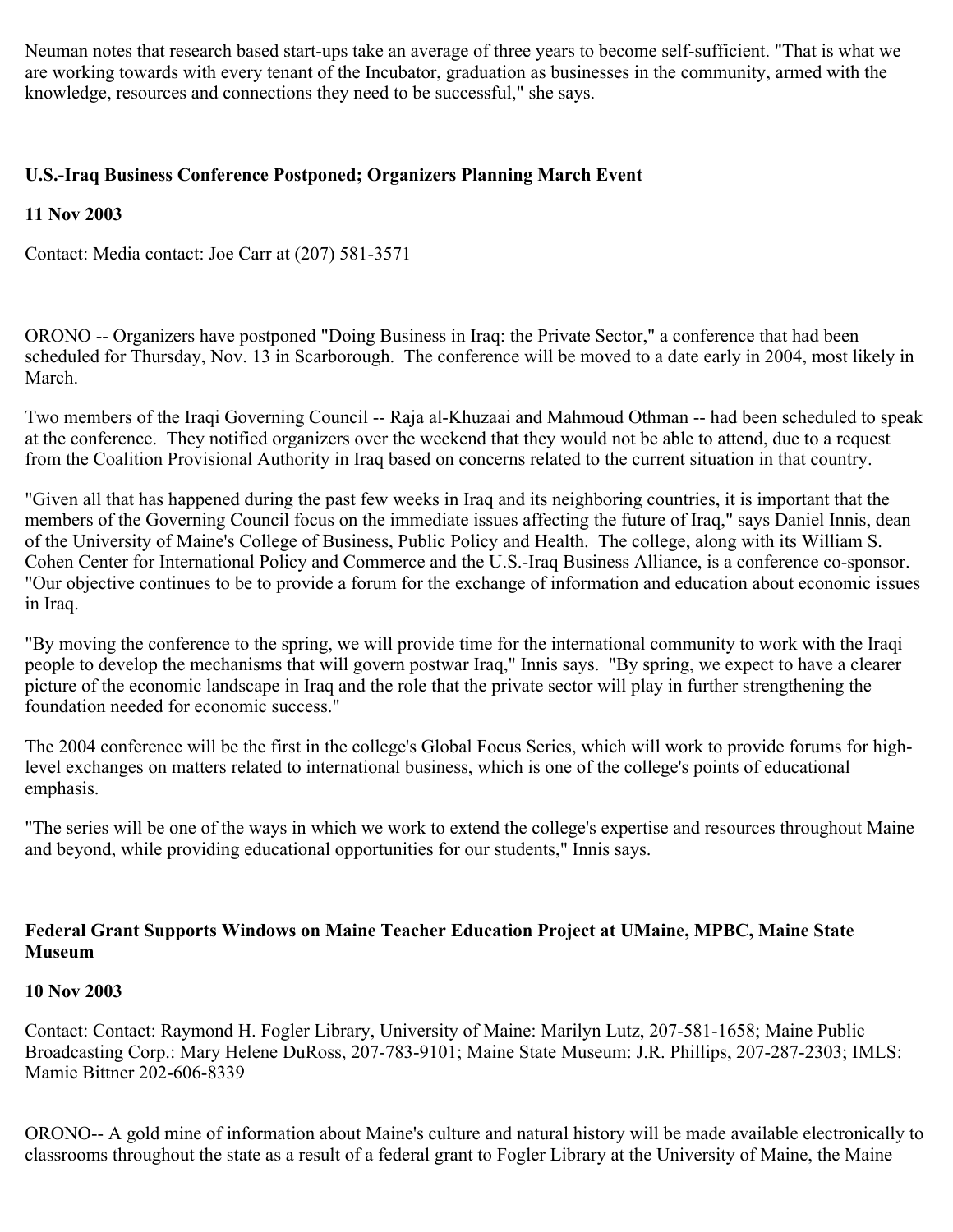Neuman notes that research based start-ups take an average of three years to become self-sufficient. "That is what we are working towards with every tenant of the Incubator, graduation as businesses in the community, armed with the knowledge, resources and connections they need to be successful," she says.

# **U.S.-Iraq Business Conference Postponed; Organizers Planning March Event**

# **11 Nov 2003**

Contact: Media contact: Joe Carr at (207) 581-3571

ORONO -- Organizers have postponed "Doing Business in Iraq: the Private Sector," a conference that had been scheduled for Thursday, Nov. 13 in Scarborough. The conference will be moved to a date early in 2004, most likely in March.

Two members of the Iraqi Governing Council -- Raja al-Khuzaai and Mahmoud Othman -- had been scheduled to speak at the conference. They notified organizers over the weekend that they would not be able to attend, due to a request from the Coalition Provisional Authority in Iraq based on concerns related to the current situation in that country.

"Given all that has happened during the past few weeks in Iraq and its neighboring countries, it is important that the members of the Governing Council focus on the immediate issues affecting the future of Iraq," says Daniel Innis, dean of the University of Maine's College of Business, Public Policy and Health. The college, along with its William S. Cohen Center for International Policy and Commerce and the U.S.-Iraq Business Alliance, is a conference co-sponsor. "Our objective continues to be to provide a forum for the exchange of information and education about economic issues in Iraq.

"By moving the conference to the spring, we will provide time for the international community to work with the Iraqi people to develop the mechanisms that will govern postwar Iraq," Innis says. "By spring, we expect to have a clearer picture of the economic landscape in Iraq and the role that the private sector will play in further strengthening the foundation needed for economic success."

The 2004 conference will be the first in the college's Global Focus Series, which will work to provide forums for highlevel exchanges on matters related to international business, which is one of the college's points of educational emphasis.

"The series will be one of the ways in which we work to extend the college's expertise and resources throughout Maine and beyond, while providing educational opportunities for our students," Innis says.

# **Federal Grant Supports Windows on Maine Teacher Education Project at UMaine, MPBC, Maine State Museum**

# **10 Nov 2003**

Contact: Contact: Raymond H. Fogler Library, University of Maine: Marilyn Lutz, 207-581-1658; Maine Public Broadcasting Corp.: Mary Helene DuRoss, 207-783-9101; Maine State Museum: J.R. Phillips, 207-287-2303; IMLS: Mamie Bittner 202-606-8339

ORONO-- A gold mine of information about Maine's culture and natural history will be made available electronically to classrooms throughout the state as a result of a federal grant to Fogler Library at the University of Maine, the Maine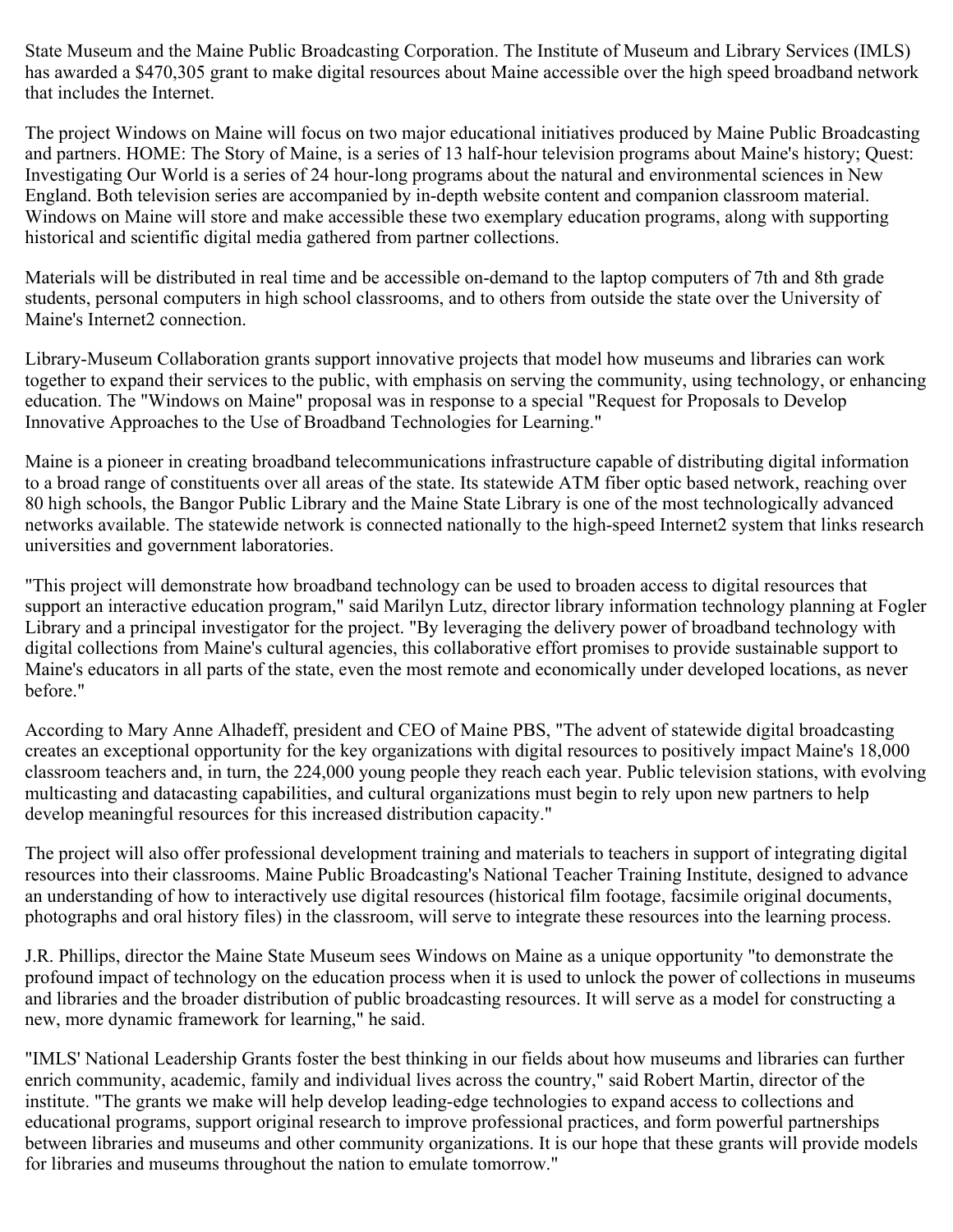State Museum and the Maine Public Broadcasting Corporation. The Institute of Museum and Library Services (IMLS) has awarded a \$470,305 grant to make digital resources about Maine accessible over the high speed broadband network that includes the Internet.

The project Windows on Maine will focus on two major educational initiatives produced by Maine Public Broadcasting and partners. HOME: The Story of Maine, is a series of 13 half-hour television programs about Maine's history; Quest: Investigating Our World is a series of 24 hour-long programs about the natural and environmental sciences in New England. Both television series are accompanied by in-depth website content and companion classroom material. Windows on Maine will store and make accessible these two exemplary education programs, along with supporting historical and scientific digital media gathered from partner collections.

Materials will be distributed in real time and be accessible on-demand to the laptop computers of 7th and 8th grade students, personal computers in high school classrooms, and to others from outside the state over the University of Maine's Internet2 connection.

Library-Museum Collaboration grants support innovative projects that model how museums and libraries can work together to expand their services to the public, with emphasis on serving the community, using technology, or enhancing education. The "Windows on Maine" proposal was in response to a special "Request for Proposals to Develop Innovative Approaches to the Use of Broadband Technologies for Learning."

Maine is a pioneer in creating broadband telecommunications infrastructure capable of distributing digital information to a broad range of constituents over all areas of the state. Its statewide ATM fiber optic based network, reaching over 80 high schools, the Bangor Public Library and the Maine State Library is one of the most technologically advanced networks available. The statewide network is connected nationally to the high-speed Internet2 system that links research universities and government laboratories.

"This project will demonstrate how broadband technology can be used to broaden access to digital resources that support an interactive education program," said Marilyn Lutz, director library information technology planning at Fogler Library and a principal investigator for the project. "By leveraging the delivery power of broadband technology with digital collections from Maine's cultural agencies, this collaborative effort promises to provide sustainable support to Maine's educators in all parts of the state, even the most remote and economically under developed locations, as never before."

According to Mary Anne Alhadeff, president and CEO of Maine PBS, "The advent of statewide digital broadcasting creates an exceptional opportunity for the key organizations with digital resources to positively impact Maine's 18,000 classroom teachers and, in turn, the 224,000 young people they reach each year. Public television stations, with evolving multicasting and datacasting capabilities, and cultural organizations must begin to rely upon new partners to help develop meaningful resources for this increased distribution capacity."

The project will also offer professional development training and materials to teachers in support of integrating digital resources into their classrooms. Maine Public Broadcasting's National Teacher Training Institute, designed to advance an understanding of how to interactively use digital resources (historical film footage, facsimile original documents, photographs and oral history files) in the classroom, will serve to integrate these resources into the learning process.

J.R. Phillips, director the Maine State Museum sees Windows on Maine as a unique opportunity "to demonstrate the profound impact of technology on the education process when it is used to unlock the power of collections in museums and libraries and the broader distribution of public broadcasting resources. It will serve as a model for constructing a new, more dynamic framework for learning," he said.

"IMLS' National Leadership Grants foster the best thinking in our fields about how museums and libraries can further enrich community, academic, family and individual lives across the country," said Robert Martin, director of the institute. "The grants we make will help develop leading-edge technologies to expand access to collections and educational programs, support original research to improve professional practices, and form powerful partnerships between libraries and museums and other community organizations. It is our hope that these grants will provide models for libraries and museums throughout the nation to emulate tomorrow."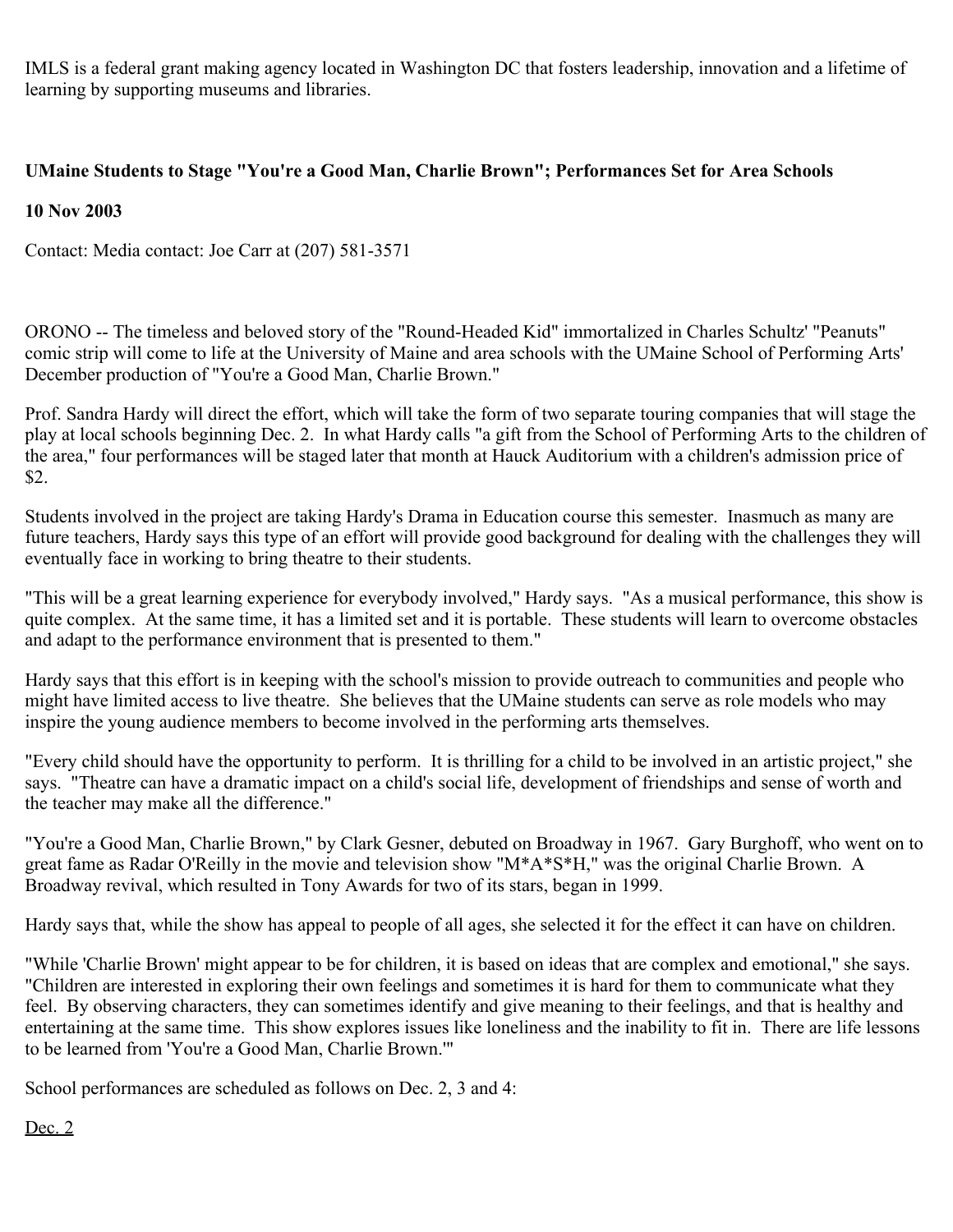IMLS is a federal grant making agency located in Washington DC that fosters leadership, innovation and a lifetime of learning by supporting museums and libraries.

# **UMaine Students to Stage "You're a Good Man, Charlie Brown"; Performances Set for Area Schools**

## **10 Nov 2003**

Contact: Media contact: Joe Carr at (207) 581-3571

ORONO -- The timeless and beloved story of the "Round-Headed Kid" immortalized in Charles Schultz' "Peanuts" comic strip will come to life at the University of Maine and area schools with the UMaine School of Performing Arts' December production of "You're a Good Man, Charlie Brown."

Prof. Sandra Hardy will direct the effort, which will take the form of two separate touring companies that will stage the play at local schools beginning Dec. 2. In what Hardy calls "a gift from the School of Performing Arts to the children of the area," four performances will be staged later that month at Hauck Auditorium with a children's admission price of \$2.

Students involved in the project are taking Hardy's Drama in Education course this semester. Inasmuch as many are future teachers, Hardy says this type of an effort will provide good background for dealing with the challenges they will eventually face in working to bring theatre to their students.

"This will be a great learning experience for everybody involved," Hardy says. "As a musical performance, this show is quite complex. At the same time, it has a limited set and it is portable. These students will learn to overcome obstacles and adapt to the performance environment that is presented to them."

Hardy says that this effort is in keeping with the school's mission to provide outreach to communities and people who might have limited access to live theatre. She believes that the UMaine students can serve as role models who may inspire the young audience members to become involved in the performing arts themselves.

"Every child should have the opportunity to perform. It is thrilling for a child to be involved in an artistic project," she says. "Theatre can have a dramatic impact on a child's social life, development of friendships and sense of worth and the teacher may make all the difference."

"You're a Good Man, Charlie Brown," by Clark Gesner, debuted on Broadway in 1967. Gary Burghoff, who went on to great fame as Radar O'Reilly in the movie and television show "M\*A\*S\*H," was the original Charlie Brown. A Broadway revival, which resulted in Tony Awards for two of its stars, began in 1999.

Hardy says that, while the show has appeal to people of all ages, she selected it for the effect it can have on children.

"While 'Charlie Brown' might appear to be for children, it is based on ideas that are complex and emotional," she says. "Children are interested in exploring their own feelings and sometimes it is hard for them to communicate what they feel. By observing characters, they can sometimes identify and give meaning to their feelings, and that is healthy and entertaining at the same time. This show explores issues like loneliness and the inability to fit in. There are life lessons to be learned from 'You're a Good Man, Charlie Brown.'"

School performances are scheduled as follows on Dec. 2, 3 and 4:

### Dec. 2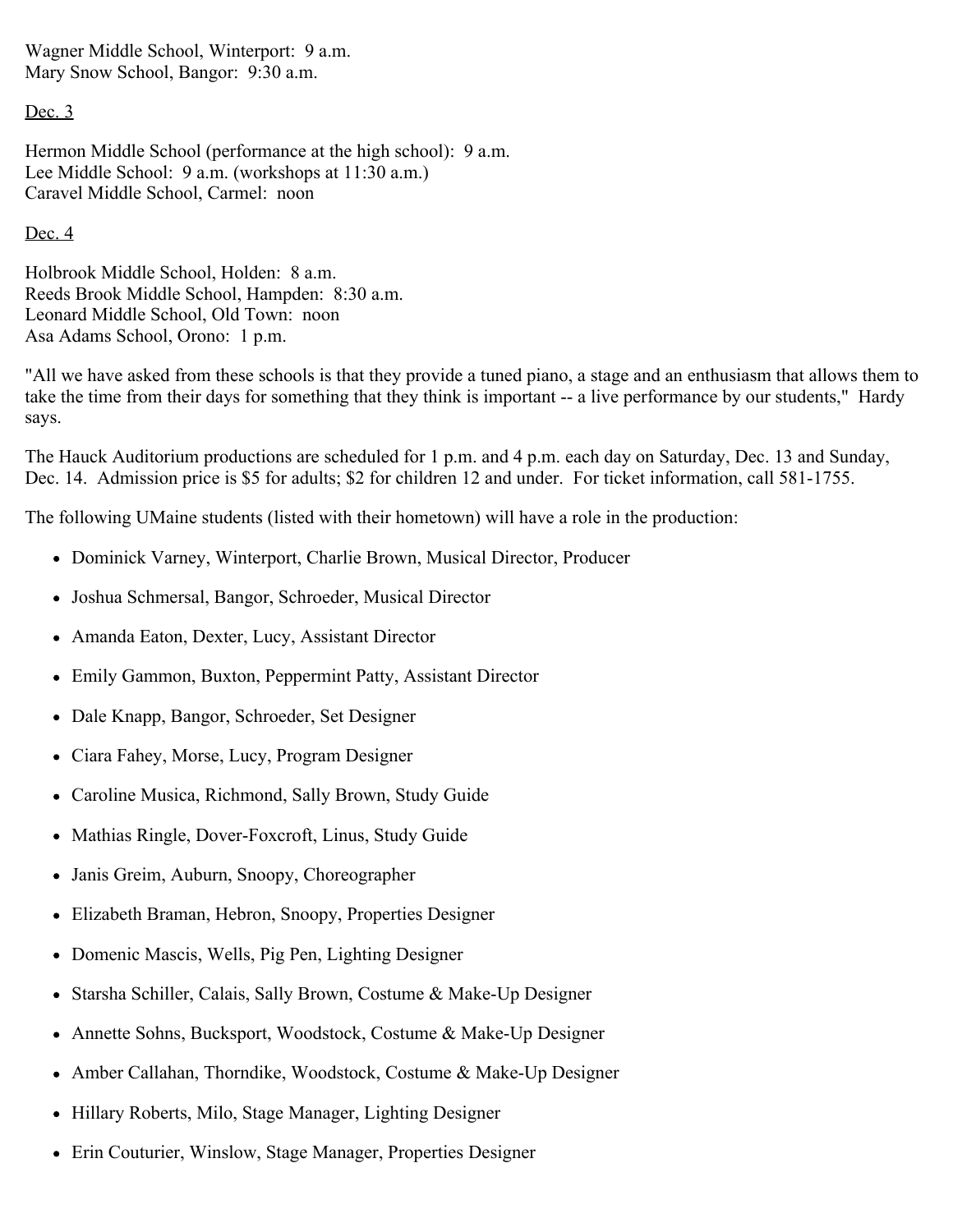Wagner Middle School, Winterport: 9 a.m. Mary Snow School, Bangor: 9:30 a.m.

Dec. 3

Hermon Middle School (performance at the high school): 9 a.m. Lee Middle School: 9 a.m. (workshops at 11:30 a.m.) Caravel Middle School, Carmel: noon

# Dec. 4

Holbrook Middle School, Holden: 8 a.m. Reeds Brook Middle School, Hampden: 8:30 a.m. Leonard Middle School, Old Town: noon Asa Adams School, Orono: 1 p.m.

"All we have asked from these schools is that they provide a tuned piano, a stage and an enthusiasm that allows them to take the time from their days for something that they think is important -- a live performance by our students," Hardy says.

The Hauck Auditorium productions are scheduled for 1 p.m. and 4 p.m. each day on Saturday, Dec. 13 and Sunday, Dec. 14. Admission price is \$5 for adults; \$2 for children 12 and under. For ticket information, call 581-1755.

The following UMaine students (listed with their hometown) will have a role in the production:

- Dominick Varney, Winterport, Charlie Brown, Musical Director, Producer
- Joshua Schmersal, Bangor, Schroeder, Musical Director
- Amanda Eaton, Dexter, Lucy, Assistant Director
- Emily Gammon, Buxton, Peppermint Patty, Assistant Director
- Dale Knapp, Bangor, Schroeder, Set Designer
- Ciara Fahey, Morse, Lucy, Program Designer
- Caroline Musica, Richmond, Sally Brown, Study Guide
- Mathias Ringle, Dover-Foxcroft, Linus, Study Guide
- Janis Greim, Auburn, Snoopy, Choreographer
- Elizabeth Braman, Hebron, Snoopy, Properties Designer
- Domenic Mascis, Wells, Pig Pen, Lighting Designer
- Starsha Schiller, Calais, Sally Brown, Costume & Make-Up Designer
- Annette Sohns, Bucksport, Woodstock, Costume & Make-Up Designer
- Amber Callahan, Thorndike, Woodstock, Costume & Make-Up Designer
- Hillary Roberts, Milo, Stage Manager, Lighting Designer
- Erin Couturier, Winslow, Stage Manager, Properties Designer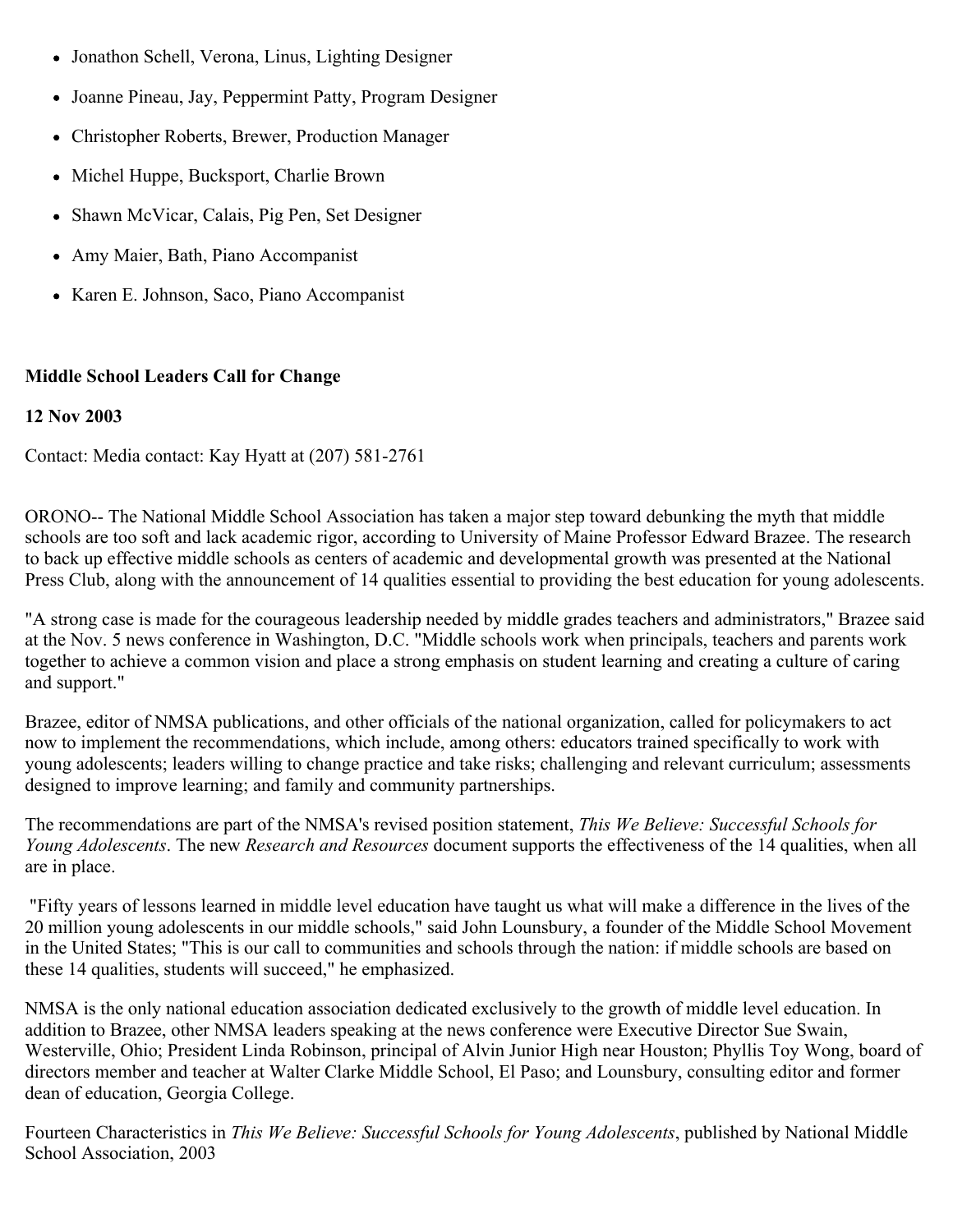- Jonathon Schell, Verona, Linus, Lighting Designer
- Joanne Pineau, Jay, Peppermint Patty, Program Designer
- Christopher Roberts, Brewer, Production Manager
- Michel Huppe, Bucksport, Charlie Brown
- Shawn McVicar, Calais, Pig Pen, Set Designer
- Amy Maier, Bath, Piano Accompanist
- Karen E. Johnson, Saco, Piano Accompanist

# **Middle School Leaders Call for Change**

# **12 Nov 2003**

Contact: Media contact: Kay Hyatt at (207) 581-2761

ORONO-- The National Middle School Association has taken a major step toward debunking the myth that middle schools are too soft and lack academic rigor, according to University of Maine Professor Edward Brazee. The research to back up effective middle schools as centers of academic and developmental growth was presented at the National Press Club, along with the announcement of 14 qualities essential to providing the best education for young adolescents.

"A strong case is made for the courageous leadership needed by middle grades teachers and administrators," Brazee said at the Nov. 5 news conference in Washington, D.C. "Middle schools work when principals, teachers and parents work together to achieve a common vision and place a strong emphasis on student learning and creating a culture of caring and support."

Brazee, editor of NMSA publications, and other officials of the national organization, called for policymakers to act now to implement the recommendations, which include, among others: educators trained specifically to work with young adolescents; leaders willing to change practice and take risks; challenging and relevant curriculum; assessments designed to improve learning; and family and community partnerships.

The recommendations are part of the NMSA's revised position statement, *This We Believe: Successful Schools for Young Adolescents*. The new *Research and Resources* document supports the effectiveness of the 14 qualities, when all are in place.

"Fifty years of lessons learned in middle level education have taught us what will make a difference in the lives of the 20 million young adolescents in our middle schools," said John Lounsbury, a founder of the Middle School Movement in the United States; "This is our call to communities and schools through the nation: if middle schools are based on these 14 qualities, students will succeed," he emphasized.

NMSA is the only national education association dedicated exclusively to the growth of middle level education. In addition to Brazee, other NMSA leaders speaking at the news conference were Executive Director Sue Swain, Westerville, Ohio; President Linda Robinson, principal of Alvin Junior High near Houston; Phyllis Toy Wong, board of directors member and teacher at Walter Clarke Middle School, El Paso; and Lounsbury, consulting editor and former dean of education, Georgia College.

Fourteen Characteristics in *This We Believe: Successful Schools for Young Adolescents*, published by National Middle School Association, 2003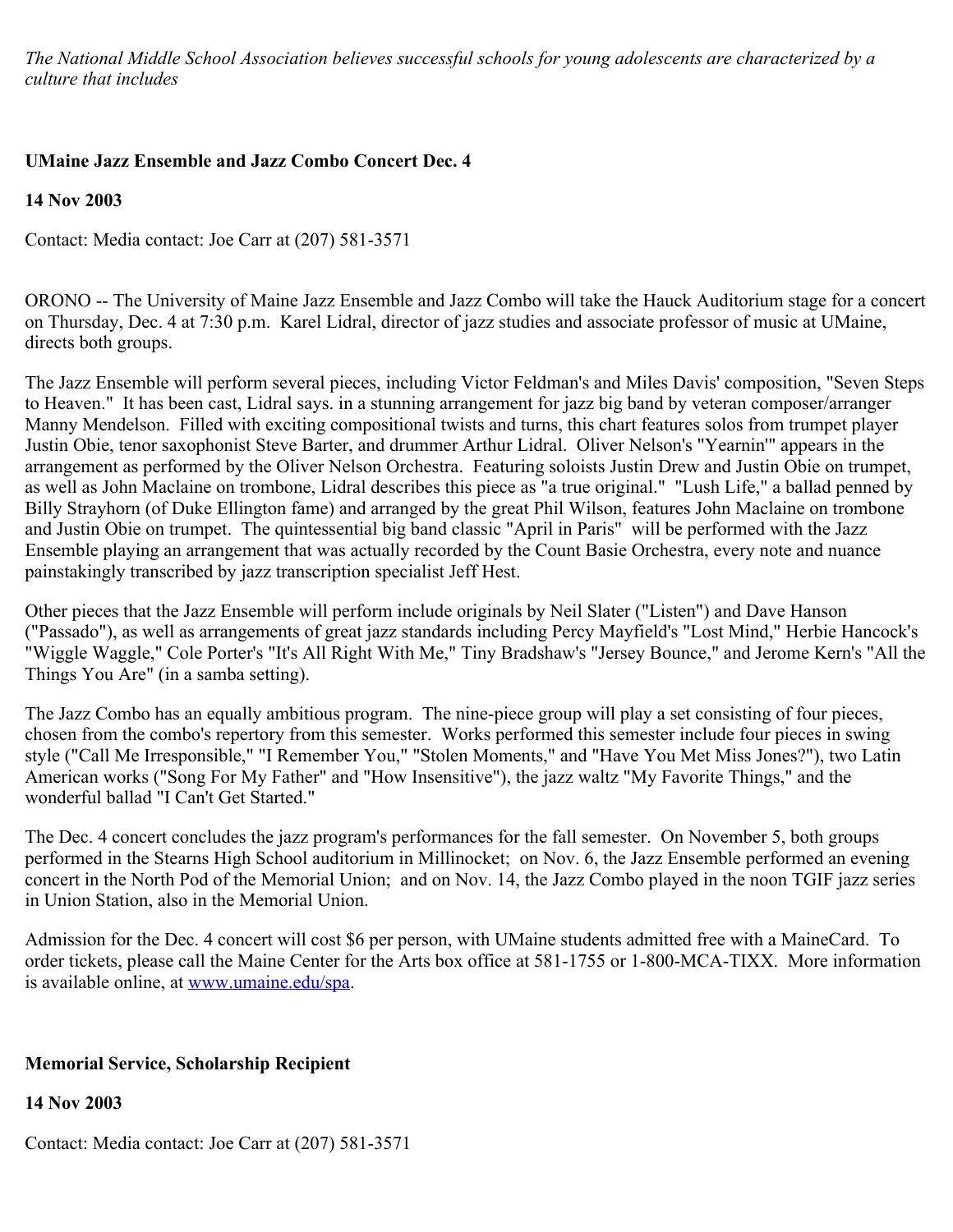*The National Middle School Association believes successful schools for young adolescents are characterized by a culture that includes*

# **UMaine Jazz Ensemble and Jazz Combo Concert Dec. 4**

**14 Nov 2003**

Contact: Media contact: Joe Carr at (207) 581-3571

ORONO -- The University of Maine Jazz Ensemble and Jazz Combo will take the Hauck Auditorium stage for a concert on Thursday, Dec. 4 at 7:30 p.m. Karel Lidral, director of jazz studies and associate professor of music at UMaine, directs both groups.

The Jazz Ensemble will perform several pieces, including Victor Feldman's and Miles Davis' composition, "Seven Steps to Heaven." It has been cast, Lidral says. in a stunning arrangement for jazz big band by veteran composer/arranger Manny Mendelson. Filled with exciting compositional twists and turns, this chart features solos from trumpet player Justin Obie, tenor saxophonist Steve Barter, and drummer Arthur Lidral. Oliver Nelson's "Yearnin'" appears in the arrangement as performed by the Oliver Nelson Orchestra. Featuring soloists Justin Drew and Justin Obie on trumpet, as well as John Maclaine on trombone, Lidral describes this piece as "a true original." "Lush Life," a ballad penned by Billy Strayhorn (of Duke Ellington fame) and arranged by the great Phil Wilson, features John Maclaine on trombone and Justin Obie on trumpet. The quintessential big band classic "April in Paris" will be performed with the Jazz Ensemble playing an arrangement that was actually recorded by the Count Basie Orchestra, every note and nuance painstakingly transcribed by jazz transcription specialist Jeff Hest.

Other pieces that the Jazz Ensemble will perform include originals by Neil Slater ("Listen") and Dave Hanson ("Passado"), as well as arrangements of great jazz standards including Percy Mayfield's "Lost Mind," Herbie Hancock's "Wiggle Waggle," Cole Porter's "It's All Right With Me," Tiny Bradshaw's "Jersey Bounce," and Jerome Kern's "All the Things You Are" (in a samba setting).

The Jazz Combo has an equally ambitious program. The nine-piece group will play a set consisting of four pieces, chosen from the combo's repertory from this semester. Works performed this semester include four pieces in swing style ("Call Me Irresponsible," "I Remember You," "Stolen Moments," and "Have You Met Miss Jones?"), two Latin American works ("Song For My Father" and "How Insensitive"), the jazz waltz "My Favorite Things," and the wonderful ballad "I Can't Get Started."

The Dec. 4 concert concludes the jazz program's performances for the fall semester. On November 5, both groups performed in the Stearns High School auditorium in Millinocket; on Nov. 6, the Jazz Ensemble performed an evening concert in the North Pod of the Memorial Union; and on Nov. 14, the Jazz Combo played in the noon TGIF jazz series in Union Station, also in the Memorial Union.

Admission for the Dec. 4 concert will cost \$6 per person, with UMaine students admitted free with a MaineCard. To order tickets, please call the Maine Center for the Arts box office at 581-1755 or 1-800-MCA-TIXX. More information is available online, at [www.umaine.edu/spa](http://www.umaine.edu/spa).

# **Memorial Service, Scholarship Recipient**

**14 Nov 2003**

Contact: Media contact: Joe Carr at (207) 581-3571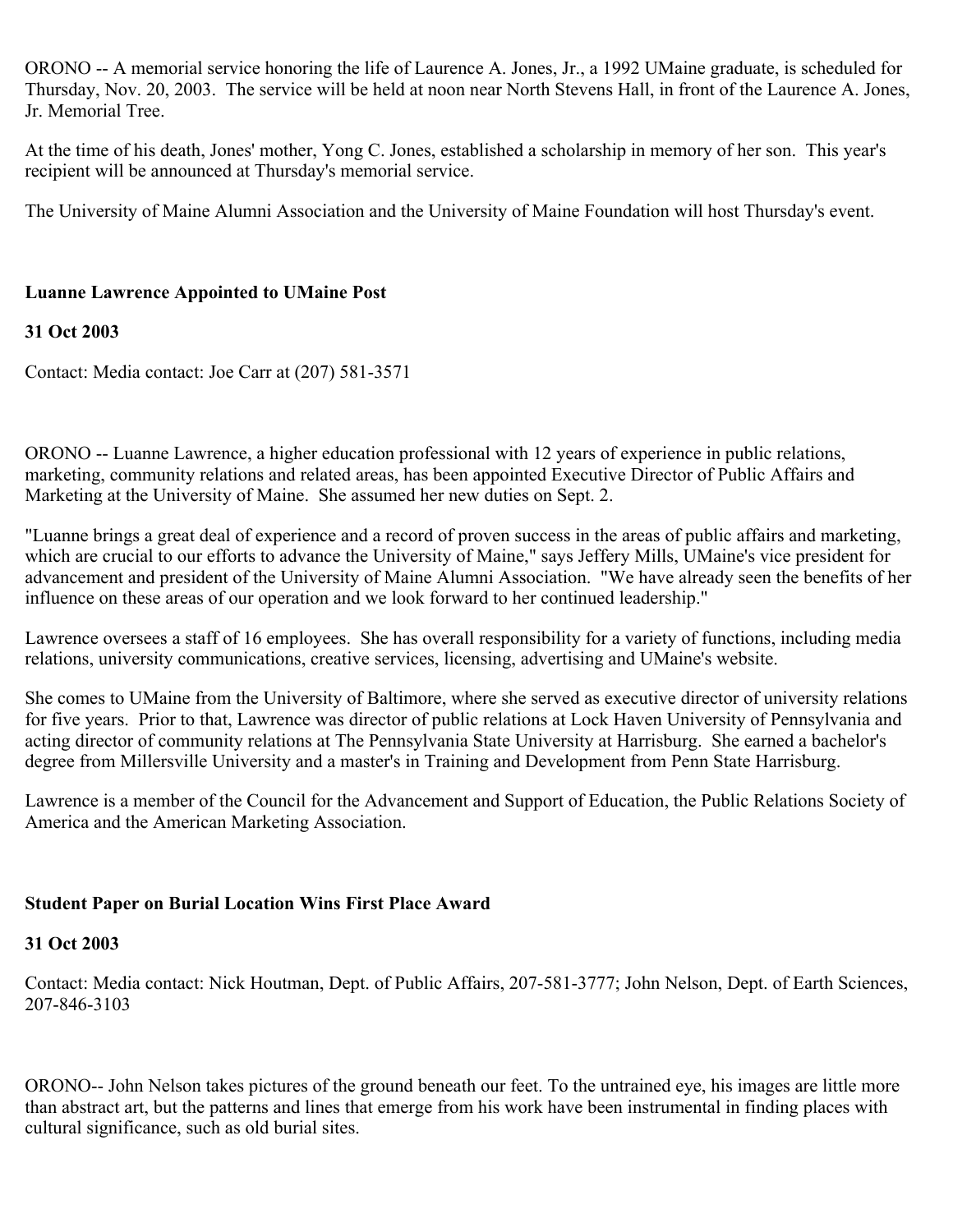ORONO -- A memorial service honoring the life of Laurence A. Jones, Jr., a 1992 UMaine graduate, is scheduled for Thursday, Nov. 20, 2003. The service will be held at noon near North Stevens Hall, in front of the Laurence A. Jones, Jr. Memorial Tree.

At the time of his death, Jones' mother, Yong C. Jones, established a scholarship in memory of her son. This year's recipient will be announced at Thursday's memorial service.

The University of Maine Alumni Association and the University of Maine Foundation will host Thursday's event.

# **Luanne Lawrence Appointed to UMaine Post**

# **31 Oct 2003**

Contact: Media contact: Joe Carr at (207) 581-3571

ORONO -- Luanne Lawrence, a higher education professional with 12 years of experience in public relations, marketing, community relations and related areas, has been appointed Executive Director of Public Affairs and Marketing at the University of Maine. She assumed her new duties on Sept. 2.

"Luanne brings a great deal of experience and a record of proven success in the areas of public affairs and marketing, which are crucial to our efforts to advance the University of Maine," says Jeffery Mills, UMaine's vice president for advancement and president of the University of Maine Alumni Association. "We have already seen the benefits of her influence on these areas of our operation and we look forward to her continued leadership."

Lawrence oversees a staff of 16 employees. She has overall responsibility for a variety of functions, including media relations, university communications, creative services, licensing, advertising and UMaine's website.

She comes to UMaine from the University of Baltimore, where she served as executive director of university relations for five years. Prior to that, Lawrence was director of public relations at Lock Haven University of Pennsylvania and acting director of community relations at The Pennsylvania State University at Harrisburg. She earned a bachelor's degree from Millersville University and a master's in Training and Development from Penn State Harrisburg.

Lawrence is a member of the Council for the Advancement and Support of Education, the Public Relations Society of America and the American Marketing Association.

# **Student Paper on Burial Location Wins First Place Award**

# **31 Oct 2003**

Contact: Media contact: Nick Houtman, Dept. of Public Affairs, 207-581-3777; John Nelson, Dept. of Earth Sciences, 207-846-3103

ORONO-- John Nelson takes pictures of the ground beneath our feet. To the untrained eye, his images are little more than abstract art, but the patterns and lines that emerge from his work have been instrumental in finding places with cultural significance, such as old burial sites.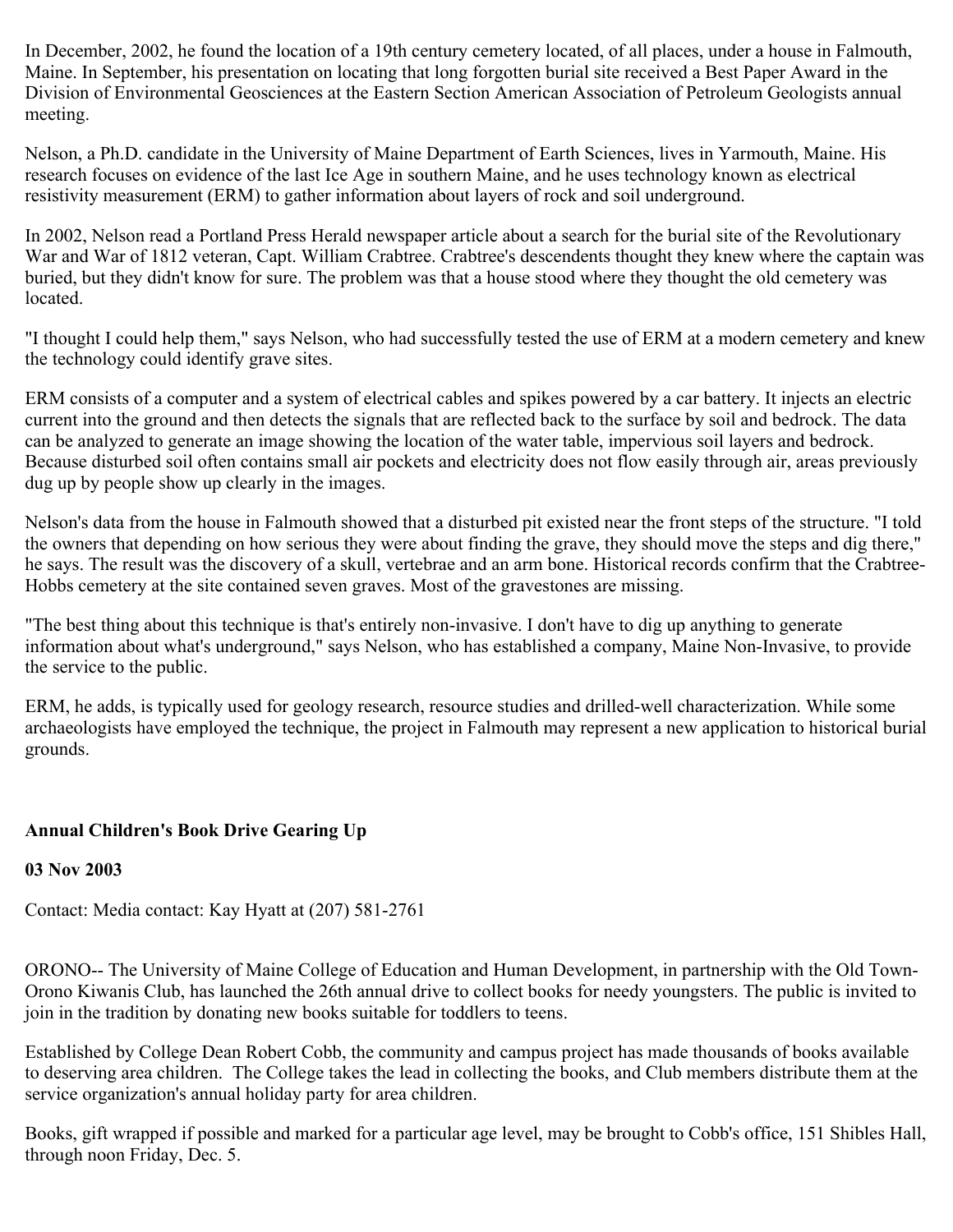In December, 2002, he found the location of a 19th century cemetery located, of all places, under a house in Falmouth, Maine. In September, his presentation on locating that long forgotten burial site received a Best Paper Award in the Division of Environmental Geosciences at the Eastern Section American Association of Petroleum Geologists annual meeting.

Nelson, a Ph.D. candidate in the University of Maine Department of Earth Sciences, lives in Yarmouth, Maine. His research focuses on evidence of the last Ice Age in southern Maine, and he uses technology known as electrical resistivity measurement (ERM) to gather information about layers of rock and soil underground.

In 2002, Nelson read a Portland Press Herald newspaper article about a search for the burial site of the Revolutionary War and War of 1812 veteran, Capt. William Crabtree. Crabtree's descendents thought they knew where the captain was buried, but they didn't know for sure. The problem was that a house stood where they thought the old cemetery was located.

"I thought I could help them," says Nelson, who had successfully tested the use of ERM at a modern cemetery and knew the technology could identify grave sites.

ERM consists of a computer and a system of electrical cables and spikes powered by a car battery. It injects an electric current into the ground and then detects the signals that are reflected back to the surface by soil and bedrock. The data can be analyzed to generate an image showing the location of the water table, impervious soil layers and bedrock. Because disturbed soil often contains small air pockets and electricity does not flow easily through air, areas previously dug up by people show up clearly in the images.

Nelson's data from the house in Falmouth showed that a disturbed pit existed near the front steps of the structure. "I told the owners that depending on how serious they were about finding the grave, they should move the steps and dig there," he says. The result was the discovery of a skull, vertebrae and an arm bone. Historical records confirm that the Crabtree-Hobbs cemetery at the site contained seven graves. Most of the gravestones are missing.

"The best thing about this technique is that's entirely non-invasive. I don't have to dig up anything to generate information about what's underground," says Nelson, who has established a company, Maine Non-Invasive, to provide the service to the public.

ERM, he adds, is typically used for geology research, resource studies and drilled-well characterization. While some archaeologists have employed the technique, the project in Falmouth may represent a new application to historical burial grounds.

# **Annual Children's Book Drive Gearing Up**

# **03 Nov 2003**

Contact: Media contact: Kay Hyatt at (207) 581-2761

ORONO-- The University of Maine College of Education and Human Development, in partnership with the Old Town-Orono Kiwanis Club, has launched the 26th annual drive to collect books for needy youngsters. The public is invited to join in the tradition by donating new books suitable for toddlers to teens.

Established by College Dean Robert Cobb, the community and campus project has made thousands of books available to deserving area children. The College takes the lead in collecting the books, and Club members distribute them at the service organization's annual holiday party for area children.

Books, gift wrapped if possible and marked for a particular age level, may be brought to Cobb's office, 151 Shibles Hall, through noon Friday, Dec. 5.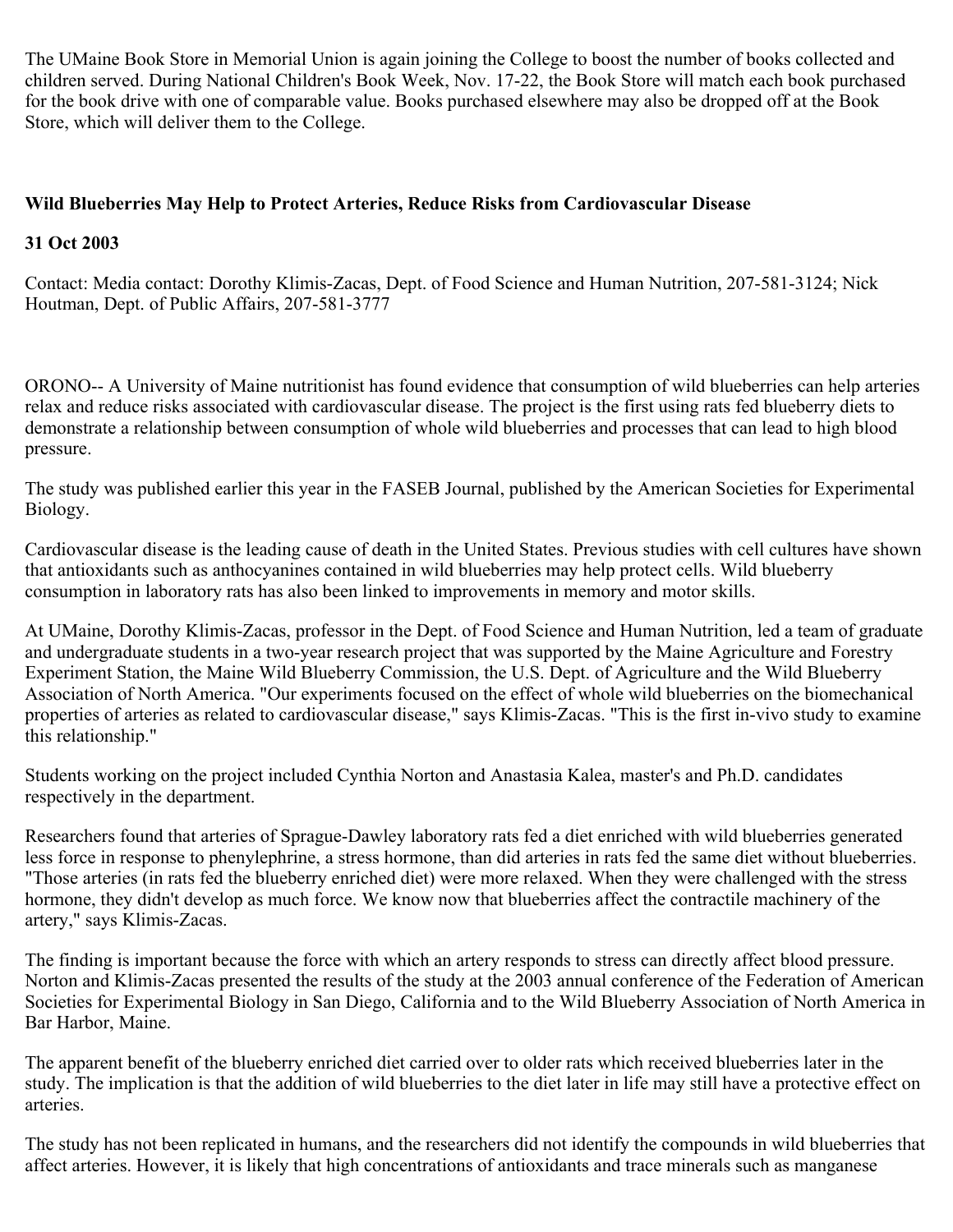The UMaine Book Store in Memorial Union is again joining the College to boost the number of books collected and children served. During National Children's Book Week, Nov. 17-22, the Book Store will match each book purchased for the book drive with one of comparable value. Books purchased elsewhere may also be dropped off at the Book Store, which will deliver them to the College.

# **Wild Blueberries May Help to Protect Arteries, Reduce Risks from Cardiovascular Disease**

## **31 Oct 2003**

Contact: Media contact: Dorothy Klimis-Zacas, Dept. of Food Science and Human Nutrition, 207-581-3124; Nick Houtman, Dept. of Public Affairs, 207-581-3777

ORONO-- A University of Maine nutritionist has found evidence that consumption of wild blueberries can help arteries relax and reduce risks associated with cardiovascular disease. The project is the first using rats fed blueberry diets to demonstrate a relationship between consumption of whole wild blueberries and processes that can lead to high blood pressure.

The study was published earlier this year in the FASEB Journal, published by the American Societies for Experimental Biology.

Cardiovascular disease is the leading cause of death in the United States. Previous studies with cell cultures have shown that antioxidants such as anthocyanines contained in wild blueberries may help protect cells. Wild blueberry consumption in laboratory rats has also been linked to improvements in memory and motor skills.

At UMaine, Dorothy Klimis-Zacas, professor in the Dept. of Food Science and Human Nutrition, led a team of graduate and undergraduate students in a two-year research project that was supported by the Maine Agriculture and Forestry Experiment Station, the Maine Wild Blueberry Commission, the U.S. Dept. of Agriculture and the Wild Blueberry Association of North America. "Our experiments focused on the effect of whole wild blueberries on the biomechanical properties of arteries as related to cardiovascular disease," says Klimis-Zacas. "This is the first in-vivo study to examine this relationship."

Students working on the project included Cynthia Norton and Anastasia Kalea, master's and Ph.D. candidates respectively in the department.

Researchers found that arteries of Sprague-Dawley laboratory rats fed a diet enriched with wild blueberries generated less force in response to phenylephrine, a stress hormone, than did arteries in rats fed the same diet without blueberries. "Those arteries (in rats fed the blueberry enriched diet) were more relaxed. When they were challenged with the stress hormone, they didn't develop as much force. We know now that blueberries affect the contractile machinery of the artery," says Klimis-Zacas.

The finding is important because the force with which an artery responds to stress can directly affect blood pressure. Norton and Klimis-Zacas presented the results of the study at the 2003 annual conference of the Federation of American Societies for Experimental Biology in San Diego, California and to the Wild Blueberry Association of North America in Bar Harbor, Maine.

The apparent benefit of the blueberry enriched diet carried over to older rats which received blueberries later in the study. The implication is that the addition of wild blueberries to the diet later in life may still have a protective effect on arteries.

The study has not been replicated in humans, and the researchers did not identify the compounds in wild blueberries that affect arteries. However, it is likely that high concentrations of antioxidants and trace minerals such as manganese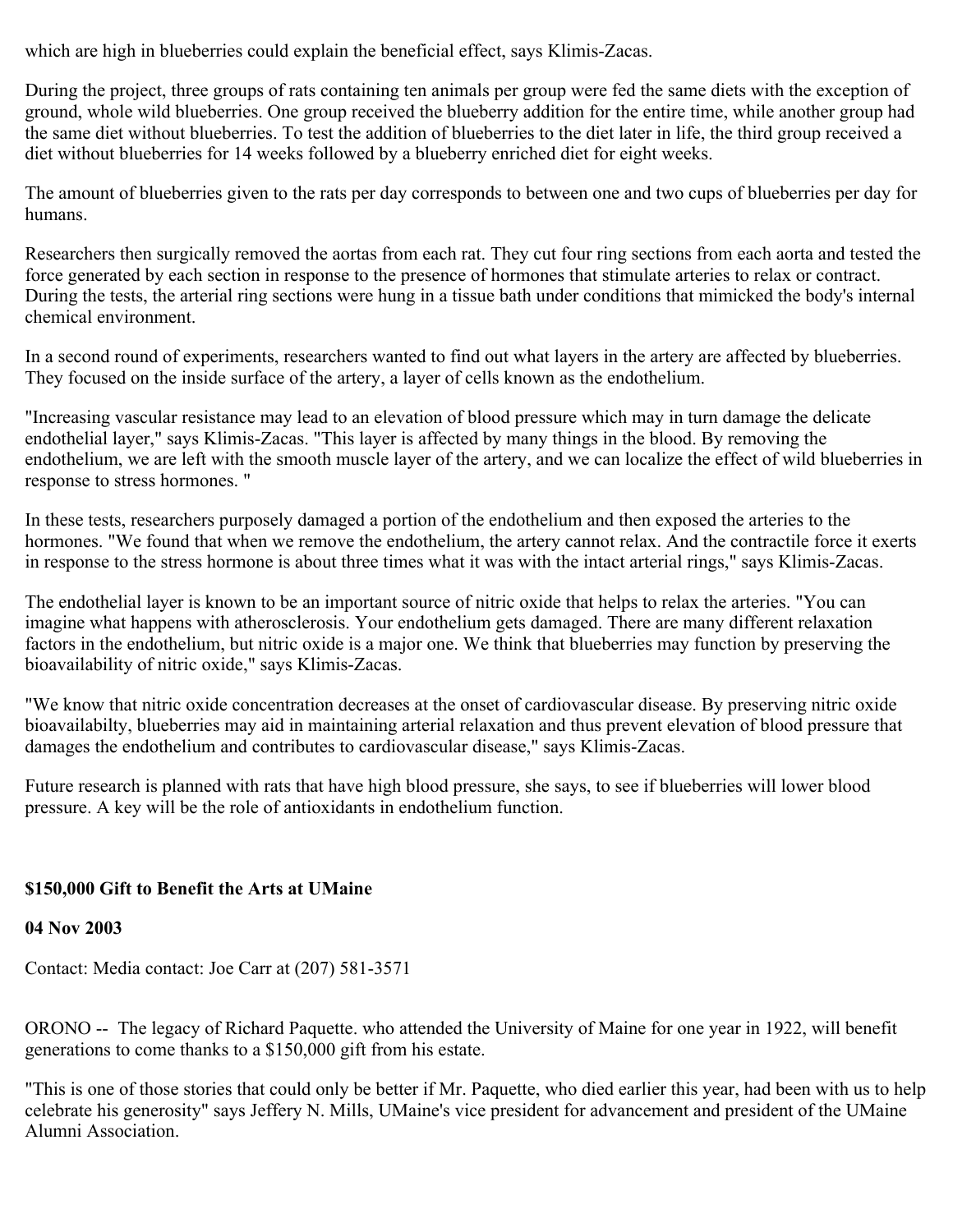which are high in blueberries could explain the beneficial effect, says Klimis-Zacas.

During the project, three groups of rats containing ten animals per group were fed the same diets with the exception of ground, whole wild blueberries. One group received the blueberry addition for the entire time, while another group had the same diet without blueberries. To test the addition of blueberries to the diet later in life, the third group received a diet without blueberries for 14 weeks followed by a blueberry enriched diet for eight weeks.

The amount of blueberries given to the rats per day corresponds to between one and two cups of blueberries per day for humans.

Researchers then surgically removed the aortas from each rat. They cut four ring sections from each aorta and tested the force generated by each section in response to the presence of hormones that stimulate arteries to relax or contract. During the tests, the arterial ring sections were hung in a tissue bath under conditions that mimicked the body's internal chemical environment.

In a second round of experiments, researchers wanted to find out what layers in the artery are affected by blueberries. They focused on the inside surface of the artery, a layer of cells known as the endothelium.

"Increasing vascular resistance may lead to an elevation of blood pressure which may in turn damage the delicate endothelial layer," says Klimis-Zacas. "This layer is affected by many things in the blood. By removing the endothelium, we are left with the smooth muscle layer of the artery, and we can localize the effect of wild blueberries in response to stress hormones. "

In these tests, researchers purposely damaged a portion of the endothelium and then exposed the arteries to the hormones. "We found that when we remove the endothelium, the artery cannot relax. And the contractile force it exerts in response to the stress hormone is about three times what it was with the intact arterial rings," says Klimis-Zacas.

The endothelial layer is known to be an important source of nitric oxide that helps to relax the arteries. "You can imagine what happens with atherosclerosis. Your endothelium gets damaged. There are many different relaxation factors in the endothelium, but nitric oxide is a major one. We think that blueberries may function by preserving the bioavailability of nitric oxide," says Klimis-Zacas.

"We know that nitric oxide concentration decreases at the onset of cardiovascular disease. By preserving nitric oxide bioavailabilty, blueberries may aid in maintaining arterial relaxation and thus prevent elevation of blood pressure that damages the endothelium and contributes to cardiovascular disease," says Klimis-Zacas.

Future research is planned with rats that have high blood pressure, she says, to see if blueberries will lower blood pressure. A key will be the role of antioxidants in endothelium function.

# **\$150,000 Gift to Benefit the Arts at UMaine**

# **04 Nov 2003**

Contact: Media contact: Joe Carr at (207) 581-3571

ORONO -- The legacy of Richard Paquette. who attended the University of Maine for one year in 1922, will benefit generations to come thanks to a \$150,000 gift from his estate.

"This is one of those stories that could only be better if Mr. Paquette, who died earlier this year, had been with us to help celebrate his generosity" says Jeffery N. Mills, UMaine's vice president for advancement and president of the UMaine Alumni Association.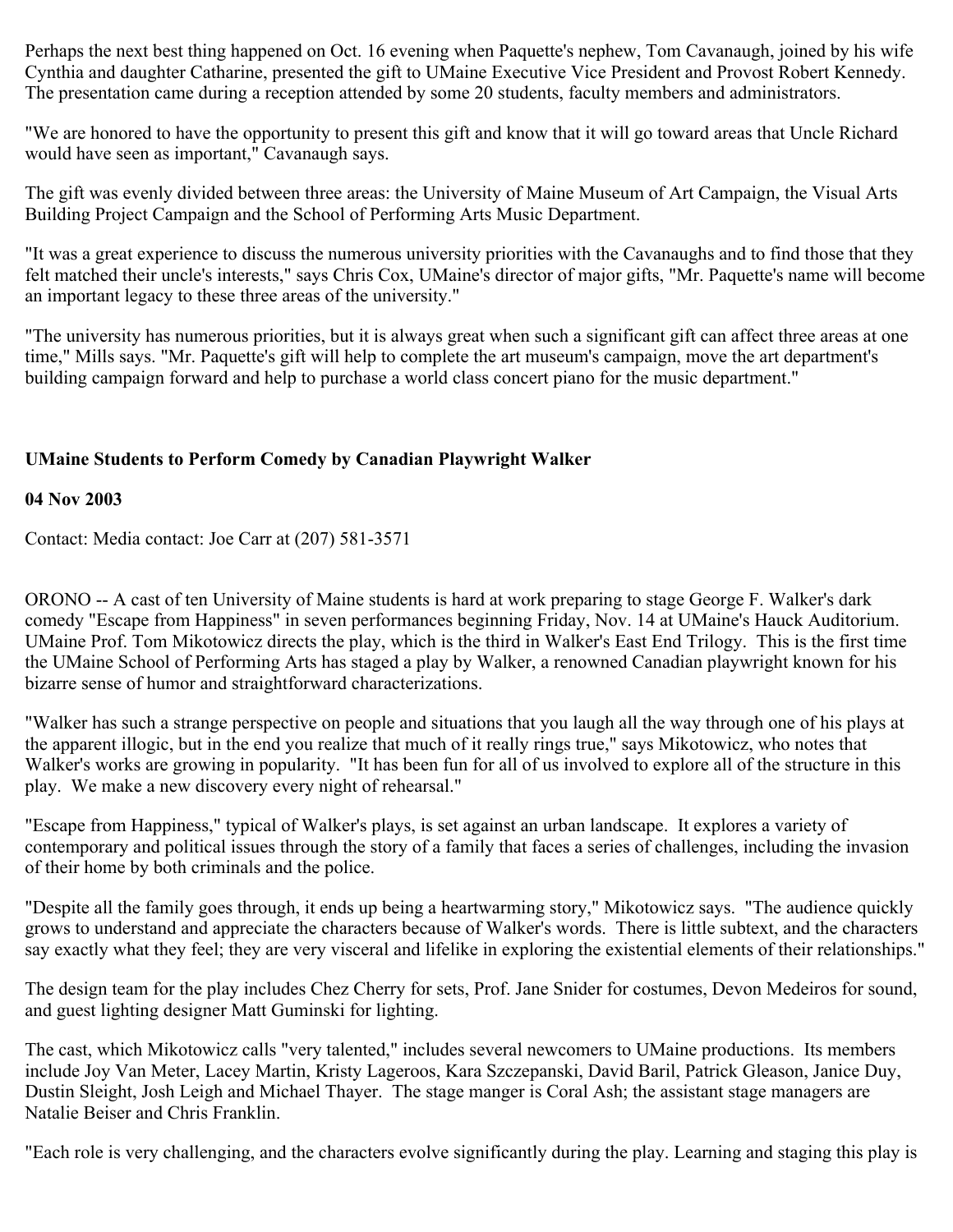Perhaps the next best thing happened on Oct. 16 evening when Paquette's nephew, Tom Cavanaugh, joined by his wife Cynthia and daughter Catharine, presented the gift to UMaine Executive Vice President and Provost Robert Kennedy. The presentation came during a reception attended by some 20 students, faculty members and administrators.

"We are honored to have the opportunity to present this gift and know that it will go toward areas that Uncle Richard would have seen as important," Cavanaugh says.

The gift was evenly divided between three areas: the University of Maine Museum of Art Campaign, the Visual Arts Building Project Campaign and the School of Performing Arts Music Department.

"It was a great experience to discuss the numerous university priorities with the Cavanaughs and to find those that they felt matched their uncle's interests," says Chris Cox, UMaine's director of major gifts, "Mr. Paquette's name will become an important legacy to these three areas of the university."

"The university has numerous priorities, but it is always great when such a significant gift can affect three areas at one time," Mills says. "Mr. Paquette's gift will help to complete the art museum's campaign, move the art department's building campaign forward and help to purchase a world class concert piano for the music department."

# **UMaine Students to Perform Comedy by Canadian Playwright Walker**

### **04 Nov 2003**

Contact: Media contact: Joe Carr at (207) 581-3571

ORONO -- A cast of ten University of Maine students is hard at work preparing to stage George F. Walker's dark comedy "Escape from Happiness" in seven performances beginning Friday, Nov. 14 at UMaine's Hauck Auditorium. UMaine Prof. Tom Mikotowicz directs the play, which is the third in Walker's East End Trilogy. This is the first time the UMaine School of Performing Arts has staged a play by Walker, a renowned Canadian playwright known for his bizarre sense of humor and straightforward characterizations.

"Walker has such a strange perspective on people and situations that you laugh all the way through one of his plays at the apparent illogic, but in the end you realize that much of it really rings true," says Mikotowicz, who notes that Walker's works are growing in popularity. "It has been fun for all of us involved to explore all of the structure in this play. We make a new discovery every night of rehearsal."

"Escape from Happiness," typical of Walker's plays, is set against an urban landscape. It explores a variety of contemporary and political issues through the story of a family that faces a series of challenges, including the invasion of their home by both criminals and the police.

"Despite all the family goes through, it ends up being a heartwarming story," Mikotowicz says. "The audience quickly grows to understand and appreciate the characters because of Walker's words. There is little subtext, and the characters say exactly what they feel; they are very visceral and lifelike in exploring the existential elements of their relationships."

The design team for the play includes Chez Cherry for sets, Prof. Jane Snider for costumes, Devon Medeiros for sound, and guest lighting designer Matt Guminski for lighting.

The cast, which Mikotowicz calls "very talented," includes several newcomers to UMaine productions. Its members include Joy Van Meter, Lacey Martin, Kristy Lageroos, Kara Szczepanski, David Baril, Patrick Gleason, Janice Duy, Dustin Sleight, Josh Leigh and Michael Thayer. The stage manger is Coral Ash; the assistant stage managers are Natalie Beiser and Chris Franklin.

"Each role is very challenging, and the characters evolve significantly during the play. Learning and staging this play is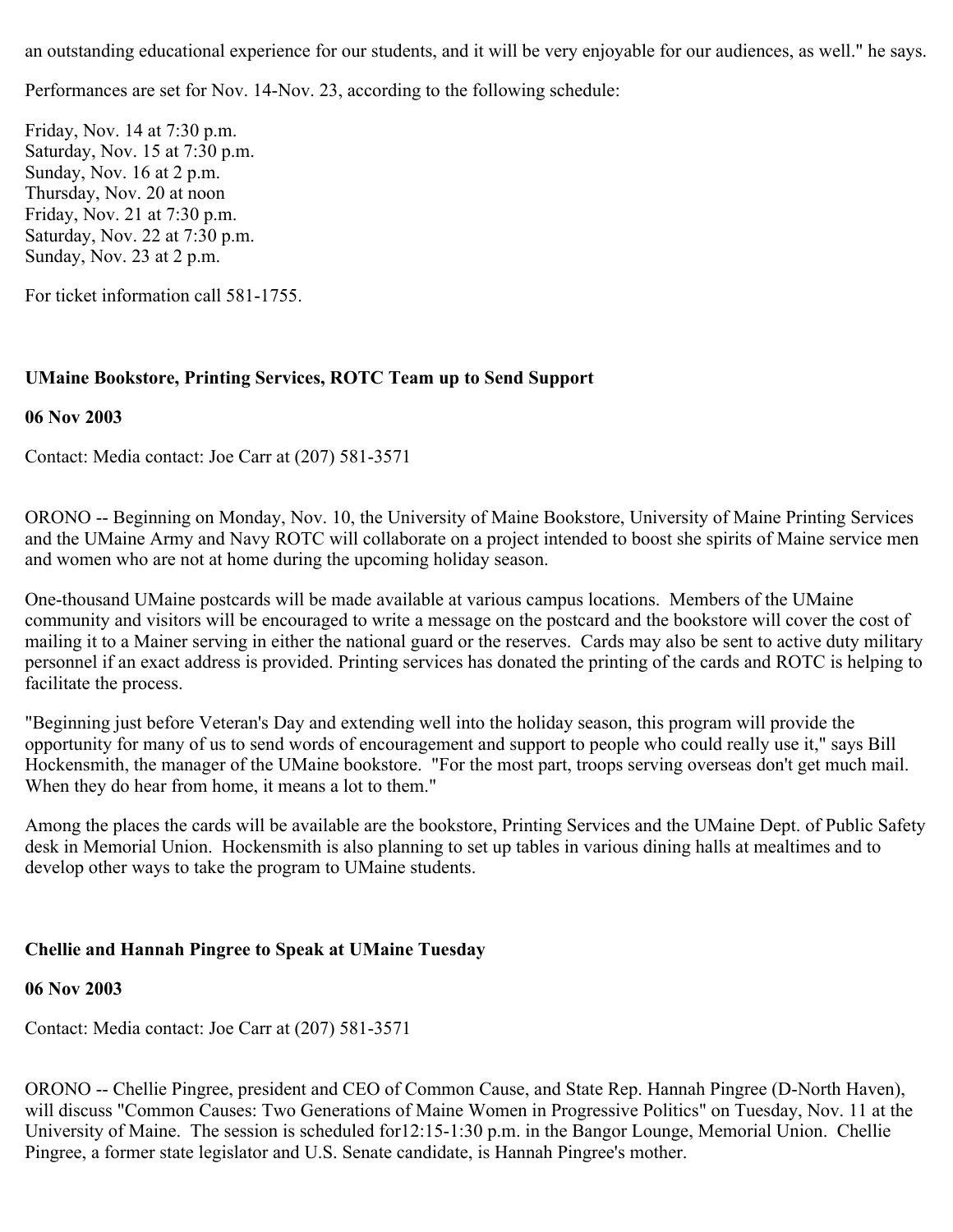an outstanding educational experience for our students, and it will be very enjoyable for our audiences, as well." he says.

Performances are set for Nov. 14-Nov. 23, according to the following schedule:

Friday, Nov. 14 at 7:30 p.m. Saturday, Nov. 15 at 7:30 p.m. Sunday, Nov. 16 at 2 p.m. Thursday, Nov. 20 at noon Friday, Nov. 21 at 7:30 p.m. Saturday, Nov. 22 at 7:30 p.m. Sunday, Nov. 23 at 2 p.m.

For ticket information call 581-1755.

### **UMaine Bookstore, Printing Services, ROTC Team up to Send Support**

#### **06 Nov 2003**

Contact: Media contact: Joe Carr at (207) 581-3571

ORONO -- Beginning on Monday, Nov. 10, the University of Maine Bookstore, University of Maine Printing Services and the UMaine Army and Navy ROTC will collaborate on a project intended to boost she spirits of Maine service men and women who are not at home during the upcoming holiday season.

One-thousand UMaine postcards will be made available at various campus locations. Members of the UMaine community and visitors will be encouraged to write a message on the postcard and the bookstore will cover the cost of mailing it to a Mainer serving in either the national guard or the reserves. Cards may also be sent to active duty military personnel if an exact address is provided. Printing services has donated the printing of the cards and ROTC is helping to facilitate the process.

"Beginning just before Veteran's Day and extending well into the holiday season, this program will provide the opportunity for many of us to send words of encouragement and support to people who could really use it," says Bill Hockensmith, the manager of the UMaine bookstore. "For the most part, troops serving overseas don't get much mail. When they do hear from home, it means a lot to them."

Among the places the cards will be available are the bookstore, Printing Services and the UMaine Dept. of Public Safety desk in Memorial Union. Hockensmith is also planning to set up tables in various dining halls at mealtimes and to develop other ways to take the program to UMaine students.

### **Chellie and Hannah Pingree to Speak at UMaine Tuesday**

#### **06 Nov 2003**

Contact: Media contact: Joe Carr at (207) 581-3571

ORONO -- Chellie Pingree, president and CEO of Common Cause, and State Rep. Hannah Pingree (D-North Haven), will discuss "Common Causes: Two Generations of Maine Women in Progressive Politics" on Tuesday, Nov. 11 at the University of Maine. The session is scheduled for12:15-1:30 p.m. in the Bangor Lounge, Memorial Union. Chellie Pingree, a former state legislator and U.S. Senate candidate, is Hannah Pingree's mother.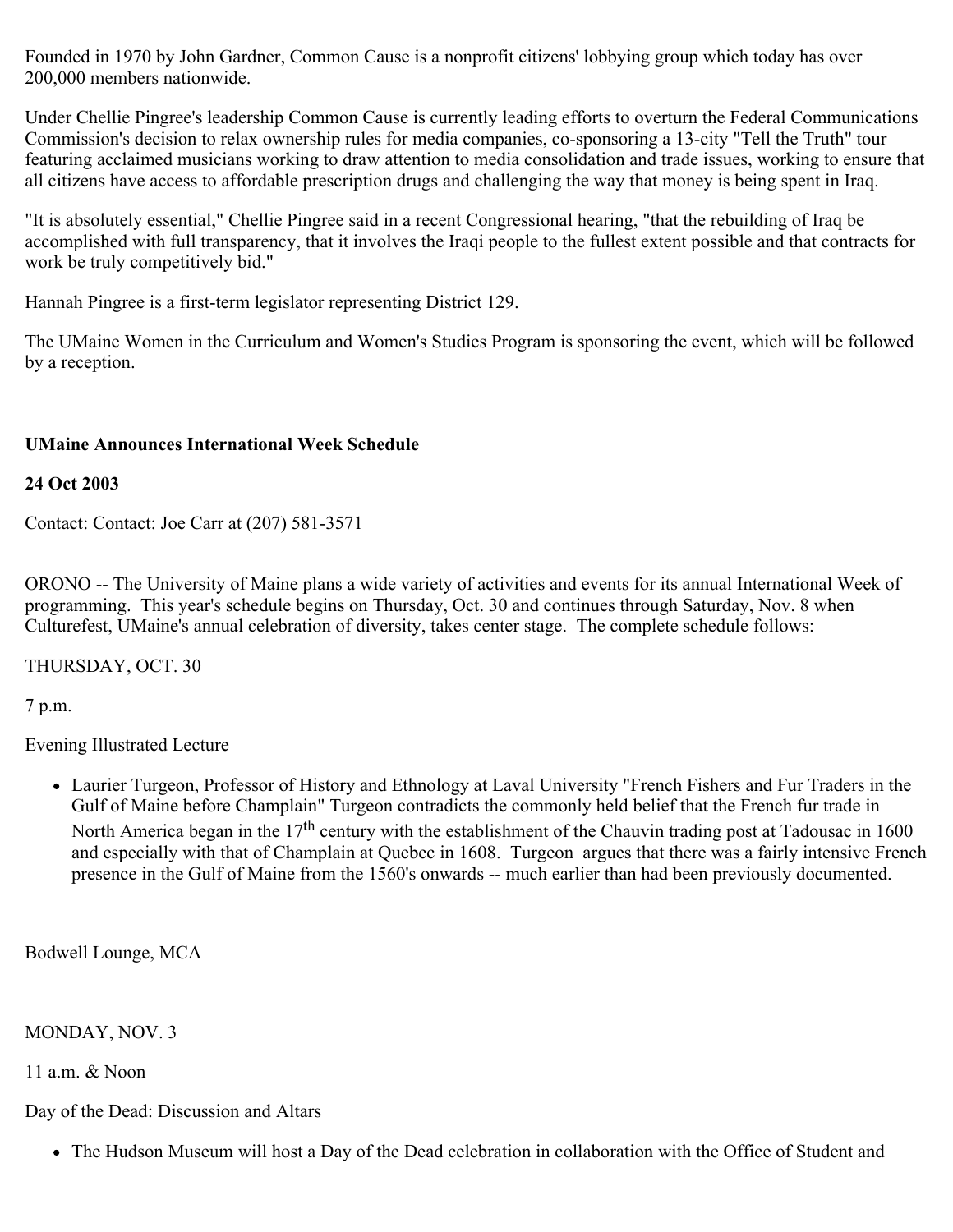Founded in 1970 by John Gardner, Common Cause is a nonprofit citizens' lobbying group which today has over 200,000 members nationwide.

Under Chellie Pingree's leadership Common Cause is currently leading efforts to overturn the Federal Communications Commission's decision to relax ownership rules for media companies, co-sponsoring a 13-city "Tell the Truth" tour featuring acclaimed musicians working to draw attention to media consolidation and trade issues, working to ensure that all citizens have access to affordable prescription drugs and challenging the way that money is being spent in Iraq.

"It is absolutely essential," Chellie Pingree said in a recent Congressional hearing, "that the rebuilding of Iraq be accomplished with full transparency, that it involves the Iraqi people to the fullest extent possible and that contracts for work be truly competitively bid."

Hannah Pingree is a first-term legislator representing District 129.

The UMaine Women in the Curriculum and Women's Studies Program is sponsoring the event, which will be followed by a reception.

## **UMaine Announces International Week Schedule**

## **24 Oct 2003**

Contact: Contact: Joe Carr at (207) 581-3571

ORONO -- The University of Maine plans a wide variety of activities and events for its annual International Week of programming. This year's schedule begins on Thursday, Oct. 30 and continues through Saturday, Nov. 8 when Culturefest, UMaine's annual celebration of diversity, takes center stage. The complete schedule follows:

THURSDAY, OCT. 30

7 p.m.

Evening Illustrated Lecture

Laurier Turgeon, Professor of History and Ethnology at Laval University "French Fishers and Fur Traders in the Gulf of Maine before Champlain" Turgeon contradicts the commonly held belief that the French fur trade in North America began in the 17<sup>th</sup> century with the establishment of the Chauvin trading post at Tadousac in 1600 and especially with that of Champlain at Quebec in 1608. Turgeon argues that there was a fairly intensive French presence in the Gulf of Maine from the 1560's onwards -- much earlier than had been previously documented.

Bodwell Lounge, MCA

MONDAY, NOV. 3

11 a.m. & Noon

Day of the Dead: Discussion and Altars

• The Hudson Museum will host a Day of the Dead celebration in collaboration with the Office of Student and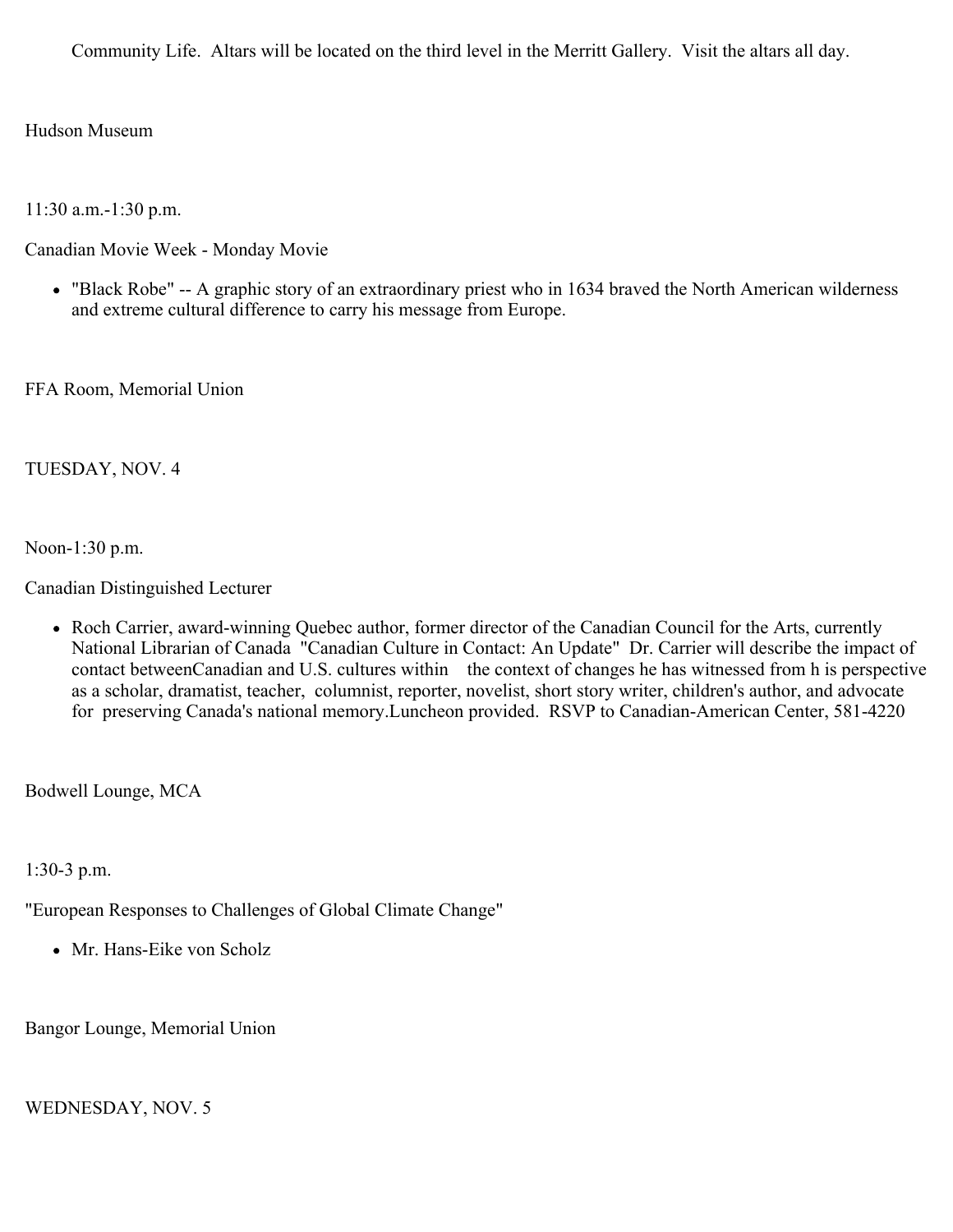Community Life. Altars will be located on the third level in the Merritt Gallery. Visit the altars all day.

Hudson Museum

11:30 a.m.-1:30 p.m.

Canadian Movie Week - Monday Movie

"Black Robe" -- A graphic story of an extraordinary priest who in 1634 braved the North American wilderness and extreme cultural difference to carry his message from Europe.

FFA Room, Memorial Union

# TUESDAY, NOV. 4

Noon-1:30 p.m.

Canadian Distinguished Lecturer

Roch Carrier, award-winning Quebec author, former director of the Canadian Council for the Arts, currently National Librarian of Canada "Canadian Culture in Contact: An Update" Dr. Carrier will describe the impact of contact betweenCanadian and U.S. cultures within the context of changes he has witnessed from h is perspective as a scholar, dramatist, teacher, columnist, reporter, novelist, short story writer, children's author, and advocate for preserving Canada's national memory.Luncheon provided. RSVP to Canadian-American Center, 581-4220

Bodwell Lounge, MCA

1:30-3 p.m.

"European Responses to Challenges of Global Climate Change"

• Mr. Hans-Eike von Scholz

Bangor Lounge, Memorial Union

# WEDNESDAY, NOV. 5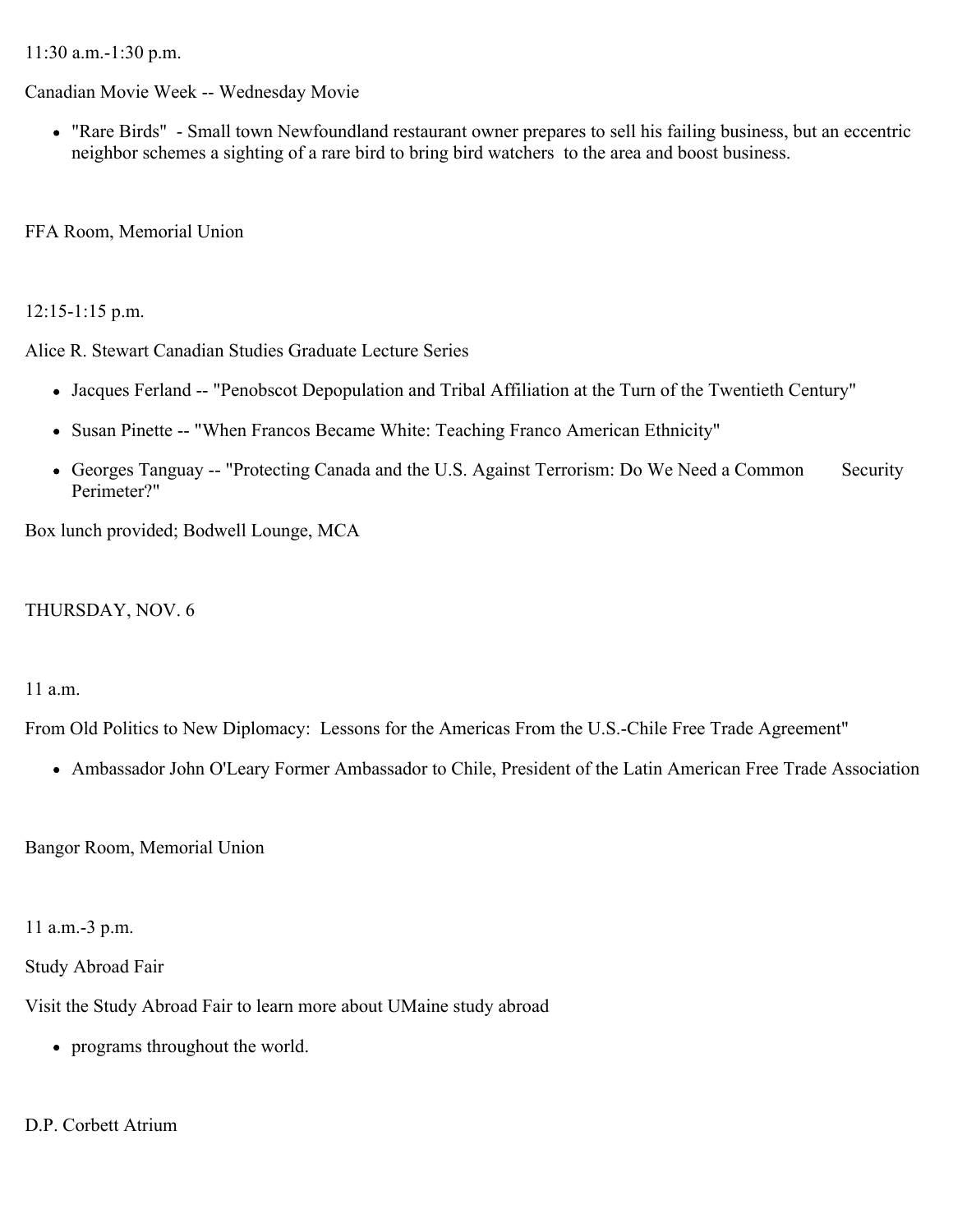11:30 a.m.-1:30 p.m.

Canadian Movie Week -- Wednesday Movie

"Rare Birds" - Small town Newfoundland restaurant owner prepares to sell his failing business, but an eccentric neighbor schemes a sighting of a rare bird to bring bird watchers to the area and boost business.

FFA Room, Memorial Union

# 12:15-1:15 p.m.

Alice R. Stewart Canadian Studies Graduate Lecture Series

- Jacques Ferland -- "Penobscot Depopulation and Tribal Affiliation at the Turn of the Twentieth Century"
- Susan Pinette -- "When Francos Became White: Teaching Franco American Ethnicity"
- Georges Tanguay -- "Protecting Canada and the U.S. Against Terrorism: Do We Need a Common Security Perimeter?"

Box lunch provided; Bodwell Lounge, MCA

# THURSDAY, NOV. 6

### 11 a.m.

From Old Politics to New Diplomacy: Lessons for the Americas From the U.S.-Chile Free Trade Agreement"

Ambassador John O'Leary Former Ambassador to Chile, President of the Latin American Free Trade Association

Bangor Room, Memorial Union

11 a.m.-3 p.m.

Study Abroad Fair

Visit the Study Abroad Fair to learn more about UMaine study abroad

• programs throughout the world.

# D.P. Corbett Atrium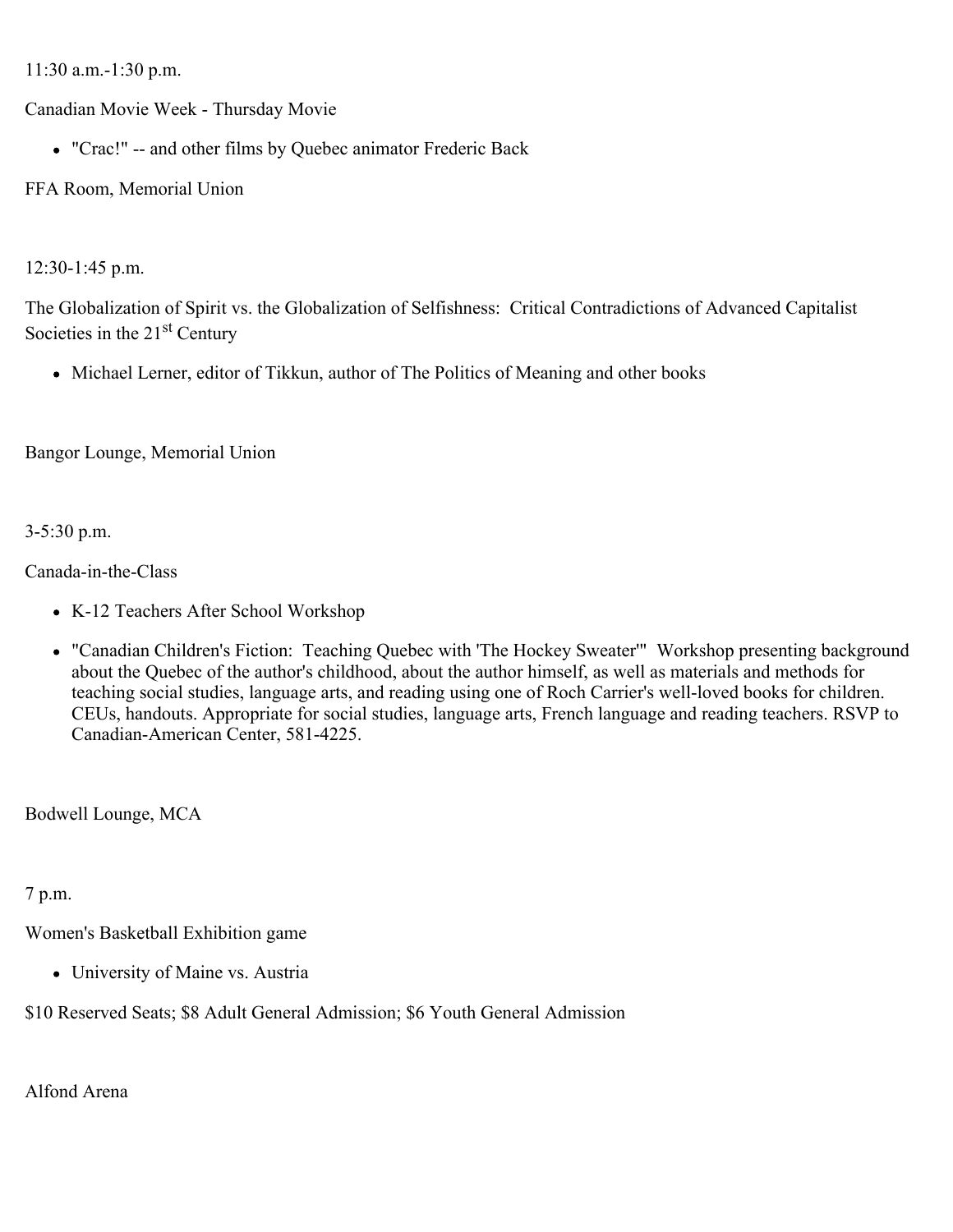11:30 a.m.-1:30 p.m.

Canadian Movie Week - Thursday Movie

"Crac!" -- and other films by Quebec animator Frederic Back

FFA Room, Memorial Union

12:30-1:45 p.m.

The Globalization of Spirit vs. the Globalization of Selfishness: Critical Contradictions of Advanced Capitalist Societies in the 21<sup>st</sup> Century

• Michael Lerner, editor of Tikkun, author of The Politics of Meaning and other books

Bangor Lounge, Memorial Union

3-5:30 p.m.

Canada-in-the-Class

- K-12 Teachers After School Workshop
- "Canadian Children's Fiction: Teaching Quebec with 'The Hockey Sweater'" Workshop presenting background about the Quebec of the author's childhood, about the author himself, as well as materials and methods for teaching social studies, language arts, and reading using one of Roch Carrier's well-loved books for children. CEUs, handouts. Appropriate for social studies, language arts, French language and reading teachers. RSVP to Canadian-American Center, 581-4225.

Bodwell Lounge, MCA

7 p.m.

Women's Basketball Exhibition game

• University of Maine vs. Austria

\$10 Reserved Seats; \$8 Adult General Admission; \$6 Youth General Admission

Alfond Arena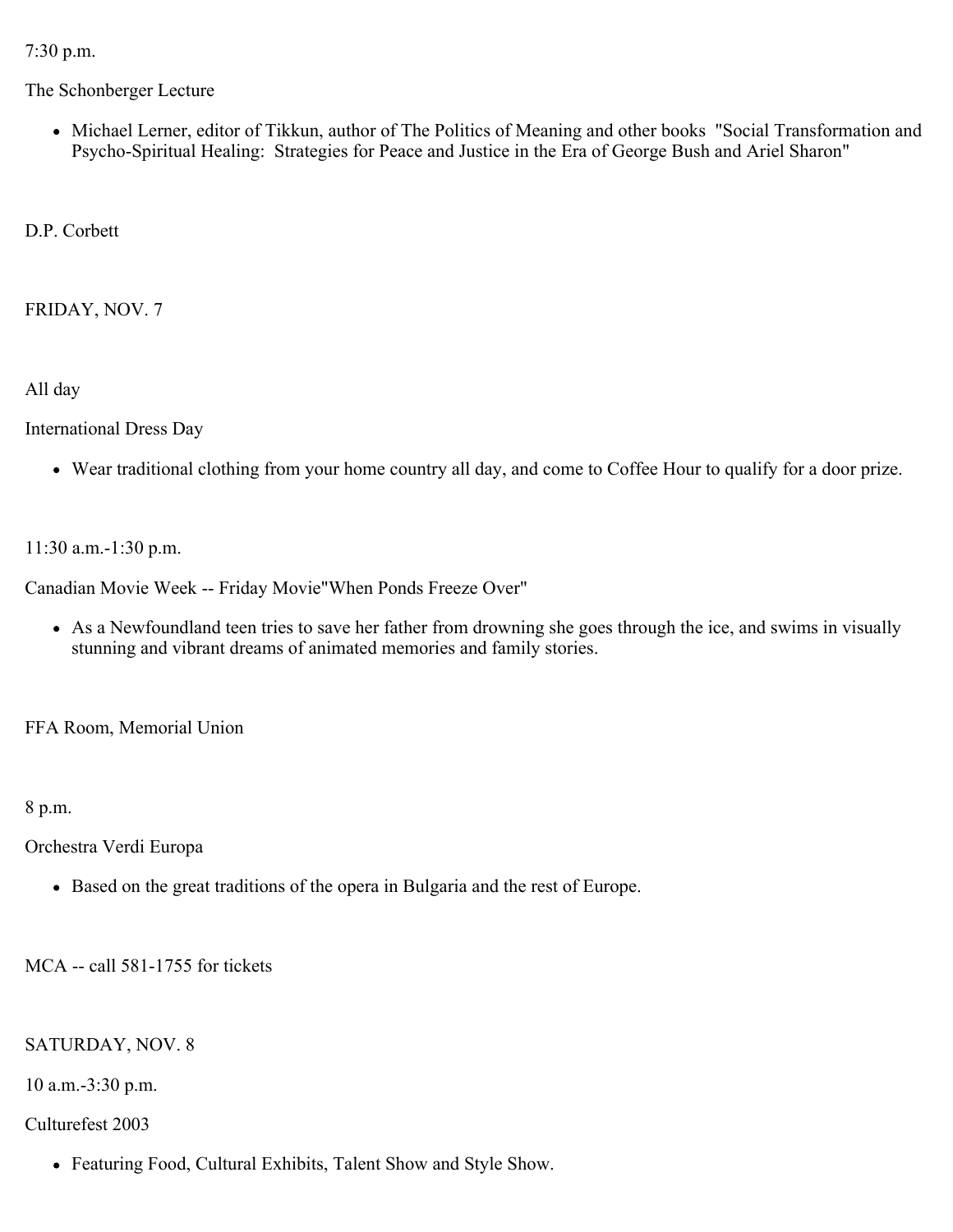7:30 p.m.

The Schonberger Lecture

Michael Lerner, editor of Tikkun, author of The Politics of Meaning and other books "Social Transformation and Psycho-Spiritual Healing: Strategies for Peace and Justice in the Era of George Bush and Ariel Sharon"

D.P. Corbett

FRIDAY, NOV. 7

All day

International Dress Day

Wear traditional clothing from your home country all day, and come to Coffee Hour to qualify for a door prize.

11:30 a.m.-1:30 p.m.

Canadian Movie Week -- Friday Movie"When Ponds Freeze Over"

As a Newfoundland teen tries to save her father from drowning she goes through the ice, and swims in visually stunning and vibrant dreams of animated memories and family stories.

FFA Room, Memorial Union

8 p.m.

Orchestra Verdi Europa

Based on the great traditions of the opera in Bulgaria and the rest of Europe.

MCA -- call 581-1755 for tickets

SATURDAY, NOV. 8

10 a.m.-3:30 p.m.

# Culturefest 2003

Featuring Food, Cultural Exhibits, Talent Show and Style Show.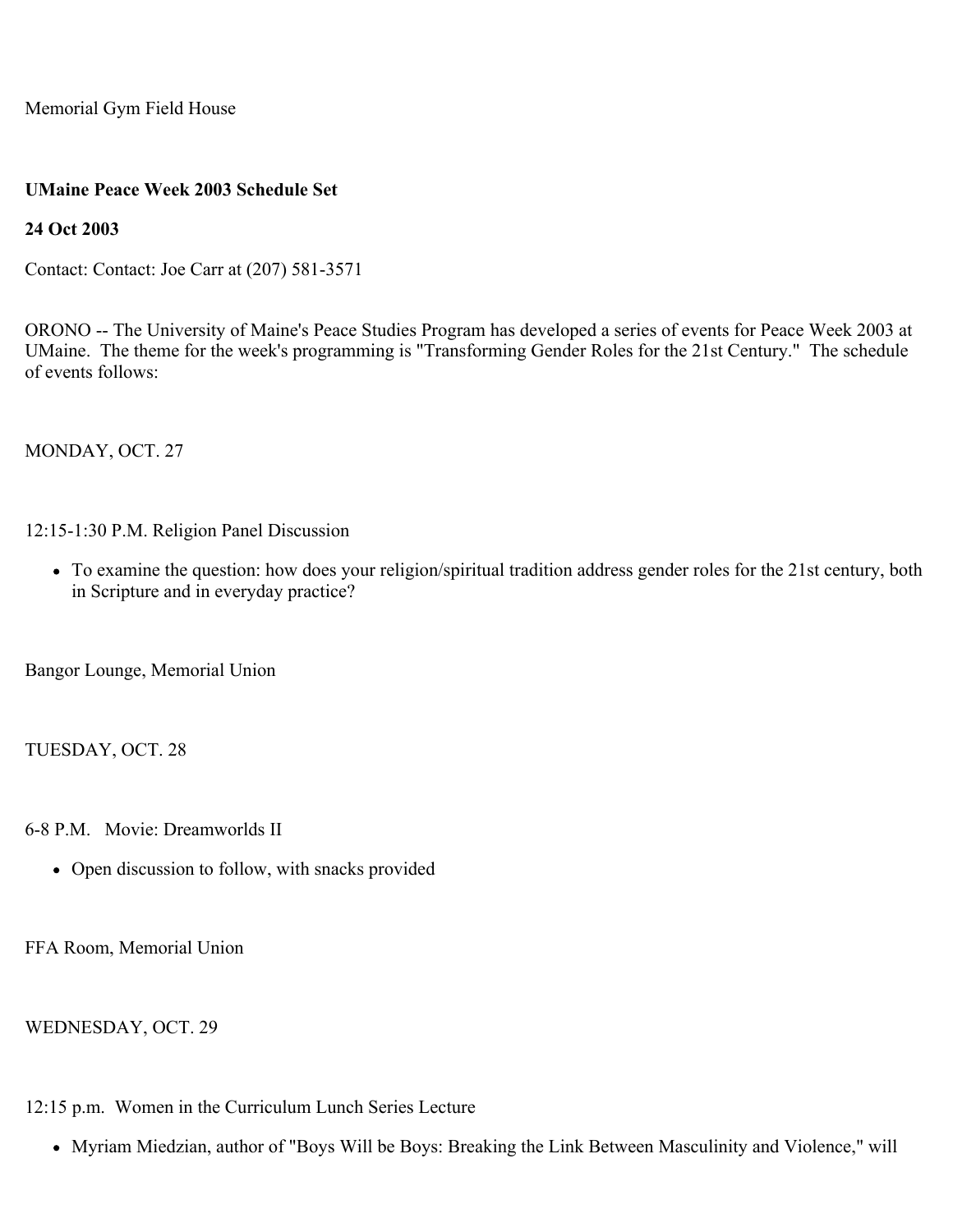Memorial Gym Field House

## **UMaine Peace Week 2003 Schedule Set**

**24 Oct 2003**

Contact: Contact: Joe Carr at (207) 581-3571

ORONO -- The University of Maine's Peace Studies Program has developed a series of events for Peace Week 2003 at UMaine. The theme for the week's programming is "Transforming Gender Roles for the 21st Century." The schedule of events follows:

MONDAY, OCT. 27

12:15-1:30 P.M. Religion Panel Discussion

To examine the question: how does your religion/spiritual tradition address gender roles for the 21st century, both in Scripture and in everyday practice?

Bangor Lounge, Memorial Union

TUESDAY, OCT. 28

6-8 P.M. Movie: Dreamworlds II

• Open discussion to follow, with snacks provided

FFA Room, Memorial Union

WEDNESDAY, OCT. 29

12:15 p.m. Women in the Curriculum Lunch Series Lecture

Myriam Miedzian, author of "Boys Will be Boys: Breaking the Link Between Masculinity and Violence," will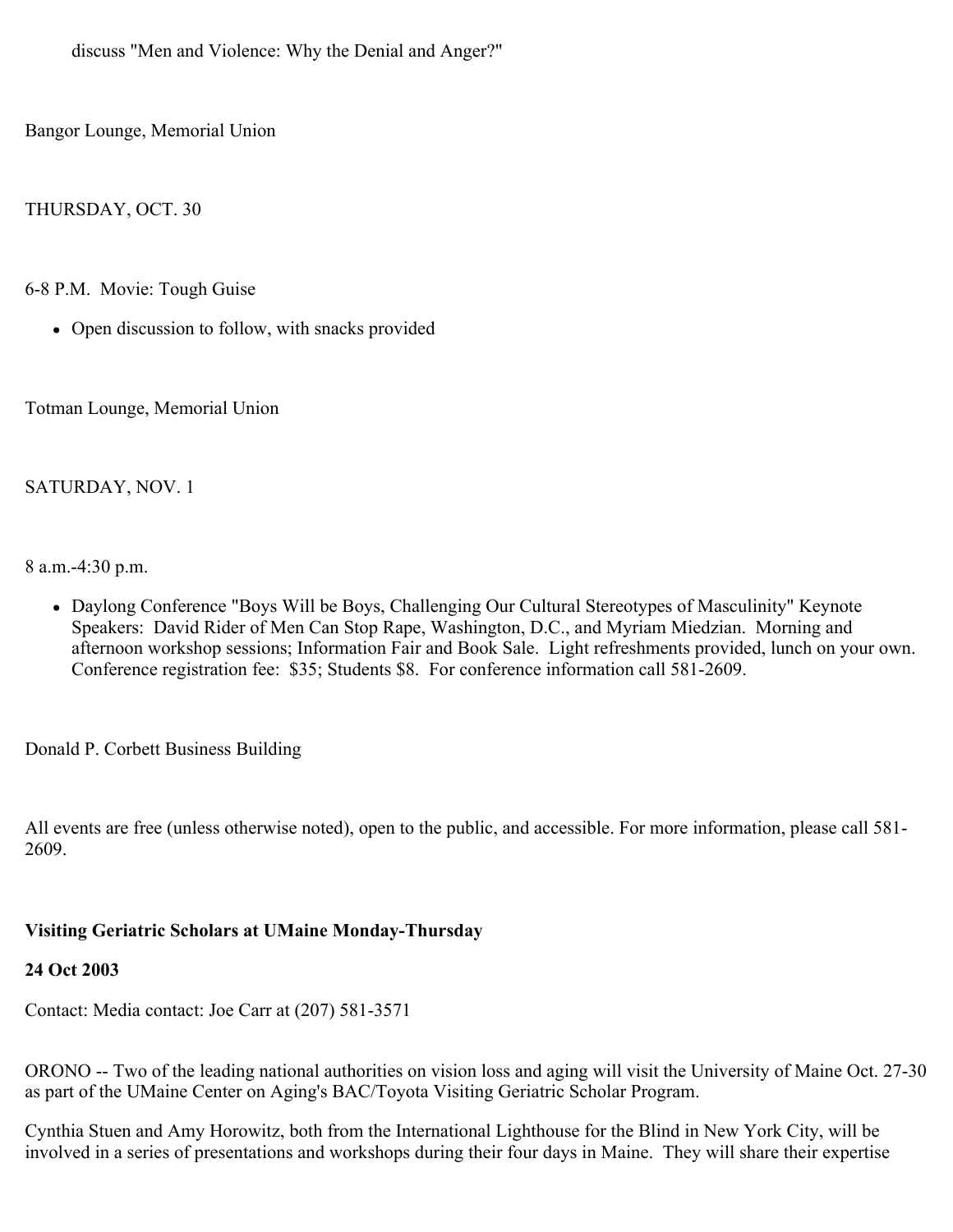discuss "Men and Violence: Why the Denial and Anger?"

Bangor Lounge, Memorial Union

THURSDAY, OCT. 30

6-8 P.M. Movie: Tough Guise

• Open discussion to follow, with snacks provided

Totman Lounge, Memorial Union

# SATURDAY, NOV. 1

8 a.m.-4:30 p.m.

Daylong Conference "Boys Will be Boys, Challenging Our Cultural Stereotypes of Masculinity" Keynote Speakers: David Rider of Men Can Stop Rape, Washington, D.C., and Myriam Miedzian. Morning and afternoon workshop sessions; Information Fair and Book Sale. Light refreshments provided, lunch on your own. Conference registration fee: \$35; Students \$8. For conference information call 581-2609.

Donald P. Corbett Business Building

All events are free (unless otherwise noted), open to the public, and accessible. For more information, please call 581- 2609.

# **Visiting Geriatric Scholars at UMaine Monday-Thursday**

### **24 Oct 2003**

Contact: Media contact: Joe Carr at (207) 581-3571

ORONO -- Two of the leading national authorities on vision loss and aging will visit the University of Maine Oct. 27-30 as part of the UMaine Center on Aging's BAC/Toyota Visiting Geriatric Scholar Program.

Cynthia Stuen and Amy Horowitz, both from the International Lighthouse for the Blind in New York City, will be involved in a series of presentations and workshops during their four days in Maine. They will share their expertise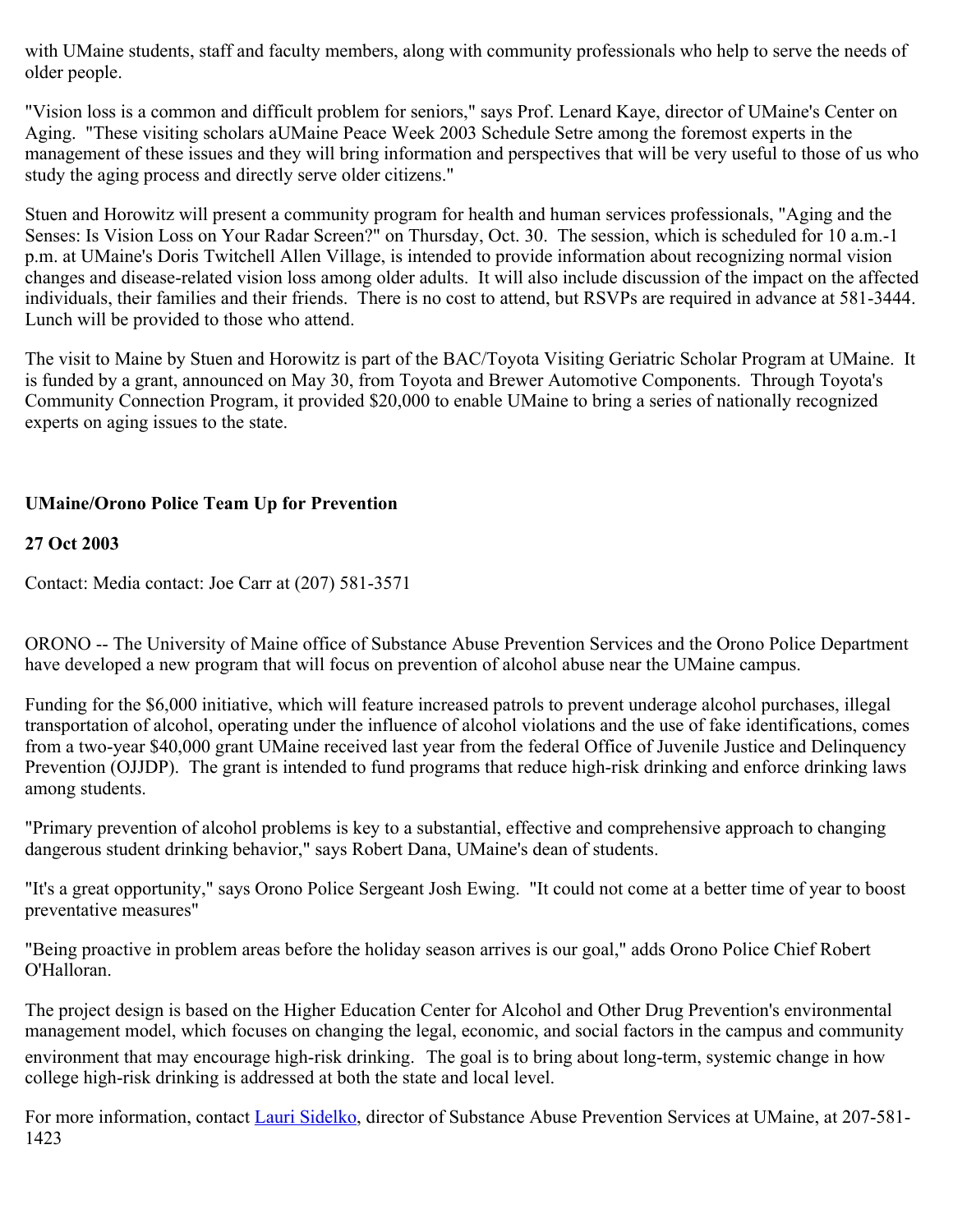with UMaine students, staff and faculty members, along with community professionals who help to serve the needs of older people.

"Vision loss is a common and difficult problem for seniors," says Prof. Lenard Kaye, director of UMaine's Center on Aging. "These visiting scholars aUMaine Peace Week 2003 Schedule Setre among the foremost experts in the management of these issues and they will bring information and perspectives that will be very useful to those of us who study the aging process and directly serve older citizens."

Stuen and Horowitz will present a community program for health and human services professionals, "Aging and the Senses: Is Vision Loss on Your Radar Screen?" on Thursday, Oct. 30. The session, which is scheduled for 10 a.m.-1 p.m. at UMaine's Doris Twitchell Allen Village, is intended to provide information about recognizing normal vision changes and disease-related vision loss among older adults. It will also include discussion of the impact on the affected individuals, their families and their friends. There is no cost to attend, but RSVPs are required in advance at 581-3444. Lunch will be provided to those who attend.

The visit to Maine by Stuen and Horowitz is part of the BAC/Toyota Visiting Geriatric Scholar Program at UMaine. It is funded by a grant, announced on May 30, from Toyota and Brewer Automotive Components. Through Toyota's Community Connection Program, it provided \$20,000 to enable UMaine to bring a series of nationally recognized experts on aging issues to the state.

# **UMaine/Orono Police Team Up for Prevention**

# **27 Oct 2003**

Contact: Media contact: Joe Carr at (207) 581-3571

ORONO -- The University of Maine office of Substance Abuse Prevention Services and the Orono Police Department have developed a new program that will focus on prevention of alcohol abuse near the UMaine campus.

Funding for the \$6,000 initiative, which will feature increased patrols to prevent underage alcohol purchases, illegal transportation of alcohol, operating under the influence of alcohol violations and the use of fake identifications, comes from a two-year \$40,000 grant UMaine received last year from the federal Office of Juvenile Justice and Delinquency Prevention (OJJDP). The grant is intended to fund programs that reduce high-risk drinking and enforce drinking laws among students.

"Primary prevention of alcohol problems is key to a substantial, effective and comprehensive approach to changing dangerous student drinking behavior," says Robert Dana, UMaine's dean of students.

"It's a great opportunity," says Orono Police Sergeant Josh Ewing. "It could not come at a better time of year to boost preventative measures"

"Being proactive in problem areas before the holiday season arrives is our goal," adds Orono Police Chief Robert O'Halloran.

The project design is based on the Higher Education Center for Alcohol and Other Drug Prevention's environmental management model, which focuses on changing the legal, economic, and social factors in the campus and community environment that may encourage high-risk drinking. The goal is to bring about long-term, systemic change in how college high-risk drinking is addressed at both the state and local level.

For more information, contact [Lauri Sidelko](mailto:lauri_sidelko@umit.maine.edu), director of Substance Abuse Prevention Services at UMaine, at 207-581-1423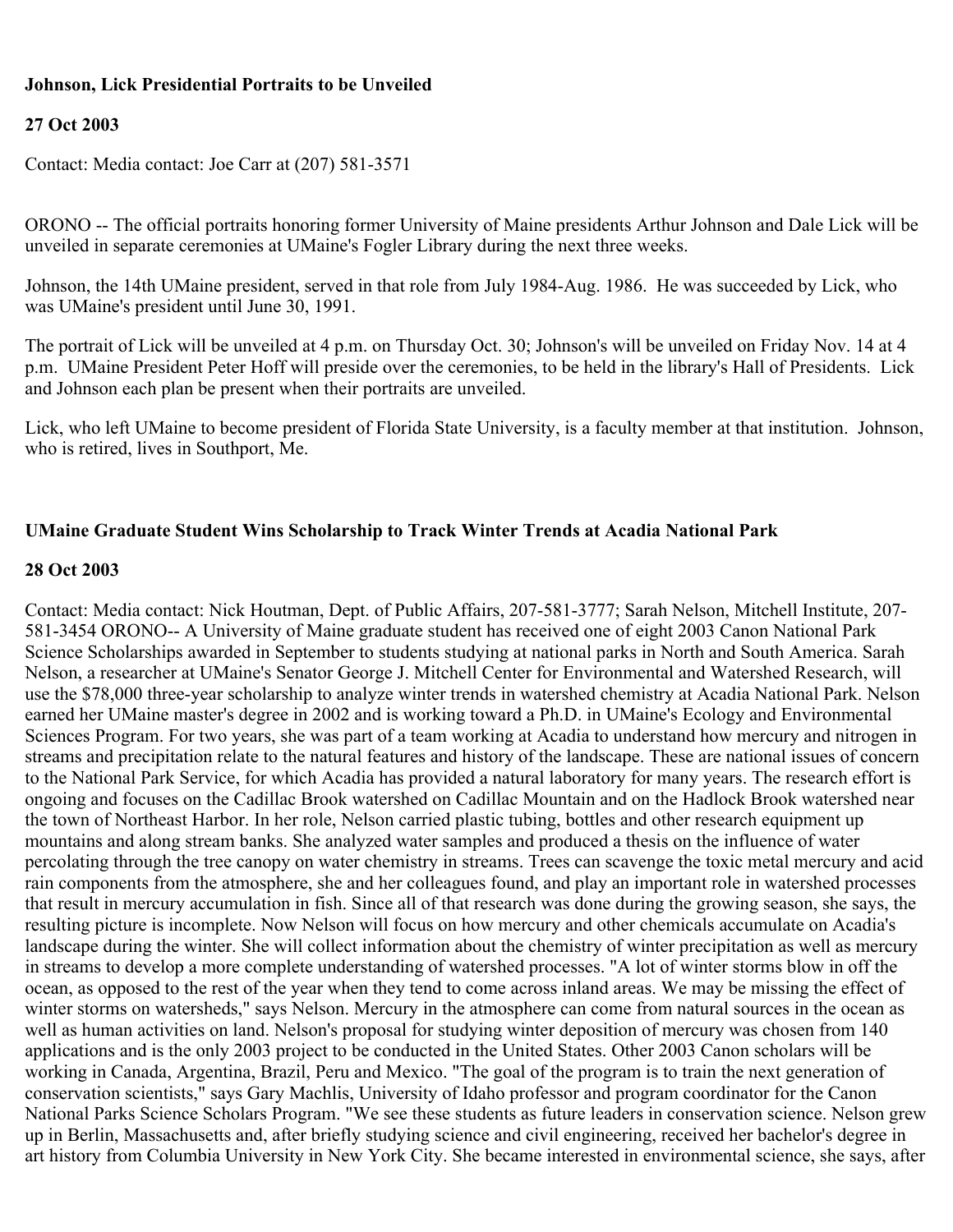# **Johnson, Lick Presidential Portraits to be Unveiled**

### **27 Oct 2003**

Contact: Media contact: Joe Carr at (207) 581-3571

ORONO -- The official portraits honoring former University of Maine presidents Arthur Johnson and Dale Lick will be unveiled in separate ceremonies at UMaine's Fogler Library during the next three weeks.

Johnson, the 14th UMaine president, served in that role from July 1984-Aug. 1986. He was succeeded by Lick, who was UMaine's president until June 30, 1991.

The portrait of Lick will be unveiled at 4 p.m. on Thursday Oct. 30; Johnson's will be unveiled on Friday Nov. 14 at 4 p.m. UMaine President Peter Hoff will preside over the ceremonies, to be held in the library's Hall of Presidents. Lick and Johnson each plan be present when their portraits are unveiled.

Lick, who left UMaine to become president of Florida State University, is a faculty member at that institution. Johnson, who is retired, lives in Southport, Me.

## **UMaine Graduate Student Wins Scholarship to Track Winter Trends at Acadia National Park**

#### **28 Oct 2003**

Contact: Media contact: Nick Houtman, Dept. of Public Affairs, 207-581-3777; Sarah Nelson, Mitchell Institute, 207- 581-3454 ORONO-- A University of Maine graduate student has received one of eight 2003 Canon National Park Science Scholarships awarded in September to students studying at national parks in North and South America. Sarah Nelson, a researcher at UMaine's Senator George J. Mitchell Center for Environmental and Watershed Research, will use the \$78,000 three-year scholarship to analyze winter trends in watershed chemistry at Acadia National Park. Nelson earned her UMaine master's degree in 2002 and is working toward a Ph.D. in UMaine's Ecology and Environmental Sciences Program. For two years, she was part of a team working at Acadia to understand how mercury and nitrogen in streams and precipitation relate to the natural features and history of the landscape. These are national issues of concern to the National Park Service, for which Acadia has provided a natural laboratory for many years. The research effort is ongoing and focuses on the Cadillac Brook watershed on Cadillac Mountain and on the Hadlock Brook watershed near the town of Northeast Harbor. In her role, Nelson carried plastic tubing, bottles and other research equipment up mountains and along stream banks. She analyzed water samples and produced a thesis on the influence of water percolating through the tree canopy on water chemistry in streams. Trees can scavenge the toxic metal mercury and acid rain components from the atmosphere, she and her colleagues found, and play an important role in watershed processes that result in mercury accumulation in fish. Since all of that research was done during the growing season, she says, the resulting picture is incomplete. Now Nelson will focus on how mercury and other chemicals accumulate on Acadia's landscape during the winter. She will collect information about the chemistry of winter precipitation as well as mercury in streams to develop a more complete understanding of watershed processes. "A lot of winter storms blow in off the ocean, as opposed to the rest of the year when they tend to come across inland areas. We may be missing the effect of winter storms on watersheds," says Nelson. Mercury in the atmosphere can come from natural sources in the ocean as well as human activities on land. Nelson's proposal for studying winter deposition of mercury was chosen from 140 applications and is the only 2003 project to be conducted in the United States. Other 2003 Canon scholars will be working in Canada, Argentina, Brazil, Peru and Mexico. "The goal of the program is to train the next generation of conservation scientists," says Gary Machlis, University of Idaho professor and program coordinator for the Canon National Parks Science Scholars Program. "We see these students as future leaders in conservation science. Nelson grew up in Berlin, Massachusetts and, after briefly studying science and civil engineering, received her bachelor's degree in art history from Columbia University in New York City. She became interested in environmental science, she says, after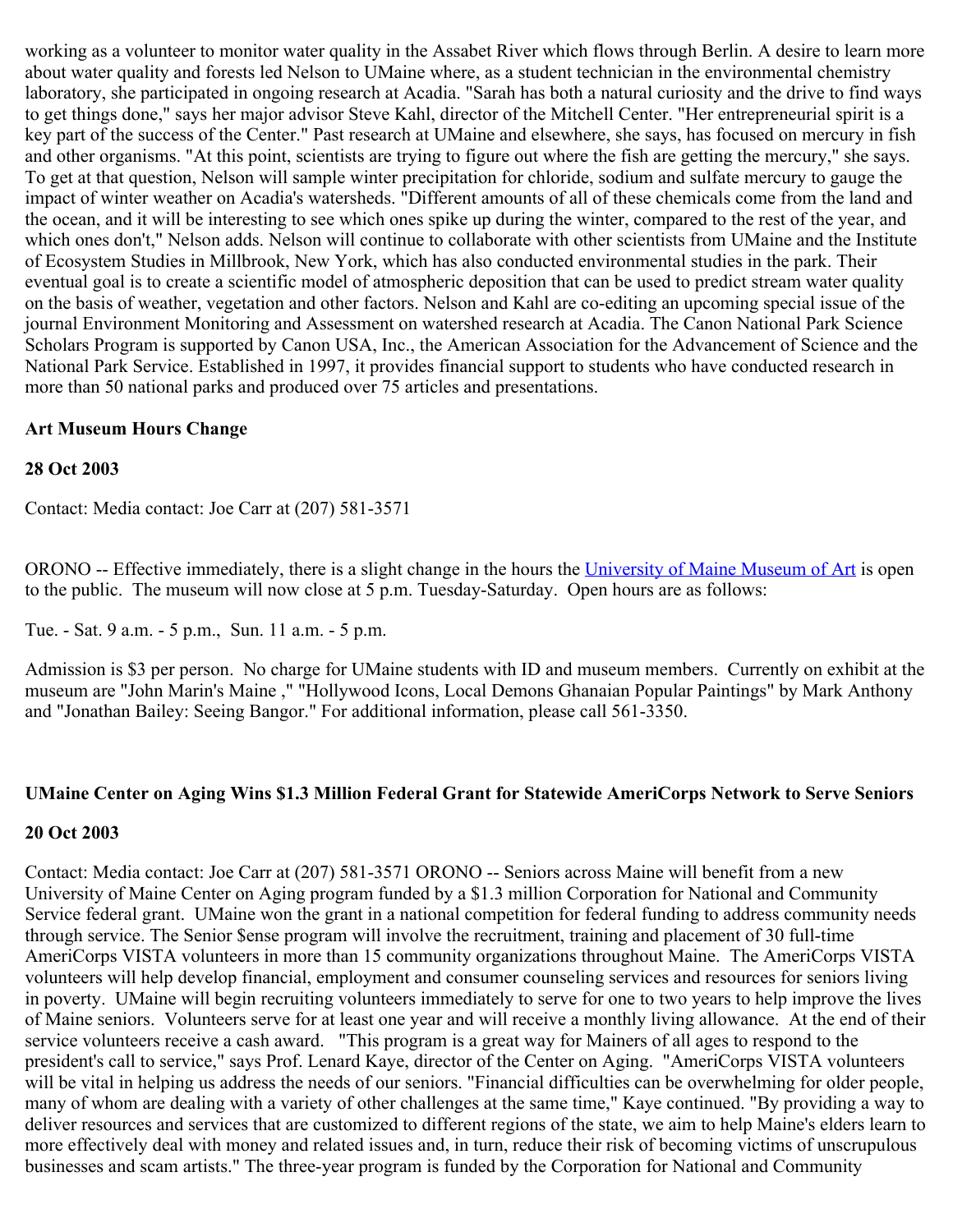working as a volunteer to monitor water quality in the Assabet River which flows through Berlin. A desire to learn more about water quality and forests led Nelson to UMaine where, as a student technician in the environmental chemistry laboratory, she participated in ongoing research at Acadia. "Sarah has both a natural curiosity and the drive to find ways to get things done," says her major advisor Steve Kahl, director of the Mitchell Center. "Her entrepreneurial spirit is a key part of the success of the Center." Past research at UMaine and elsewhere, she says, has focused on mercury in fish and other organisms. "At this point, scientists are trying to figure out where the fish are getting the mercury," she says. To get at that question, Nelson will sample winter precipitation for chloride, sodium and sulfate mercury to gauge the impact of winter weather on Acadia's watersheds. "Different amounts of all of these chemicals come from the land and the ocean, and it will be interesting to see which ones spike up during the winter, compared to the rest of the year, and which ones don't," Nelson adds. Nelson will continue to collaborate with other scientists from UMaine and the Institute of Ecosystem Studies in Millbrook, New York, which has also conducted environmental studies in the park. Their eventual goal is to create a scientific model of atmospheric deposition that can be used to predict stream water quality on the basis of weather, vegetation and other factors. Nelson and Kahl are co-editing an upcoming special issue of the journal Environment Monitoring and Assessment on watershed research at Acadia. The Canon National Park Science Scholars Program is supported by Canon USA, Inc., the American Association for the Advancement of Science and the National Park Service. Established in 1997, it provides financial support to students who have conducted research in more than 50 national parks and produced over 75 articles and presentations.

## **Art Museum Hours Change**

### **28 Oct 2003**

Contact: Media contact: Joe Carr at (207) 581-3571

ORONO -- Effective immediately, there is a slight change in the hours the [University of Maine Museum of Art](http://www.umma.umaine.edu/) is open to the public. The museum will now close at 5 p.m. Tuesday-Saturday. Open hours are as follows:

Tue. - Sat. 9 a.m. - 5 p.m., Sun. 11 a.m. - 5 p.m.

Admission is \$3 per person. No charge for UMaine students with ID and museum members. Currently on exhibit at the museum are "John Marin's Maine ," "Hollywood Icons, Local Demons Ghanaian Popular Paintings" by Mark Anthony and "Jonathan Bailey: Seeing Bangor." For additional information, please call 561-3350.

# **UMaine Center on Aging Wins \$1.3 Million Federal Grant for Statewide AmeriCorps Network to Serve Seniors**

### **20 Oct 2003**

Contact: Media contact: Joe Carr at (207) 581-3571 ORONO -- Seniors across Maine will benefit from a new University of Maine Center on Aging program funded by a \$1.3 million Corporation for National and Community Service federal grant. UMaine won the grant in a national competition for federal funding to address community needs through service. The Senior \$ense program will involve the recruitment, training and placement of 30 full-time AmeriCorps VISTA volunteers in more than 15 community organizations throughout Maine. The AmeriCorps VISTA volunteers will help develop financial, employment and consumer counseling services and resources for seniors living in poverty. UMaine will begin recruiting volunteers immediately to serve for one to two years to help improve the lives of Maine seniors. Volunteers serve for at least one year and will receive a monthly living allowance. At the end of their service volunteers receive a cash award. "This program is a great way for Mainers of all ages to respond to the president's call to service," says Prof. Lenard Kaye, director of the Center on Aging. "AmeriCorps VISTA volunteers will be vital in helping us address the needs of our seniors. "Financial difficulties can be overwhelming for older people, many of whom are dealing with a variety of other challenges at the same time," Kaye continued. "By providing a way to deliver resources and services that are customized to different regions of the state, we aim to help Maine's elders learn to more effectively deal with money and related issues and, in turn, reduce their risk of becoming victims of unscrupulous businesses and scam artists." The three-year program is funded by the Corporation for National and Community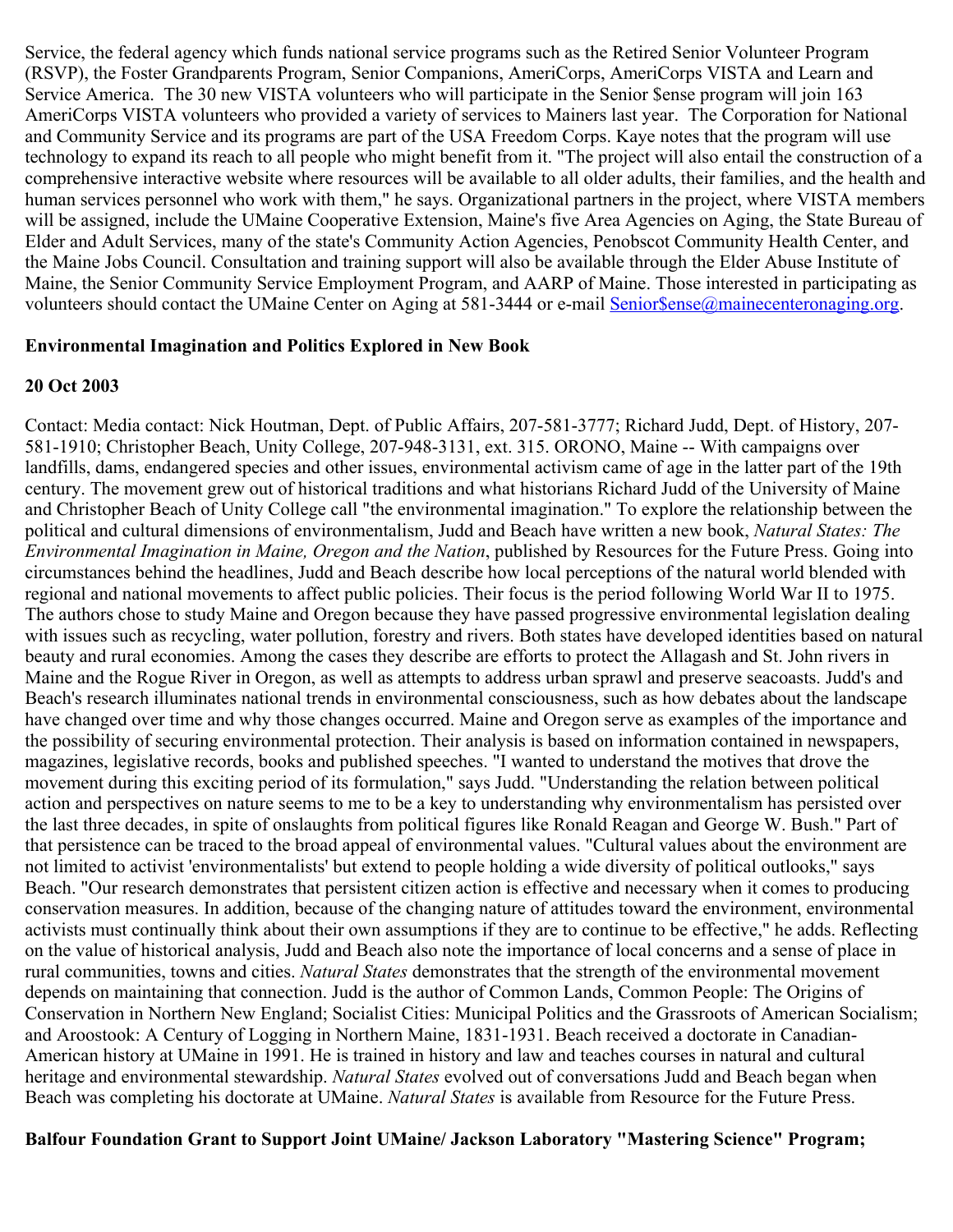Service, the federal agency which funds national service programs such as the Retired Senior Volunteer Program (RSVP), the Foster Grandparents Program, Senior Companions, AmeriCorps, AmeriCorps VISTA and Learn and Service America. The 30 new VISTA volunteers who will participate in the Senior \$ense program will join 163 AmeriCorps VISTA volunteers who provided a variety of services to Mainers last year. The Corporation for National and Community Service and its programs are part of the USA Freedom Corps. Kaye notes that the program will use technology to expand its reach to all people who might benefit from it. "The project will also entail the construction of a comprehensive interactive website where resources will be available to all older adults, their families, and the health and human services personnel who work with them," he says. Organizational partners in the project, where VISTA members will be assigned, include the UMaine Cooperative Extension, Maine's five Area Agencies on Aging, the State Bureau of Elder and Adult Services, many of the state's Community Action Agencies, Penobscot Community Health Center, and the Maine Jobs Council. Consultation and training support will also be available through the Elder Abuse Institute of Maine, the Senior Community Service Employment Program, and AARP of Maine. Those interested in participating as volunteers should contact the UMaine Center on Aging at 581-3444 or e-mail Senior Sense@mainecenteronaging.org.

#### **Environmental Imagination and Politics Explored in New Book**

### **20 Oct 2003**

Contact: Media contact: Nick Houtman, Dept. of Public Affairs, 207-581-3777; Richard Judd, Dept. of History, 207- 581-1910; Christopher Beach, Unity College, 207-948-3131, ext. 315. ORONO, Maine -- With campaigns over landfills, dams, endangered species and other issues, environmental activism came of age in the latter part of the 19th century. The movement grew out of historical traditions and what historians Richard Judd of the University of Maine and Christopher Beach of Unity College call "the environmental imagination." To explore the relationship between the political and cultural dimensions of environmentalism, Judd and Beach have written a new book, *Natural States: The Environmental Imagination in Maine, Oregon and the Nation*, published by Resources for the Future Press. Going into circumstances behind the headlines, Judd and Beach describe how local perceptions of the natural world blended with regional and national movements to affect public policies. Their focus is the period following World War II to 1975. The authors chose to study Maine and Oregon because they have passed progressive environmental legislation dealing with issues such as recycling, water pollution, forestry and rivers. Both states have developed identities based on natural beauty and rural economies. Among the cases they describe are efforts to protect the Allagash and St. John rivers in Maine and the Rogue River in Oregon, as well as attempts to address urban sprawl and preserve seacoasts. Judd's and Beach's research illuminates national trends in environmental consciousness, such as how debates about the landscape have changed over time and why those changes occurred. Maine and Oregon serve as examples of the importance and the possibility of securing environmental protection. Their analysis is based on information contained in newspapers, magazines, legislative records, books and published speeches. "I wanted to understand the motives that drove the movement during this exciting period of its formulation," says Judd. "Understanding the relation between political action and perspectives on nature seems to me to be a key to understanding why environmentalism has persisted over the last three decades, in spite of onslaughts from political figures like Ronald Reagan and George W. Bush." Part of that persistence can be traced to the broad appeal of environmental values. "Cultural values about the environment are not limited to activist 'environmentalists' but extend to people holding a wide diversity of political outlooks," says Beach. "Our research demonstrates that persistent citizen action is effective and necessary when it comes to producing conservation measures. In addition, because of the changing nature of attitudes toward the environment, environmental activists must continually think about their own assumptions if they are to continue to be effective," he adds. Reflecting on the value of historical analysis, Judd and Beach also note the importance of local concerns and a sense of place in rural communities, towns and cities. *Natural States* demonstrates that the strength of the environmental movement depends on maintaining that connection. Judd is the author of Common Lands, Common People: The Origins of Conservation in Northern New England; Socialist Cities: Municipal Politics and the Grassroots of American Socialism; and Aroostook: A Century of Logging in Northern Maine, 1831-1931. Beach received a doctorate in Canadian-American history at UMaine in 1991. He is trained in history and law and teaches courses in natural and cultural heritage and environmental stewardship. *Natural States* evolved out of conversations Judd and Beach began when Beach was completing his doctorate at UMaine. *Natural States* is available from Resource for the Future Press.

**Balfour Foundation Grant to Support Joint UMaine/ Jackson Laboratory "Mastering Science" Program;**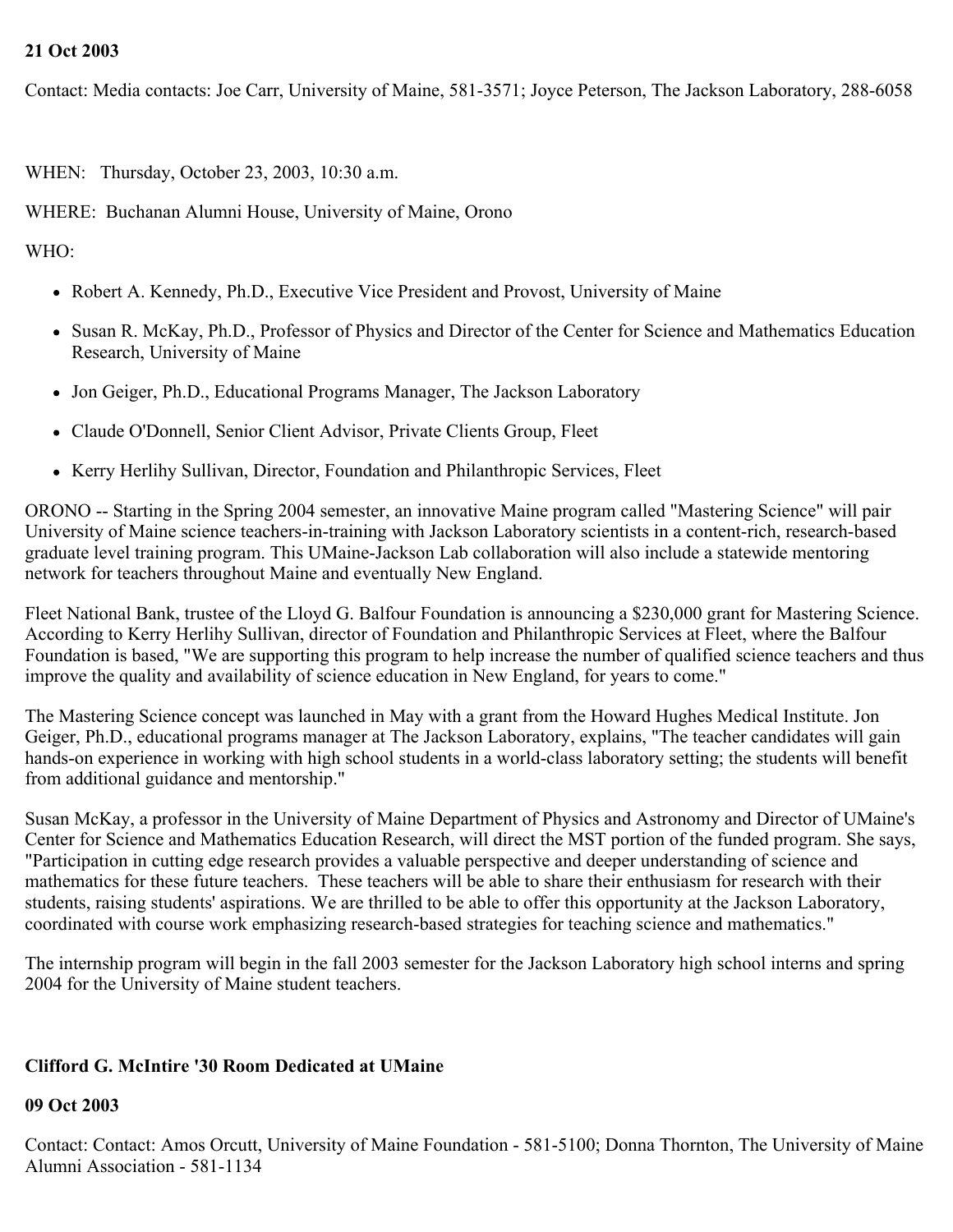## **21 Oct 2003**

Contact: Media contacts: Joe Carr, University of Maine, 581-3571; Joyce Peterson, The Jackson Laboratory, 288-6058

WHEN: Thursday, October 23, 2003, 10:30 a.m.

WHERE: Buchanan Alumni House, University of Maine, Orono

WHO:

- Robert A. Kennedy, Ph.D., Executive Vice President and Provost, University of Maine
- Susan R. McKay, Ph.D., Professor of Physics and Director of the Center for Science and Mathematics Education Research, University of Maine
- Jon Geiger, Ph.D., Educational Programs Manager, The Jackson Laboratory
- Claude O'Donnell, Senior Client Advisor, Private Clients Group, Fleet
- Kerry Herlihy Sullivan, Director, Foundation and Philanthropic Services, Fleet

ORONO -- Starting in the Spring 2004 semester, an innovative Maine program called "Mastering Science" will pair University of Maine science teachers-in-training with Jackson Laboratory scientists in a content-rich, research-based graduate level training program. This UMaine-Jackson Lab collaboration will also include a statewide mentoring network for teachers throughout Maine and eventually New England.

Fleet National Bank, trustee of the Lloyd G. Balfour Foundation is announcing a \$230,000 grant for Mastering Science. According to Kerry Herlihy Sullivan, director of Foundation and Philanthropic Services at Fleet, where the Balfour Foundation is based, "We are supporting this program to help increase the number of qualified science teachers and thus improve the quality and availability of science education in New England, for years to come."

The Mastering Science concept was launched in May with a grant from the Howard Hughes Medical Institute. Jon Geiger, Ph.D., educational programs manager at The Jackson Laboratory, explains, "The teacher candidates will gain hands-on experience in working with high school students in a world-class laboratory setting; the students will benefit from additional guidance and mentorship."

Susan McKay, a professor in the University of Maine Department of Physics and Astronomy and Director of UMaine's Center for Science and Mathematics Education Research, will direct the MST portion of the funded program. She says, "Participation in cutting edge research provides a valuable perspective and deeper understanding of science and mathematics for these future teachers. These teachers will be able to share their enthusiasm for research with their students, raising students' aspirations. We are thrilled to be able to offer this opportunity at the Jackson Laboratory, coordinated with course work emphasizing research-based strategies for teaching science and mathematics."

The internship program will begin in the fall 2003 semester for the Jackson Laboratory high school interns and spring 2004 for the University of Maine student teachers.

# **Clifford G. McIntire '30 Room Dedicated at UMaine**

### **09 Oct 2003**

Contact: Contact: Amos Orcutt, University of Maine Foundation - 581-5100; Donna Thornton, The University of Maine Alumni Association - 581-1134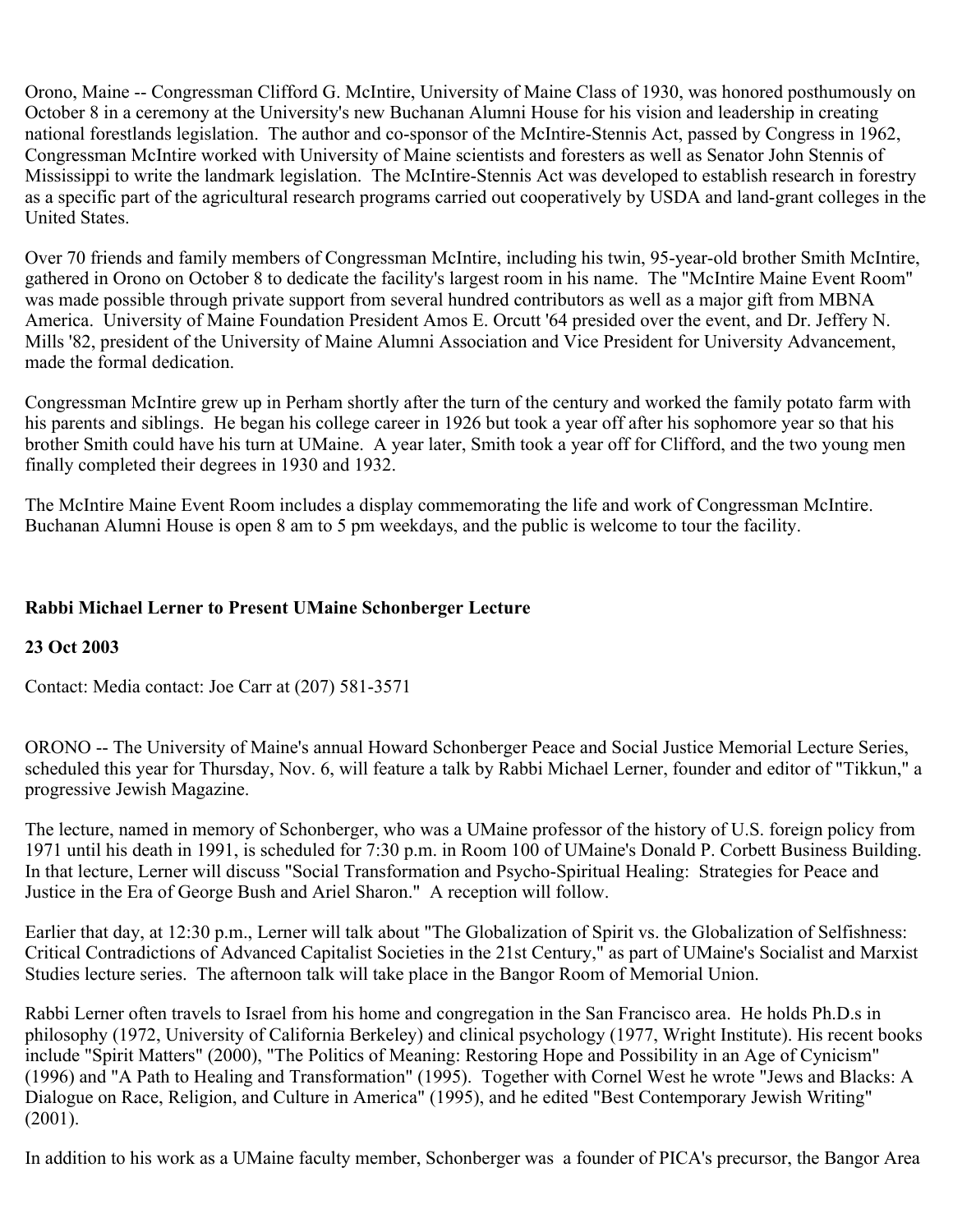Orono, Maine -- Congressman Clifford G. McIntire, University of Maine Class of 1930, was honored posthumously on October 8 in a ceremony at the University's new Buchanan Alumni House for his vision and leadership in creating national forestlands legislation. The author and co-sponsor of the McIntire-Stennis Act, passed by Congress in 1962, Congressman McIntire worked with University of Maine scientists and foresters as well as Senator John Stennis of Mississippi to write the landmark legislation. The McIntire-Stennis Act was developed to establish research in forestry as a specific part of the agricultural research programs carried out cooperatively by USDA and land-grant colleges in the United States.

Over 70 friends and family members of Congressman McIntire, including his twin, 95-year-old brother Smith McIntire, gathered in Orono on October 8 to dedicate the facility's largest room in his name. The "McIntire Maine Event Room" was made possible through private support from several hundred contributors as well as a major gift from MBNA America. University of Maine Foundation President Amos E. Orcutt '64 presided over the event, and Dr. Jeffery N. Mills '82, president of the University of Maine Alumni Association and Vice President for University Advancement, made the formal dedication.

Congressman McIntire grew up in Perham shortly after the turn of the century and worked the family potato farm with his parents and siblings. He began his college career in 1926 but took a year off after his sophomore year so that his brother Smith could have his turn at UMaine. A year later, Smith took a year off for Clifford, and the two young men finally completed their degrees in 1930 and 1932.

The McIntire Maine Event Room includes a display commemorating the life and work of Congressman McIntire. Buchanan Alumni House is open 8 am to 5 pm weekdays, and the public is welcome to tour the facility.

# **Rabbi Michael Lerner to Present UMaine Schonberger Lecture**

# **23 Oct 2003**

Contact: Media contact: Joe Carr at (207) 581-3571

ORONO -- The University of Maine's annual Howard Schonberger Peace and Social Justice Memorial Lecture Series, scheduled this year for Thursday, Nov. 6, will feature a talk by Rabbi Michael Lerner, founder and editor of "Tikkun," a progressive Jewish Magazine.

The lecture, named in memory of Schonberger, who was a UMaine professor of the history of U.S. foreign policy from 1971 until his death in 1991, is scheduled for 7:30 p.m. in Room 100 of UMaine's Donald P. Corbett Business Building. In that lecture, Lerner will discuss "Social Transformation and Psycho-Spiritual Healing: Strategies for Peace and Justice in the Era of George Bush and Ariel Sharon." A reception will follow.

Earlier that day, at 12:30 p.m., Lerner will talk about "The Globalization of Spirit vs. the Globalization of Selfishness: Critical Contradictions of Advanced Capitalist Societies in the 21st Century," as part of UMaine's Socialist and Marxist Studies lecture series. The afternoon talk will take place in the Bangor Room of Memorial Union.

Rabbi Lerner often travels to Israel from his home and congregation in the San Francisco area. He holds Ph.D.s in philosophy (1972, University of California Berkeley) and clinical psychology (1977, Wright Institute). His recent books include "Spirit Matters" (2000), "The Politics of Meaning: Restoring Hope and Possibility in an Age of Cynicism" (1996) and "A Path to Healing and Transformation" (1995). Together with Cornel West he wrote "Jews and Blacks: A Dialogue on Race, Religion, and Culture in America" (1995), and he edited "Best Contemporary Jewish Writing" (2001).

In addition to his work as a UMaine faculty member, Schonberger was a founder of PICA's precursor, the Bangor Area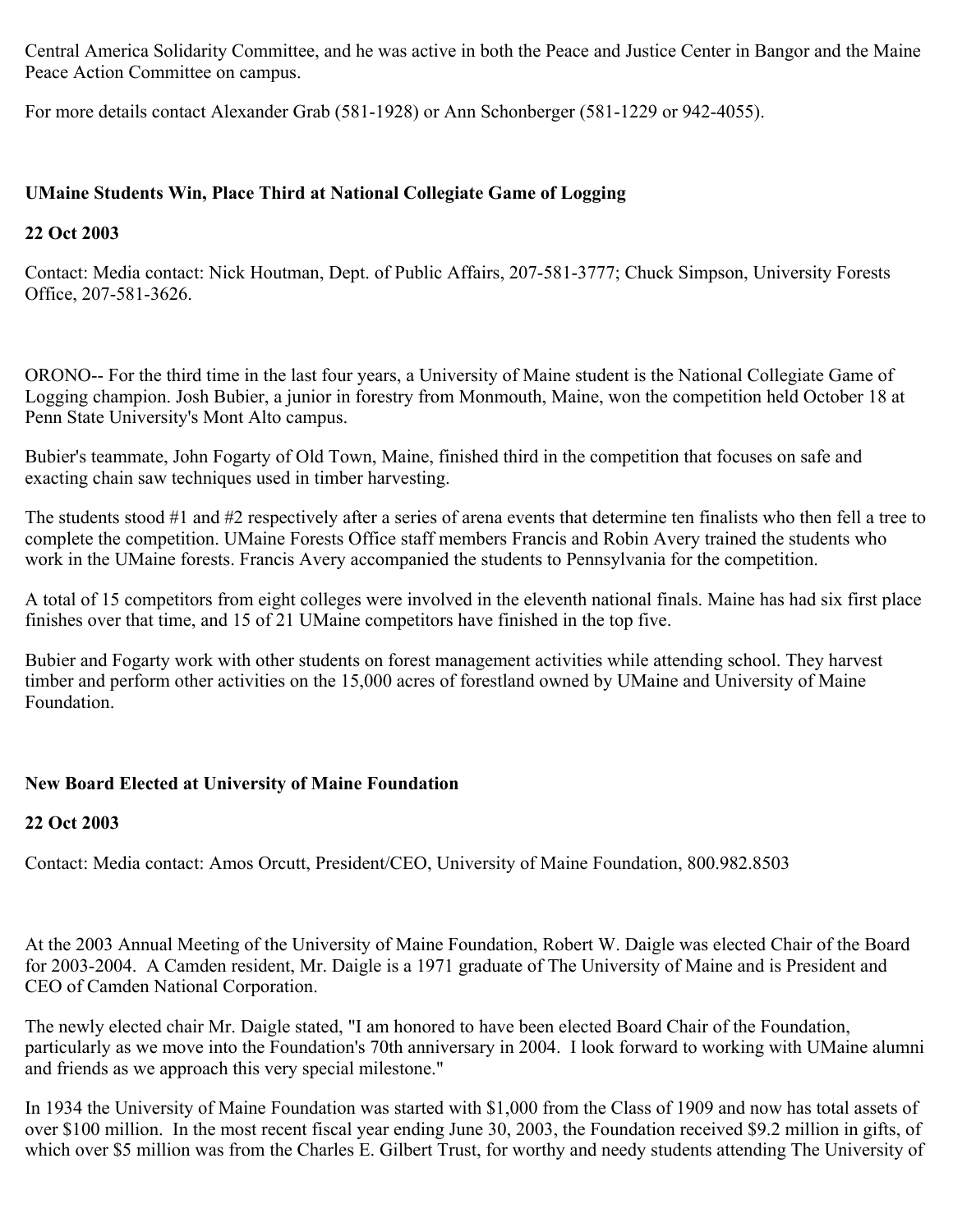Central America Solidarity Committee, and he was active in both the Peace and Justice Center in Bangor and the Maine Peace Action Committee on campus.

For more details contact Alexander Grab (581-1928) or Ann Schonberger (581-1229 or 942-4055).

# **UMaine Students Win, Place Third at National Collegiate Game of Logging**

# **22 Oct 2003**

Contact: Media contact: Nick Houtman, Dept. of Public Affairs, 207-581-3777; Chuck Simpson, University Forests Office, 207-581-3626.

ORONO-- For the third time in the last four years, a University of Maine student is the National Collegiate Game of Logging champion. Josh Bubier, a junior in forestry from Monmouth, Maine, won the competition held October 18 at Penn State University's Mont Alto campus.

Bubier's teammate, John Fogarty of Old Town, Maine, finished third in the competition that focuses on safe and exacting chain saw techniques used in timber harvesting.

The students stood #1 and #2 respectively after a series of arena events that determine ten finalists who then fell a tree to complete the competition. UMaine Forests Office staff members Francis and Robin Avery trained the students who work in the UMaine forests. Francis Avery accompanied the students to Pennsylvania for the competition.

A total of 15 competitors from eight colleges were involved in the eleventh national finals. Maine has had six first place finishes over that time, and 15 of 21 UMaine competitors have finished in the top five.

Bubier and Fogarty work with other students on forest management activities while attending school. They harvest timber and perform other activities on the 15,000 acres of forestland owned by UMaine and University of Maine Foundation.

# **New Board Elected at University of Maine Foundation**

# **22 Oct 2003**

Contact: Media contact: Amos Orcutt, President/CEO, University of Maine Foundation, 800.982.8503

At the 2003 Annual Meeting of the University of Maine Foundation, Robert W. Daigle was elected Chair of the Board for 2003-2004. A Camden resident, Mr. Daigle is a 1971 graduate of The University of Maine and is President and CEO of Camden National Corporation.

The newly elected chair Mr. Daigle stated, "I am honored to have been elected Board Chair of the Foundation, particularly as we move into the Foundation's 70th anniversary in 2004. I look forward to working with UMaine alumni and friends as we approach this very special milestone."

In 1934 the University of Maine Foundation was started with \$1,000 from the Class of 1909 and now has total assets of over \$100 million. In the most recent fiscal year ending June 30, 2003, the Foundation received \$9.2 million in gifts, of which over \$5 million was from the Charles E. Gilbert Trust, for worthy and needy students attending The University of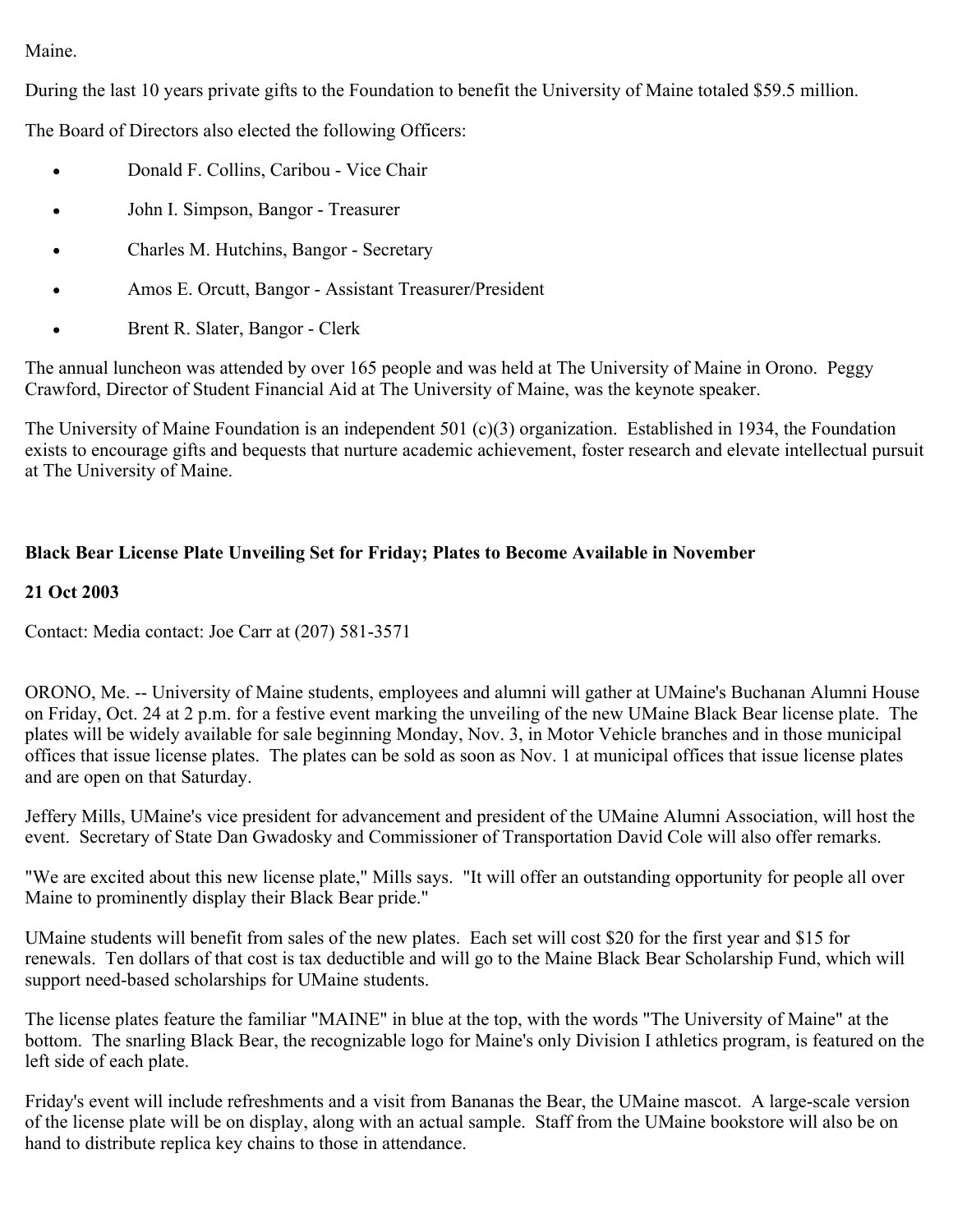# Maine.

During the last 10 years private gifts to the Foundation to benefit the University of Maine totaled \$59.5 million.

The Board of Directors also elected the following Officers:

- Donald F. Collins, Caribou Vice Chair  $\bullet$
- John I. Simpson, Bangor Treasurer  $\bullet$
- Charles M. Hutchins, Bangor Secretary
- Amos E. Orcutt, Bangor Assistant Treasurer/President
- Brent R. Slater, Bangor Clerk

The annual luncheon was attended by over 165 people and was held at The University of Maine in Orono. Peggy Crawford, Director of Student Financial Aid at The University of Maine, was the keynote speaker.

The University of Maine Foundation is an independent 501 (c)(3) organization. Established in 1934, the Foundation exists to encourage gifts and bequests that nurture academic achievement, foster research and elevate intellectual pursuit at The University of Maine.

# **Black Bear License Plate Unveiling Set for Friday; Plates to Become Available in November**

# **21 Oct 2003**

Contact: Media contact: Joe Carr at (207) 581-3571

ORONO, Me. -- University of Maine students, employees and alumni will gather at UMaine's Buchanan Alumni House on Friday, Oct. 24 at 2 p.m. for a festive event marking the unveiling of the new UMaine Black Bear license plate. The plates will be widely available for sale beginning Monday, Nov. 3, in Motor Vehicle branches and in those municipal offices that issue license plates. The plates can be sold as soon as Nov. 1 at municipal offices that issue license plates and are open on that Saturday.

Jeffery Mills, UMaine's vice president for advancement and president of the UMaine Alumni Association, will host the event. Secretary of State Dan Gwadosky and Commissioner of Transportation David Cole will also offer remarks.

"We are excited about this new license plate," Mills says. "It will offer an outstanding opportunity for people all over Maine to prominently display their Black Bear pride."

UMaine students will benefit from sales of the new plates. Each set will cost \$20 for the first year and \$15 for renewals. Ten dollars of that cost is tax deductible and will go to the Maine Black Bear Scholarship Fund, which will support need-based scholarships for UMaine students.

The license plates feature the familiar "MAINE" in blue at the top, with the words "The University of Maine" at the bottom. The snarling Black Bear, the recognizable logo for Maine's only Division I athletics program, is featured on the left side of each plate.

Friday's event will include refreshments and a visit from Bananas the Bear, the UMaine mascot. A large-scale version of the license plate will be on display, along with an actual sample. Staff from the UMaine bookstore will also be on hand to distribute replica key chains to those in attendance.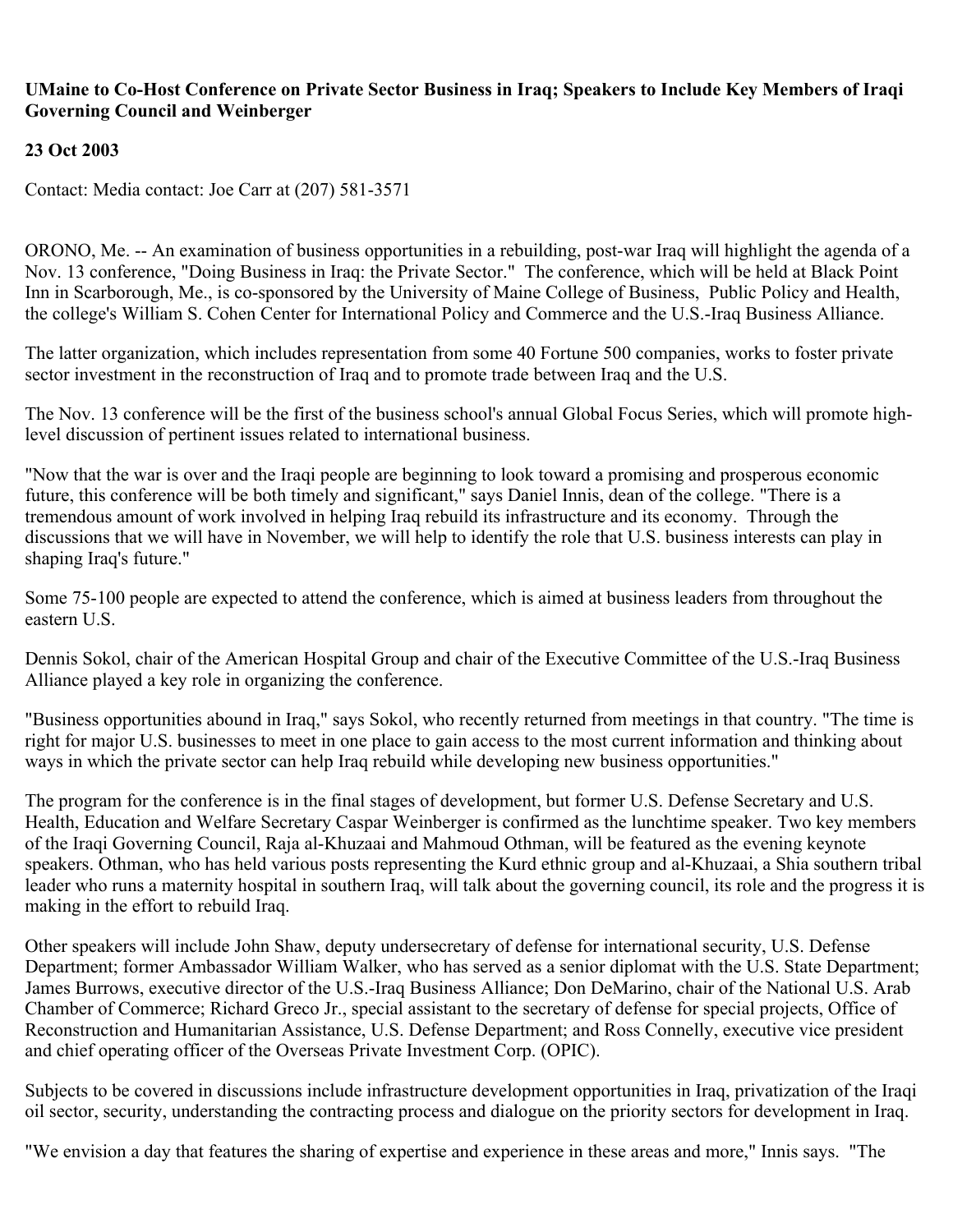## **UMaine to Co-Host Conference on Private Sector Business in Iraq; Speakers to Include Key Members of Iraqi Governing Council and Weinberger**

# **23 Oct 2003**

Contact: Media contact: Joe Carr at (207) 581-3571

ORONO, Me. -- An examination of business opportunities in a rebuilding, post-war Iraq will highlight the agenda of a Nov. 13 conference, "Doing Business in Iraq: the Private Sector." The conference, which will be held at Black Point Inn in Scarborough, Me., is co-sponsored by the University of Maine College of Business, Public Policy and Health, the college's William S. Cohen Center for International Policy and Commerce and the U.S.-Iraq Business Alliance.

The latter organization, which includes representation from some 40 Fortune 500 companies, works to foster private sector investment in the reconstruction of Iraq and to promote trade between Iraq and the U.S.

The Nov. 13 conference will be the first of the business school's annual Global Focus Series, which will promote highlevel discussion of pertinent issues related to international business.

"Now that the war is over and the Iraqi people are beginning to look toward a promising and prosperous economic future, this conference will be both timely and significant," says Daniel Innis, dean of the college. "There is a tremendous amount of work involved in helping Iraq rebuild its infrastructure and its economy. Through the discussions that we will have in November, we will help to identify the role that U.S. business interests can play in shaping Iraq's future."

Some 75-100 people are expected to attend the conference, which is aimed at business leaders from throughout the eastern U.S.

Dennis Sokol, chair of the American Hospital Group and chair of the Executive Committee of the U.S.-Iraq Business Alliance played a key role in organizing the conference.

"Business opportunities abound in Iraq," says Sokol, who recently returned from meetings in that country. "The time is right for major U.S. businesses to meet in one place to gain access to the most current information and thinking about ways in which the private sector can help Iraq rebuild while developing new business opportunities."

The program for the conference is in the final stages of development, but former U.S. Defense Secretary and U.S. Health, Education and Welfare Secretary Caspar Weinberger is confirmed as the lunchtime speaker. Two key members of the Iraqi Governing Council, Raja al-Khuzaai and Mahmoud Othman, will be featured as the evening keynote speakers. Othman, who has held various posts representing the Kurd ethnic group and al-Khuzaai, a Shia southern tribal leader who runs a maternity hospital in southern Iraq, will talk about the governing council, its role and the progress it is making in the effort to rebuild Iraq.

Other speakers will include John Shaw, deputy undersecretary of defense for international security, U.S. Defense Department; former Ambassador William Walker, who has served as a senior diplomat with the U.S. State Department; James Burrows, executive director of the U.S.-Iraq Business Alliance; Don DeMarino, chair of the National U.S. Arab Chamber of Commerce; Richard Greco Jr., special assistant to the secretary of defense for special projects, Office of Reconstruction and Humanitarian Assistance, U.S. Defense Department; and Ross Connelly, executive vice president and chief operating officer of the Overseas Private Investment Corp. (OPIC).

Subjects to be covered in discussions include infrastructure development opportunities in Iraq, privatization of the Iraqi oil sector, security, understanding the contracting process and dialogue on the priority sectors for development in Iraq.

"We envision a day that features the sharing of expertise and experience in these areas and more," Innis says. "The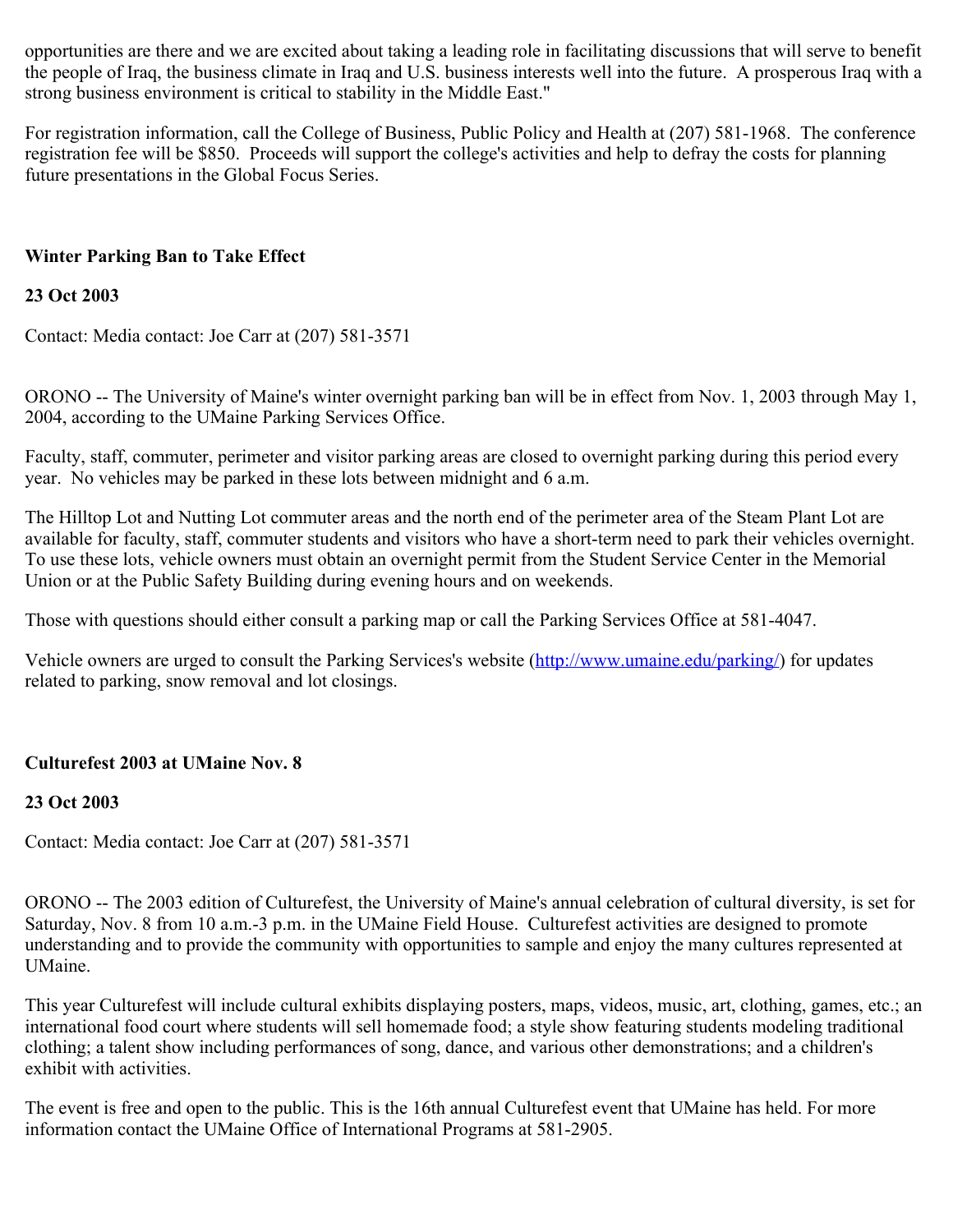opportunities are there and we are excited about taking a leading role in facilitating discussions that will serve to benefit the people of Iraq, the business climate in Iraq and U.S. business interests well into the future. A prosperous Iraq with a strong business environment is critical to stability in the Middle East."

For registration information, call the College of Business, Public Policy and Health at (207) 581-1968. The conference registration fee will be \$850. Proceeds will support the college's activities and help to defray the costs for planning future presentations in the Global Focus Series.

# **Winter Parking Ban to Take Effect**

# **23 Oct 2003**

Contact: Media contact: Joe Carr at (207) 581-3571

ORONO -- The University of Maine's winter overnight parking ban will be in effect from Nov. 1, 2003 through May 1, 2004, according to the UMaine Parking Services Office.

Faculty, staff, commuter, perimeter and visitor parking areas are closed to overnight parking during this period every year. No vehicles may be parked in these lots between midnight and 6 a.m.

The Hilltop Lot and Nutting Lot commuter areas and the north end of the perimeter area of the Steam Plant Lot are available for faculty, staff, commuter students and visitors who have a short-term need to park their vehicles overnight. To use these lots, vehicle owners must obtain an overnight permit from the Student Service Center in the Memorial Union or at the Public Safety Building during evening hours and on weekends.

Those with questions should either consult a parking map or call the Parking Services Office at 581-4047.

Vehicle owners are urged to consult the Parking Services's website (http://www.umaine.edu/parking) for updates related to parking, snow removal and lot closings.

# **Culturefest 2003 at UMaine Nov. 8**

# **23 Oct 2003**

Contact: Media contact: Joe Carr at (207) 581-3571

ORONO -- The 2003 edition of Culturefest, the University of Maine's annual celebration of cultural diversity, is set for Saturday, Nov. 8 from 10 a.m.-3 p.m. in the UMaine Field House. Culturefest activities are designed to promote understanding and to provide the community with opportunities to sample and enjoy the many cultures represented at UMaine.

This year Culturefest will include cultural exhibits displaying posters, maps, videos, music, art, clothing, games, etc.; an international food court where students will sell homemade food; a style show featuring students modeling traditional clothing; a talent show including performances of song, dance, and various other demonstrations; and a children's exhibit with activities.

The event is free and open to the public. This is the 16th annual Culturefest event that UMaine has held. For more information contact the UMaine Office of International Programs at 581-2905.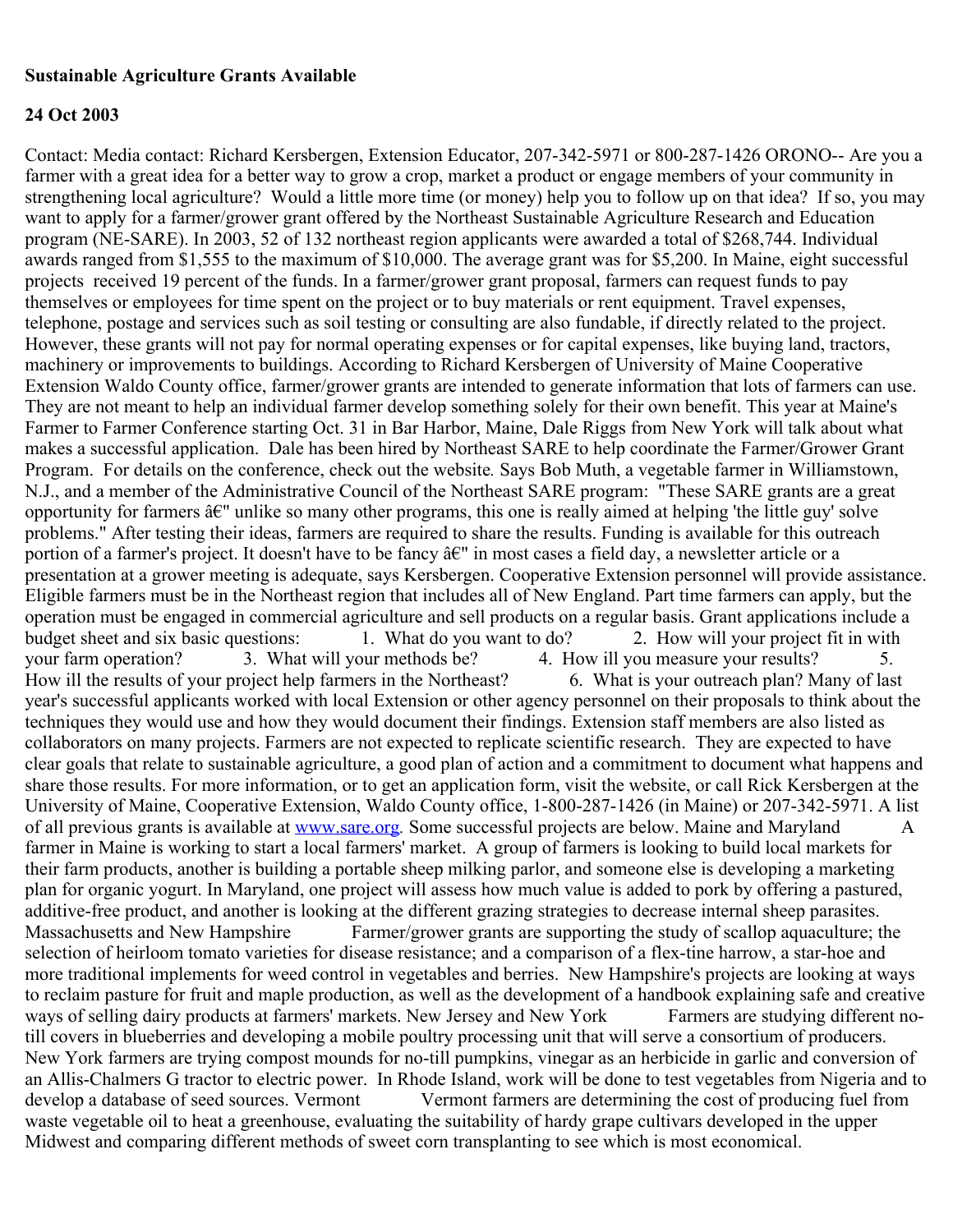### **Sustainable Agriculture Grants Available**

## **24 Oct 2003**

Contact: Media contact: Richard Kersbergen, Extension Educator, 207-342-5971 or 800-287-1426 ORONO-- Are you a farmer with a great idea for a better way to grow a crop, market a product or engage members of your community in strengthening local agriculture? Would a little more time (or money) help you to follow up on that idea? If so, you may want to apply for a farmer/grower grant offered by the Northeast Sustainable Agriculture Research and Education program (NE-SARE). In 2003, 52 of 132 northeast region applicants were awarded a total of \$268,744. Individual awards ranged from \$1,555 to the maximum of \$10,000. The average grant was for \$5,200. In Maine, eight successful projects received 19 percent of the funds. In a farmer/grower grant proposal, farmers can request funds to pay themselves or employees for time spent on the project or to buy materials or rent equipment. Travel expenses, telephone, postage and services such as soil testing or consulting are also fundable, if directly related to the project. However, these grants will not pay for normal operating expenses or for capital expenses, like buying land, tractors, machinery or improvements to buildings. According to Richard Kersbergen of University of Maine Cooperative Extension Waldo County office, farmer/grower grants are intended to generate information that lots of farmers can use. They are not meant to help an individual farmer develop something solely for their own benefit. This year at Maine's Farmer to Farmer Conference starting Oct. 31 in Bar Harbor, Maine, Dale Riggs from New York will talk about what makes a successful application. Dale has been hired by Northeast SARE to help coordinate the Farmer/Grower Grant Program. For details on the conference, check out the website*.* Says Bob Muth, a vegetable farmer in Williamstown, N.J., and a member of the Administrative Council of the Northeast SARE program: "These SARE grants are a great opportunity for farmers â€" unlike so many other programs, this one is really aimed at helping 'the little guy' solve problems." After testing their ideas, farmers are required to share the results. Funding is available for this outreach portion of a farmer's project. It doesn't have to be fancy â€" in most cases a field day, a newsletter article or a presentation at a grower meeting is adequate, says Kersbergen. Cooperative Extension personnel will provide assistance. Eligible farmers must be in the Northeast region that includes all of New England. Part time farmers can apply, but the operation must be engaged in commercial agriculture and sell products on a regular basis. Grant applications include a budget sheet and six basic questions: 1. What do you want to do? 2. How will your project fit in with your farm operation? 3. What will your methods be? 4. How ill you measure your results? 5. How ill the results of your project help farmers in the Northeast? 6. What is your outreach plan? Many of last year's successful applicants worked with local Extension or other agency personnel on their proposals to think about the techniques they would use and how they would document their findings. Extension staff members are also listed as collaborators on many projects. Farmers are not expected to replicate scientific research. They are expected to have clear goals that relate to sustainable agriculture, a good plan of action and a commitment to document what happens and share those results. For more information, or to get an application form, visit the website, or call Rick Kersbergen at the University of Maine, Cooperative Extension, Waldo County office, 1-800-287-1426 (in Maine) or 207-342-5971. A list of all previous grants is available at [www.sare.org](http://www.sare.org/). Some successful projects are below. Maine and Maryland A farmer in Maine is working to start a local farmers' market. A group of farmers is looking to build local markets for their farm products, another is building a portable sheep milking parlor, and someone else is developing a marketing plan for organic yogurt. In Maryland, one project will assess how much value is added to pork by offering a pastured, additive-free product, and another is looking at the different grazing strategies to decrease internal sheep parasites. Massachusetts and New Hampshire Farmer/grower grants are supporting the study of scallop aquaculture; the selection of heirloom tomato varieties for disease resistance; and a comparison of a flex-tine harrow, a star-hoe and more traditional implements for weed control in vegetables and berries. New Hampshire's projects are looking at ways to reclaim pasture for fruit and maple production, as well as the development of a handbook explaining safe and creative ways of selling dairy products at farmers' markets. New Jersey and New York Farmers are studying different notill covers in blueberries and developing a mobile poultry processing unit that will serve a consortium of producers. New York farmers are trying compost mounds for no-till pumpkins, vinegar as an herbicide in garlic and conversion of an Allis-Chalmers G tractor to electric power. In Rhode Island, work will be done to test vegetables from Nigeria and to develop a database of seed sources. Vermont Vermont farmers are determining the cost of producing fuel from waste vegetable oil to heat a greenhouse, evaluating the suitability of hardy grape cultivars developed in the upper Midwest and comparing different methods of sweet corn transplanting to see which is most economical.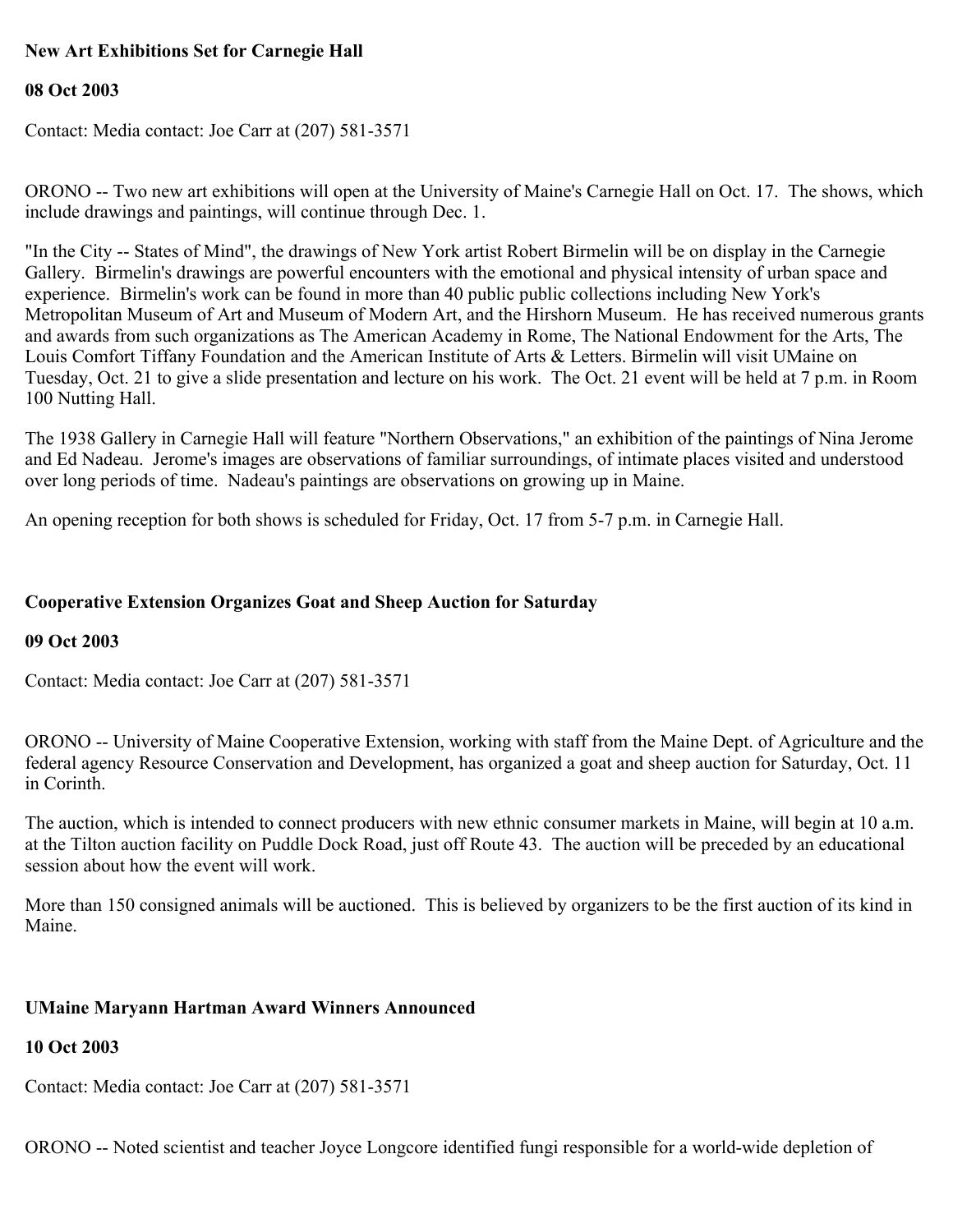# **New Art Exhibitions Set for Carnegie Hall**

### **08 Oct 2003**

Contact: Media contact: Joe Carr at (207) 581-3571

ORONO -- Two new art exhibitions will open at the University of Maine's Carnegie Hall on Oct. 17. The shows, which include drawings and paintings, will continue through Dec. 1.

"In the City -- States of Mind", the drawings of New York artist Robert Birmelin will be on display in the Carnegie Gallery. Birmelin's drawings are powerful encounters with the emotional and physical intensity of urban space and experience. Birmelin's work can be found in more than 40 public public collections including New York's Metropolitan Museum of Art and Museum of Modern Art, and the Hirshorn Museum. He has received numerous grants and awards from such organizations as The American Academy in Rome, The National Endowment for the Arts, The Louis Comfort Tiffany Foundation and the American Institute of Arts & Letters. Birmelin will visit UMaine on Tuesday, Oct. 21 to give a slide presentation and lecture on his work. The Oct. 21 event will be held at 7 p.m. in Room 100 Nutting Hall.

The 1938 Gallery in Carnegie Hall will feature "Northern Observations," an exhibition of the paintings of Nina Jerome and Ed Nadeau. Jerome's images are observations of familiar surroundings, of intimate places visited and understood over long periods of time. Nadeau's paintings are observations on growing up in Maine.

An opening reception for both shows is scheduled for Friday, Oct. 17 from 5-7 p.m. in Carnegie Hall.

## **Cooperative Extension Organizes Goat and Sheep Auction for Saturday**

### **09 Oct 2003**

Contact: Media contact: Joe Carr at (207) 581-3571

ORONO -- University of Maine Cooperative Extension, working with staff from the Maine Dept. of Agriculture and the federal agency Resource Conservation and Development, has organized a goat and sheep auction for Saturday, Oct. 11 in Corinth.

The auction, which is intended to connect producers with new ethnic consumer markets in Maine, will begin at 10 a.m. at the Tilton auction facility on Puddle Dock Road, just off Route 43. The auction will be preceded by an educational session about how the event will work.

More than 150 consigned animals will be auctioned. This is believed by organizers to be the first auction of its kind in Maine.

### **UMaine Maryann Hartman Award Winners Announced**

### **10 Oct 2003**

Contact: Media contact: Joe Carr at (207) 581-3571

ORONO -- Noted scientist and teacher Joyce Longcore identified fungi responsible for a world-wide depletion of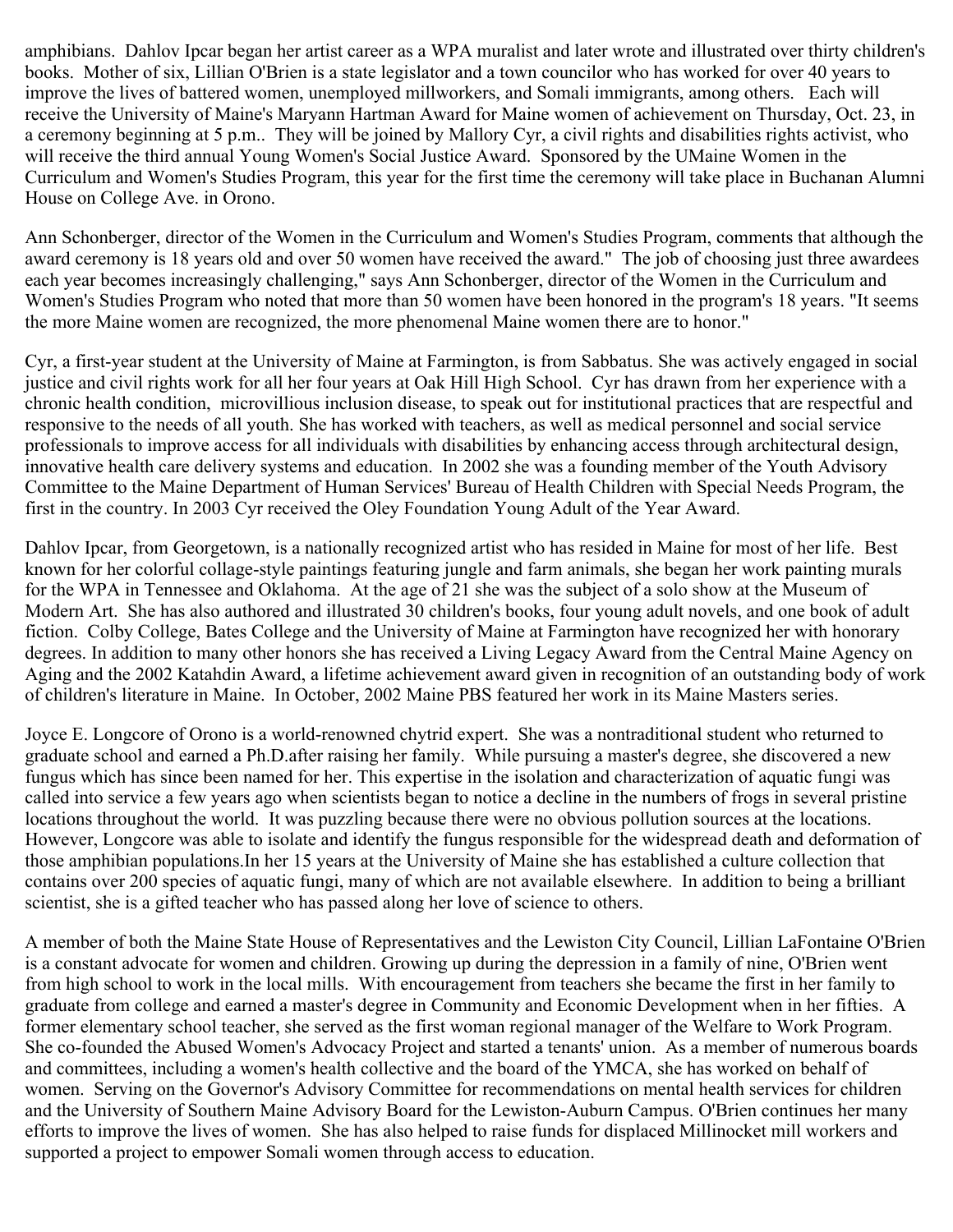amphibians. Dahlov Ipcar began her artist career as a WPA muralist and later wrote and illustrated over thirty children's books. Mother of six, Lillian O'Brien is a state legislator and a town councilor who has worked for over 40 years to improve the lives of battered women, unemployed millworkers, and Somali immigrants, among others. Each will receive the University of Maine's Maryann Hartman Award for Maine women of achievement on Thursday, Oct. 23, in a ceremony beginning at 5 p.m.. They will be joined by Mallory Cyr, a civil rights and disabilities rights activist, who will receive the third annual Young Women's Social Justice Award. Sponsored by the UMaine Women in the Curriculum and Women's Studies Program, this year for the first time the ceremony will take place in Buchanan Alumni House on College Ave. in Orono.

Ann Schonberger, director of the Women in the Curriculum and Women's Studies Program, comments that although the award ceremony is 18 years old and over 50 women have received the award." The job of choosing just three awardees each year becomes increasingly challenging," says Ann Schonberger, director of the Women in the Curriculum and Women's Studies Program who noted that more than 50 women have been honored in the program's 18 years. "It seems the more Maine women are recognized, the more phenomenal Maine women there are to honor."

Cyr, a first-year student at the University of Maine at Farmington, is from Sabbatus. She was actively engaged in social justice and civil rights work for all her four years at Oak Hill High School. Cyr has drawn from her experience with a chronic health condition, microvillious inclusion disease, to speak out for institutional practices that are respectful and responsive to the needs of all youth. She has worked with teachers, as well as medical personnel and social service professionals to improve access for all individuals with disabilities by enhancing access through architectural design, innovative health care delivery systems and education. In 2002 she was a founding member of the Youth Advisory Committee to the Maine Department of Human Services' Bureau of Health Children with Special Needs Program, the first in the country. In 2003 Cyr received the Oley Foundation Young Adult of the Year Award.

Dahlov Ipcar, from Georgetown, is a nationally recognized artist who has resided in Maine for most of her life. Best known for her colorful collage-style paintings featuring jungle and farm animals, she began her work painting murals for the WPA in Tennessee and Oklahoma. At the age of 21 she was the subject of a solo show at the Museum of Modern Art. She has also authored and illustrated 30 children's books, four young adult novels, and one book of adult fiction. Colby College, Bates College and the University of Maine at Farmington have recognized her with honorary degrees. In addition to many other honors she has received a Living Legacy Award from the Central Maine Agency on Aging and the 2002 Katahdin Award, a lifetime achievement award given in recognition of an outstanding body of work of children's literature in Maine. In October, 2002 Maine PBS featured her work in its Maine Masters series.

Joyce E. Longcore of Orono is a world-renowned chytrid expert. She was a nontraditional student who returned to graduate school and earned a Ph.D.after raising her family. While pursuing a master's degree, she discovered a new fungus which has since been named for her. This expertise in the isolation and characterization of aquatic fungi was called into service a few years ago when scientists began to notice a decline in the numbers of frogs in several pristine locations throughout the world. It was puzzling because there were no obvious pollution sources at the locations. However, Longcore was able to isolate and identify the fungus responsible for the widespread death and deformation of those amphibian populations.In her 15 years at the University of Maine she has established a culture collection that contains over 200 species of aquatic fungi, many of which are not available elsewhere. In addition to being a brilliant scientist, she is a gifted teacher who has passed along her love of science to others.

A member of both the Maine State House of Representatives and the Lewiston City Council, Lillian LaFontaine O'Brien is a constant advocate for women and children. Growing up during the depression in a family of nine, O'Brien went from high school to work in the local mills. With encouragement from teachers she became the first in her family to graduate from college and earned a master's degree in Community and Economic Development when in her fifties. A former elementary school teacher, she served as the first woman regional manager of the Welfare to Work Program. She co-founded the Abused Women's Advocacy Project and started a tenants' union. As a member of numerous boards and committees, including a women's health collective and the board of the YMCA, she has worked on behalf of women. Serving on the Governor's Advisory Committee for recommendations on mental health services for children and the University of Southern Maine Advisory Board for the Lewiston-Auburn Campus. O'Brien continues her many efforts to improve the lives of women. She has also helped to raise funds for displaced Millinocket mill workers and supported a project to empower Somali women through access to education.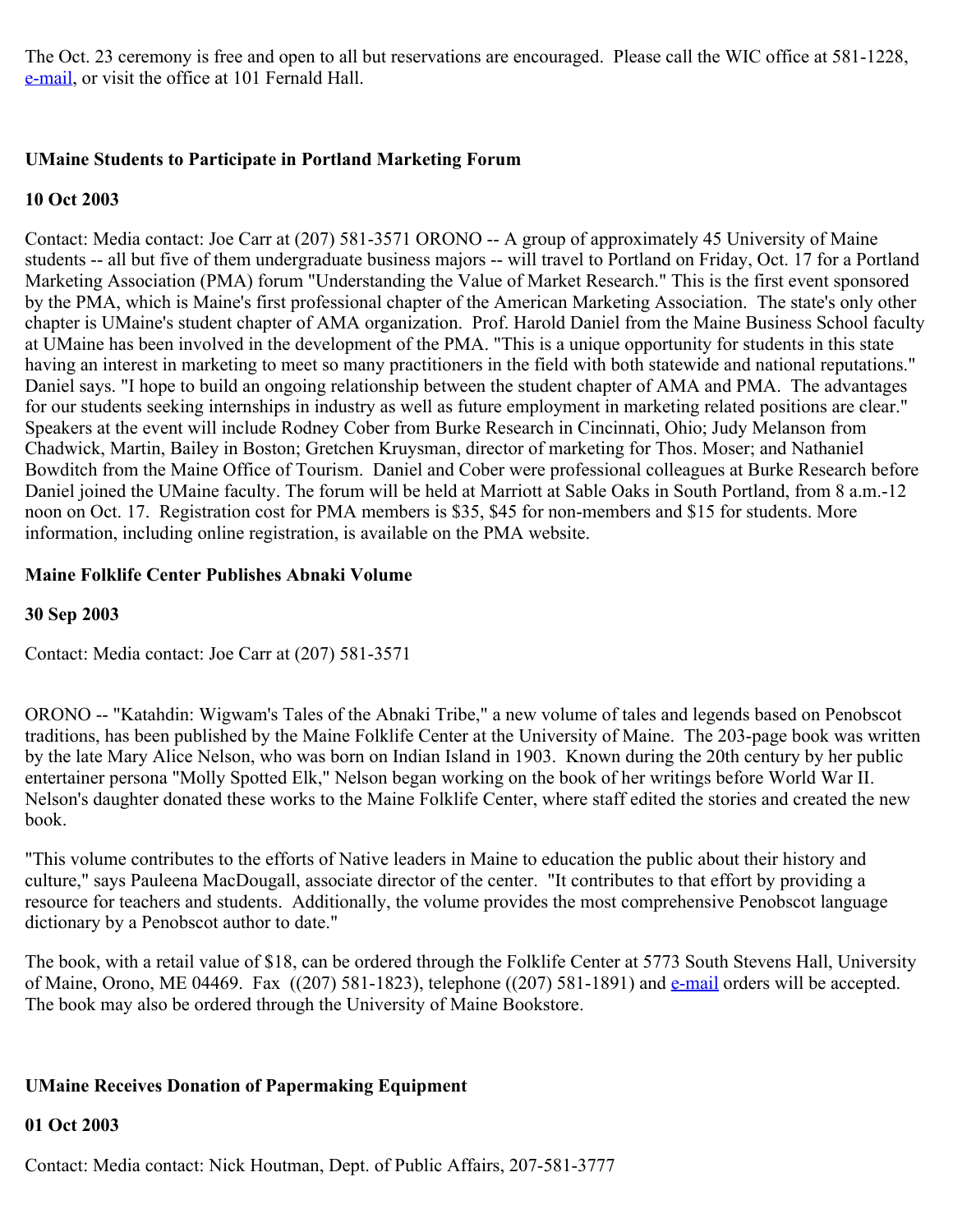The Oct. 23 ceremony is free and open to all but reservations are encouraged. Please call the WIC office at 581-1228, [e-mail](mailto:Angela.Olson@umit.maine.edu), or visit the office at 101 Fernald Hall.

## **UMaine Students to Participate in Portland Marketing Forum**

### **10 Oct 2003**

Contact: Media contact: Joe Carr at (207) 581-3571 ORONO -- A group of approximately 45 University of Maine students -- all but five of them undergraduate business majors -- will travel to Portland on Friday, Oct. 17 for a Portland Marketing Association (PMA) forum "Understanding the Value of Market Research." This is the first event sponsored by the PMA, which is Maine's first professional chapter of the American Marketing Association. The state's only other chapter is UMaine's student chapter of AMA organization. Prof. Harold Daniel from the Maine Business School faculty at UMaine has been involved in the development of the PMA. "This is a unique opportunity for students in this state having an interest in marketing to meet so many practitioners in the field with both statewide and national reputations." Daniel says. "I hope to build an ongoing relationship between the student chapter of AMA and PMA. The advantages for our students seeking internships in industry as well as future employment in marketing related positions are clear." Speakers at the event will include Rodney Cober from Burke Research in Cincinnati, Ohio; Judy Melanson from Chadwick, Martin, Bailey in Boston; Gretchen Kruysman, director of marketing for Thos. Moser; and Nathaniel Bowditch from the Maine Office of Tourism. Daniel and Cober were professional colleagues at Burke Research before Daniel joined the UMaine faculty. The forum will be held at Marriott at Sable Oaks in South Portland, from 8 a.m.-12 noon on Oct. 17. Registration cost for PMA members is \$35, \$45 for non-members and \$15 for students. More information, including online registration, is available on the PMA website.

## **Maine Folklife Center Publishes Abnaki Volume**

## **30 Sep 2003**

Contact: Media contact: Joe Carr at (207) 581-3571

ORONO -- "Katahdin: Wigwam's Tales of the Abnaki Tribe," a new volume of tales and legends based on Penobscot traditions, has been published by the Maine Folklife Center at the University of Maine. The 203-page book was written by the late Mary Alice Nelson, who was born on Indian Island in 1903. Known during the 20th century by her public entertainer persona "Molly Spotted Elk," Nelson began working on the book of her writings before World War II. Nelson's daughter donated these works to the Maine Folklife Center, where staff edited the stories and created the new book.

"This volume contributes to the efforts of Native leaders in Maine to education the public about their history and culture," says Pauleena MacDougall, associate director of the center. "It contributes to that effort by providing a resource for teachers and students. Additionally, the volume provides the most comprehensive Penobscot language dictionary by a Penobscot author to date."

The book, with a retail value of \$18, can be ordered through the Folklife Center at 5773 South Stevens Hall, University of Maine, Orono, ME 04469. Fax ((207) 581-1823), telephone ((207) 581-1891) and **e-mail** orders will be accepted. The book may also be ordered through the University of Maine Bookstore.

# **UMaine Receives Donation of Papermaking Equipment**

### **01 Oct 2003**

Contact: Media contact: Nick Houtman, Dept. of Public Affairs, 207-581-3777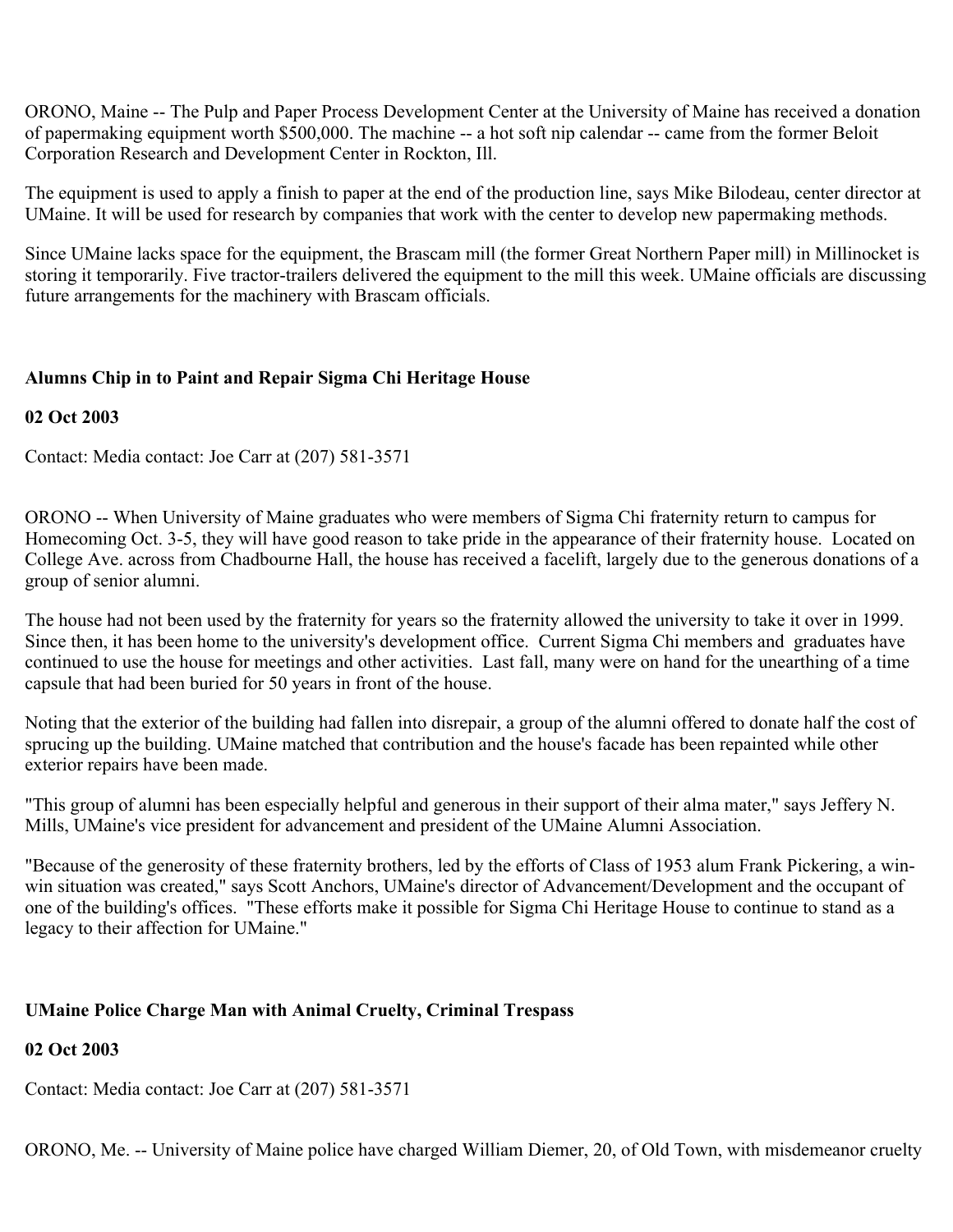ORONO, Maine -- The Pulp and Paper Process Development Center at the University of Maine has received a donation of papermaking equipment worth \$500,000. The machine -- a hot soft nip calendar -- came from the former Beloit Corporation Research and Development Center in Rockton, Ill.

The equipment is used to apply a finish to paper at the end of the production line, says Mike Bilodeau, center director at UMaine. It will be used for research by companies that work with the center to develop new papermaking methods.

Since UMaine lacks space for the equipment, the Brascam mill (the former Great Northern Paper mill) in Millinocket is storing it temporarily. Five tractor-trailers delivered the equipment to the mill this week. UMaine officials are discussing future arrangements for the machinery with Brascam officials.

# **Alumns Chip in to Paint and Repair Sigma Chi Heritage House**

### **02 Oct 2003**

Contact: Media contact: Joe Carr at (207) 581-3571

ORONO -- When University of Maine graduates who were members of Sigma Chi fraternity return to campus for Homecoming Oct. 3-5, they will have good reason to take pride in the appearance of their fraternity house. Located on College Ave. across from Chadbourne Hall, the house has received a facelift, largely due to the generous donations of a group of senior alumni.

The house had not been used by the fraternity for years so the fraternity allowed the university to take it over in 1999. Since then, it has been home to the university's development office. Current Sigma Chi members and graduates have continued to use the house for meetings and other activities. Last fall, many were on hand for the unearthing of a time capsule that had been buried for 50 years in front of the house.

Noting that the exterior of the building had fallen into disrepair, a group of the alumni offered to donate half the cost of sprucing up the building. UMaine matched that contribution and the house's facade has been repainted while other exterior repairs have been made.

"This group of alumni has been especially helpful and generous in their support of their alma mater," says Jeffery N. Mills, UMaine's vice president for advancement and president of the UMaine Alumni Association.

"Because of the generosity of these fraternity brothers, led by the efforts of Class of 1953 alum Frank Pickering, a winwin situation was created," says Scott Anchors, UMaine's director of Advancement/Development and the occupant of one of the building's offices. "These efforts make it possible for Sigma Chi Heritage House to continue to stand as a legacy to their affection for UMaine."

### **UMaine Police Charge Man with Animal Cruelty, Criminal Trespass**

### **02 Oct 2003**

Contact: Media contact: Joe Carr at (207) 581-3571

ORONO, Me. -- University of Maine police have charged William Diemer, 20, of Old Town, with misdemeanor cruelty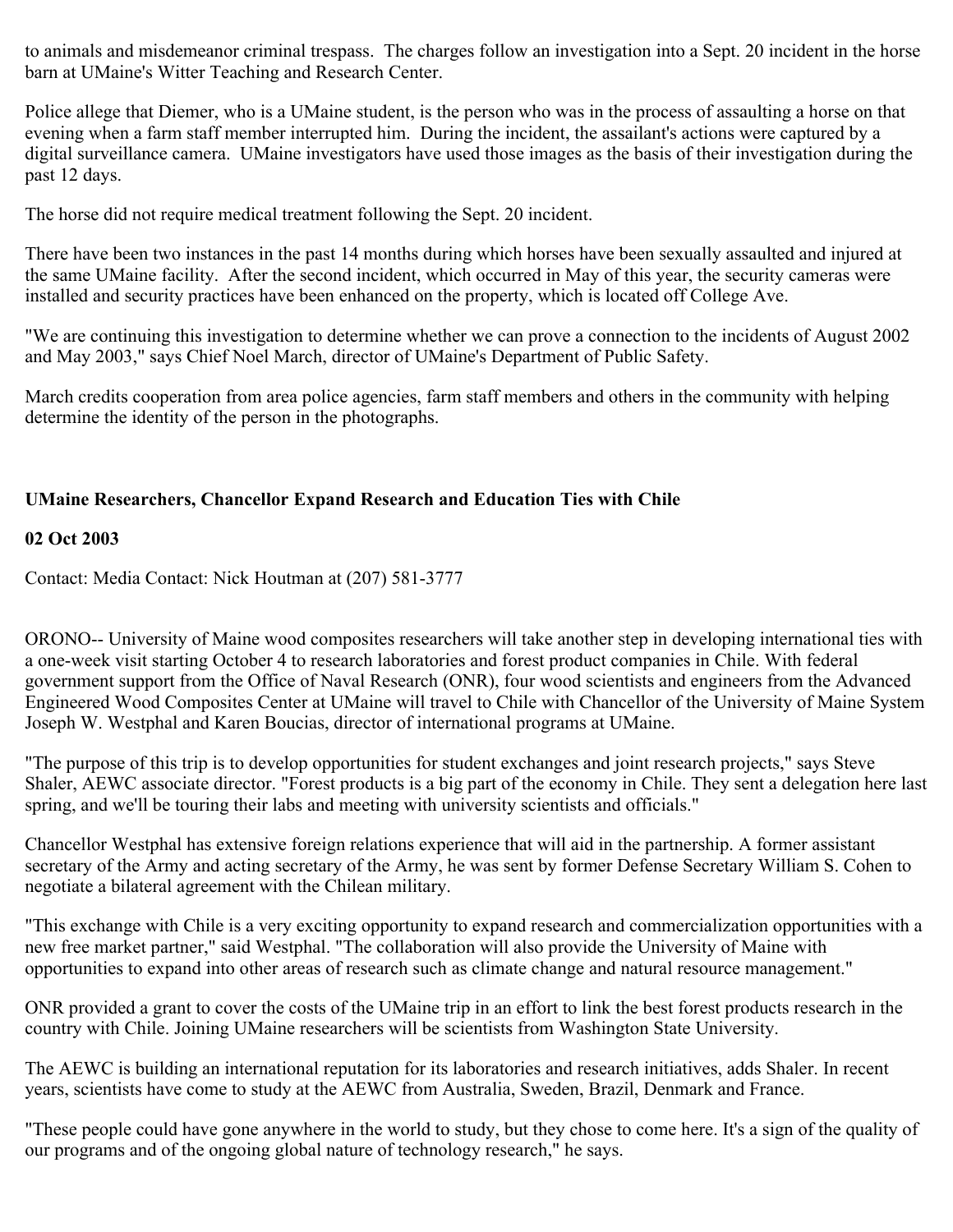to animals and misdemeanor criminal trespass. The charges follow an investigation into a Sept. 20 incident in the horse barn at UMaine's Witter Teaching and Research Center.

Police allege that Diemer, who is a UMaine student, is the person who was in the process of assaulting a horse on that evening when a farm staff member interrupted him. During the incident, the assailant's actions were captured by a digital surveillance camera. UMaine investigators have used those images as the basis of their investigation during the past 12 days.

The horse did not require medical treatment following the Sept. 20 incident.

There have been two instances in the past 14 months during which horses have been sexually assaulted and injured at the same UMaine facility. After the second incident, which occurred in May of this year, the security cameras were installed and security practices have been enhanced on the property, which is located off College Ave.

"We are continuing this investigation to determine whether we can prove a connection to the incidents of August 2002 and May 2003," says Chief Noel March, director of UMaine's Department of Public Safety.

March credits cooperation from area police agencies, farm staff members and others in the community with helping determine the identity of the person in the photographs.

## **UMaine Researchers, Chancellor Expand Research and Education Ties with Chile**

#### **02 Oct 2003**

Contact: Media Contact: Nick Houtman at (207) 581-3777

ORONO-- University of Maine wood composites researchers will take another step in developing international ties with a one-week visit starting October 4 to research laboratories and forest product companies in Chile. With federal government support from the Office of Naval Research (ONR), four wood scientists and engineers from the Advanced Engineered Wood Composites Center at UMaine will travel to Chile with Chancellor of the University of Maine System Joseph W. Westphal and Karen Boucias, director of international programs at UMaine.

"The purpose of this trip is to develop opportunities for student exchanges and joint research projects," says Steve Shaler, AEWC associate director. "Forest products is a big part of the economy in Chile. They sent a delegation here last spring, and we'll be touring their labs and meeting with university scientists and officials."

Chancellor Westphal has extensive foreign relations experience that will aid in the partnership. A former assistant secretary of the Army and acting secretary of the Army, he was sent by former Defense Secretary William S. Cohen to negotiate a bilateral agreement with the Chilean military.

"This exchange with Chile is a very exciting opportunity to expand research and commercialization opportunities with a new free market partner," said Westphal. "The collaboration will also provide the University of Maine with opportunities to expand into other areas of research such as climate change and natural resource management."

ONR provided a grant to cover the costs of the UMaine trip in an effort to link the best forest products research in the country with Chile. Joining UMaine researchers will be scientists from Washington State University.

The AEWC is building an international reputation for its laboratories and research initiatives, adds Shaler. In recent years, scientists have come to study at the AEWC from Australia, Sweden, Brazil, Denmark and France.

"These people could have gone anywhere in the world to study, but they chose to come here. It's a sign of the quality of our programs and of the ongoing global nature of technology research," he says.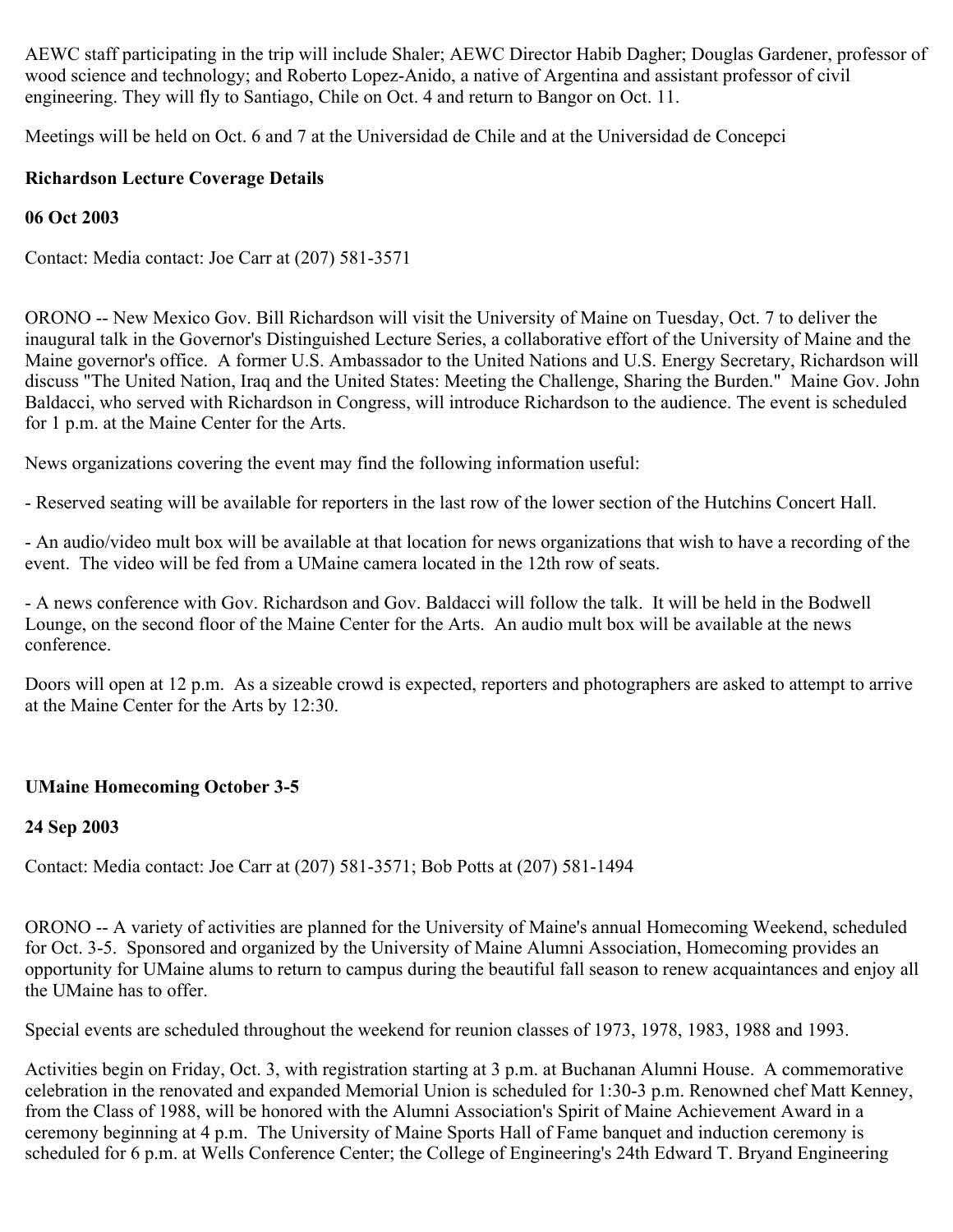AEWC staff participating in the trip will include Shaler; AEWC Director Habib Dagher; Douglas Gardener, professor of wood science and technology; and Roberto Lopez-Anido, a native of Argentina and assistant professor of civil engineering. They will fly to Santiago, Chile on Oct. 4 and return to Bangor on Oct. 11.

Meetings will be held on Oct. 6 and 7 at the Universidad de Chile and at the Universidad de Concepci

## **Richardson Lecture Coverage Details**

## **06 Oct 2003**

Contact: Media contact: Joe Carr at (207) 581-3571

ORONO -- New Mexico Gov. Bill Richardson will visit the University of Maine on Tuesday, Oct. 7 to deliver the inaugural talk in the Governor's Distinguished Lecture Series, a collaborative effort of the University of Maine and the Maine governor's office. A former U.S. Ambassador to the United Nations and U.S. Energy Secretary, Richardson will discuss "The United Nation, Iraq and the United States: Meeting the Challenge, Sharing the Burden." Maine Gov. John Baldacci, who served with Richardson in Congress, will introduce Richardson to the audience. The event is scheduled for 1 p.m. at the Maine Center for the Arts.

News organizations covering the event may find the following information useful:

- Reserved seating will be available for reporters in the last row of the lower section of the Hutchins Concert Hall.

- An audio/video mult box will be available at that location for news organizations that wish to have a recording of the event. The video will be fed from a UMaine camera located in the 12th row of seats.

- A news conference with Gov. Richardson and Gov. Baldacci will follow the talk. It will be held in the Bodwell Lounge, on the second floor of the Maine Center for the Arts. An audio mult box will be available at the news conference.

Doors will open at 12 p.m. As a sizeable crowd is expected, reporters and photographers are asked to attempt to arrive at the Maine Center for the Arts by 12:30.

# **UMaine Homecoming October 3-5**

# **24 Sep 2003**

Contact: Media contact: Joe Carr at (207) 581-3571; Bob Potts at (207) 581-1494

ORONO -- A variety of activities are planned for the University of Maine's annual Homecoming Weekend, scheduled for Oct. 3-5. Sponsored and organized by the University of Maine Alumni Association, Homecoming provides an opportunity for UMaine alums to return to campus during the beautiful fall season to renew acquaintances and enjoy all the UMaine has to offer.

Special events are scheduled throughout the weekend for reunion classes of 1973, 1978, 1983, 1988 and 1993.

Activities begin on Friday, Oct. 3, with registration starting at 3 p.m. at Buchanan Alumni House. A commemorative celebration in the renovated and expanded Memorial Union is scheduled for 1:30-3 p.m. Renowned chef Matt Kenney, from the Class of 1988, will be honored with the Alumni Association's Spirit of Maine Achievement Award in a ceremony beginning at 4 p.m. The University of Maine Sports Hall of Fame banquet and induction ceremony is scheduled for 6 p.m. at Wells Conference Center; the College of Engineering's 24th Edward T. Bryand Engineering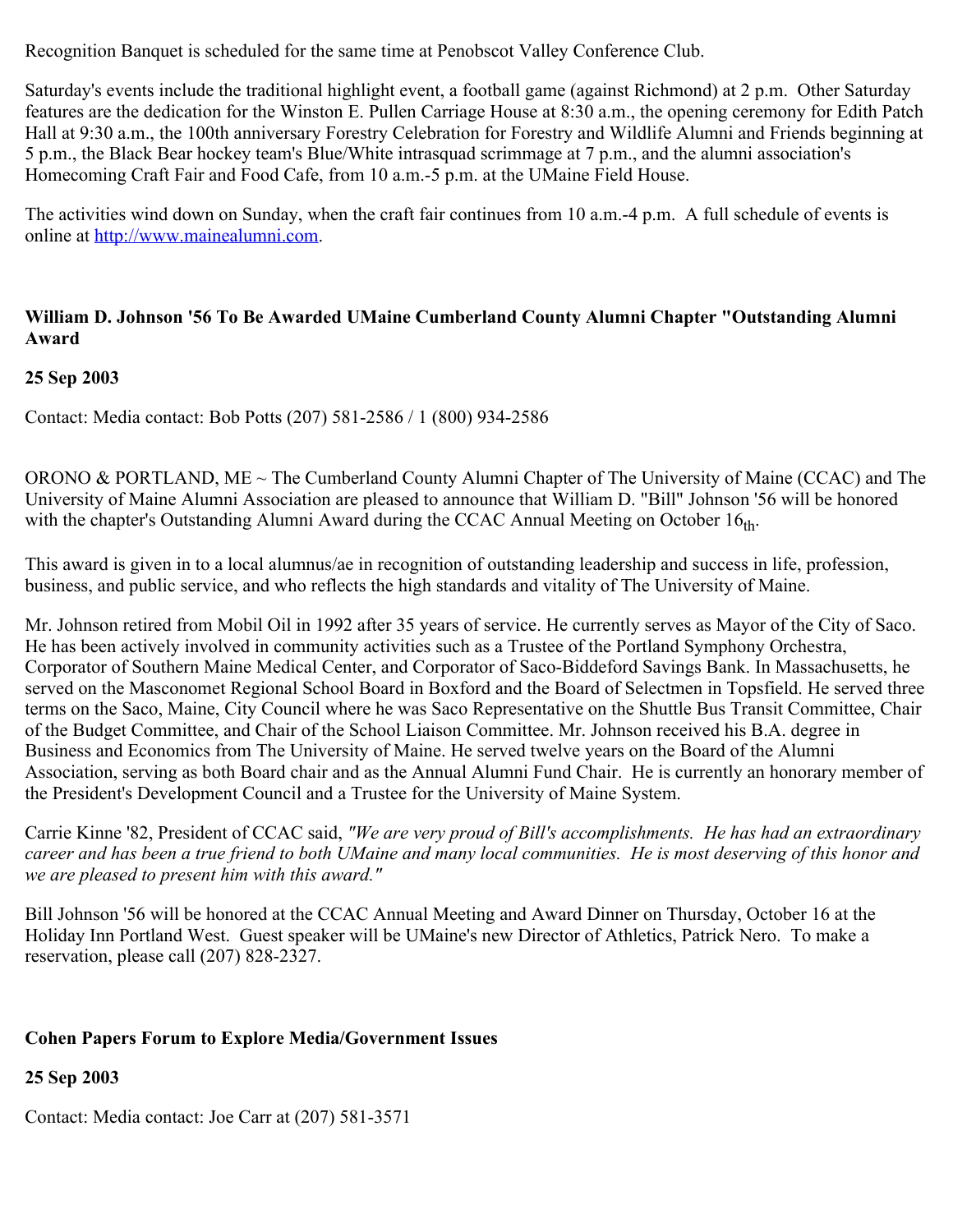Recognition Banquet is scheduled for the same time at Penobscot Valley Conference Club.

Saturday's events include the traditional highlight event, a football game (against Richmond) at 2 p.m. Other Saturday features are the dedication for the Winston E. Pullen Carriage House at 8:30 a.m., the opening ceremony for Edith Patch Hall at 9:30 a.m., the 100th anniversary Forestry Celebration for Forestry and Wildlife Alumni and Friends beginning at 5 p.m., the Black Bear hockey team's Blue/White intrasquad scrimmage at 7 p.m., and the alumni association's Homecoming Craft Fair and Food Cafe, from 10 a.m.-5 p.m. at the UMaine Field House.

The activities wind down on Sunday, when the craft fair continues from 10 a.m.-4 p.m. A full schedule of events is online at [http://www.mainealumni.com](http://www.mainealumni.com/).

## **William D. Johnson '56 To Be Awarded UMaine Cumberland County Alumni Chapter "Outstanding Alumni Award**

## **25 Sep 2003**

Contact: Media contact: Bob Potts (207) 581-2586 / 1 (800) 934-2586

ORONO & PORTLAND, ME ~ The Cumberland County Alumni Chapter of The University of Maine (CCAC) and The University of Maine Alumni Association are pleased to announce that William D. "Bill" Johnson '56 will be honored with the chapter's Outstanding Alumni Award during the CCAC Annual Meeting on October  $16<sub>th</sub>$ .

This award is given in to a local alumnus/ae in recognition of outstanding leadership and success in life, profession, business, and public service, and who reflects the high standards and vitality of The University of Maine.

Mr. Johnson retired from Mobil Oil in 1992 after 35 years of service. He currently serves as Mayor of the City of Saco. He has been actively involved in community activities such as a Trustee of the Portland Symphony Orchestra, Corporator of Southern Maine Medical Center, and Corporator of Saco-Biddeford Savings Bank. In Massachusetts, he served on the Masconomet Regional School Board in Boxford and the Board of Selectmen in Topsfield. He served three terms on the Saco, Maine, City Council where he was Saco Representative on the Shuttle Bus Transit Committee, Chair of the Budget Committee, and Chair of the School Liaison Committee. Mr. Johnson received his B.A. degree in Business and Economics from The University of Maine. He served twelve years on the Board of the Alumni Association, serving as both Board chair and as the Annual Alumni Fund Chair. He is currently an honorary member of the President's Development Council and a Trustee for the University of Maine System.

Carrie Kinne '82, President of CCAC said, *"We are very proud of Bill's accomplishments. He has had an extraordinary career and has been a true friend to both UMaine and many local communities. He is most deserving of this honor and we are pleased to present him with this award."*

Bill Johnson '56 will be honored at the CCAC Annual Meeting and Award Dinner on Thursday, October 16 at the Holiday Inn Portland West. Guest speaker will be UMaine's new Director of Athletics, Patrick Nero. To make a reservation, please call (207) 828-2327.

### **Cohen Papers Forum to Explore Media/Government Issues**

**25 Sep 2003**

Contact: Media contact: Joe Carr at (207) 581-3571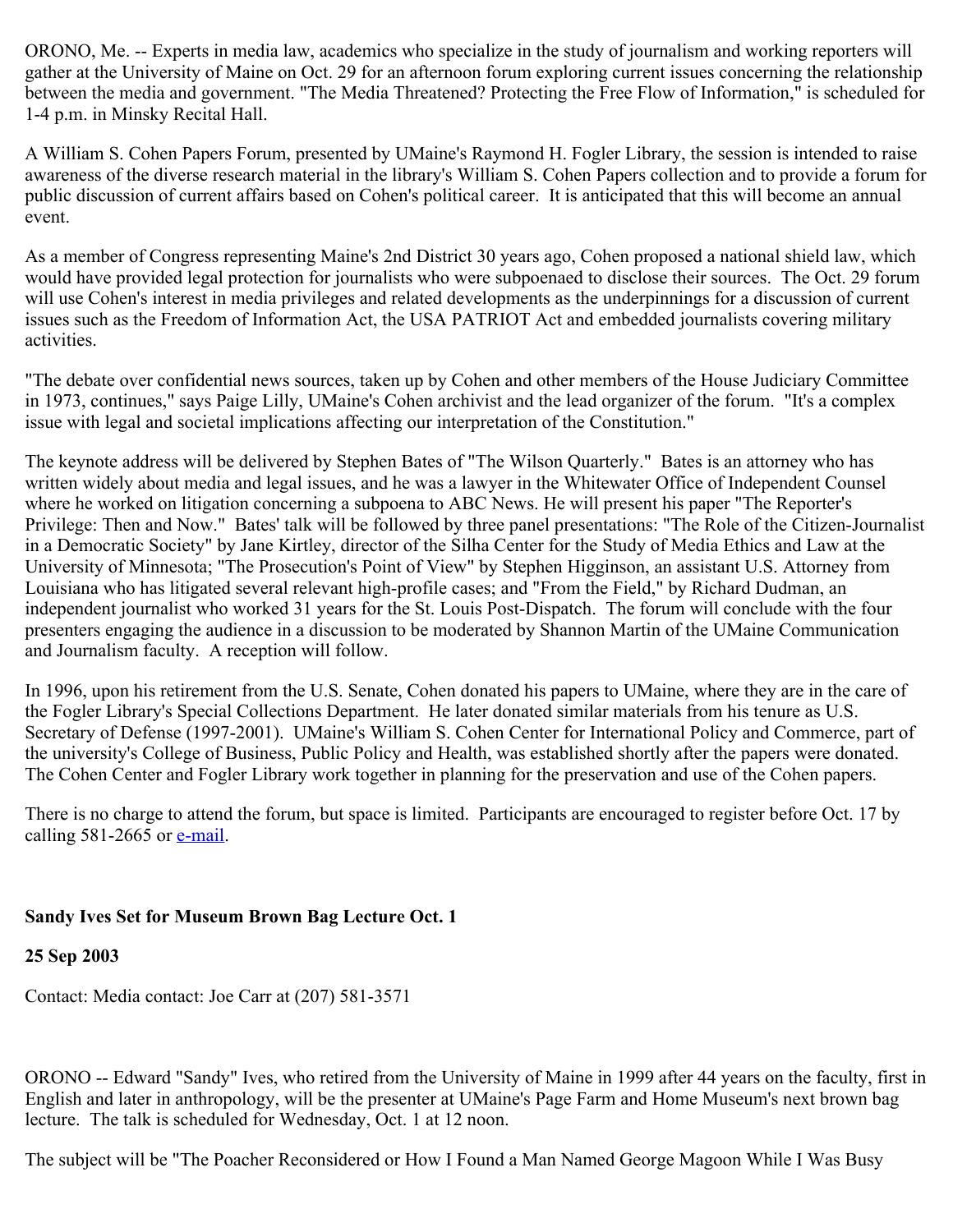ORONO, Me. -- Experts in media law, academics who specialize in the study of journalism and working reporters will gather at the University of Maine on Oct. 29 for an afternoon forum exploring current issues concerning the relationship between the media and government. "The Media Threatened? Protecting the Free Flow of Information," is scheduled for 1-4 p.m. in Minsky Recital Hall.

A William S. Cohen Papers Forum, presented by UMaine's Raymond H. Fogler Library, the session is intended to raise awareness of the diverse research material in the library's William S. Cohen Papers collection and to provide a forum for public discussion of current affairs based on Cohen's political career. It is anticipated that this will become an annual event.

As a member of Congress representing Maine's 2nd District 30 years ago, Cohen proposed a national shield law, which would have provided legal protection for journalists who were subpoenaed to disclose their sources. The Oct. 29 forum will use Cohen's interest in media privileges and related developments as the underpinnings for a discussion of current issues such as the Freedom of Information Act, the USA PATRIOT Act and embedded journalists covering military activities.

"The debate over confidential news sources, taken up by Cohen and other members of the House Judiciary Committee in 1973, continues," says Paige Lilly, UMaine's Cohen archivist and the lead organizer of the forum. "It's a complex issue with legal and societal implications affecting our interpretation of the Constitution."

The keynote address will be delivered by Stephen Bates of "The Wilson Quarterly." Bates is an attorney who has written widely about media and legal issues, and he was a lawyer in the Whitewater Office of Independent Counsel where he worked on litigation concerning a subpoena to ABC News. He will present his paper "The Reporter's Privilege: Then and Now." Bates' talk will be followed by three panel presentations: "The Role of the Citizen-Journalist in a Democratic Society" by Jane Kirtley, director of the Silha Center for the Study of Media Ethics and Law at the University of Minnesota; "The Prosecution's Point of View" by Stephen Higginson, an assistant U.S. Attorney from Louisiana who has litigated several relevant high-profile cases; and "From the Field," by Richard Dudman, an independent journalist who worked 31 years for the St. Louis Post-Dispatch. The forum will conclude with the four presenters engaging the audience in a discussion to be moderated by Shannon Martin of the UMaine Communication and Journalism faculty. A reception will follow.

In 1996, upon his retirement from the U.S. Senate, Cohen donated his papers to UMaine, where they are in the care of the Fogler Library's Special Collections Department. He later donated similar materials from his tenure as U.S. Secretary of Defense (1997-2001). UMaine's William S. Cohen Center for International Policy and Commerce, part of the university's College of Business, Public Policy and Health, was established shortly after the papers were donated. The Cohen Center and Fogler Library work together in planning for the preservation and use of the Cohen papers.

There is no charge to attend the forum, but space is limited. Participants are encouraged to register before Oct. 17 by calling  $581-2665$  or  $e$ -mail.

# **Sandy Ives Set for Museum Brown Bag Lecture Oct. 1**

**25 Sep 2003**

Contact: Media contact: Joe Carr at (207) 581-3571

ORONO -- Edward "Sandy" Ives, who retired from the University of Maine in 1999 after 44 years on the faculty, first in English and later in anthropology, will be the presenter at UMaine's Page Farm and Home Museum's next brown bag lecture. The talk is scheduled for Wednesday, Oct. 1 at 12 noon.

The subject will be "The Poacher Reconsidered or How I Found a Man Named George Magoon While I Was Busy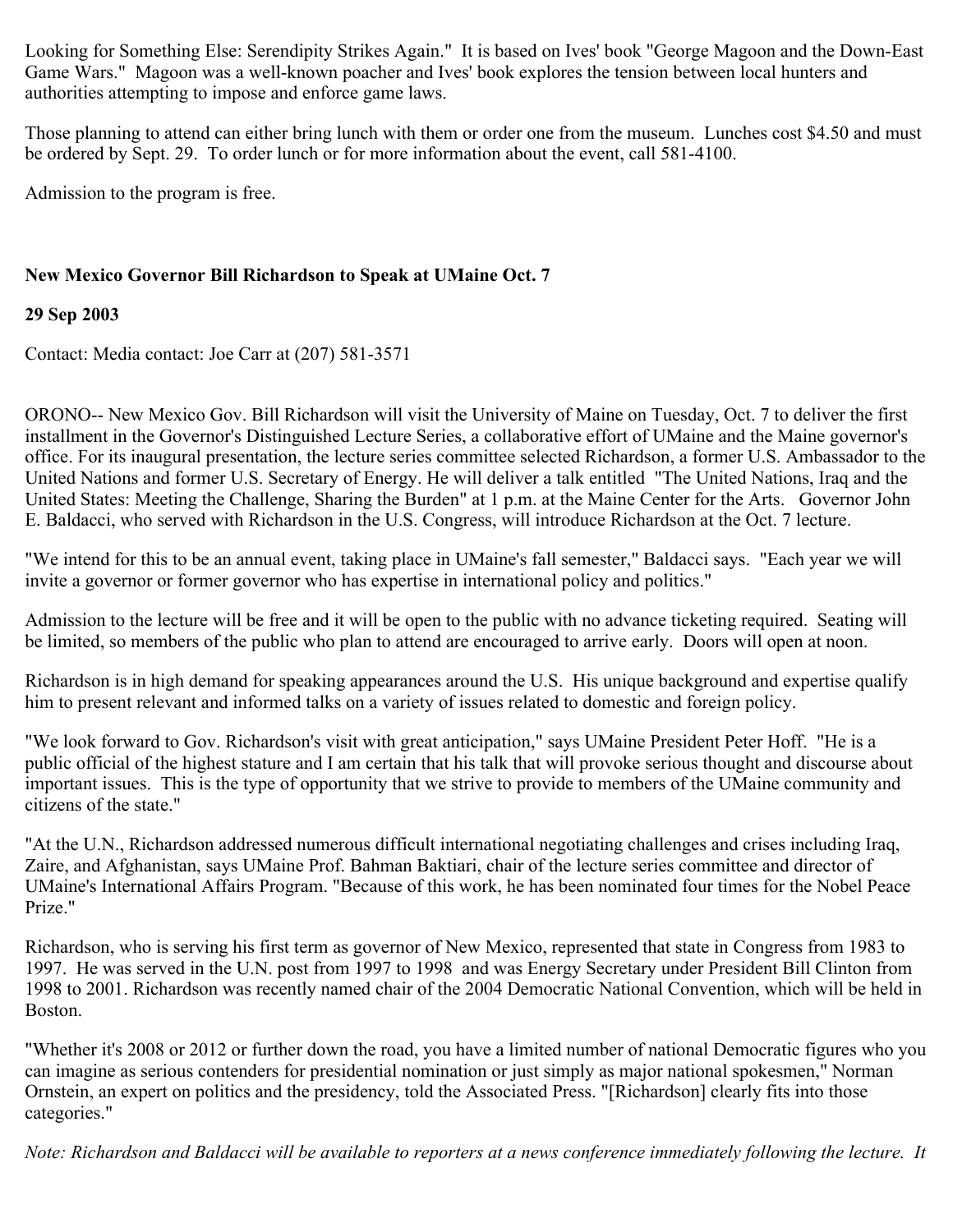Looking for Something Else: Serendipity Strikes Again." It is based on Ives' book "George Magoon and the Down-East Game Wars." Magoon was a well-known poacher and Ives' book explores the tension between local hunters and authorities attempting to impose and enforce game laws.

Those planning to attend can either bring lunch with them or order one from the museum. Lunches cost \$4.50 and must be ordered by Sept. 29. To order lunch or for more information about the event, call 581-4100.

Admission to the program is free.

# **New Mexico Governor Bill Richardson to Speak at UMaine Oct. 7**

# **29 Sep 2003**

Contact: Media contact: Joe Carr at (207) 581-3571

ORONO-- New Mexico Gov. Bill Richardson will visit the University of Maine on Tuesday, Oct. 7 to deliver the first installment in the Governor's Distinguished Lecture Series, a collaborative effort of UMaine and the Maine governor's office. For its inaugural presentation, the lecture series committee selected Richardson, a former U.S. Ambassador to the United Nations and former U.S. Secretary of Energy. He will deliver a talk entitled "The United Nations, Iraq and the United States: Meeting the Challenge, Sharing the Burden" at 1 p.m. at the Maine Center for the Arts. Governor John E. Baldacci, who served with Richardson in the U.S. Congress, will introduce Richardson at the Oct. 7 lecture.

"We intend for this to be an annual event, taking place in UMaine's fall semester," Baldacci says. "Each year we will invite a governor or former governor who has expertise in international policy and politics."

Admission to the lecture will be free and it will be open to the public with no advance ticketing required. Seating will be limited, so members of the public who plan to attend are encouraged to arrive early. Doors will open at noon.

Richardson is in high demand for speaking appearances around the U.S. His unique background and expertise qualify him to present relevant and informed talks on a variety of issues related to domestic and foreign policy.

"We look forward to Gov. Richardson's visit with great anticipation," says UMaine President Peter Hoff. "He is a public official of the highest stature and I am certain that his talk that will provoke serious thought and discourse about important issues. This is the type of opportunity that we strive to provide to members of the UMaine community and citizens of the state."

"At the U.N., Richardson addressed numerous difficult international negotiating challenges and crises including Iraq, Zaire, and Afghanistan, says UMaine Prof. Bahman Baktiari, chair of the lecture series committee and director of UMaine's International Affairs Program. "Because of this work, he has been nominated four times for the Nobel Peace Prize."

Richardson, who is serving his first term as governor of New Mexico, represented that state in Congress from 1983 to 1997. He was served in the U.N. post from 1997 to 1998 and was Energy Secretary under President Bill Clinton from 1998 to 2001. Richardson was recently named chair of the 2004 Democratic National Convention, which will be held in Boston.

"Whether it's 2008 or 2012 or further down the road, you have a limited number of national Democratic figures who you can imagine as serious contenders for presidential nomination or just simply as major national spokesmen," Norman Ornstein, an expert on politics and the presidency, told the Associated Press. "[Richardson] clearly fits into those categories."

*Note: Richardson and Baldacci will be available to reporters at a news conference immediately following the lecture. It*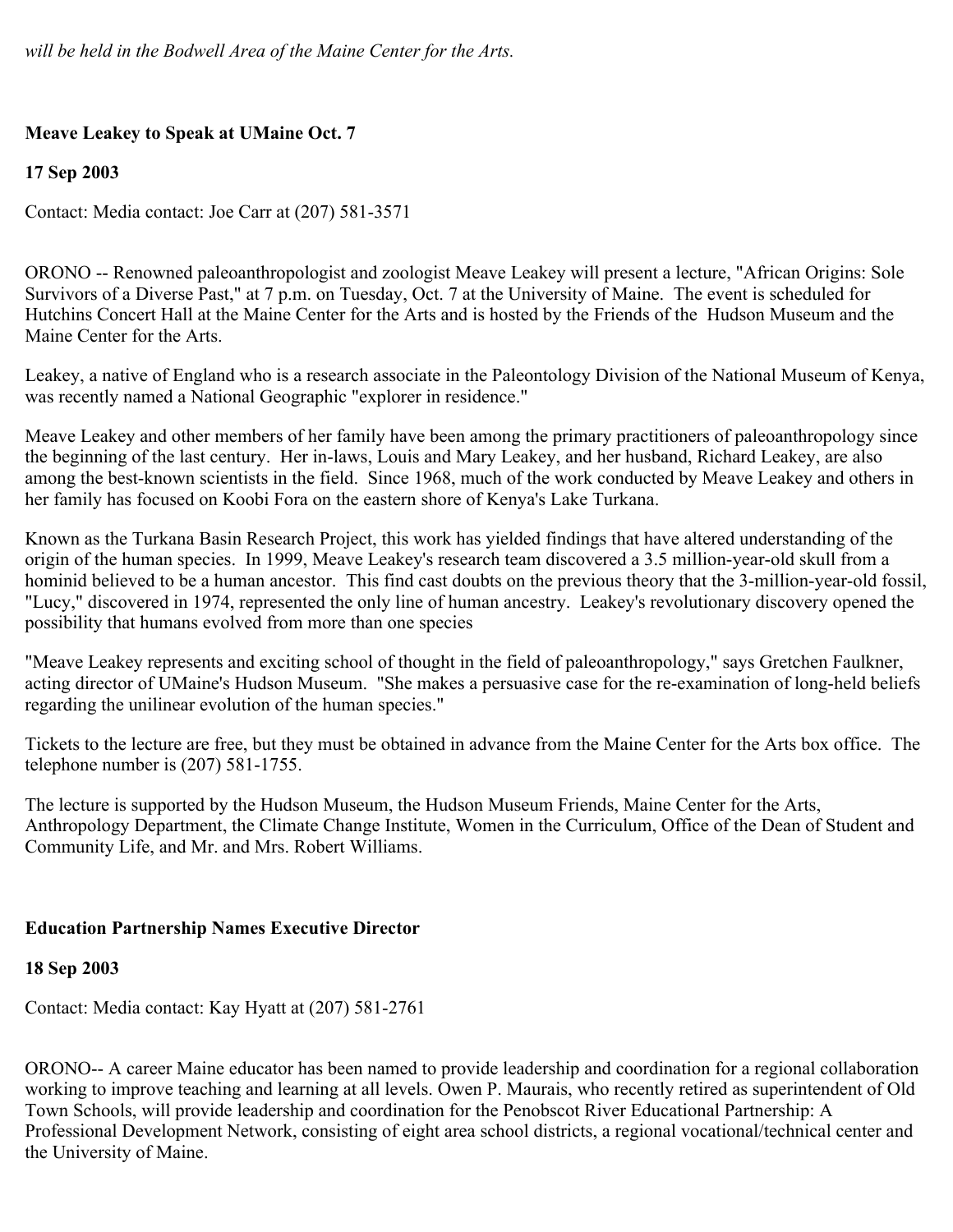# **Meave Leakey to Speak at UMaine Oct. 7**

# **17 Sep 2003**

Contact: Media contact: Joe Carr at (207) 581-3571

ORONO -- Renowned paleoanthropologist and zoologist Meave Leakey will present a lecture, "African Origins: Sole Survivors of a Diverse Past," at 7 p.m. on Tuesday, Oct. 7 at the University of Maine. The event is scheduled for Hutchins Concert Hall at the Maine Center for the Arts and is hosted by the Friends of the Hudson Museum and the Maine Center for the Arts.

Leakey, a native of England who is a research associate in the Paleontology Division of the National Museum of Kenya, was recently named a National Geographic "explorer in residence."

Meave Leakey and other members of her family have been among the primary practitioners of paleoanthropology since the beginning of the last century. Her in-laws, Louis and Mary Leakey, and her husband, Richard Leakey, are also among the best-known scientists in the field. Since 1968, much of the work conducted by Meave Leakey and others in her family has focused on Koobi Fora on the eastern shore of Kenya's Lake Turkana.

Known as the Turkana Basin Research Project, this work has yielded findings that have altered understanding of the origin of the human species. In 1999, Meave Leakey's research team discovered a 3.5 million-year-old skull from a hominid believed to be a human ancestor. This find cast doubts on the previous theory that the 3-million-year-old fossil, "Lucy," discovered in 1974, represented the only line of human ancestry. Leakey's revolutionary discovery opened the possibility that humans evolved from more than one species

"Meave Leakey represents and exciting school of thought in the field of paleoanthropology," says Gretchen Faulkner, acting director of UMaine's Hudson Museum. "She makes a persuasive case for the re-examination of long-held beliefs regarding the unilinear evolution of the human species."

Tickets to the lecture are free, but they must be obtained in advance from the Maine Center for the Arts box office. The telephone number is (207) 581-1755.

The lecture is supported by the Hudson Museum, the Hudson Museum Friends, Maine Center for the Arts, Anthropology Department, the Climate Change Institute, Women in the Curriculum, Office of the Dean of Student and Community Life, and Mr. and Mrs. Robert Williams.

# **Education Partnership Names Executive Director**

# **18 Sep 2003**

Contact: Media contact: Kay Hyatt at (207) 581-2761

ORONO-- A career Maine educator has been named to provide leadership and coordination for a regional collaboration working to improve teaching and learning at all levels. Owen P. Maurais, who recently retired as superintendent of Old Town Schools, will provide leadership and coordination for the Penobscot River Educational Partnership: A Professional Development Network, consisting of eight area school districts, a regional vocational/technical center and the University of Maine.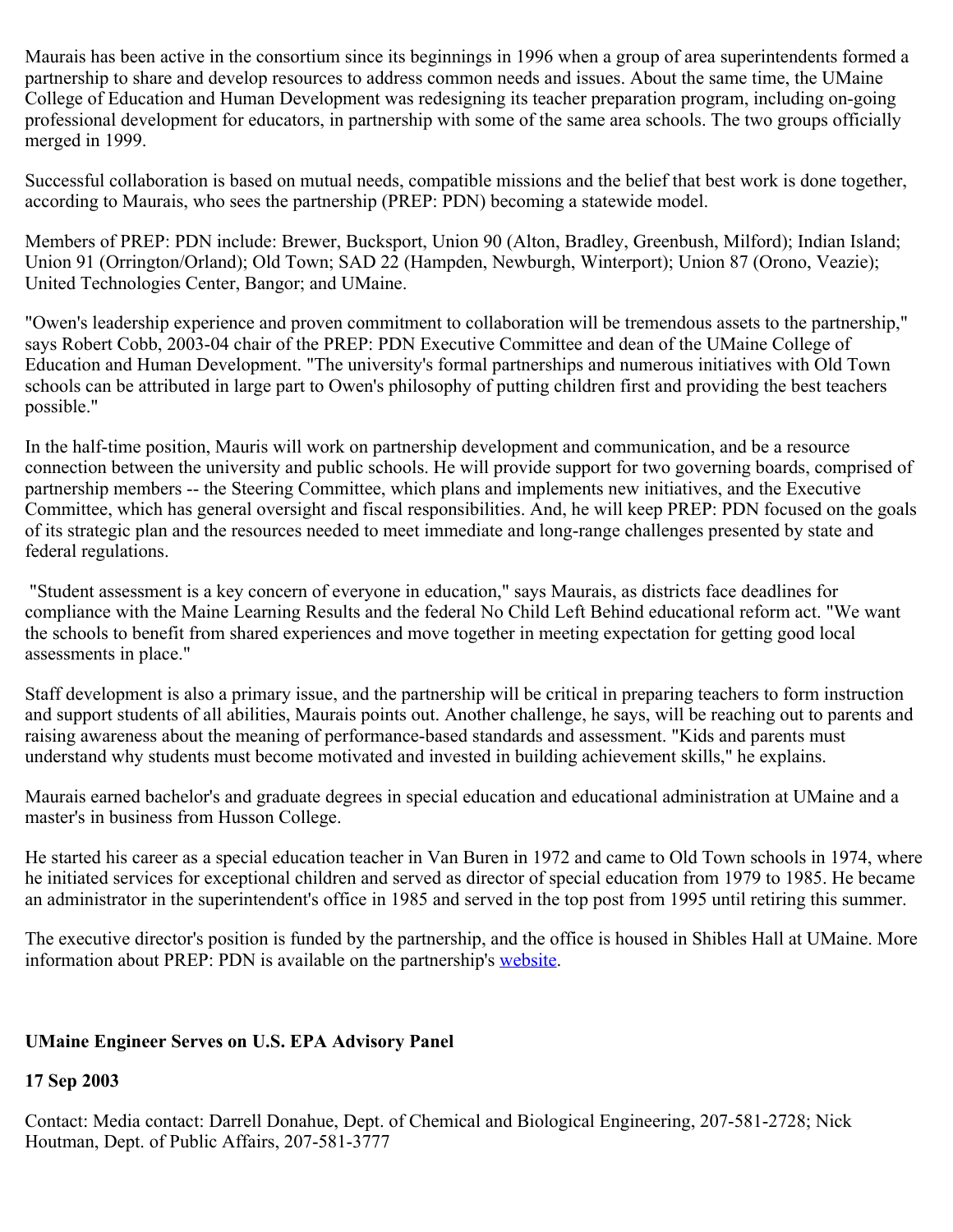Maurais has been active in the consortium since its beginnings in 1996 when a group of area superintendents formed a partnership to share and develop resources to address common needs and issues. About the same time, the UMaine College of Education and Human Development was redesigning its teacher preparation program, including on-going professional development for educators, in partnership with some of the same area schools. The two groups officially merged in 1999.

Successful collaboration is based on mutual needs, compatible missions and the belief that best work is done together, according to Maurais, who sees the partnership (PREP: PDN) becoming a statewide model.

Members of PREP: PDN include: Brewer, Bucksport, Union 90 (Alton, Bradley, Greenbush, Milford); Indian Island; Union 91 (Orrington/Orland); Old Town; SAD 22 (Hampden, Newburgh, Winterport); Union 87 (Orono, Veazie); United Technologies Center, Bangor; and UMaine.

"Owen's leadership experience and proven commitment to collaboration will be tremendous assets to the partnership," says Robert Cobb, 2003-04 chair of the PREP: PDN Executive Committee and dean of the UMaine College of Education and Human Development. "The university's formal partnerships and numerous initiatives with Old Town schools can be attributed in large part to Owen's philosophy of putting children first and providing the best teachers possible."

In the half-time position, Mauris will work on partnership development and communication, and be a resource connection between the university and public schools. He will provide support for two governing boards, comprised of partnership members -- the Steering Committee, which plans and implements new initiatives, and the Executive Committee, which has general oversight and fiscal responsibilities. And, he will keep PREP: PDN focused on the goals of its strategic plan and the resources needed to meet immediate and long-range challenges presented by state and federal regulations.

"Student assessment is a key concern of everyone in education," says Maurais, as districts face deadlines for compliance with the Maine Learning Results and the federal No Child Left Behind educational reform act. "We want the schools to benefit from shared experiences and move together in meeting expectation for getting good local assessments in place."

Staff development is also a primary issue, and the partnership will be critical in preparing teachers to form instruction and support students of all abilities, Maurais points out. Another challenge, he says, will be reaching out to parents and raising awareness about the meaning of performance-based standards and assessment. "Kids and parents must understand why students must become motivated and invested in building achievement skills," he explains.

Maurais earned bachelor's and graduate degrees in special education and educational administration at UMaine and a master's in business from Husson College.

He started his career as a special education teacher in Van Buren in 1972 and came to Old Town schools in 1974, where he initiated services for exceptional children and served as director of special education from 1979 to 1985. He became an administrator in the superintendent's office in 1985 and served in the top post from 1995 until retiring this summer.

The executive director's position is funded by the partnership, and the office is housed in Shibles Hall at UMaine. More information about PREP: PDN is available on the partnership's [website](http://www.preppdn.org/).

### **UMaine Engineer Serves on U.S. EPA Advisory Panel**

### **17 Sep 2003**

Contact: Media contact: Darrell Donahue, Dept. of Chemical and Biological Engineering, 207-581-2728; Nick Houtman, Dept. of Public Affairs, 207-581-3777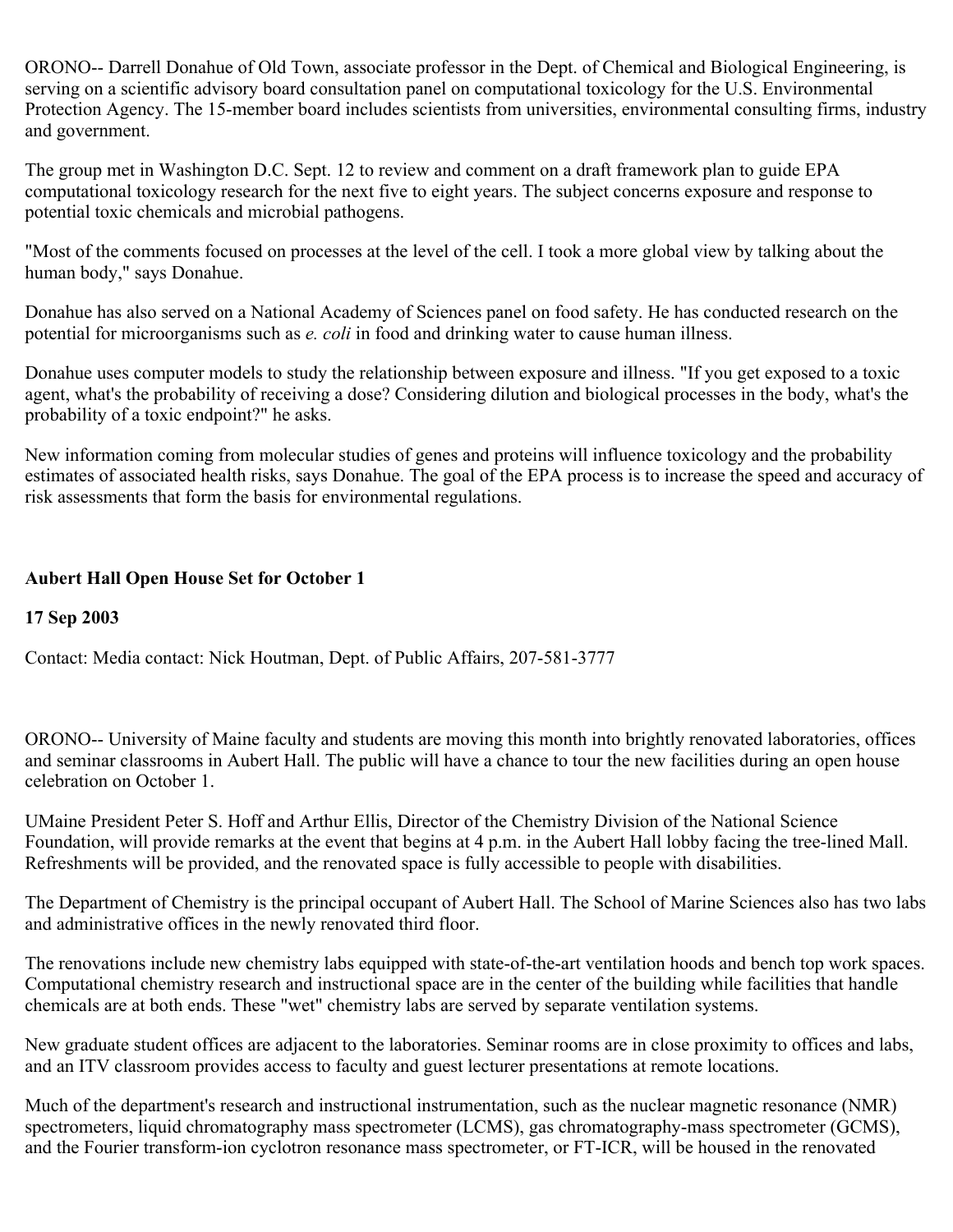ORONO-- Darrell Donahue of Old Town, associate professor in the Dept. of Chemical and Biological Engineering, is serving on a scientific advisory board consultation panel on computational toxicology for the U.S. Environmental Protection Agency. The 15-member board includes scientists from universities, environmental consulting firms, industry and government.

The group met in Washington D.C. Sept. 12 to review and comment on a draft framework plan to guide EPA computational toxicology research for the next five to eight years. The subject concerns exposure and response to potential toxic chemicals and microbial pathogens.

"Most of the comments focused on processes at the level of the cell. I took a more global view by talking about the human body," says Donahue.

Donahue has also served on a National Academy of Sciences panel on food safety. He has conducted research on the potential for microorganisms such as *e. coli* in food and drinking water to cause human illness.

Donahue uses computer models to study the relationship between exposure and illness. "If you get exposed to a toxic agent, what's the probability of receiving a dose? Considering dilution and biological processes in the body, what's the probability of a toxic endpoint?" he asks.

New information coming from molecular studies of genes and proteins will influence toxicology and the probability estimates of associated health risks, says Donahue. The goal of the EPA process is to increase the speed and accuracy of risk assessments that form the basis for environmental regulations.

## **Aubert Hall Open House Set for October 1**

### **17 Sep 2003**

Contact: Media contact: Nick Houtman, Dept. of Public Affairs, 207-581-3777

ORONO-- University of Maine faculty and students are moving this month into brightly renovated laboratories, offices and seminar classrooms in Aubert Hall. The public will have a chance to tour the new facilities during an open house celebration on October 1.

UMaine President Peter S. Hoff and Arthur Ellis, Director of the Chemistry Division of the National Science Foundation, will provide remarks at the event that begins at 4 p.m. in the Aubert Hall lobby facing the tree-lined Mall. Refreshments will be provided, and the renovated space is fully accessible to people with disabilities.

The Department of Chemistry is the principal occupant of Aubert Hall. The School of Marine Sciences also has two labs and administrative offices in the newly renovated third floor.

The renovations include new chemistry labs equipped with state-of-the-art ventilation hoods and bench top work spaces. Computational chemistry research and instructional space are in the center of the building while facilities that handle chemicals are at both ends. These "wet" chemistry labs are served by separate ventilation systems.

New graduate student offices are adjacent to the laboratories. Seminar rooms are in close proximity to offices and labs, and an ITV classroom provides access to faculty and guest lecturer presentations at remote locations.

Much of the department's research and instructional instrumentation, such as the nuclear magnetic resonance (NMR) spectrometers, liquid chromatography mass spectrometer (LCMS), gas chromatography-mass spectrometer (GCMS), and the Fourier transform-ion cyclotron resonance mass spectrometer, or FT-ICR, will be housed in the renovated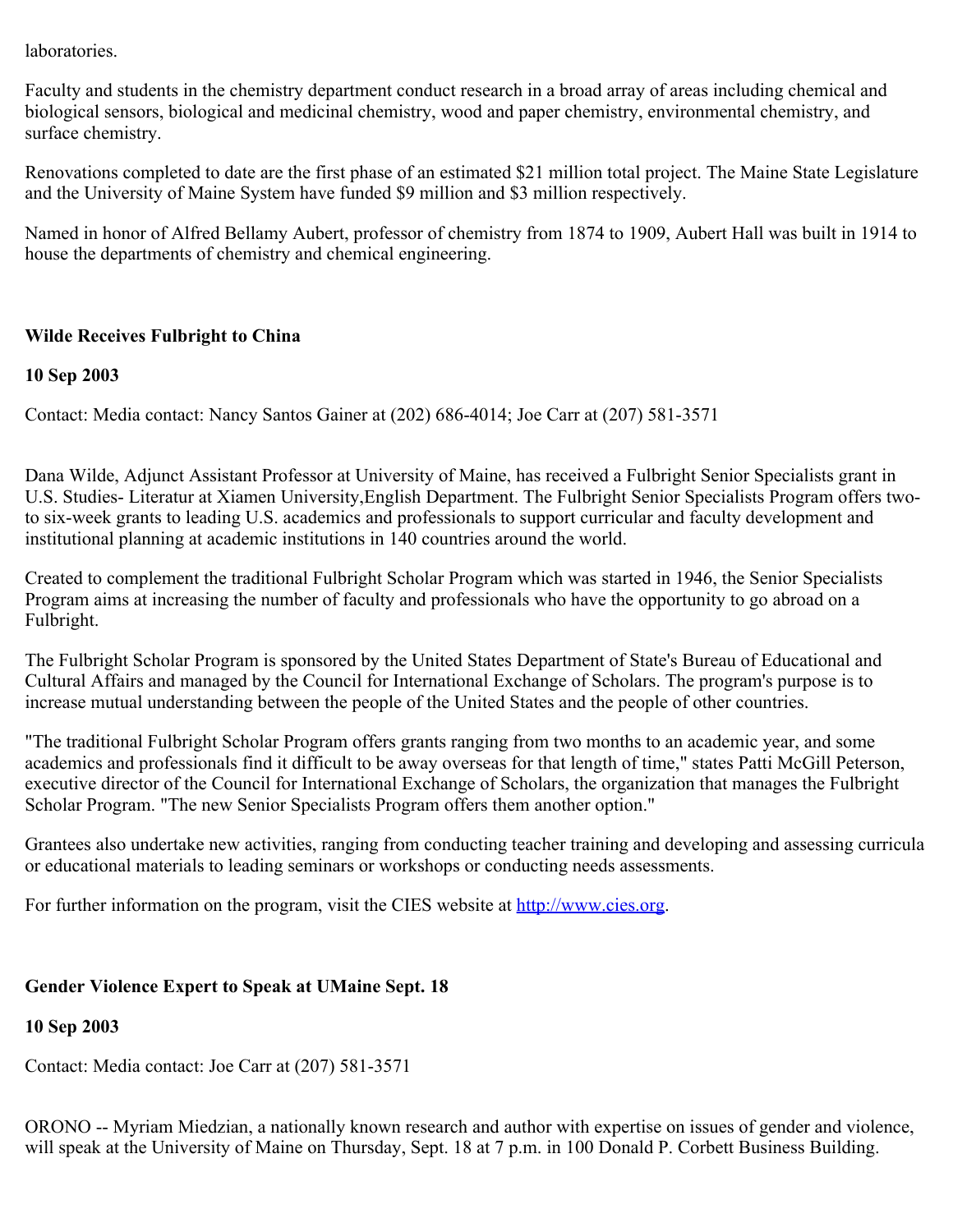laboratories.

Faculty and students in the chemistry department conduct research in a broad array of areas including chemical and biological sensors, biological and medicinal chemistry, wood and paper chemistry, environmental chemistry, and surface chemistry.

Renovations completed to date are the first phase of an estimated \$21 million total project. The Maine State Legislature and the University of Maine System have funded \$9 million and \$3 million respectively.

Named in honor of Alfred Bellamy Aubert, professor of chemistry from 1874 to 1909, Aubert Hall was built in 1914 to house the departments of chemistry and chemical engineering.

### **Wilde Receives Fulbright to China**

#### **10 Sep 2003**

Contact: Media contact: Nancy Santos Gainer at (202) 686-4014; Joe Carr at (207) 581-3571

Dana Wilde, Adjunct Assistant Professor at University of Maine, has received a Fulbright Senior Specialists grant in U.S. Studies- Literatur at Xiamen University,English Department. The Fulbright Senior Specialists Program offers twoto six-week grants to leading U.S. academics and professionals to support curricular and faculty development and institutional planning at academic institutions in 140 countries around the world.

Created to complement the traditional Fulbright Scholar Program which was started in 1946, the Senior Specialists Program aims at increasing the number of faculty and professionals who have the opportunity to go abroad on a Fulbright.

The Fulbright Scholar Program is sponsored by the United States Department of State's Bureau of Educational and Cultural Affairs and managed by the Council for International Exchange of Scholars. The program's purpose is to increase mutual understanding between the people of the United States and the people of other countries.

"The traditional Fulbright Scholar Program offers grants ranging from two months to an academic year, and some academics and professionals find it difficult to be away overseas for that length of time," states Patti McGill Peterson, executive director of the Council for International Exchange of Scholars, the organization that manages the Fulbright Scholar Program. "The new Senior Specialists Program offers them another option."

Grantees also undertake new activities, ranging from conducting teacher training and developing and assessing curricula or educational materials to leading seminars or workshops or conducting needs assessments.

For further information on the program, visit the CIES website at [http://www.cies.org](http://www.cies.org/).

### **Gender Violence Expert to Speak at UMaine Sept. 18**

### **10 Sep 2003**

Contact: Media contact: Joe Carr at (207) 581-3571

ORONO -- Myriam Miedzian, a nationally known research and author with expertise on issues of gender and violence, will speak at the University of Maine on Thursday, Sept. 18 at 7 p.m. in 100 Donald P. Corbett Business Building.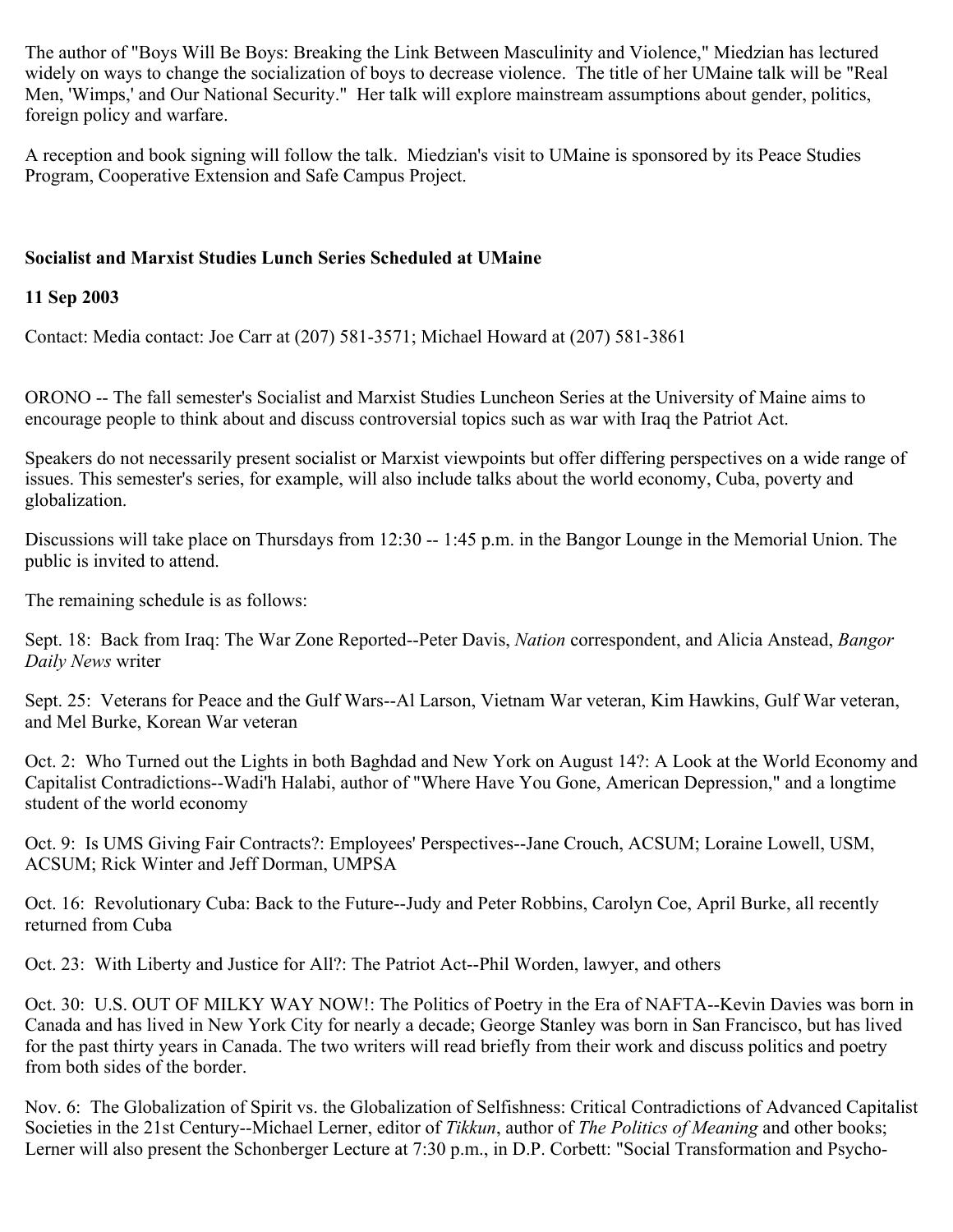The author of "Boys Will Be Boys: Breaking the Link Between Masculinity and Violence," Miedzian has lectured widely on ways to change the socialization of boys to decrease violence. The title of her UMaine talk will be "Real Men, 'Wimps,' and Our National Security." Her talk will explore mainstream assumptions about gender, politics, foreign policy and warfare.

A reception and book signing will follow the talk. Miedzian's visit to UMaine is sponsored by its Peace Studies Program, Cooperative Extension and Safe Campus Project.

## **Socialist and Marxist Studies Lunch Series Scheduled at UMaine**

### **11 Sep 2003**

Contact: Media contact: Joe Carr at (207) 581-3571; Michael Howard at (207) 581-3861

ORONO -- The fall semester's Socialist and Marxist Studies Luncheon Series at the University of Maine aims to encourage people to think about and discuss controversial topics such as war with Iraq the Patriot Act.

Speakers do not necessarily present socialist or Marxist viewpoints but offer differing perspectives on a wide range of issues. This semester's series, for example, will also include talks about the world economy, Cuba, poverty and globalization.

Discussions will take place on Thursdays from 12:30 -- 1:45 p.m. in the Bangor Lounge in the Memorial Union. The public is invited to attend.

The remaining schedule is as follows:

Sept. 18: Back from Iraq: The War Zone Reported--Peter Davis, *Nation* correspondent, and Alicia Anstead, *Bangor Daily News* writer

Sept. 25: Veterans for Peace and the Gulf Wars--Al Larson, Vietnam War veteran, Kim Hawkins, Gulf War veteran, and Mel Burke, Korean War veteran

Oct. 2: Who Turned out the Lights in both Baghdad and New York on August 14?: A Look at the World Economy and Capitalist Contradictions--Wadi'h Halabi, author of "Where Have You Gone, American Depression," and a longtime student of the world economy

Oct. 9: Is UMS Giving Fair Contracts?: Employees' Perspectives--Jane Crouch, ACSUM; Loraine Lowell, USM, ACSUM; Rick Winter and Jeff Dorman, UMPSA

Oct. 16: Revolutionary Cuba: Back to the Future--Judy and Peter Robbins, Carolyn Coe, April Burke, all recently returned from Cuba

Oct. 23: With Liberty and Justice for All?: The Patriot Act--Phil Worden, lawyer, and others

Oct. 30: U.S. OUT OF MILKY WAY NOW!: The Politics of Poetry in the Era of NAFTA--Kevin Davies was born in Canada and has lived in New York City for nearly a decade; George Stanley was born in San Francisco, but has lived for the past thirty years in Canada. The two writers will read briefly from their work and discuss politics and poetry from both sides of the border.

Nov. 6: The Globalization of Spirit vs. the Globalization of Selfishness: Critical Contradictions of Advanced Capitalist Societies in the 21st Century--Michael Lerner, editor of *Tikkun*, author of *The Politics of Meaning* and other books; Lerner will also present the Schonberger Lecture at 7:30 p.m., in D.P. Corbett: "Social Transformation and Psycho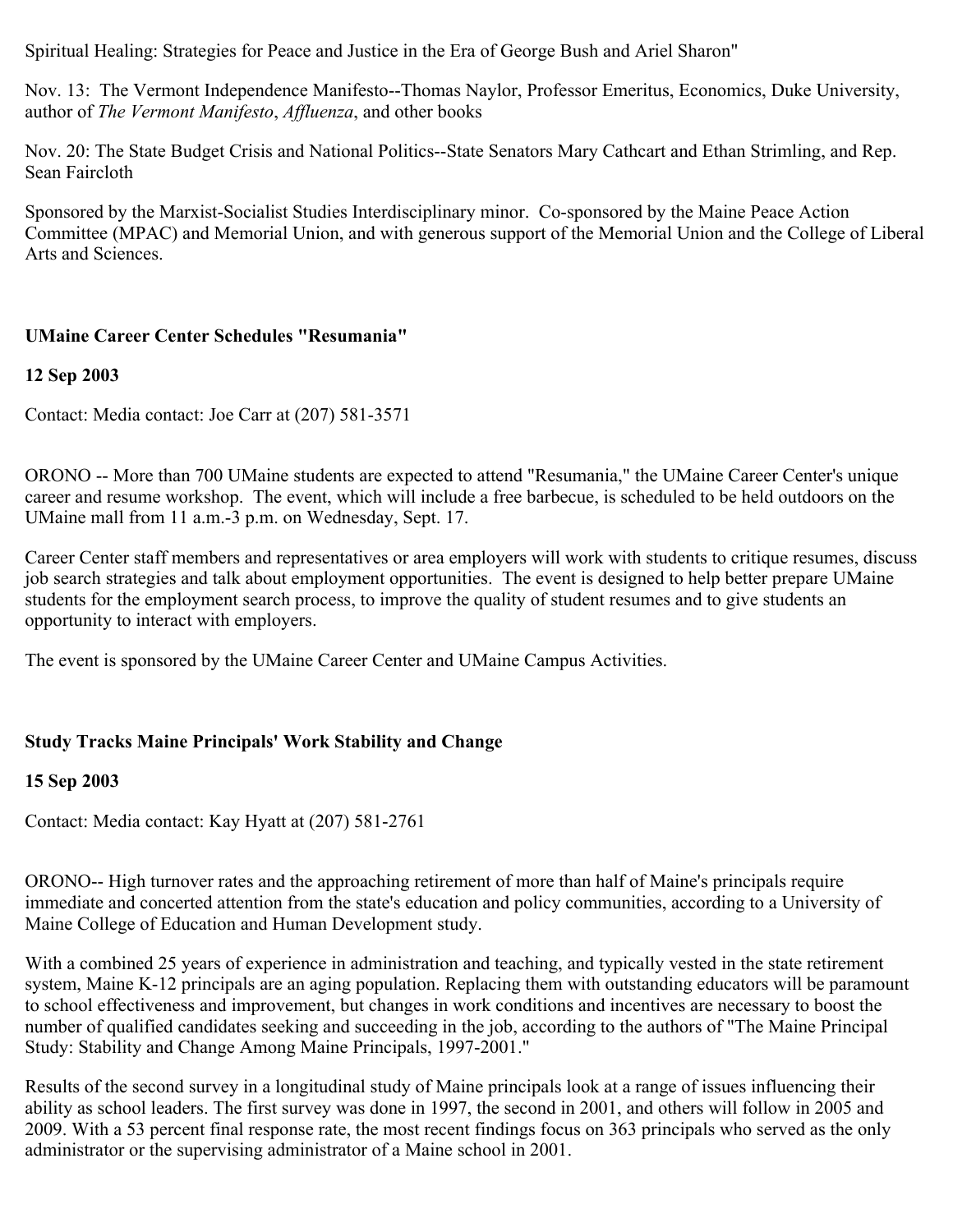Spiritual Healing: Strategies for Peace and Justice in the Era of George Bush and Ariel Sharon"

Nov. 13: The Vermont Independence Manifesto--Thomas Naylor, Professor Emeritus, Economics, Duke University, author of *The Vermont Manifesto*, *Affluenza*, and other books

Nov. 20: The State Budget Crisis and National Politics--State Senators Mary Cathcart and Ethan Strimling, and Rep. Sean Faircloth

Sponsored by the Marxist-Socialist Studies Interdisciplinary minor. Co-sponsored by the Maine Peace Action Committee (MPAC) and Memorial Union, and with generous support of the Memorial Union and the College of Liberal Arts and Sciences.

### **UMaine Career Center Schedules "Resumania"**

#### **12 Sep 2003**

Contact: Media contact: Joe Carr at (207) 581-3571

ORONO -- More than 700 UMaine students are expected to attend "Resumania," the UMaine Career Center's unique career and resume workshop. The event, which will include a free barbecue, is scheduled to be held outdoors on the UMaine mall from 11 a.m.-3 p.m. on Wednesday, Sept. 17.

Career Center staff members and representatives or area employers will work with students to critique resumes, discuss job search strategies and talk about employment opportunities. The event is designed to help better prepare UMaine students for the employment search process, to improve the quality of student resumes and to give students an opportunity to interact with employers.

The event is sponsored by the UMaine Career Center and UMaine Campus Activities.

### **Study Tracks Maine Principals' Work Stability and Change**

#### **15 Sep 2003**

Contact: Media contact: Kay Hyatt at (207) 581-2761

ORONO-- High turnover rates and the approaching retirement of more than half of Maine's principals require immediate and concerted attention from the state's education and policy communities, according to a University of Maine College of Education and Human Development study.

With a combined 25 years of experience in administration and teaching, and typically vested in the state retirement system, Maine K-12 principals are an aging population. Replacing them with outstanding educators will be paramount to school effectiveness and improvement, but changes in work conditions and incentives are necessary to boost the number of qualified candidates seeking and succeeding in the job, according to the authors of "The Maine Principal Study: Stability and Change Among Maine Principals, 1997-2001."

Results of the second survey in a longitudinal study of Maine principals look at a range of issues influencing their ability as school leaders. The first survey was done in 1997, the second in 2001, and others will follow in 2005 and 2009. With a 53 percent final response rate, the most recent findings focus on 363 principals who served as the only administrator or the supervising administrator of a Maine school in 2001.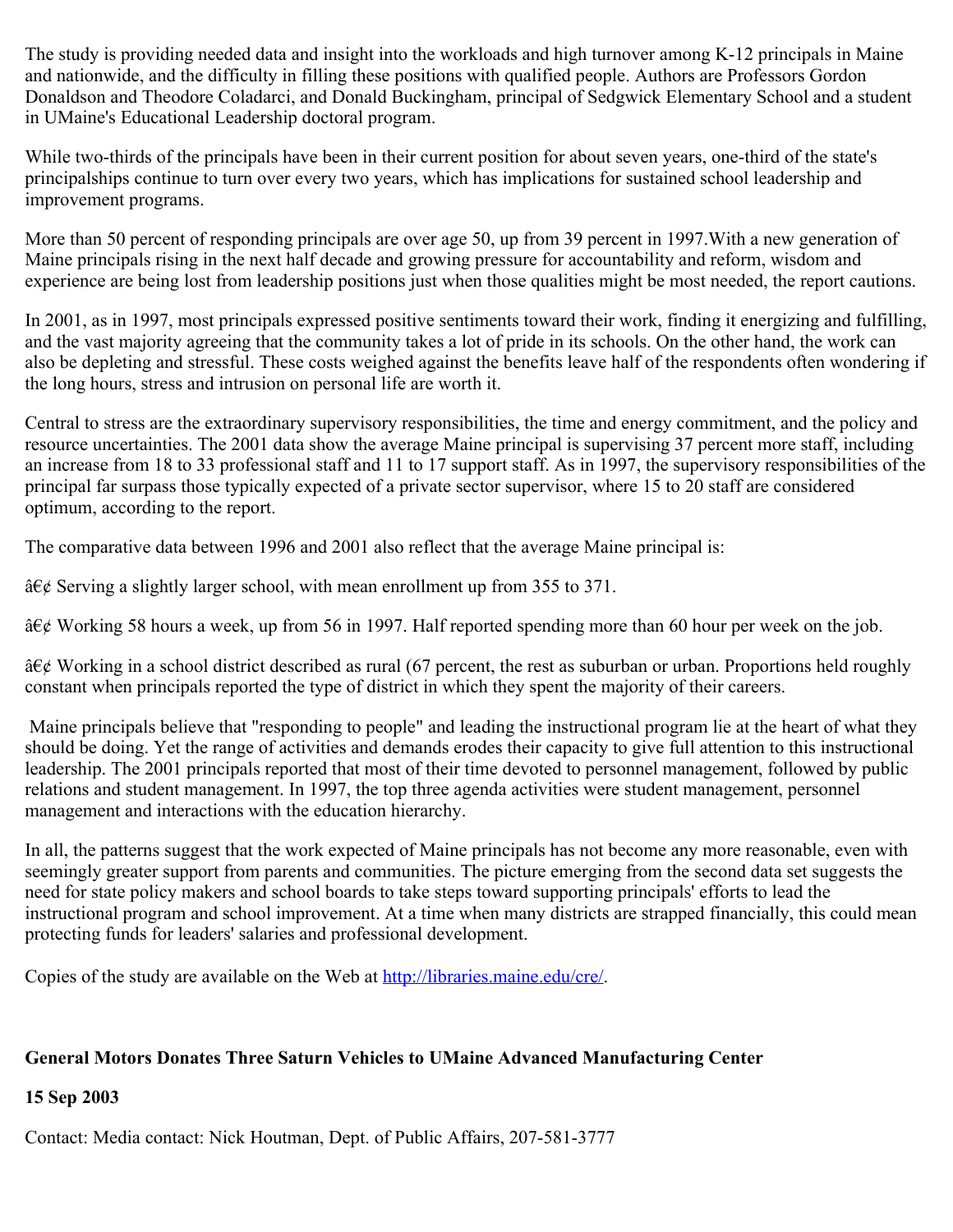The study is providing needed data and insight into the workloads and high turnover among K-12 principals in Maine and nationwide, and the difficulty in filling these positions with qualified people. Authors are Professors Gordon Donaldson and Theodore Coladarci, and Donald Buckingham, principal of Sedgwick Elementary School and a student in UMaine's Educational Leadership doctoral program.

While two-thirds of the principals have been in their current position for about seven years, one-third of the state's principalships continue to turn over every two years, which has implications for sustained school leadership and improvement programs.

More than 50 percent of responding principals are over age 50, up from 39 percent in 1997.With a new generation of Maine principals rising in the next half decade and growing pressure for accountability and reform, wisdom and experience are being lost from leadership positions just when those qualities might be most needed, the report cautions.

In 2001, as in 1997, most principals expressed positive sentiments toward their work, finding it energizing and fulfilling, and the vast majority agreeing that the community takes a lot of pride in its schools. On the other hand, the work can also be depleting and stressful. These costs weighed against the benefits leave half of the respondents often wondering if the long hours, stress and intrusion on personal life are worth it.

Central to stress are the extraordinary supervisory responsibilities, the time and energy commitment, and the policy and resource uncertainties. The 2001 data show the average Maine principal is supervising 37 percent more staff, including an increase from 18 to 33 professional staff and 11 to 17 support staff. As in 1997, the supervisory responsibilities of the principal far surpass those typically expected of a private sector supervisor, where 15 to 20 staff are considered optimum, according to the report.

The comparative data between 1996 and 2001 also reflect that the average Maine principal is:

 $\frac{\partial \xi}{\partial \xi}$  Serving a slightly larger school, with mean enrollment up from 355 to 371.

 $\hat{a} \in \mathcal{C}$  Working 58 hours a week, up from 56 in 1997. Half reported spending more than 60 hour per week on the job.

 $\hat{a} \in \emptyset$  Working in a school district described as rural (67 percent, the rest as suburban or urban. Proportions held roughly constant when principals reported the type of district in which they spent the majority of their careers.

Maine principals believe that "responding to people" and leading the instructional program lie at the heart of what they should be doing. Yet the range of activities and demands erodes their capacity to give full attention to this instructional leadership. The 2001 principals reported that most of their time devoted to personnel management, followed by public relations and student management. In 1997, the top three agenda activities were student management, personnel management and interactions with the education hierarchy.

In all, the patterns suggest that the work expected of Maine principals has not become any more reasonable, even with seemingly greater support from parents and communities. The picture emerging from the second data set suggests the need for state policy makers and school boards to take steps toward supporting principals' efforts to lead the instructional program and school improvement. At a time when many districts are strapped financially, this could mean protecting funds for leaders' salaries and professional development.

Copies of the study are available on the Web at [http://libraries.maine.edu/cre/.](http://libraries.maine.edu/cre/)

# **General Motors Donates Three Saturn Vehicles to UMaine Advanced Manufacturing Center**

### **15 Sep 2003**

Contact: Media contact: Nick Houtman, Dept. of Public Affairs, 207-581-3777